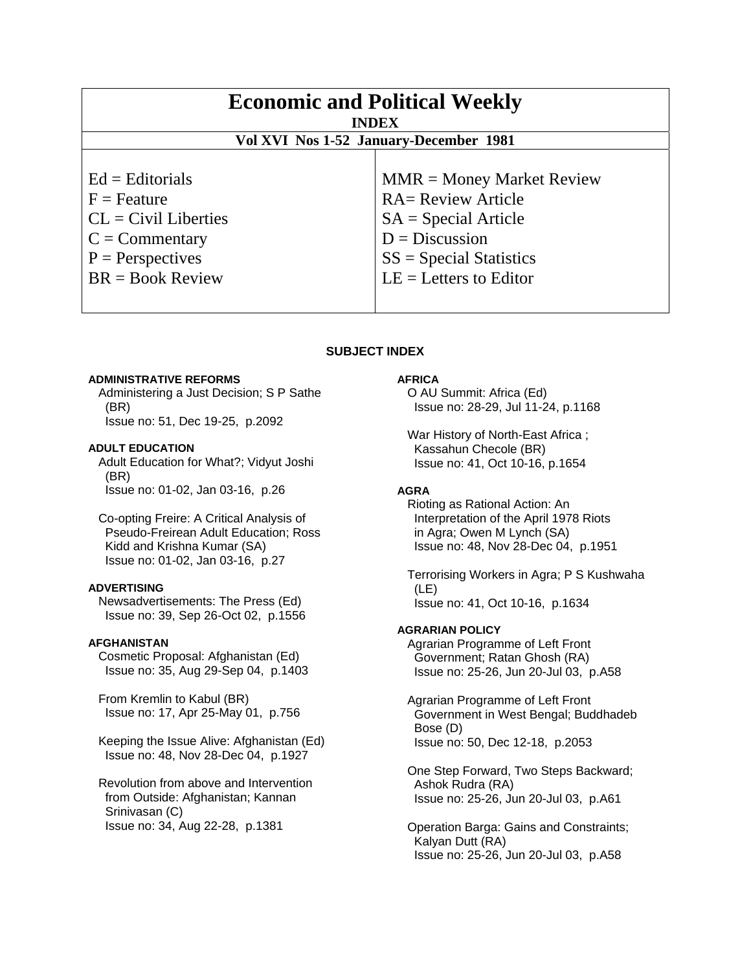| <b>Economic and Political Weekly</b><br><b>INDEX</b><br>Vol XVI Nos 1-52 January-December 1981                                        |                                                                                                                                                                 |
|---------------------------------------------------------------------------------------------------------------------------------------|-----------------------------------------------------------------------------------------------------------------------------------------------------------------|
|                                                                                                                                       |                                                                                                                                                                 |
| $Ed =$ Editorials<br>$F =$ Feature<br>$CL = Civil\:$ Liberties<br>$C = \text{Commentary}$<br>$P =$ Perspectives<br>$BR = Book Review$ | $MMR = Money Market Review$<br><b>RA= Review Article</b><br>$SA = Special Article$<br>$D = Discussion$<br>$SS = Special Statistics$<br>$LE = Letters to Editor$ |

# **SUBJECT INDEX**

### **ADMINISTRATIVE REFORMS**

 Administering a Just Decision; S P Sathe (BR) Issue no: 51, Dec 19-25, p.2092

#### **ADULT EDUCATION**

 Adult Education for What?; Vidyut Joshi (BR) Issue no: 01-02, Jan 03-16, p.26

 Co-opting Freire: A Critical Analysis of Pseudo-Freirean Adult Education; Ross Kidd and Krishna Kumar (SA) Issue no: 01-02, Jan 03-16, p.27

#### **ADVERTISING**

 Newsadvertisements: The Press (Ed) Issue no: 39, Sep 26-Oct 02, p.1556

### **AFGHANISTAN**

 Cosmetic Proposal: Afghanistan (Ed) Issue no: 35, Aug 29-Sep 04, p.1403

 From Kremlin to Kabul (BR) Issue no: 17, Apr 25-May 01, p.756

 Keeping the Issue Alive: Afghanistan (Ed) Issue no: 48, Nov 28-Dec 04, p.1927

 Revolution from above and Intervention from Outside: Afghanistan; Kannan Srinivasan (C) Issue no: 34, Aug 22-28, p.1381

# **AFRICA**

 O AU Summit: Africa (Ed) Issue no: 28-29, Jul 11-24, p.1168

 War History of North-East Africa ; Kassahun Checole (BR) Issue no: 41, Oct 10-16, p.1654

# **AGRA**

 Rioting as Rational Action: An Interpretation of the April 1978 Riots in Agra; Owen M Lynch (SA) Issue no: 48, Nov 28-Dec 04, p.1951

 Terrorising Workers in Agra; P S Kushwaha (LE) Issue no: 41, Oct 10-16, p.1634

# **AGRARIAN POLICY**

 Agrarian Programme of Left Front Government; Ratan Ghosh (RA) Issue no: 25-26, Jun 20-Jul 03, p.A58

 Agrarian Programme of Left Front Government in West Bengal; Buddhadeb Bose (D) Issue no: 50, Dec 12-18, p.2053

 One Step Forward, Two Steps Backward; Ashok Rudra (RA) Issue no: 25-26, Jun 20-Jul 03, p.A61

 Operation Barga: Gains and Constraints; Kalyan Dutt (RA) Issue no: 25-26, Jun 20-Jul 03, p.A58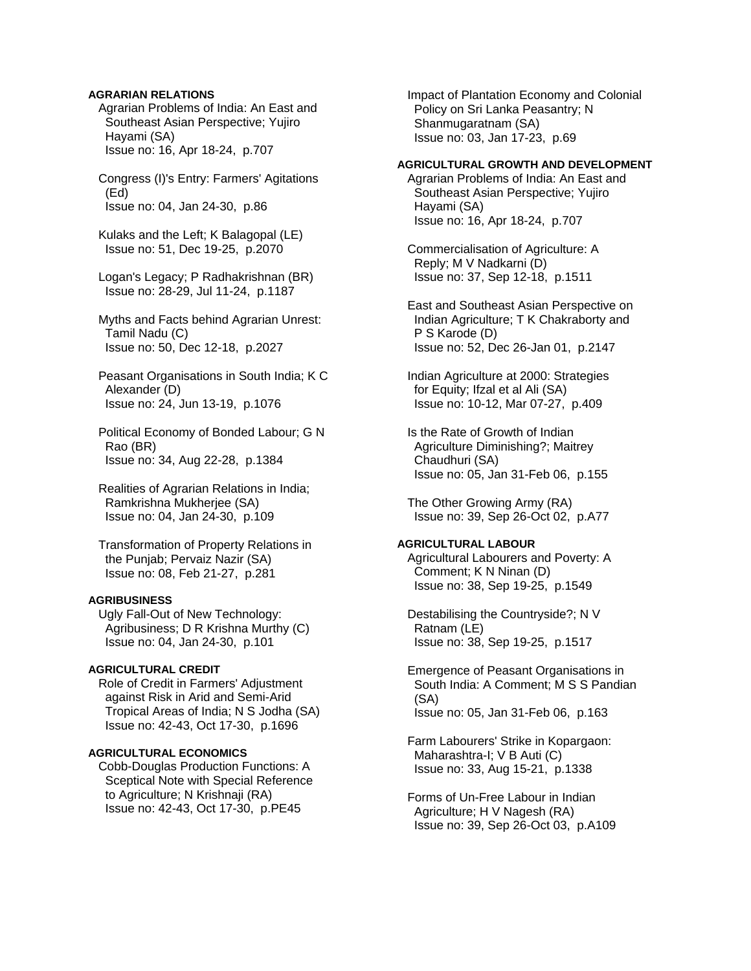## **AGRARIAN RELATIONS**

 Agrarian Problems of India: An East and Southeast Asian Perspective; Yujiro Hayami (SA) Issue no: 16, Apr 18-24, p.707

 Congress (I)'s Entry: Farmers' Agitations (Ed) Issue no: 04, Jan 24-30, p.86

 Kulaks and the Left; K Balagopal (LE) Issue no: 51, Dec 19-25, p.2070

 Logan's Legacy; P Radhakrishnan (BR) Issue no: 28-29, Jul 11-24, p.1187

 Myths and Facts behind Agrarian Unrest: Tamil Nadu (C) Issue no: 50, Dec 12-18, p.2027

 Peasant Organisations in South India; K C Alexander (D) Issue no: 24, Jun 13-19, p.1076

 Political Economy of Bonded Labour; G N Rao (BR) Issue no: 34, Aug 22-28, p.1384

 Realities of Agrarian Relations in India; Ramkrishna Mukherjee (SA) Issue no: 04, Jan 24-30, p.109

 Transformation of Property Relations in the Punjab; Pervaiz Nazir (SA) Issue no: 08, Feb 21-27, p.281

# **AGRIBUSINESS**

 Ugly Fall-Out of New Technology: Agribusiness; D R Krishna Murthy (C) Issue no: 04, Jan 24-30, p.101

### **AGRICULTURAL CREDIT**

 Role of Credit in Farmers' Adjustment against Risk in Arid and Semi-Arid Tropical Areas of India; N S Jodha (SA) Issue no: 42-43, Oct 17-30, p.1696

#### **AGRICULTURAL ECONOMICS**

 Cobb-Douglas Production Functions: A Sceptical Note with Special Reference to Agriculture; N Krishnaji (RA) Issue no: 42-43, Oct 17-30, p.PE45

 Impact of Plantation Economy and Colonial Policy on Sri Lanka Peasantry; N Shanmugaratnam (SA) Issue no: 03, Jan 17-23, p.69

### **AGRICULTURAL GROWTH AND DEVELOPMENT**

 Agrarian Problems of India: An East and Southeast Asian Perspective; Yujiro Hayami (SA) Issue no: 16, Apr 18-24, p.707

 Commercialisation of Agriculture: A Reply; M V Nadkarni (D) Issue no: 37, Sep 12-18, p.1511

 East and Southeast Asian Perspective on Indian Agriculture; T K Chakraborty and P S Karode (D) Issue no: 52, Dec 26-Jan 01, p.2147

 Indian Agriculture at 2000: Strategies for Equity; Ifzal et al Ali (SA) Issue no: 10-12, Mar 07-27, p.409

 Is the Rate of Growth of Indian Agriculture Diminishing?; Maitrey Chaudhuri (SA) Issue no: 05, Jan 31-Feb 06, p.155

 The Other Growing Army (RA) Issue no: 39, Sep 26-Oct 02, p.A77

#### **AGRICULTURAL LABOUR**

 Agricultural Labourers and Poverty: A Comment; K N Ninan (D) Issue no: 38, Sep 19-25, p.1549

 Destabilising the Countryside?; N V Ratnam (LE) Issue no: 38, Sep 19-25, p.1517

 Emergence of Peasant Organisations in South India: A Comment; M S S Pandian (SA) Issue no: 05, Jan 31-Feb 06, p.163

 Farm Labourers' Strike in Kopargaon: Maharashtra-I; V B Auti (C) Issue no: 33, Aug 15-21, p.1338

 Forms of Un-Free Labour in Indian Agriculture; H V Nagesh (RA) Issue no: 39, Sep 26-Oct 03, p.A109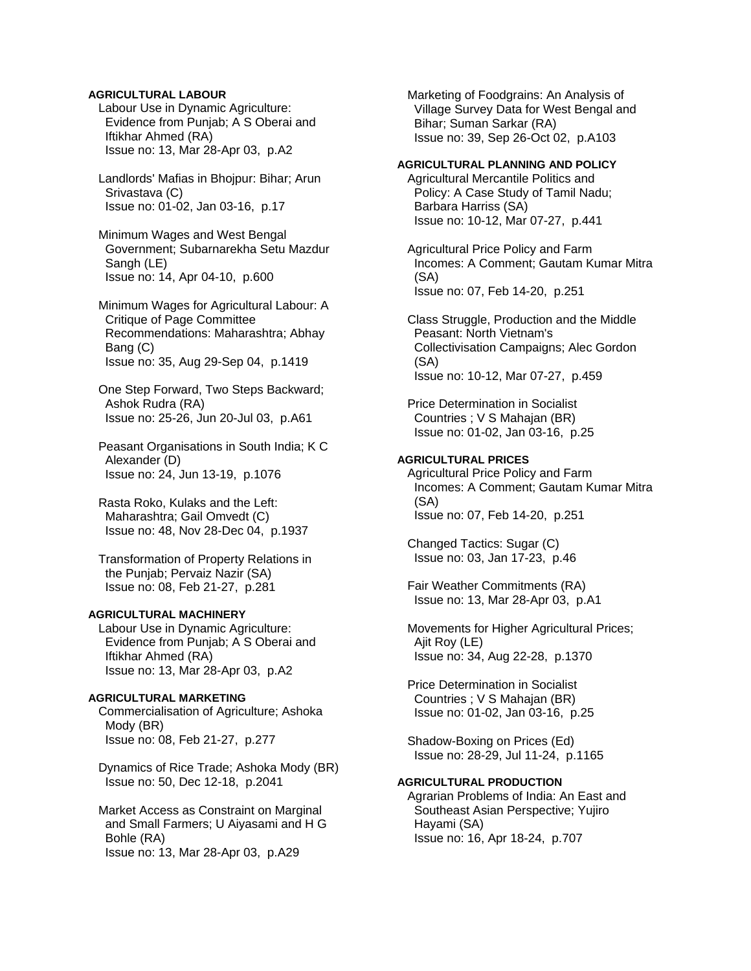# **AGRICULTURAL LABOUR**

 Labour Use in Dynamic Agriculture: Evidence from Punjab; A S Oberai and Iftikhar Ahmed (RA) Issue no: 13, Mar 28-Apr 03, p.A2

 Landlords' Mafias in Bhojpur: Bihar; Arun Srivastava (C) Issue no: 01-02, Jan 03-16, p.17

 Minimum Wages and West Bengal Government; Subarnarekha Setu Mazdur Sangh (LE) Issue no: 14, Apr 04-10, p.600

 Minimum Wages for Agricultural Labour: A Critique of Page Committee Recommendations: Maharashtra; Abhay Bang (C) Issue no: 35, Aug 29-Sep 04, p.1419

 One Step Forward, Two Steps Backward; Ashok Rudra (RA) Issue no: 25-26, Jun 20-Jul 03, p.A61

 Peasant Organisations in South India; K C Alexander (D) Issue no: 24, Jun 13-19, p.1076

 Rasta Roko, Kulaks and the Left: Maharashtra; Gail Omvedt (C) Issue no: 48, Nov 28-Dec 04, p.1937

 Transformation of Property Relations in the Punjab; Pervaiz Nazir (SA) Issue no: 08, Feb 21-27, p.281

# **AGRICULTURAL MACHINERY**

 Labour Use in Dynamic Agriculture: Evidence from Punjab; A S Oberai and Iftikhar Ahmed (RA) Issue no: 13, Mar 28-Apr 03, p.A2

#### **AGRICULTURAL MARKETING**

 Commercialisation of Agriculture; Ashoka Mody (BR) Issue no: 08, Feb 21-27, p.277

 Dynamics of Rice Trade; Ashoka Mody (BR) Issue no: 50, Dec 12-18, p.2041

 Market Access as Constraint on Marginal and Small Farmers; U Aiyasami and H G Bohle (RA) Issue no: 13, Mar 28-Apr 03, p.A29

 Marketing of Foodgrains: An Analysis of Village Survey Data for West Bengal and Bihar; Suman Sarkar (RA) Issue no: 39, Sep 26-Oct 02, p.A103

#### **AGRICULTURAL PLANNING AND POLICY**

 Agricultural Mercantile Politics and Policy: A Case Study of Tamil Nadu; Barbara Harriss (SA) Issue no: 10-12, Mar 07-27, p.441

 Agricultural Price Policy and Farm Incomes: A Comment; Gautam Kumar Mitra (SA) Issue no: 07, Feb 14-20, p.251

 Class Struggle, Production and the Middle Peasant: North Vietnam's Collectivisation Campaigns; Alec Gordon (SA) Issue no: 10-12, Mar 07-27, p.459

 Price Determination in Socialist Countries ; V S Mahajan (BR) Issue no: 01-02, Jan 03-16, p.25

### **AGRICULTURAL PRICES**

 Agricultural Price Policy and Farm Incomes: A Comment; Gautam Kumar Mitra (SA) Issue no: 07, Feb 14-20, p.251

 Changed Tactics: Sugar (C) Issue no: 03, Jan 17-23, p.46

 Fair Weather Commitments (RA) Issue no: 13, Mar 28-Apr 03, p.A1

 Movements for Higher Agricultural Prices; Ajit Roy (LE) Issue no: 34, Aug 22-28, p.1370

 Price Determination in Socialist Countries ; V S Mahajan (BR) Issue no: 01-02, Jan 03-16, p.25

 Shadow-Boxing on Prices (Ed) Issue no: 28-29, Jul 11-24, p.1165

# **AGRICULTURAL PRODUCTION**

 Agrarian Problems of India: An East and Southeast Asian Perspective; Yujiro Hayami (SA) Issue no: 16, Apr 18-24, p.707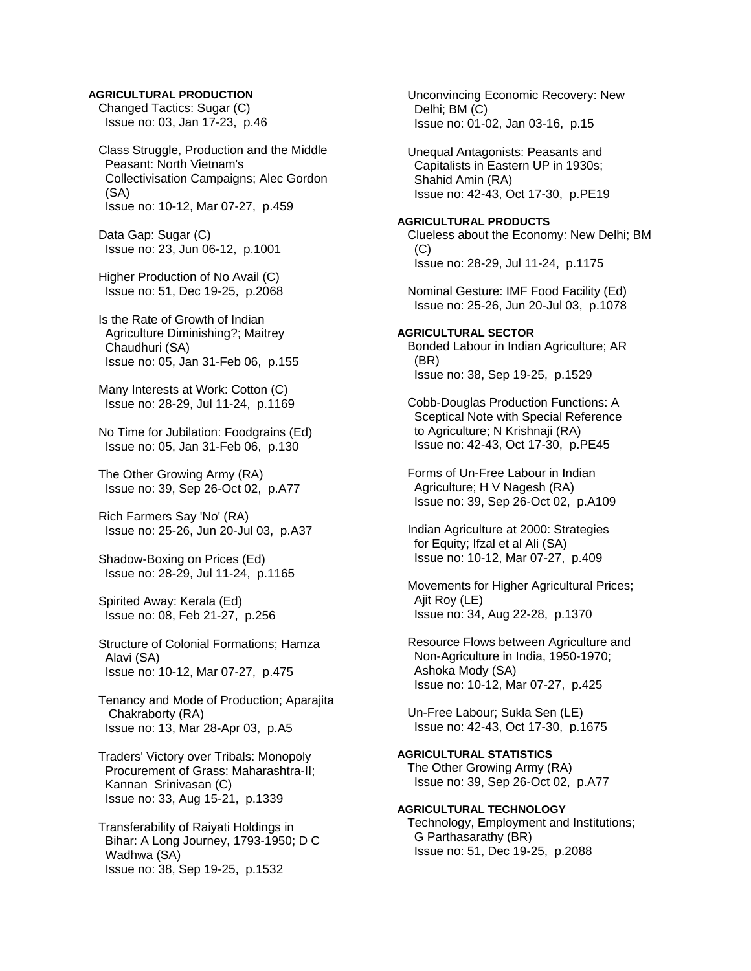### **AGRICULTURAL PRODUCTION**

 Changed Tactics: Sugar (C) Issue no: 03, Jan 17-23, p.46

 Class Struggle, Production and the Middle Peasant: North Vietnam's Collectivisation Campaigns; Alec Gordon (SA) Issue no: 10-12, Mar 07-27, p.459

 Data Gap: Sugar (C) Issue no: 23, Jun 06-12, p.1001

 Higher Production of No Avail (C) Issue no: 51, Dec 19-25, p.2068

 Is the Rate of Growth of Indian Agriculture Diminishing?; Maitrey Chaudhuri (SA) Issue no: 05, Jan 31-Feb 06, p.155

 Many Interests at Work: Cotton (C) Issue no: 28-29, Jul 11-24, p.1169

 No Time for Jubilation: Foodgrains (Ed) Issue no: 05, Jan 31-Feb 06, p.130

 The Other Growing Army (RA) Issue no: 39, Sep 26-Oct 02, p.A77

 Rich Farmers Say 'No' (RA) Issue no: 25-26, Jun 20-Jul 03, p.A37

 Shadow-Boxing on Prices (Ed) Issue no: 28-29, Jul 11-24, p.1165

 Spirited Away: Kerala (Ed) Issue no: 08, Feb 21-27, p.256

 Structure of Colonial Formations; Hamza Alavi (SA) Issue no: 10-12, Mar 07-27, p.475

 Tenancy and Mode of Production; Aparajita Chakraborty (RA) Issue no: 13, Mar 28-Apr 03, p.A5

 Traders' Victory over Tribals: Monopoly Procurement of Grass: Maharashtra-II; Kannan Srinivasan (C) Issue no: 33, Aug 15-21, p.1339

 Transferability of Raiyati Holdings in Bihar: A Long Journey, 1793-1950; D C Wadhwa (SA) Issue no: 38, Sep 19-25, p.1532

 Unconvincing Economic Recovery: New Delhi; BM (C) Issue no: 01-02, Jan 03-16, p.15

 Unequal Antagonists: Peasants and Capitalists in Eastern UP in 1930s; Shahid Amin (RA) Issue no: 42-43, Oct 17-30, p.PE19

**AGRICULTURAL PRODUCTS**  Clueless about the Economy: New Delhi; BM  $(C)$ Issue no: 28-29, Jul 11-24, p.1175

 Nominal Gesture: IMF Food Facility (Ed) Issue no: 25-26, Jun 20-Jul 03, p.1078

**AGRICULTURAL SECTOR**  Bonded Labour in Indian Agriculture; AR (BR) Issue no: 38, Sep 19-25, p.1529

 Cobb-Douglas Production Functions: A Sceptical Note with Special Reference to Agriculture; N Krishnaji (RA) Issue no: 42-43, Oct 17-30, p.PE45

 Forms of Un-Free Labour in Indian Agriculture; H V Nagesh (RA) Issue no: 39, Sep 26-Oct 02, p.A109

 Indian Agriculture at 2000: Strategies for Equity; Ifzal et al Ali (SA) Issue no: 10-12, Mar 07-27, p.409

 Movements for Higher Agricultural Prices; Ajit Roy (LE) Issue no: 34, Aug 22-28, p.1370

 Resource Flows between Agriculture and Non-Agriculture in India, 1950-1970; Ashoka Mody (SA) Issue no: 10-12, Mar 07-27, p.425

 Un-Free Labour; Sukla Sen (LE) Issue no: 42-43, Oct 17-30, p.1675

**AGRICULTURAL STATISTICS**  The Other Growing Army (RA) Issue no: 39, Sep 26-Oct 02, p.A77

**AGRICULTURAL TECHNOLOGY**  Technology, Employment and Institutions; G Parthasarathy (BR) Issue no: 51, Dec 19-25, p.2088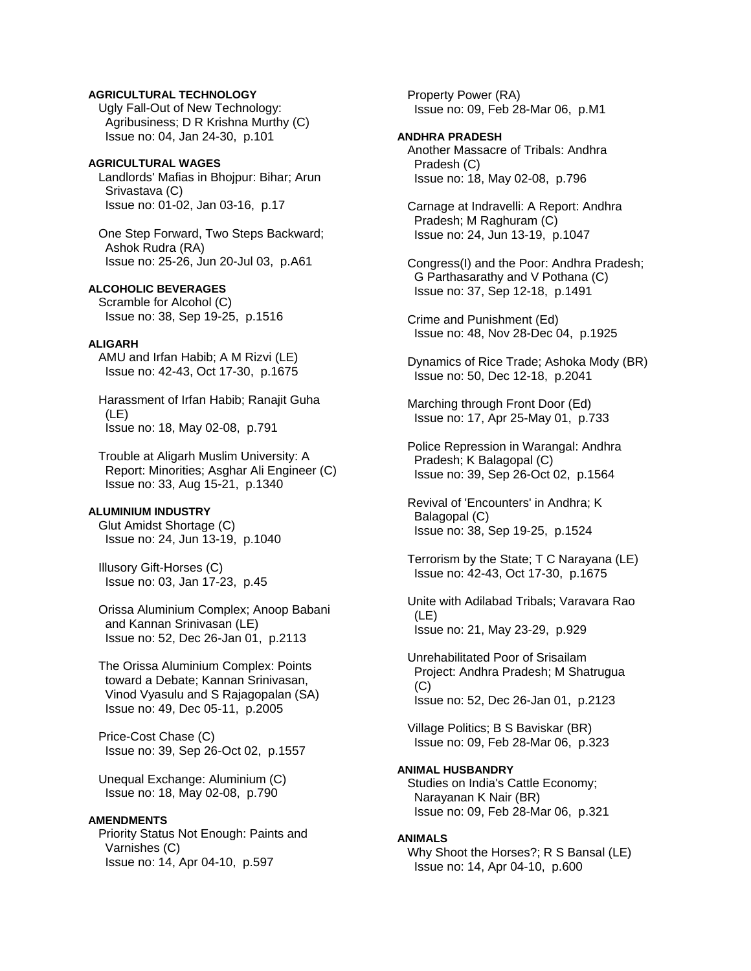# **AGRICULTURAL TECHNOLOGY**

 Ugly Fall-Out of New Technology: Agribusiness; D R Krishna Murthy (C) Issue no: 04, Jan 24-30, p.101

### **AGRICULTURAL WAGES**

 Landlords' Mafias in Bhojpur: Bihar; Arun Srivastava (C) Issue no: 01-02, Jan 03-16, p.17

 One Step Forward, Two Steps Backward; Ashok Rudra (RA) Issue no: 25-26, Jun 20-Jul 03, p.A61

# **ALCOHOLIC BEVERAGES**

 Scramble for Alcohol (C) Issue no: 38, Sep 19-25, p.1516

# **ALIGARH**

 AMU and Irfan Habib; A M Rizvi (LE) Issue no: 42-43, Oct 17-30, p.1675

 Harassment of Irfan Habib; Ranajit Guha (LE) Issue no: 18, May 02-08, p.791

 Trouble at Aligarh Muslim University: A Report: Minorities; Asghar Ali Engineer (C) Issue no: 33, Aug 15-21, p.1340

# **ALUMINIUM INDUSTRY**

 Glut Amidst Shortage (C) Issue no: 24, Jun 13-19, p.1040

 Illusory Gift-Horses (C) Issue no: 03, Jan 17-23, p.45

 Orissa Aluminium Complex; Anoop Babani and Kannan Srinivasan (LE) Issue no: 52, Dec 26-Jan 01, p.2113

 The Orissa Aluminium Complex: Points toward a Debate; Kannan Srinivasan, Vinod Vyasulu and S Rajagopalan (SA) Issue no: 49, Dec 05-11, p.2005

 Price-Cost Chase (C) Issue no: 39, Sep 26-Oct 02, p.1557

 Unequal Exchange: Aluminium (C) Issue no: 18, May 02-08, p.790

#### **AMENDMENTS**

 Priority Status Not Enough: Paints and Varnishes (C) Issue no: 14, Apr 04-10, p.597

 Property Power (RA) Issue no: 09, Feb 28-Mar 06, p.M1

### **ANDHRA PRADESH**

 Another Massacre of Tribals: Andhra Pradesh (C) Issue no: 18, May 02-08, p.796

 Carnage at Indravelli: A Report: Andhra Pradesh; M Raghuram (C) Issue no: 24, Jun 13-19, p.1047

 Congress(I) and the Poor: Andhra Pradesh; G Parthasarathy and V Pothana (C) Issue no: 37, Sep 12-18, p.1491

 Crime and Punishment (Ed) Issue no: 48, Nov 28-Dec 04, p.1925

 Dynamics of Rice Trade; Ashoka Mody (BR) Issue no: 50, Dec 12-18, p.2041

 Marching through Front Door (Ed) Issue no: 17, Apr 25-May 01, p.733

 Police Repression in Warangal: Andhra Pradesh; K Balagopal (C) Issue no: 39, Sep 26-Oct 02, p.1564

 Revival of 'Encounters' in Andhra; K Balagopal (C) Issue no: 38, Sep 19-25, p.1524

 Terrorism by the State; T C Narayana (LE) Issue no: 42-43, Oct 17-30, p.1675

 Unite with Adilabad Tribals; Varavara Rao (LE) Issue no: 21, May 23-29, p.929

 Unrehabilitated Poor of Srisailam Project: Andhra Pradesh; M Shatrugua  $(C)$ Issue no: 52, Dec 26-Jan 01, p.2123

 Village Politics; B S Baviskar (BR) Issue no: 09, Feb 28-Mar 06, p.323

# **ANIMAL HUSBANDRY**

 Studies on India's Cattle Economy; Narayanan K Nair (BR) Issue no: 09, Feb 28-Mar 06, p.321

#### **ANIMALS**

 Why Shoot the Horses?; R S Bansal (LE) Issue no: 14, Apr 04-10, p.600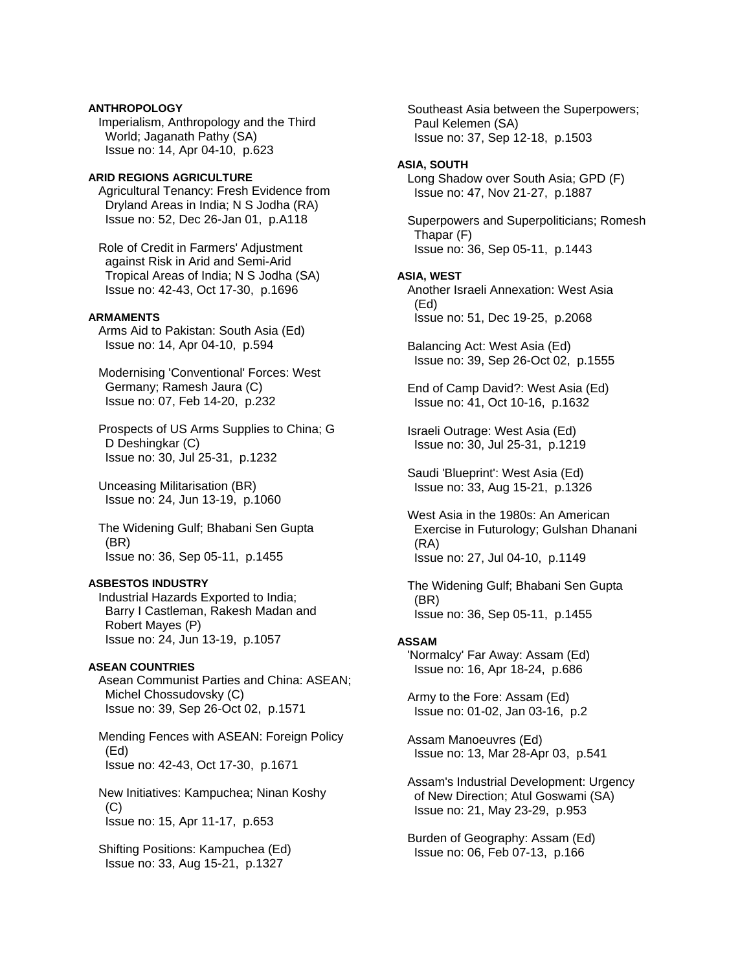# **ANTHROPOLOGY**

 Imperialism, Anthropology and the Third World; Jaganath Pathy (SA) Issue no: 14, Apr 04-10, p.623

#### **ARID REGIONS AGRICULTURE**

 Agricultural Tenancy: Fresh Evidence from Dryland Areas in India; N S Jodha (RA) Issue no: 52, Dec 26-Jan 01, p.A118

 Role of Credit in Farmers' Adjustment against Risk in Arid and Semi-Arid Tropical Areas of India; N S Jodha (SA) Issue no: 42-43, Oct 17-30, p.1696

### **ARMAMENTS**

 Arms Aid to Pakistan: South Asia (Ed) Issue no: 14, Apr 04-10, p.594

 Modernising 'Conventional' Forces: West Germany; Ramesh Jaura (C) Issue no: 07, Feb 14-20, p.232

 Prospects of US Arms Supplies to China; G D Deshingkar (C) Issue no: 30, Jul 25-31, p.1232

 Unceasing Militarisation (BR) Issue no: 24, Jun 13-19, p.1060

 The Widening Gulf; Bhabani Sen Gupta (BR) Issue no: 36, Sep 05-11, p.1455

# **ASBESTOS INDUSTRY**

 Industrial Hazards Exported to India; Barry I Castleman, Rakesh Madan and Robert Mayes (P) Issue no: 24, Jun 13-19, p.1057

## **ASEAN COUNTRIES**

 Asean Communist Parties and China: ASEAN; Michel Chossudovsky (C) Issue no: 39, Sep 26-Oct 02, p.1571

 Mending Fences with ASEAN: Foreign Policy (Ed) Issue no: 42-43, Oct 17-30, p.1671

 New Initiatives: Kampuchea; Ninan Koshy (C) Issue no: 15, Apr 11-17, p.653

 Shifting Positions: Kampuchea (Ed) Issue no: 33, Aug 15-21, p.1327

 Southeast Asia between the Superpowers; Paul Kelemen (SA) Issue no: 37, Sep 12-18, p.1503

### **ASIA, SOUTH**

 Long Shadow over South Asia; GPD (F) Issue no: 47, Nov 21-27, p.1887

 Superpowers and Superpoliticians; Romesh Thapar (F) Issue no: 36, Sep 05-11, p.1443

#### **ASIA, WEST**

 Another Israeli Annexation: West Asia (Ed) Issue no: 51, Dec 19-25, p.2068

 Balancing Act: West Asia (Ed) Issue no: 39, Sep 26-Oct 02, p.1555

 End of Camp David?: West Asia (Ed) Issue no: 41, Oct 10-16, p.1632

 Israeli Outrage: West Asia (Ed) Issue no: 30, Jul 25-31, p.1219

 Saudi 'Blueprint': West Asia (Ed) Issue no: 33, Aug 15-21, p.1326

 West Asia in the 1980s: An American Exercise in Futurology; Gulshan Dhanani (RA) Issue no: 27, Jul 04-10, p.1149

 The Widening Gulf; Bhabani Sen Gupta (BR) Issue no: 36, Sep 05-11, p.1455

#### **ASSAM**

 'Normalcy' Far Away: Assam (Ed) Issue no: 16, Apr 18-24, p.686

 Army to the Fore: Assam (Ed) Issue no: 01-02, Jan 03-16, p.2

 Assam Manoeuvres (Ed) Issue no: 13, Mar 28-Apr 03, p.541

 Assam's Industrial Development: Urgency of New Direction; Atul Goswami (SA) Issue no: 21, May 23-29, p.953

 Burden of Geography: Assam (Ed) Issue no: 06, Feb 07-13, p.166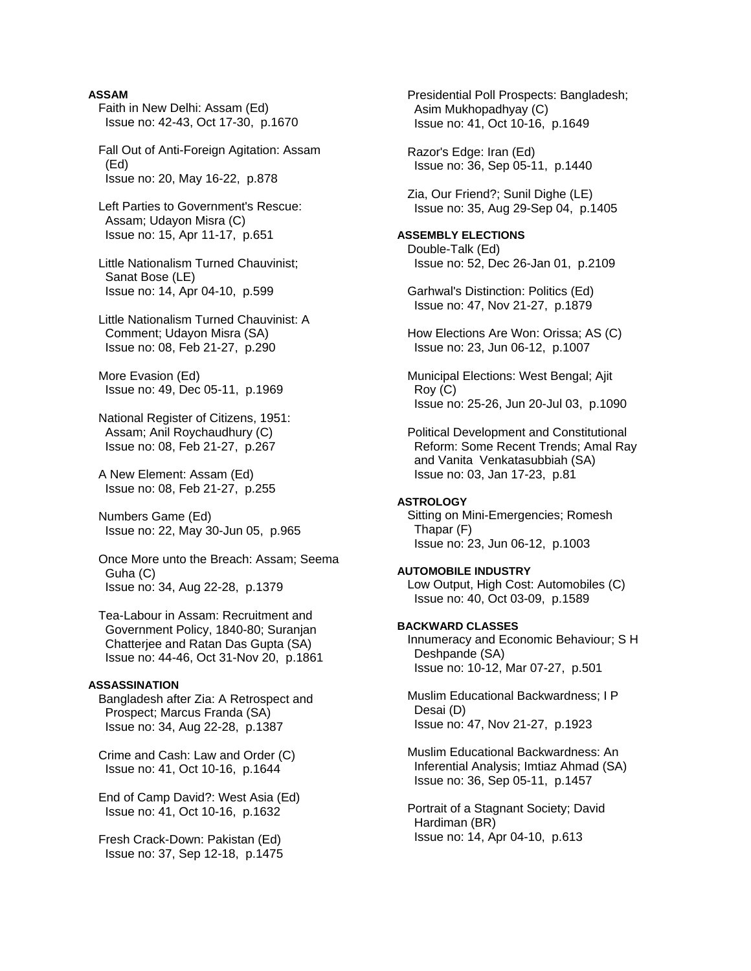## **ASSAM**

- Faith in New Delhi: Assam (Ed) Issue no: 42-43, Oct 17-30, p.1670
- Fall Out of Anti-Foreign Agitation: Assam (Ed) Issue no: 20, May 16-22, p.878
- Left Parties to Government's Rescue: Assam; Udayon Misra (C) Issue no: 15, Apr 11-17, p.651
- Little Nationalism Turned Chauvinist; Sanat Bose (LE) Issue no: 14, Apr 04-10, p.599
- Little Nationalism Turned Chauvinist: A Comment; Udayon Misra (SA) Issue no: 08, Feb 21-27, p.290

 More Evasion (Ed) Issue no: 49, Dec 05-11, p.1969

 National Register of Citizens, 1951: Assam; Anil Roychaudhury (C) Issue no: 08, Feb 21-27, p.267

 A New Element: Assam (Ed) Issue no: 08, Feb 21-27, p.255

 Numbers Game (Ed) Issue no: 22, May 30-Jun 05, p.965

 Once More unto the Breach: Assam; Seema Guha (C) Issue no: 34, Aug 22-28, p.1379

 Tea-Labour in Assam: Recruitment and Government Policy, 1840-80; Suranjan Chatterjee and Ratan Das Gupta (SA) Issue no: 44-46, Oct 31-Nov 20, p.1861

## **ASSASSINATION**

 Bangladesh after Zia: A Retrospect and Prospect; Marcus Franda (SA) Issue no: 34, Aug 22-28, p.1387

 Crime and Cash: Law and Order (C) Issue no: 41, Oct 10-16, p.1644

 End of Camp David?: West Asia (Ed) Issue no: 41, Oct 10-16, p.1632

 Fresh Crack-Down: Pakistan (Ed) Issue no: 37, Sep 12-18, p.1475  Presidential Poll Prospects: Bangladesh; Asim Mukhopadhyay (C) Issue no: 41, Oct 10-16, p.1649

 Razor's Edge: Iran (Ed) Issue no: 36, Sep 05-11, p.1440

 Zia, Our Friend?; Sunil Dighe (LE) Issue no: 35, Aug 29-Sep 04, p.1405

# **ASSEMBLY ELECTIONS**

 Double-Talk (Ed) Issue no: 52, Dec 26-Jan 01, p.2109

 Garhwal's Distinction: Politics (Ed) Issue no: 47, Nov 21-27, p.1879

 How Elections Are Won: Orissa; AS (C) Issue no: 23, Jun 06-12, p.1007

 Municipal Elections: West Bengal; Ajit Roy (C) Issue no: 25-26, Jun 20-Jul 03, p.1090

 Political Development and Constitutional Reform: Some Recent Trends; Amal Ray and Vanita Venkatasubbiah (SA) Issue no: 03, Jan 17-23, p.81

#### **ASTROLOGY**

 Sitting on Mini-Emergencies; Romesh Thapar (F) Issue no: 23, Jun 06-12, p.1003

#### **AUTOMOBILE INDUSTRY**  Low Output, High Cost: Automobiles (C) Issue no: 40, Oct 03-09, p.1589

**BACKWARD CLASSES**  Innumeracy and Economic Behaviour; S H Deshpande (SA) Issue no: 10-12, Mar 07-27, p.501

 Muslim Educational Backwardness; I P Desai (D) Issue no: 47, Nov 21-27, p.1923

 Muslim Educational Backwardness: An Inferential Analysis; Imtiaz Ahmad (SA) Issue no: 36, Sep 05-11, p.1457

 Portrait of a Stagnant Society; David Hardiman (BR) Issue no: 14, Apr 04-10, p.613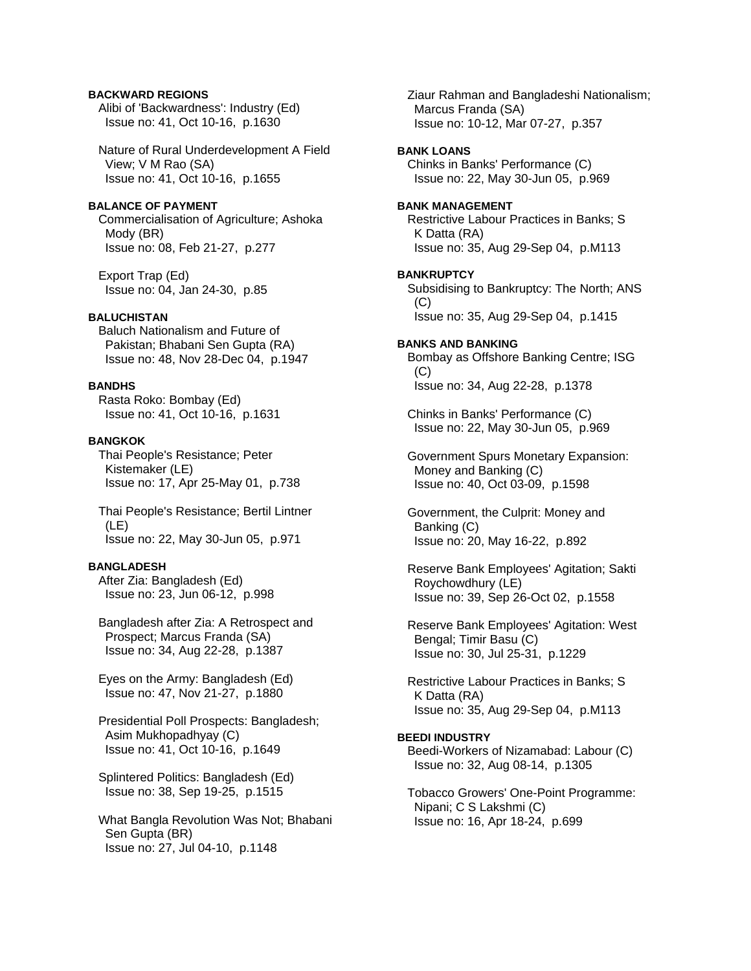# **BACKWARD REGIONS**

 Alibi of 'Backwardness': Industry (Ed) Issue no: 41, Oct 10-16, p.1630

 Nature of Rural Underdevelopment A Field View; V M Rao (SA) Issue no: 41, Oct 10-16, p.1655

# **BALANCE OF PAYMENT**

 Commercialisation of Agriculture; Ashoka Mody (BR) Issue no: 08, Feb 21-27, p.277

 Export Trap (Ed) Issue no: 04, Jan 24-30, p.85

# **BALUCHISTAN**

 Baluch Nationalism and Future of Pakistan; Bhabani Sen Gupta (RA) Issue no: 48, Nov 28-Dec 04, p.1947

# **BANDHS**

 Rasta Roko: Bombay (Ed) Issue no: 41, Oct 10-16, p.1631

# **BANGKOK**

 Thai People's Resistance; Peter Kistemaker (LE) Issue no: 17, Apr 25-May 01, p.738

 Thai People's Resistance; Bertil Lintner (LE) Issue no: 22, May 30-Jun 05, p.971

# **BANGLADESH**

 After Zia: Bangladesh (Ed) Issue no: 23, Jun 06-12, p.998

 Bangladesh after Zia: A Retrospect and Prospect; Marcus Franda (SA) Issue no: 34, Aug 22-28, p.1387

 Eyes on the Army: Bangladesh (Ed) Issue no: 47, Nov 21-27, p.1880

 Presidential Poll Prospects: Bangladesh; Asim Mukhopadhyay (C) Issue no: 41, Oct 10-16, p.1649

 Splintered Politics: Bangladesh (Ed) Issue no: 38, Sep 19-25, p.1515

 What Bangla Revolution Was Not; Bhabani Sen Gupta (BR) Issue no: 27, Jul 04-10, p.1148

 Ziaur Rahman and Bangladeshi Nationalism; Marcus Franda (SA) Issue no: 10-12, Mar 07-27, p.357 **BANK LOANS**  Chinks in Banks' Performance (C) Issue no: 22, May 30-Jun 05, p.969 **BANK MANAGEMENT**  Restrictive Labour Practices in Banks; S K Datta (RA) Issue no: 35, Aug 29-Sep 04, p.M113 **BANKRUPTCY**  Subsidising to Bankruptcy: The North; ANS (C) Issue no: 35, Aug 29-Sep 04, p.1415 **BANKS AND BANKING**  Bombay as Offshore Banking Centre; ISG (C) Issue no: 34, Aug 22-28, p.1378 Chinks in Banks' Performance (C) Issue no: 22, May 30-Jun 05, p.969 Government Spurs Monetary Expansion: Money and Banking (C) Issue no: 40, Oct 03-09, p.1598 Government, the Culprit: Money and Banking (C) Issue no: 20, May 16-22, p.892 Reserve Bank Employees' Agitation; Sakti Roychowdhury (LE) Issue no: 39, Sep 26-Oct 02, p.1558 Reserve Bank Employees' Agitation: West Bengal; Timir Basu (C) Issue no: 30, Jul 25-31, p.1229 Restrictive Labour Practices in Banks; S K Datta (RA) Issue no: 35, Aug 29-Sep 04, p.M113 **BEEDI INDUSTRY**  Beedi-Workers of Nizamabad: Labour (C) Issue no: 32, Aug 08-14, p.1305 Tobacco Growers' One-Point Programme: Nipani; C S Lakshmi (C) Issue no: 16, Apr 18-24, p.699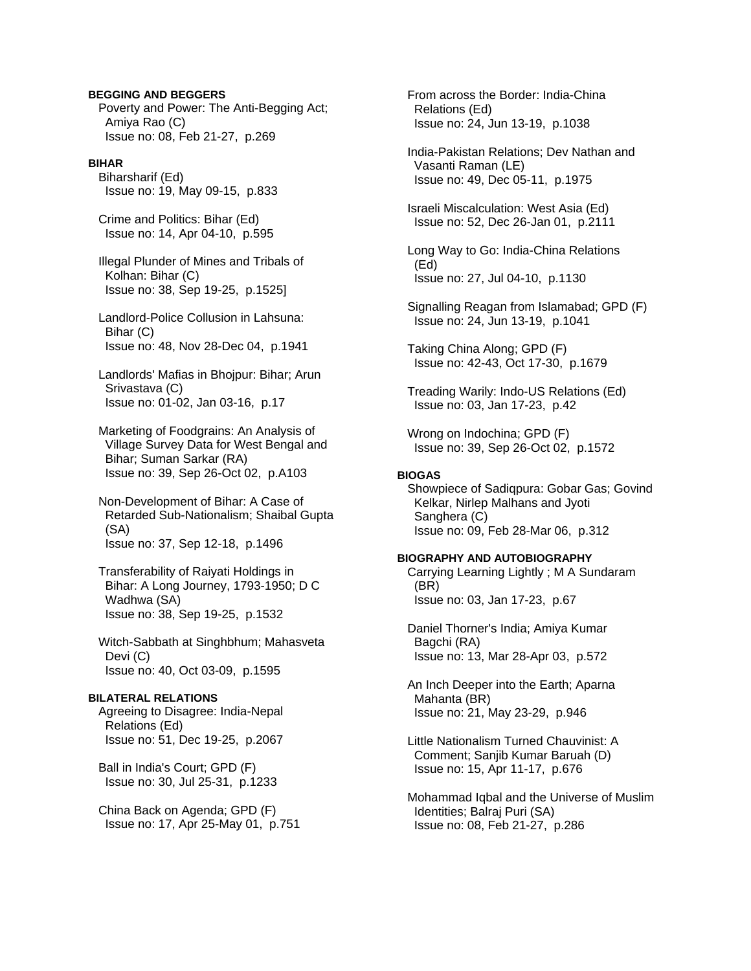## **BEGGING AND BEGGERS**

 Poverty and Power: The Anti-Begging Act; Amiya Rao (C) Issue no: 08, Feb 21-27, p.269

#### **BIHAR**

 Biharsharif (Ed) Issue no: 19, May 09-15, p.833

 Crime and Politics: Bihar (Ed) Issue no: 14, Apr 04-10, p.595

 Illegal Plunder of Mines and Tribals of Kolhan: Bihar (C) Issue no: 38, Sep 19-25, p.1525]

 Landlord-Police Collusion in Lahsuna: Bihar (C) Issue no: 48, Nov 28-Dec 04, p.1941

 Landlords' Mafias in Bhojpur: Bihar; Arun Srivastava (C) Issue no: 01-02, Jan 03-16, p.17

 Marketing of Foodgrains: An Analysis of Village Survey Data for West Bengal and Bihar; Suman Sarkar (RA) Issue no: 39, Sep 26-Oct 02, p.A103

 Non-Development of Bihar: A Case of Retarded Sub-Nationalism; Shaibal Gupta (SA) Issue no: 37, Sep 12-18, p.1496

 Transferability of Raiyati Holdings in Bihar: A Long Journey, 1793-1950; D C Wadhwa (SA) Issue no: 38, Sep 19-25, p.1532

 Witch-Sabbath at Singhbhum; Mahasveta Devi (C) Issue no: 40, Oct 03-09, p.1595

#### **BILATERAL RELATIONS**

 Agreeing to Disagree: India-Nepal Relations (Ed) Issue no: 51, Dec 19-25, p.2067

 Ball in India's Court; GPD (F) Issue no: 30, Jul 25-31, p.1233

 China Back on Agenda; GPD (F) Issue no: 17, Apr 25-May 01, p.751  From across the Border: India-China Relations (Ed) Issue no: 24, Jun 13-19, p.1038

 India-Pakistan Relations; Dev Nathan and Vasanti Raman (LE) Issue no: 49, Dec 05-11, p.1975

 Israeli Miscalculation: West Asia (Ed) Issue no: 52, Dec 26-Jan 01, p.2111

 Long Way to Go: India-China Relations (Ed) Issue no: 27, Jul 04-10, p.1130

 Signalling Reagan from Islamabad; GPD (F) Issue no: 24, Jun 13-19, p.1041

 Taking China Along; GPD (F) Issue no: 42-43, Oct 17-30, p.1679

 Treading Warily: Indo-US Relations (Ed) Issue no: 03, Jan 17-23, p.42

 Wrong on Indochina; GPD (F) Issue no: 39, Sep 26-Oct 02, p.1572

### **BIOGAS**

 Showpiece of Sadiqpura: Gobar Gas; Govind Kelkar, Nirlep Malhans and Jyoti Sanghera (C) Issue no: 09, Feb 28-Mar 06, p.312

# **BIOGRAPHY AND AUTOBIOGRAPHY**

 Carrying Learning Lightly ; M A Sundaram (BR) Issue no: 03, Jan 17-23, p.67

 Daniel Thorner's India; Amiya Kumar Bagchi (RA) Issue no: 13, Mar 28-Apr 03, p.572

 An Inch Deeper into the Earth; Aparna Mahanta (BR) Issue no: 21, May 23-29, p.946

 Little Nationalism Turned Chauvinist: A Comment; Sanjib Kumar Baruah (D) Issue no: 15, Apr 11-17, p.676

 Mohammad Iqbal and the Universe of Muslim Identities; Balraj Puri (SA) Issue no: 08, Feb 21-27, p.286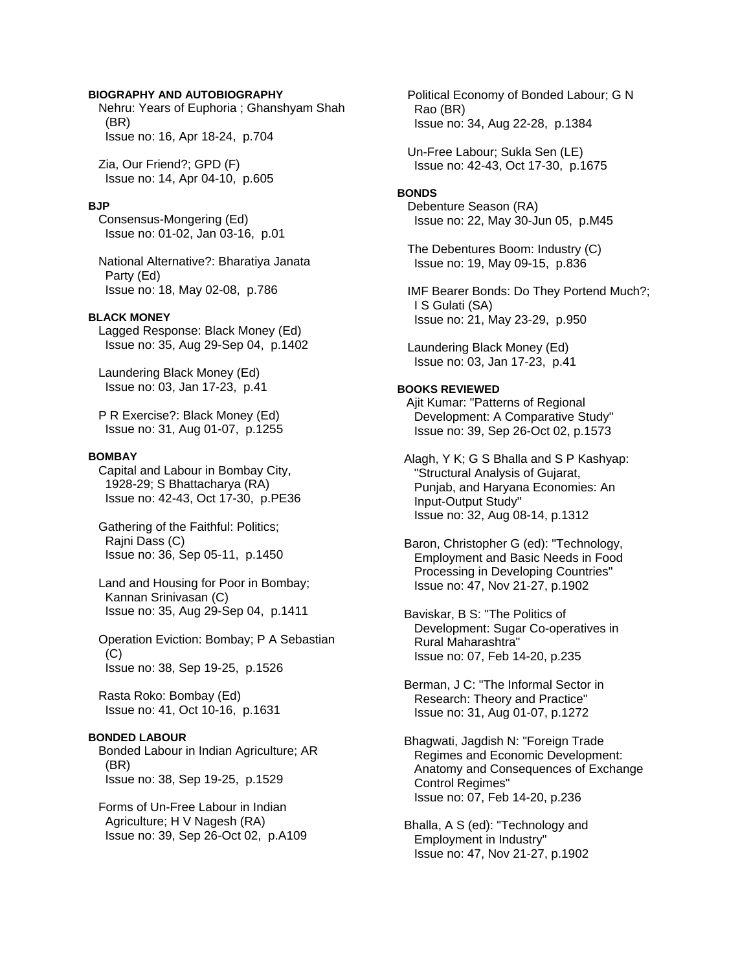## **BIOGRAPHY AND AUTOBIOGRAPHY**

 Nehru: Years of Euphoria ; Ghanshyam Shah (BR) Issue no: 16, Apr 18-24, p.704

 Zia, Our Friend?; GPD (F) Issue no: 14, Apr 04-10, p.605

#### **BJP**

 Consensus-Mongering (Ed) Issue no: 01-02, Jan 03-16, p.01

 National Alternative?: Bharatiya Janata Party (Ed) Issue no: 18, May 02-08, p.786

#### **BLACK MONEY**

 Lagged Response: Black Money (Ed) Issue no: 35, Aug 29-Sep 04, p.1402

 Laundering Black Money (Ed) Issue no: 03, Jan 17-23, p.41

 P R Exercise?: Black Money (Ed) Issue no: 31, Aug 01-07, p.1255

#### **BOMBAY**

 Capital and Labour in Bombay City, 1928-29; S Bhattacharya (RA) Issue no: 42-43, Oct 17-30, p.PE36

 Gathering of the Faithful: Politics; Raini Dass (C) Issue no: 36, Sep 05-11, p.1450

 Land and Housing for Poor in Bombay; Kannan Srinivasan (C) Issue no: 35, Aug 29-Sep 04, p.1411

 Operation Eviction: Bombay; P A Sebastian  $(C)$ Issue no: 38, Sep 19-25, p.1526

 Rasta Roko: Bombay (Ed) Issue no: 41, Oct 10-16, p.1631

#### **BONDED LABOUR**

 Bonded Labour in Indian Agriculture; AR (BR) Issue no: 38, Sep 19-25, p.1529

 Forms of Un-Free Labour in Indian Agriculture; H V Nagesh (RA) Issue no: 39, Sep 26-Oct 02, p.A109  Political Economy of Bonded Labour; G N Rao (BR) Issue no: 34, Aug 22-28, p.1384

 Un-Free Labour; Sukla Sen (LE) Issue no: 42-43, Oct 17-30, p.1675

#### **BONDS**

 Debenture Season (RA) Issue no: 22, May 30-Jun 05, p.M45

 The Debentures Boom: Industry (C) Issue no: 19, May 09-15, p.836

 IMF Bearer Bonds: Do They Portend Much?; I S Gulati (SA) Issue no: 21, May 23-29, p.950

 Laundering Black Money (Ed) Issue no: 03, Jan 17-23, p.41

#### **BOOKS REVIEWED**

Ajit Kumar: "Patterns of Regional Development: A Comparative Study" Issue no: 39, Sep 26-Oct 02, p.1573

 Alagh, Y K; G S Bhalla and S P Kashyap: "Structural Analysis of Gujarat, Punjab, and Haryana Economies: An Input-Output Study" Issue no: 32, Aug 08-14, p.1312

 Baron, Christopher G (ed): "Technology, Employment and Basic Needs in Food Processing in Developing Countries" Issue no: 47, Nov 21-27, p.1902

 Baviskar, B S: "The Politics of Development: Sugar Co-operatives in Rural Maharashtra" Issue no: 07, Feb 14-20, p.235

 Berman, J C: "The Informal Sector in Research: Theory and Practice" Issue no: 31, Aug 01-07, p.1272

 Bhagwati, Jagdish N: "Foreign Trade Regimes and Economic Development: Anatomy and Consequences of Exchange Control Regimes" Issue no: 07, Feb 14-20, p.236

 Bhalla, A S (ed): "Technology and Employment in Industry" Issue no: 47, Nov 21-27, p.1902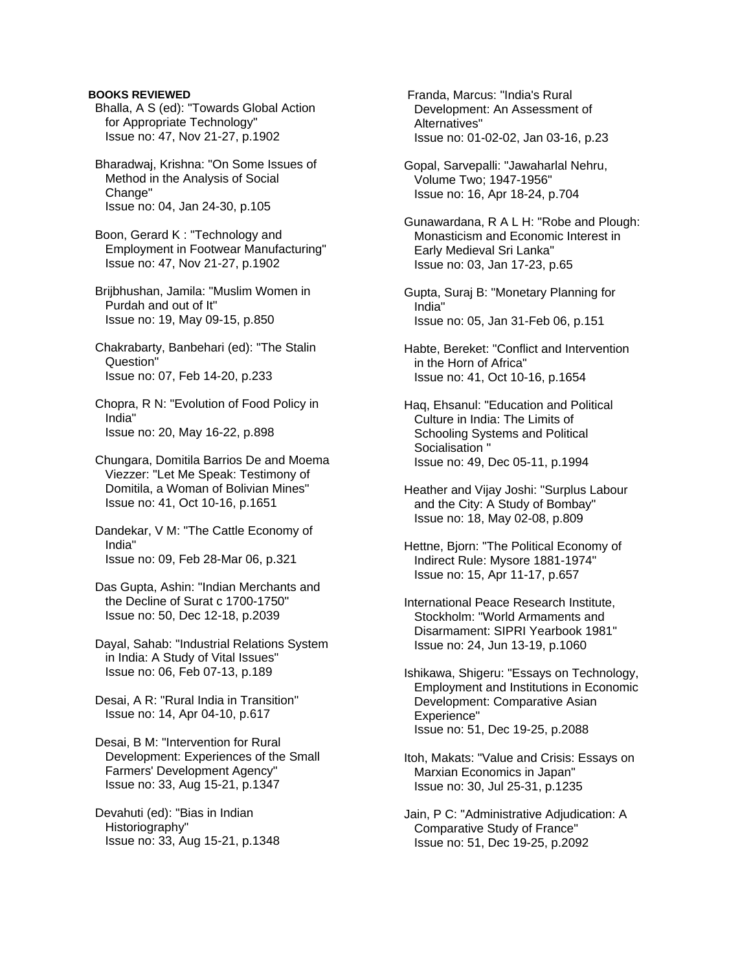## **BOOKS REVIEWED**

- Bhalla, A S (ed): "Towards Global Action for Appropriate Technology" Issue no: 47, Nov 21-27, p.1902
- Bharadwaj, Krishna: "On Some Issues of Method in the Analysis of Social Change" Issue no: 04, Jan 24-30, p.105

 Boon, Gerard K : "Technology and Employment in Footwear Manufacturing" Issue no: 47, Nov 21-27, p.1902

 Brijbhushan, Jamila: "Muslim Women in Purdah and out of It" Issue no: 19, May 09-15, p.850

- Chakrabarty, Banbehari (ed): "The Stalin Question" Issue no: 07, Feb 14-20, p.233
- Chopra, R N: "Evolution of Food Policy in India" Issue no: 20, May 16-22, p.898
- Chungara, Domitila Barrios De and Moema Viezzer: "Let Me Speak: Testimony of Domitila, a Woman of Bolivian Mines" Issue no: 41, Oct 10-16, p.1651
- Dandekar, V M: "The Cattle Economy of India" Issue no: 09, Feb 28-Mar 06, p.321
- Das Gupta, Ashin: "Indian Merchants and the Decline of Surat c 1700-1750" Issue no: 50, Dec 12-18, p.2039
- Dayal, Sahab: "Industrial Relations System in India: A Study of Vital Issues" Issue no: 06, Feb 07-13, p.189
- Desai, A R: "Rural India in Transition" Issue no: 14, Apr 04-10, p.617

 Desai, B M: "Intervention for Rural Development: Experiences of the Small Farmers' Development Agency" Issue no: 33, Aug 15-21, p.1347

 Devahuti (ed): "Bias in Indian Historiography" Issue no: 33, Aug 15-21, p.1348  Franda, Marcus: "India's Rural Development: An Assessment of Alternatives" Issue no: 01-02-02, Jan 03-16, p.23

- Gopal, Sarvepalli: "Jawaharlal Nehru, Volume Two; 1947-1956" Issue no: 16, Apr 18-24, p.704
- Gunawardana, R A L H: "Robe and Plough: Monasticism and Economic Interest in Early Medieval Sri Lanka" Issue no: 03, Jan 17-23, p.65
- Gupta, Suraj B: "Monetary Planning for India" Issue no: 05, Jan 31-Feb 06, p.151
- Habte, Bereket: "Conflict and Intervention in the Horn of Africa" Issue no: 41, Oct 10-16, p.1654
- Haq, Ehsanul: "Education and Political Culture in India: The Limits of Schooling Systems and Political Socialisation " Issue no: 49, Dec 05-11, p.1994
- Heather and Vijay Joshi: "Surplus Labour and the City: A Study of Bombay" Issue no: 18, May 02-08, p.809
- Hettne, Bjorn: "The Political Economy of Indirect Rule: Mysore 1881-1974" Issue no: 15, Apr 11-17, p.657
- International Peace Research Institute, Stockholm: "World Armaments and Disarmament: SIPRI Yearbook 1981" Issue no: 24, Jun 13-19, p.1060
- Ishikawa, Shigeru: "Essays on Technology, Employment and Institutions in Economic Development: Comparative Asian Experience" Issue no: 51, Dec 19-25, p.2088
- Itoh, Makats: "Value and Crisis: Essays on Marxian Economics in Japan" Issue no: 30, Jul 25-31, p.1235
- Jain, P C: "Administrative Adjudication: A Comparative Study of France" Issue no: 51, Dec 19-25, p.2092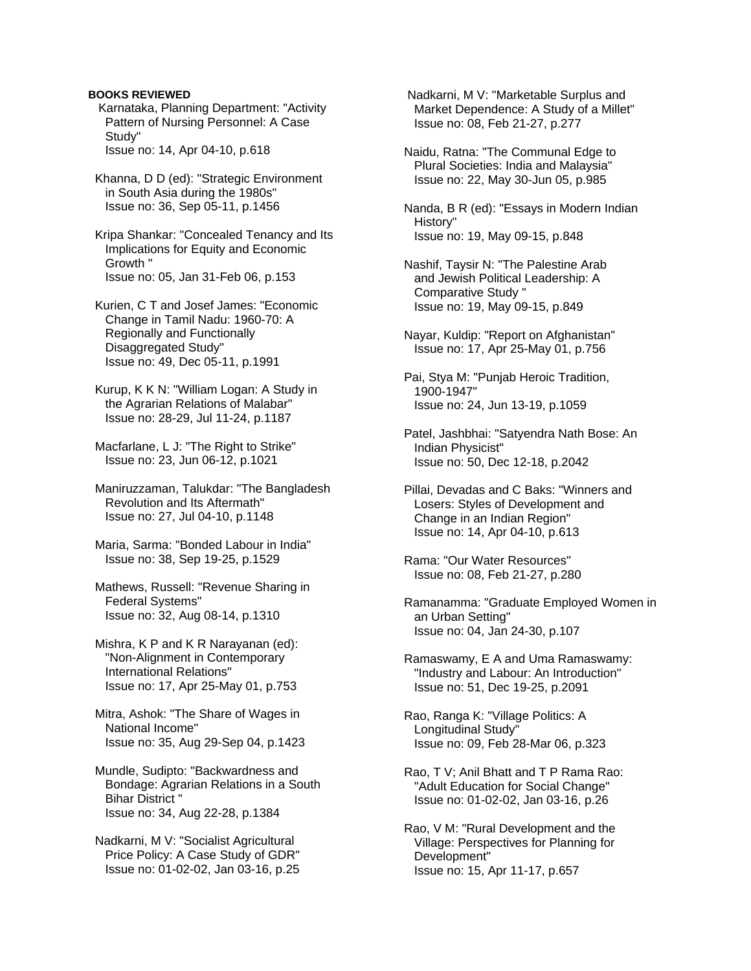## **BOOKS REVIEWED**

- Karnataka, Planning Department: "Activity Pattern of Nursing Personnel: A Case Study" Issue no: 14, Apr 04-10, p.618
- Khanna, D D (ed): "Strategic Environment in South Asia during the 1980s" Issue no: 36, Sep 05-11, p.1456
- Kripa Shankar: "Concealed Tenancy and Its Implications for Equity and Economic Growth " Issue no: 05, Jan 31-Feb 06, p.153
- Kurien, C T and Josef James: "Economic Change in Tamil Nadu: 1960-70: A Regionally and Functionally Disaggregated Study" Issue no: 49, Dec 05-11, p.1991
- Kurup, K K N: "William Logan: A Study in the Agrarian Relations of Malabar" Issue no: 28-29, Jul 11-24, p.1187
- Macfarlane, L J: "The Right to Strike" Issue no: 23, Jun 06-12, p.1021
- Maniruzzaman, Talukdar: "The Bangladesh Revolution and Its Aftermath" Issue no: 27, Jul 04-10, p.1148
- Maria, Sarma: "Bonded Labour in India" Issue no: 38, Sep 19-25, p.1529
- Mathews, Russell: "Revenue Sharing in Federal Systems" Issue no: 32, Aug 08-14, p.1310
- Mishra, K P and K R Narayanan (ed): "Non-Alignment in Contemporary International Relations" Issue no: 17, Apr 25-May 01, p.753
- Mitra, Ashok: "The Share of Wages in National Income" Issue no: 35, Aug 29-Sep 04, p.1423
- Mundle, Sudipto: "Backwardness and Bondage: Agrarian Relations in a South Bihar District " Issue no: 34, Aug 22-28, p.1384
- Nadkarni, M V: "Socialist Agricultural Price Policy: A Case Study of GDR" Issue no: 01-02-02, Jan 03-16, p.25

 Nadkarni, M V: "Marketable Surplus and Market Dependence: A Study of a Millet" Issue no: 08, Feb 21-27, p.277

 Naidu, Ratna: "The Communal Edge to Plural Societies: India and Malaysia" Issue no: 22, May 30-Jun 05, p.985

 Nanda, B R (ed): "Essays in Modern Indian History" Issue no: 19, May 09-15, p.848

- Nashif, Taysir N: "The Palestine Arab and Jewish Political Leadership: A Comparative Study " Issue no: 19, May 09-15, p.849
- Nayar, Kuldip: "Report on Afghanistan" Issue no: 17, Apr 25-May 01, p.756
- Pai, Stya M: "Punjab Heroic Tradition, 1900-1947" Issue no: 24, Jun 13-19, p.1059
- Patel, Jashbhai: "Satyendra Nath Bose: An Indian Physicist" Issue no: 50, Dec 12-18, p.2042
- Pillai, Devadas and C Baks: "Winners and Losers: Styles of Development and Change in an Indian Region" Issue no: 14, Apr 04-10, p.613
- Rama: "Our Water Resources" Issue no: 08, Feb 21-27, p.280
- Ramanamma: "Graduate Employed Women in an Urban Setting" Issue no: 04, Jan 24-30, p.107
- Ramaswamy, E A and Uma Ramaswamy: "Industry and Labour: An Introduction" Issue no: 51, Dec 19-25, p.2091
- Rao, Ranga K: "Village Politics: A Longitudinal Study" Issue no: 09, Feb 28-Mar 06, p.323
- Rao, T V; Anil Bhatt and T P Rama Rao: "Adult Education for Social Change" Issue no: 01-02-02, Jan 03-16, p.26
- Rao, V M: "Rural Development and the Village: Perspectives for Planning for Development" Issue no: 15, Apr 11-17, p.657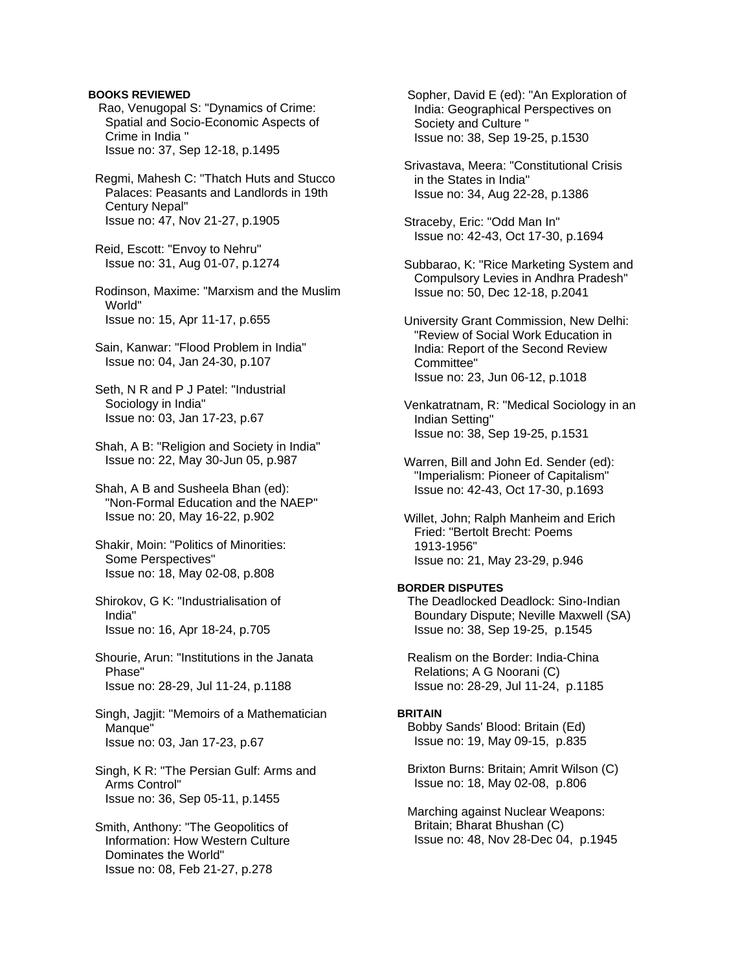## **BOOKS REVIEWED**

- Rao, Venugopal S: "Dynamics of Crime: Spatial and Socio-Economic Aspects of Crime in India " Issue no: 37, Sep 12-18, p.1495
- Regmi, Mahesh C: "Thatch Huts and Stucco Palaces: Peasants and Landlords in 19th Century Nepal" Issue no: 47, Nov 21-27, p.1905
- Reid, Escott: "Envoy to Nehru" Issue no: 31, Aug 01-07, p.1274
- Rodinson, Maxime: "Marxism and the Muslim World" Issue no: 15, Apr 11-17, p.655
- Sain, Kanwar: "Flood Problem in India" Issue no: 04, Jan 24-30, p.107
- Seth, N R and P J Patel: "Industrial Sociology in India" Issue no: 03, Jan 17-23, p.67
- Shah, A B: "Religion and Society in India" Issue no: 22, May 30-Jun 05, p.987
- Shah, A B and Susheela Bhan (ed): "Non-Formal Education and the NAEP" Issue no: 20, May 16-22, p.902
- Shakir, Moin: "Politics of Minorities: Some Perspectives" Issue no: 18, May 02-08, p.808
- Shirokov, G K: "Industrialisation of India" Issue no: 16, Apr 18-24, p.705
- Shourie, Arun: "Institutions in the Janata Phase" Issue no: 28-29, Jul 11-24, p.1188
- Singh, Jagjit: "Memoirs of a Mathematician Manque" Issue no: 03, Jan 17-23, p.67
- Singh, K R: "The Persian Gulf: Arms and Arms Control" Issue no: 36, Sep 05-11, p.1455
- Smith, Anthony: "The Geopolitics of Information: How Western Culture Dominates the World" Issue no: 08, Feb 21-27, p.278

 Sopher, David E (ed): "An Exploration of India: Geographical Perspectives on Society and Culture " Issue no: 38, Sep 19-25, p.1530

- Srivastava, Meera: "Constitutional Crisis in the States in India" Issue no: 34, Aug 22-28, p.1386
- Straceby, Eric: "Odd Man In" Issue no: 42-43, Oct 17-30, p.1694
- Subbarao, K: "Rice Marketing System and Compulsory Levies in Andhra Pradesh" Issue no: 50, Dec 12-18, p.2041
- University Grant Commission, New Delhi: "Review of Social Work Education in India: Report of the Second Review Committee" Issue no: 23, Jun 06-12, p.1018
- Venkatratnam, R: "Medical Sociology in an Indian Setting" Issue no: 38, Sep 19-25, p.1531
- Warren, Bill and John Ed. Sender (ed): "Imperialism: Pioneer of Capitalism" Issue no: 42-43, Oct 17-30, p.1693
- Willet, John; Ralph Manheim and Erich Fried: "Bertolt Brecht: Poems 1913-1956" Issue no: 21, May 23-29, p.946

# **BORDER DISPUTES**

 The Deadlocked Deadlock: Sino-Indian Boundary Dispute; Neville Maxwell (SA) Issue no: 38, Sep 19-25, p.1545

 Realism on the Border: India-China Relations; A G Noorani (C) Issue no: 28-29, Jul 11-24, p.1185

### **BRITAIN**

 Bobby Sands' Blood: Britain (Ed) Issue no: 19, May 09-15, p.835

- Brixton Burns: Britain; Amrit Wilson (C) Issue no: 18, May 02-08, p.806
- Marching against Nuclear Weapons: Britain; Bharat Bhushan (C) Issue no: 48, Nov 28-Dec 04, p.1945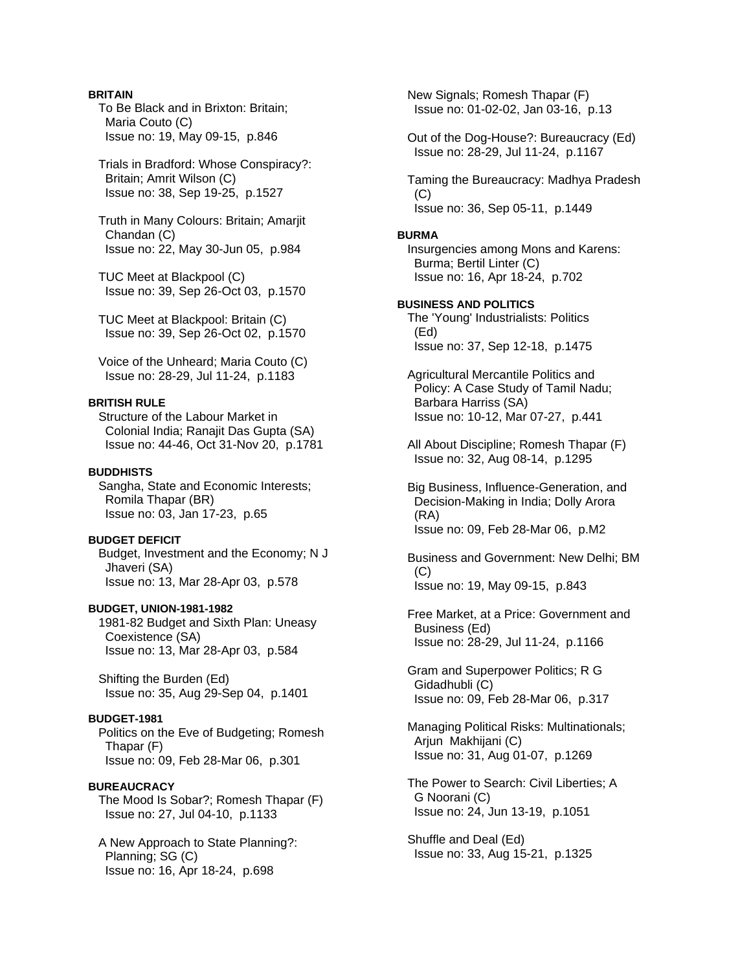# **BRITAIN**

 To Be Black and in Brixton: Britain; Maria Couto (C) Issue no: 19, May 09-15, p.846

 Trials in Bradford: Whose Conspiracy?: Britain; Amrit Wilson (C) Issue no: 38, Sep 19-25, p.1527

 Truth in Many Colours: Britain; Amarjit Chandan (C) Issue no: 22, May 30-Jun 05, p.984

 TUC Meet at Blackpool (C) Issue no: 39, Sep 26-Oct 03, p.1570

 TUC Meet at Blackpool: Britain (C) Issue no: 39, Sep 26-Oct 02, p.1570

 Voice of the Unheard; Maria Couto (C) Issue no: 28-29, Jul 11-24, p.1183

# **BRITISH RULE**

 Structure of the Labour Market in Colonial India; Ranajit Das Gupta (SA) Issue no: 44-46, Oct 31-Nov 20, p.1781

# **BUDDHISTS**

 Sangha, State and Economic Interests; Romila Thapar (BR) Issue no: 03, Jan 17-23, p.65

## **BUDGET DEFICIT**

 Budget, Investment and the Economy; N J Jhaveri (SA) Issue no: 13, Mar 28-Apr 03, p.578

## **BUDGET, UNION-1981-1982**

 1981-82 Budget and Sixth Plan: Uneasy Coexistence (SA) Issue no: 13, Mar 28-Apr 03, p.584

 Shifting the Burden (Ed) Issue no: 35, Aug 29-Sep 04, p.1401

### **BUDGET-1981**

 Politics on the Eve of Budgeting; Romesh Thapar (F) Issue no: 09, Feb 28-Mar 06, p.301

#### **BUREAUCRACY**

 The Mood Is Sobar?; Romesh Thapar (F) Issue no: 27, Jul 04-10, p.1133

 A New Approach to State Planning?: Planning; SG (C) Issue no: 16, Apr 18-24, p.698

 New Signals; Romesh Thapar (F) Issue no: 01-02-02, Jan 03-16, p.13

 Out of the Dog-House?: Bureaucracy (Ed) Issue no: 28-29, Jul 11-24, p.1167

 Taming the Bureaucracy: Madhya Pradesh (C) Issue no: 36, Sep 05-11, p.1449

#### **BURMA**

 Insurgencies among Mons and Karens: Burma; Bertil Linter (C) Issue no: 16, Apr 18-24, p.702

## **BUSINESS AND POLITICS**

 The 'Young' Industrialists: Politics (Ed) Issue no: 37, Sep 12-18, p.1475

 Agricultural Mercantile Politics and Policy: A Case Study of Tamil Nadu; Barbara Harriss (SA) Issue no: 10-12, Mar 07-27, p.441

 All About Discipline; Romesh Thapar (F) Issue no: 32, Aug 08-14, p.1295

 Big Business, Influence-Generation, and Decision-Making in India; Dolly Arora (RA) Issue no: 09, Feb 28-Mar 06, p.M2

 Business and Government: New Delhi; BM (C) Issue no: 19, May 09-15, p.843

 Free Market, at a Price: Government and Business (Ed) Issue no: 28-29, Jul 11-24, p.1166

 Gram and Superpower Politics; R G Gidadhubli (C) Issue no: 09, Feb 28-Mar 06, p.317

 Managing Political Risks: Multinationals; Arjun Makhijani (C) Issue no: 31, Aug 01-07, p.1269

 The Power to Search: Civil Liberties; A G Noorani (C) Issue no: 24, Jun 13-19, p.1051

 Shuffle and Deal (Ed) Issue no: 33, Aug 15-21, p.1325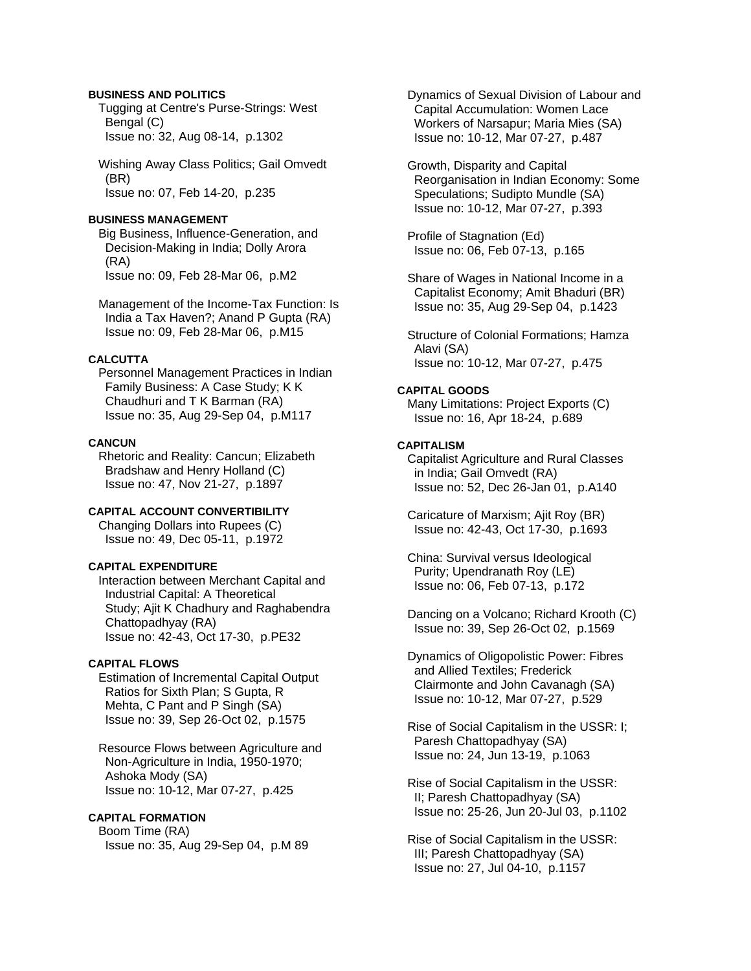# **BUSINESS AND POLITICS**

 Tugging at Centre's Purse-Strings: West Bengal (C) Issue no: 32, Aug 08-14, p.1302

 Wishing Away Class Politics; Gail Omvedt (BR) Issue no: 07, Feb 14-20, p.235

### **BUSINESS MANAGEMENT**

 Big Business, Influence-Generation, and Decision-Making in India; Dolly Arora (RA) Issue no: 09, Feb 28-Mar 06, p.M2

 Management of the Income-Tax Function: Is India a Tax Haven?; Anand P Gupta (RA) Issue no: 09, Feb 28-Mar 06, p.M15

## **CALCUTTA**

 Personnel Management Practices in Indian Family Business: A Case Study; K K Chaudhuri and T K Barman (RA) Issue no: 35, Aug 29-Sep 04, p.M117

#### **CANCUN**

 Rhetoric and Reality: Cancun; Elizabeth Bradshaw and Henry Holland (C) Issue no: 47, Nov 21-27, p.1897

# **CAPITAL ACCOUNT CONVERTIBILITY**

 Changing Dollars into Rupees (C) Issue no: 49, Dec 05-11, p.1972

# **CAPITAL EXPENDITURE**

 Interaction between Merchant Capital and Industrial Capital: A Theoretical Study; Ajit K Chadhury and Raghabendra Chattopadhyay (RA) Issue no: 42-43, Oct 17-30, p.PE32

## **CAPITAL FLOWS**

 Estimation of Incremental Capital Output Ratios for Sixth Plan; S Gupta, R Mehta, C Pant and P Singh (SA) Issue no: 39, Sep 26-Oct 02, p.1575

 Resource Flows between Agriculture and Non-Agriculture in India, 1950-1970; Ashoka Mody (SA) Issue no: 10-12, Mar 07-27, p.425

# **CAPITAL FORMATION**

 Boom Time (RA) Issue no: 35, Aug 29-Sep 04, p.M 89  Dynamics of Sexual Division of Labour and Capital Accumulation: Women Lace Workers of Narsapur; Maria Mies (SA) Issue no: 10-12, Mar 07-27, p.487

 Growth, Disparity and Capital Reorganisation in Indian Economy: Some Speculations; Sudipto Mundle (SA) Issue no: 10-12, Mar 07-27, p.393

 Profile of Stagnation (Ed) Issue no: 06, Feb 07-13, p.165

 Share of Wages in National Income in a Capitalist Economy; Amit Bhaduri (BR) Issue no: 35, Aug 29-Sep 04, p.1423

 Structure of Colonial Formations; Hamza Alavi (SA) Issue no: 10-12, Mar 07-27, p.475

# **CAPITAL GOODS**

 Many Limitations: Project Exports (C) Issue no: 16, Apr 18-24, p.689

## **CAPITALISM**

 Capitalist Agriculture and Rural Classes in India; Gail Omvedt (RA) Issue no: 52, Dec 26-Jan 01, p.A140

 Caricature of Marxism; Ajit Roy (BR) Issue no: 42-43, Oct 17-30, p.1693

 China: Survival versus Ideological Purity; Upendranath Roy (LE) Issue no: 06, Feb 07-13, p.172

 Dancing on a Volcano; Richard Krooth (C) Issue no: 39, Sep 26-Oct 02, p.1569

 Dynamics of Oligopolistic Power: Fibres and Allied Textiles; Frederick Clairmonte and John Cavanagh (SA) Issue no: 10-12, Mar 07-27, p.529

 Rise of Social Capitalism in the USSR: I; Paresh Chattopadhyay (SA) Issue no: 24, Jun 13-19, p.1063

 Rise of Social Capitalism in the USSR: II; Paresh Chattopadhyay (SA) Issue no: 25-26, Jun 20-Jul 03, p.1102

 Rise of Social Capitalism in the USSR: III; Paresh Chattopadhyay (SA) Issue no: 27, Jul 04-10, p.1157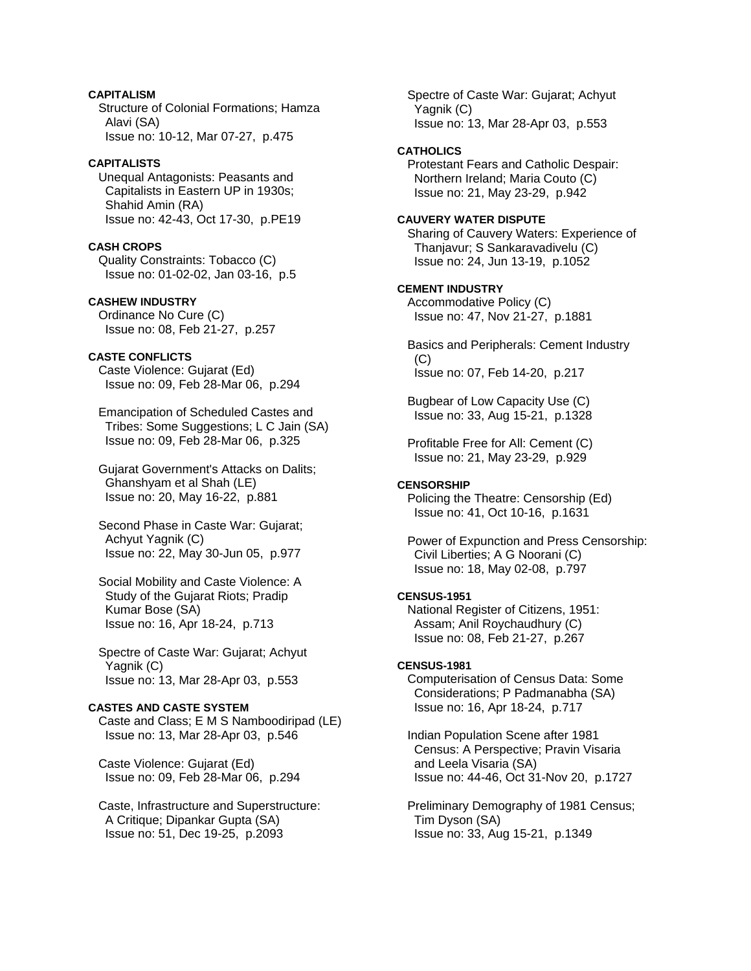# **CAPITALISM**

 Structure of Colonial Formations; Hamza Alavi (SA) Issue no: 10-12, Mar 07-27, p.475

## **CAPITALISTS**

 Unequal Antagonists: Peasants and Capitalists in Eastern UP in 1930s; Shahid Amin (RA) Issue no: 42-43, Oct 17-30, p.PE19

# **CASH CROPS**

 Quality Constraints: Tobacco (C) Issue no: 01-02-02, Jan 03-16, p.5

## **CASHEW INDUSTRY**

 Ordinance No Cure (C) Issue no: 08, Feb 21-27, p.257

# **CASTE CONFLICTS**

 Caste Violence: Gujarat (Ed) Issue no: 09, Feb 28-Mar 06, p.294

 Emancipation of Scheduled Castes and Tribes: Some Suggestions; L C Jain (SA) Issue no: 09, Feb 28-Mar 06, p.325

 Gujarat Government's Attacks on Dalits; Ghanshyam et al Shah (LE) Issue no: 20, May 16-22, p.881

 Second Phase in Caste War: Gujarat; Achyut Yagnik (C) Issue no: 22, May 30-Jun 05, p.977

 Social Mobility and Caste Violence: A Study of the Gujarat Riots; Pradip Kumar Bose (SA) Issue no: 16, Apr 18-24, p.713

 Spectre of Caste War: Gujarat; Achyut Yagnik (C) Issue no: 13, Mar 28-Apr 03, p.553

# **CASTES AND CASTE SYSTEM**

 Caste and Class; E M S Namboodiripad (LE) Issue no: 13, Mar 28-Apr 03, p.546

 Caste Violence: Gujarat (Ed) Issue no: 09, Feb 28-Mar 06, p.294

 Caste, Infrastructure and Superstructure: A Critique; Dipankar Gupta (SA) Issue no: 51, Dec 19-25, p.2093

 Spectre of Caste War: Gujarat; Achyut Yagnik (C) Issue no: 13, Mar 28-Apr 03, p.553

### **CATHOLICS**

 Protestant Fears and Catholic Despair: Northern Ireland; Maria Couto (C) Issue no: 21, May 23-29, p.942

## **CAUVERY WATER DISPUTE**

 Sharing of Cauvery Waters: Experience of Thanjavur; S Sankaravadivelu (C) Issue no: 24, Jun 13-19, p.1052

# **CEMENT INDUSTRY**

 Accommodative Policy (C) Issue no: 47, Nov 21-27, p.1881

 Basics and Peripherals: Cement Industry (C) Issue no: 07, Feb 14-20, p.217

 Bugbear of Low Capacity Use (C) Issue no: 33, Aug 15-21, p.1328

 Profitable Free for All: Cement (C) Issue no: 21, May 23-29, p.929

#### **CENSORSHIP**

 Policing the Theatre: Censorship (Ed) Issue no: 41, Oct 10-16, p.1631

 Power of Expunction and Press Censorship: Civil Liberties; A G Noorani (C) Issue no: 18, May 02-08, p.797

#### **CENSUS-1951**

 National Register of Citizens, 1951: Assam; Anil Roychaudhury (C) Issue no: 08, Feb 21-27, p.267

#### **CENSUS-1981**

 Computerisation of Census Data: Some Considerations; P Padmanabha (SA) Issue no: 16, Apr 18-24, p.717

 Indian Population Scene after 1981 Census: A Perspective; Pravin Visaria and Leela Visaria (SA) Issue no: 44-46, Oct 31-Nov 20, p.1727

 Preliminary Demography of 1981 Census; Tim Dyson (SA) Issue no: 33, Aug 15-21, p.1349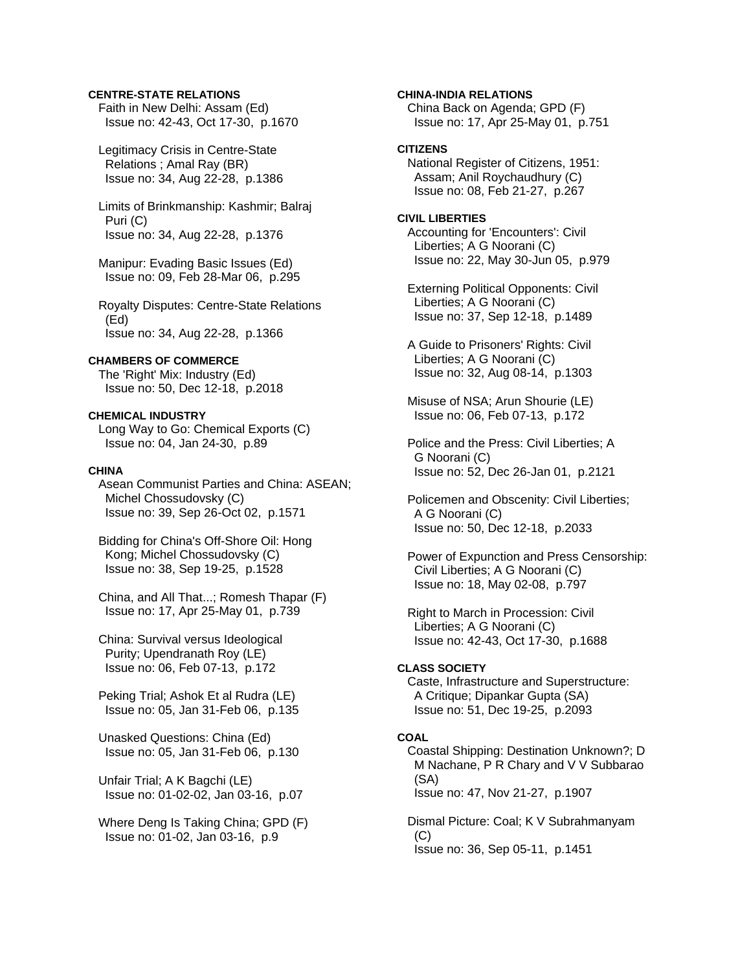# **CENTRE-STATE RELATIONS**

 Faith in New Delhi: Assam (Ed) Issue no: 42-43, Oct 17-30, p.1670

 Legitimacy Crisis in Centre-State Relations ; Amal Ray (BR) Issue no: 34, Aug 22-28, p.1386

 Limits of Brinkmanship: Kashmir; Balraj Puri (C) Issue no: 34, Aug 22-28, p.1376

 Manipur: Evading Basic Issues (Ed) Issue no: 09, Feb 28-Mar 06, p.295

 Royalty Disputes: Centre-State Relations (Ed) Issue no: 34, Aug 22-28, p.1366

### **CHAMBERS OF COMMERCE**

 The 'Right' Mix: Industry (Ed) Issue no: 50, Dec 12-18, p.2018

### **CHEMICAL INDUSTRY**

 Long Way to Go: Chemical Exports (C) Issue no: 04, Jan 24-30, p.89

#### **CHINA**

 Asean Communist Parties and China: ASEAN; Michel Chossudovsky (C) Issue no: 39, Sep 26-Oct 02, p.1571

 Bidding for China's Off-Shore Oil: Hong Kong; Michel Chossudovsky (C) Issue no: 38, Sep 19-25, p.1528

 China, and All That...; Romesh Thapar (F) Issue no: 17, Apr 25-May 01, p.739

 China: Survival versus Ideological Purity; Upendranath Roy (LE) Issue no: 06, Feb 07-13, p.172

 Peking Trial; Ashok Et al Rudra (LE) Issue no: 05, Jan 31-Feb 06, p.135

 Unasked Questions: China (Ed) Issue no: 05, Jan 31-Feb 06, p.130

 Unfair Trial; A K Bagchi (LE) Issue no: 01-02-02, Jan 03-16, p.07

 Where Deng Is Taking China; GPD (F) Issue no: 01-02, Jan 03-16, p.9

**CHINA-INDIA RELATIONS**  China Back on Agenda; GPD (F) Issue no: 17, Apr 25-May 01, p.751

# **CITIZENS**

 National Register of Citizens, 1951: Assam; Anil Roychaudhury (C) Issue no: 08, Feb 21-27, p.267

## **CIVIL LIBERTIES**  Accounting for 'Encounters': Civil Liberties; A G Noorani (C) Issue no: 22, May 30-Jun 05, p.979

 Externing Political Opponents: Civil Liberties; A G Noorani (C) Issue no: 37, Sep 12-18, p.1489

 A Guide to Prisoners' Rights: Civil Liberties; A G Noorani (C) Issue no: 32, Aug 08-14, p.1303

 Misuse of NSA; Arun Shourie (LE) Issue no: 06, Feb 07-13, p.172

 Police and the Press: Civil Liberties; A G Noorani (C) Issue no: 52, Dec 26-Jan 01, p.2121

 Policemen and Obscenity: Civil Liberties; A G Noorani (C) Issue no: 50, Dec 12-18, p.2033

 Power of Expunction and Press Censorship: Civil Liberties; A G Noorani (C) Issue no: 18, May 02-08, p.797

 Right to March in Procession: Civil Liberties; A G Noorani (C) Issue no: 42-43, Oct 17-30, p.1688

# **CLASS SOCIETY**

 Caste, Infrastructure and Superstructure: A Critique; Dipankar Gupta (SA) Issue no: 51, Dec 19-25, p.2093

# **COAL**

 Coastal Shipping: Destination Unknown?; D M Nachane, P R Chary and V V Subbarao (SA) Issue no: 47, Nov 21-27, p.1907

 Dismal Picture: Coal; K V Subrahmanyam  $(C)$ Issue no: 36, Sep 05-11, p.1451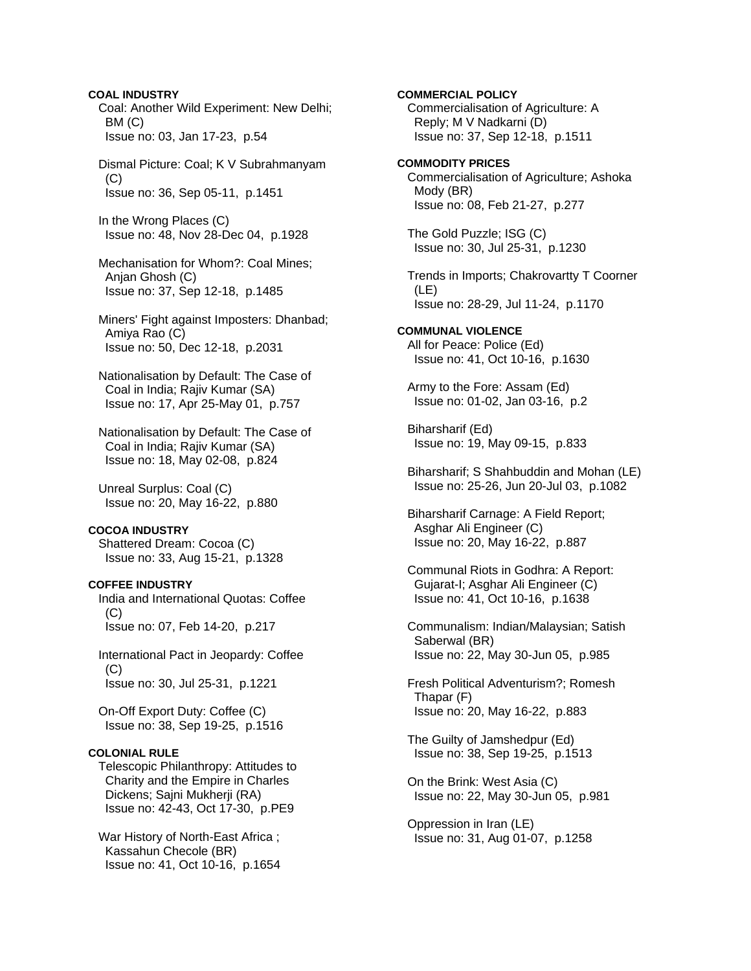Coal: Another Wild Experiment: New Delhi; BM (C) Issue no: 03, Jan 17-23, p.54 Dismal Picture: Coal; K V Subrahmanyam (C) Issue no: 36, Sep 05-11, p.1451 In the Wrong Places (C) Issue no: 48, Nov 28-Dec 04, p.1928 Mechanisation for Whom?: Coal Mines; Anjan Ghosh (C) Issue no: 37, Sep 12-18, p.1485 Miners' Fight against Imposters: Dhanbad; Amiya Rao (C) Issue no: 50, Dec 12-18, p.2031 Nationalisation by Default: The Case of Coal in India; Rajiv Kumar (SA) Issue no: 17, Apr 25-May 01, p.757 Nationalisation by Default: The Case of Coal in India; Rajiv Kumar (SA) Issue no: 18, May 02-08, p.824 Unreal Surplus: Coal (C) Issue no: 20, May 16-22, p.880 **COCOA INDUSTRY**  Shattered Dream: Cocoa (C) Issue no: 33, Aug 15-21, p.1328 **COFFEE INDUSTRY**  India and International Quotas: Coffee (C) Issue no: 07, Feb 14-20, p.217 International Pact in Jeopardy: Coffee  $(C)$  Issue no: 30, Jul 25-31, p.1221 On-Off Export Duty: Coffee (C) Issue no: 38, Sep 19-25, p.1516 **COLONIAL RULE**  Telescopic Philanthropy: Attitudes to Charity and the Empire in Charles Dickens; Sajni Mukherji (RA) Issue no: 42-43, Oct 17-30, p.PE9 War History of North-East Africa ; Kassahun Checole (BR) Issue no: 41, Oct 10-16, p.1654

**COAL INDUSTRY** 

**COMMERCIAL POLICY**  Commercialisation of Agriculture: A Reply; M V Nadkarni (D) Issue no: 37, Sep 12-18, p.1511 **COMMODITY PRICES**  Commercialisation of Agriculture; Ashoka Mody (BR) Issue no: 08, Feb 21-27, p.277 The Gold Puzzle; ISG (C) Issue no: 30, Jul 25-31, p.1230 Trends in Imports; Chakrovartty T Coorner (LE) Issue no: 28-29, Jul 11-24, p.1170 **COMMUNAL VIOLENCE**  All for Peace: Police (Ed) Issue no: 41, Oct 10-16, p.1630 Army to the Fore: Assam (Ed) Issue no: 01-02, Jan 03-16, p.2 Biharsharif (Ed) Issue no: 19, May 09-15, p.833 Biharsharif; S Shahbuddin and Mohan (LE) Issue no: 25-26, Jun 20-Jul 03, p.1082 Biharsharif Carnage: A Field Report; Asghar Ali Engineer (C) Issue no: 20, May 16-22, p.887 Communal Riots in Godhra: A Report: Gujarat-I; Asghar Ali Engineer (C) Issue no: 41, Oct 10-16, p.1638 Communalism: Indian/Malaysian; Satish Saberwal (BR) Issue no: 22, May 30-Jun 05, p.985 Fresh Political Adventurism?; Romesh Thapar (F) Issue no: 20, May 16-22, p.883 The Guilty of Jamshedpur (Ed) Issue no: 38, Sep 19-25, p.1513 On the Brink: West Asia (C) Issue no: 22, May 30-Jun 05, p.981 Oppression in Iran (LE) Issue no: 31, Aug 01-07, p.1258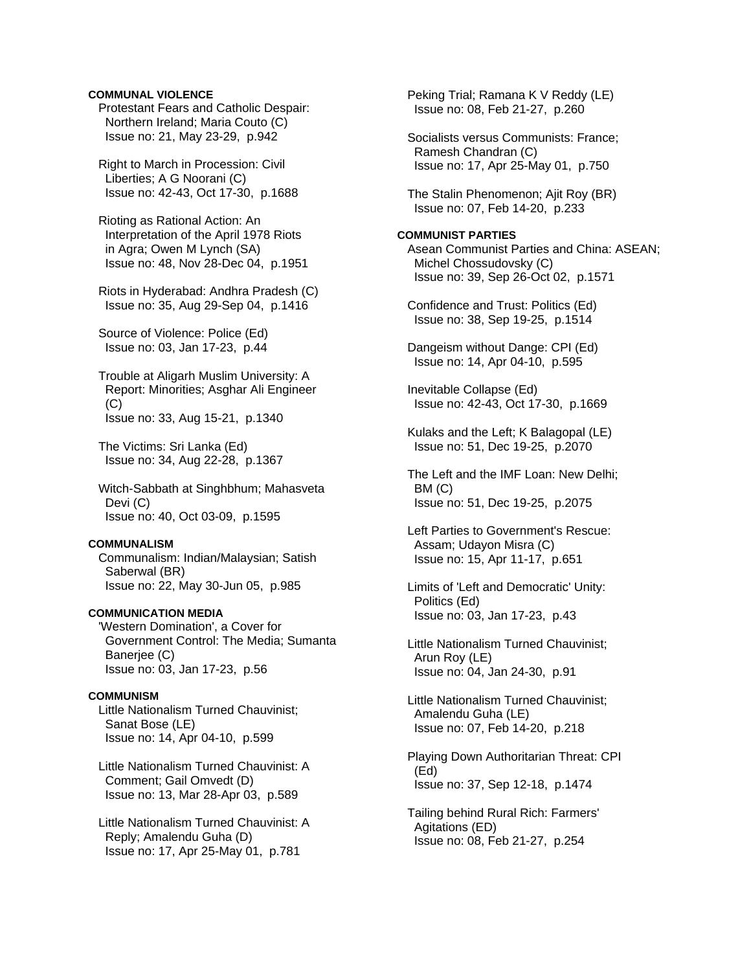## **COMMUNAL VIOLENCE**

 Protestant Fears and Catholic Despair: Northern Ireland; Maria Couto (C) Issue no: 21, May 23-29, p.942

 Right to March in Procession: Civil Liberties; A G Noorani (C) Issue no: 42-43, Oct 17-30, p.1688

 Rioting as Rational Action: An Interpretation of the April 1978 Riots in Agra; Owen M Lynch (SA) Issue no: 48, Nov 28-Dec 04, p.1951

 Riots in Hyderabad: Andhra Pradesh (C) Issue no: 35, Aug 29-Sep 04, p.1416

 Source of Violence: Police (Ed) Issue no: 03, Jan 17-23, p.44

 Trouble at Aligarh Muslim University: A Report: Minorities; Asghar Ali Engineer  $(C)$ Issue no: 33, Aug 15-21, p.1340

 The Victims: Sri Lanka (Ed) Issue no: 34, Aug 22-28, p.1367

 Witch-Sabbath at Singhbhum; Mahasveta Devi (C) Issue no: 40, Oct 03-09, p.1595

## **COMMUNALISM**

 Communalism: Indian/Malaysian; Satish Saberwal (BR) Issue no: 22, May 30-Jun 05, p.985

### **COMMUNICATION MEDIA**

 'Western Domination', a Cover for Government Control: The Media; Sumanta Banerjee (C) Issue no: 03, Jan 17-23, p.56

#### **COMMUNISM**

 Little Nationalism Turned Chauvinist; Sanat Bose (LE) Issue no: 14, Apr 04-10, p.599

 Little Nationalism Turned Chauvinist: A Comment; Gail Omvedt (D) Issue no: 13, Mar 28-Apr 03, p.589

 Little Nationalism Turned Chauvinist: A Reply; Amalendu Guha (D) Issue no: 17, Apr 25-May 01, p.781

 Peking Trial; Ramana K V Reddy (LE) Issue no: 08, Feb 21-27, p.260

 Socialists versus Communists: France; Ramesh Chandran (C) Issue no: 17, Apr 25-May 01, p.750

 The Stalin Phenomenon; Ajit Roy (BR) Issue no: 07, Feb 14-20, p.233

## **COMMUNIST PARTIES**

 Asean Communist Parties and China: ASEAN; Michel Chossudovsky (C) Issue no: 39, Sep 26-Oct 02, p.1571

 Confidence and Trust: Politics (Ed) Issue no: 38, Sep 19-25, p.1514

 Dangeism without Dange: CPI (Ed) Issue no: 14, Apr 04-10, p.595

 Inevitable Collapse (Ed) Issue no: 42-43, Oct 17-30, p.1669

 Kulaks and the Left; K Balagopal (LE) Issue no: 51, Dec 19-25, p.2070

 The Left and the IMF Loan: New Delhi; BM (C) Issue no: 51, Dec 19-25, p.2075

 Left Parties to Government's Rescue: Assam; Udayon Misra (C) Issue no: 15, Apr 11-17, p.651

 Limits of 'Left and Democratic' Unity: Politics (Ed) Issue no: 03, Jan 17-23, p.43

 Little Nationalism Turned Chauvinist; Arun Roy (LE) Issue no: 04, Jan 24-30, p.91

 Little Nationalism Turned Chauvinist; Amalendu Guha (LE) Issue no: 07, Feb 14-20, p.218

 Playing Down Authoritarian Threat: CPI (Ed) Issue no: 37, Sep 12-18, p.1474

 Tailing behind Rural Rich: Farmers' Agitations (ED) Issue no: 08, Feb 21-27, p.254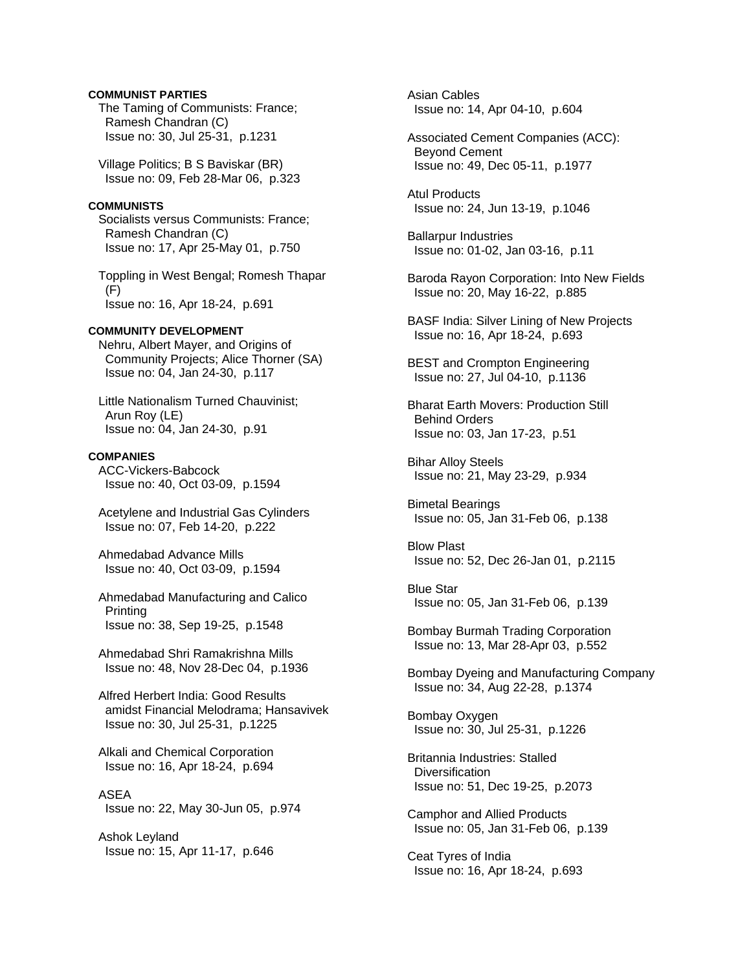## **COMMUNIST PARTIES**

 The Taming of Communists: France; Ramesh Chandran (C) Issue no: 30, Jul 25-31, p.1231

 Village Politics; B S Baviskar (BR) Issue no: 09, Feb 28-Mar 06, p.323

## **COMMUNISTS**

 Socialists versus Communists: France; Ramesh Chandran (C) Issue no: 17, Apr 25-May 01, p.750

 Toppling in West Bengal; Romesh Thapar (F) Issue no: 16, Apr 18-24, p.691

### **COMMUNITY DEVELOPMENT**

 Nehru, Albert Mayer, and Origins of Community Projects; Alice Thorner (SA) Issue no: 04, Jan 24-30, p.117

 Little Nationalism Turned Chauvinist; Arun Roy (LE) Issue no: 04, Jan 24-30, p.91

#### **COMPANIES**

 ACC-Vickers-Babcock Issue no: 40, Oct 03-09, p.1594

 Acetylene and Industrial Gas Cylinders Issue no: 07, Feb 14-20, p.222

 Ahmedabad Advance Mills Issue no: 40, Oct 03-09, p.1594

 Ahmedabad Manufacturing and Calico Printing Issue no: 38, Sep 19-25, p.1548

 Ahmedabad Shri Ramakrishna Mills Issue no: 48, Nov 28-Dec 04, p.1936

 Alfred Herbert India: Good Results amidst Financial Melodrama; Hansavivek Issue no: 30, Jul 25-31, p.1225

 Alkali and Chemical Corporation Issue no: 16, Apr 18-24, p.694

 ASEA Issue no: 22, May 30-Jun 05, p.974

 Ashok Leyland Issue no: 15, Apr 11-17, p.646  Asian Cables Issue no: 14, Apr 04-10, p.604

 Associated Cement Companies (ACC): Beyond Cement Issue no: 49, Dec 05-11, p.1977

 Atul Products Issue no: 24, Jun 13-19, p.1046

 Ballarpur Industries Issue no: 01-02, Jan 03-16, p.11

- Baroda Rayon Corporation: Into New Fields Issue no: 20, May 16-22, p.885
- BASF India: Silver Lining of New Projects Issue no: 16, Apr 18-24, p.693

 BEST and Crompton Engineering Issue no: 27, Jul 04-10, p.1136

 Bharat Earth Movers: Production Still Behind Orders Issue no: 03, Jan 17-23, p.51

 Bihar Alloy Steels Issue no: 21, May 23-29, p.934

 Bimetal Bearings Issue no: 05, Jan 31-Feb 06, p.138

 Blow Plast Issue no: 52, Dec 26-Jan 01, p.2115

 Blue Star Issue no: 05, Jan 31-Feb 06, p.139

 Bombay Burmah Trading Corporation Issue no: 13, Mar 28-Apr 03, p.552

 Bombay Dyeing and Manufacturing Company Issue no: 34, Aug 22-28, p.1374

 Bombay Oxygen Issue no: 30, Jul 25-31, p.1226

 Britannia Industries: Stalled **Diversification** Issue no: 51, Dec 19-25, p.2073

 Camphor and Allied Products Issue no: 05, Jan 31-Feb 06, p.139

 Ceat Tyres of India Issue no: 16, Apr 18-24, p.693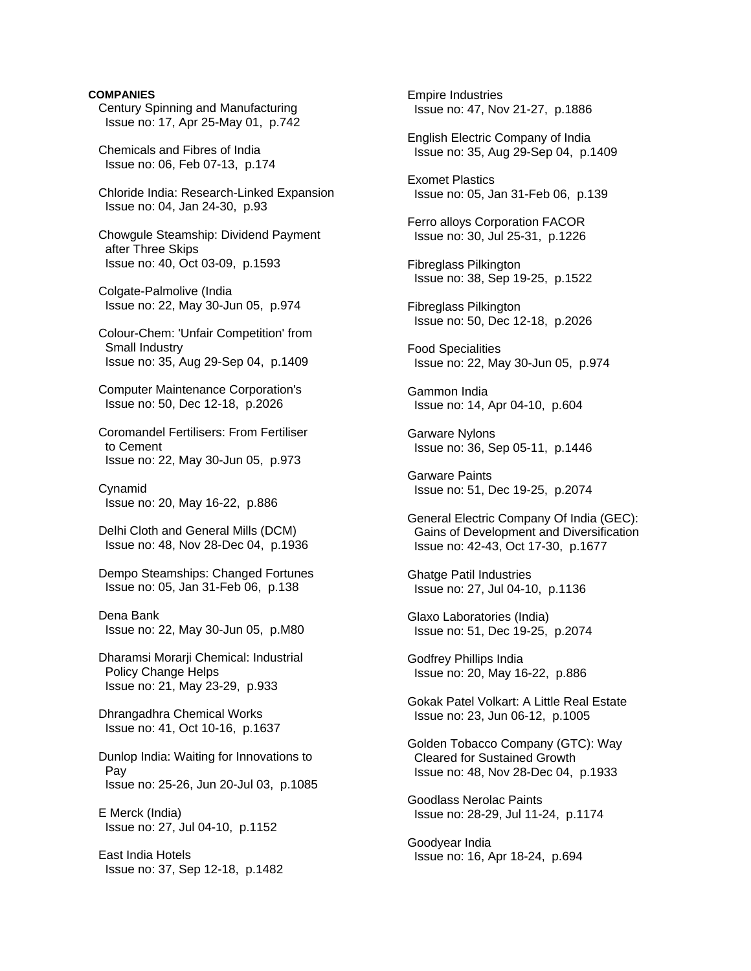## **COMPANIES**

 Century Spinning and Manufacturing Issue no: 17, Apr 25-May 01, p.742

 Chemicals and Fibres of India Issue no: 06, Feb 07-13, p.174

 Chloride India: Research-Linked Expansion Issue no: 04, Jan 24-30, p.93

 Chowgule Steamship: Dividend Payment after Three Skips Issue no: 40, Oct 03-09, p.1593

 Colgate-Palmolive (India Issue no: 22, May 30-Jun 05, p.974

 Colour-Chem: 'Unfair Competition' from Small Industry Issue no: 35, Aug 29-Sep 04, p.1409

 Computer Maintenance Corporation's Issue no: 50, Dec 12-18, p.2026

 Coromandel Fertilisers: From Fertiliser to Cement Issue no: 22, May 30-Jun 05, p.973

 Cynamid Issue no: 20, May 16-22, p.886

 Delhi Cloth and General Mills (DCM) Issue no: 48, Nov 28-Dec 04, p.1936

 Dempo Steamships: Changed Fortunes Issue no: 05, Jan 31-Feb 06, p.138

 Dena Bank Issue no: 22, May 30-Jun 05, p.M80

 Dharamsi Morarji Chemical: Industrial Policy Change Helps Issue no: 21, May 23-29, p.933

 Dhrangadhra Chemical Works Issue no: 41, Oct 10-16, p.1637

 Dunlop India: Waiting for Innovations to Pay Issue no: 25-26, Jun 20-Jul 03, p.1085

 E Merck (India) Issue no: 27, Jul 04-10, p.1152

 East India Hotels Issue no: 37, Sep 12-18, p.1482  Empire Industries Issue no: 47, Nov 21-27, p.1886

 English Electric Company of India Issue no: 35, Aug 29-Sep 04, p.1409

 Exomet Plastics Issue no: 05, Jan 31-Feb 06, p.139

 Ferro alloys Corporation FACOR Issue no: 30, Jul 25-31, p.1226

 Fibreglass Pilkington Issue no: 38, Sep 19-25, p.1522

 Fibreglass Pilkington Issue no: 50, Dec 12-18, p.2026

 Food Specialities Issue no: 22, May 30-Jun 05, p.974

 Gammon India Issue no: 14, Apr 04-10, p.604

 Garware Nylons Issue no: 36, Sep 05-11, p.1446

 Garware Paints Issue no: 51, Dec 19-25, p.2074

 General Electric Company Of India (GEC): Gains of Development and Diversification Issue no: 42-43, Oct 17-30, p.1677

 Ghatge Patil Industries Issue no: 27, Jul 04-10, p.1136

 Glaxo Laboratories (India) Issue no: 51, Dec 19-25, p.2074

 Godfrey Phillips India Issue no: 20, May 16-22, p.886

 Gokak Patel Volkart: A Little Real Estate Issue no: 23, Jun 06-12, p.1005

 Golden Tobacco Company (GTC): Way Cleared for Sustained Growth Issue no: 48, Nov 28-Dec 04, p.1933

 Goodlass Nerolac Paints Issue no: 28-29, Jul 11-24, p.1174

 Goodyear India Issue no: 16, Apr 18-24, p.694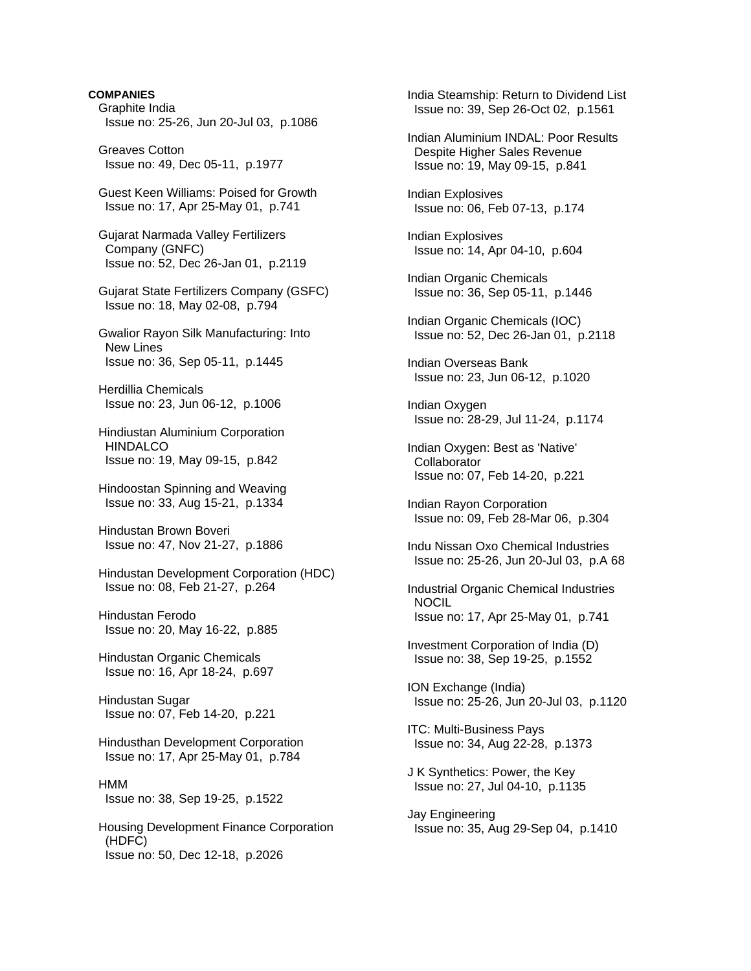## **COMPANIES**

 Graphite India Issue no: 25-26, Jun 20-Jul 03, p.1086

 Greaves Cotton Issue no: 49, Dec 05-11, p.1977

 Guest Keen Williams: Poised for Growth Issue no: 17, Apr 25-May 01, p.741

 Gujarat Narmada Valley Fertilizers Company (GNFC) Issue no: 52, Dec 26-Jan 01, p.2119

 Gujarat State Fertilizers Company (GSFC) Issue no: 18, May 02-08, p.794

 Gwalior Rayon Silk Manufacturing: Into New Lines Issue no: 36, Sep 05-11, p.1445

 Herdillia Chemicals Issue no: 23, Jun 06-12, p.1006

 Hindiustan Aluminium Corporation **HINDALCO** Issue no: 19, May 09-15, p.842

 Hindoostan Spinning and Weaving Issue no: 33, Aug 15-21, p.1334

 Hindustan Brown Boveri Issue no: 47, Nov 21-27, p.1886

 Hindustan Development Corporation (HDC) Issue no: 08, Feb 21-27, p.264

 Hindustan Ferodo Issue no: 20, May 16-22, p.885

 Hindustan Organic Chemicals Issue no: 16, Apr 18-24, p.697

 Hindustan Sugar Issue no: 07, Feb 14-20, p.221

 Hindusthan Development Corporation Issue no: 17, Apr 25-May 01, p.784

 HMM Issue no: 38, Sep 19-25, p.1522

 Housing Development Finance Corporation (HDFC) Issue no: 50, Dec 12-18, p.2026

 India Steamship: Return to Dividend List Issue no: 39, Sep 26-Oct 02, p.1561 Indian Aluminium INDAL: Poor Results Despite Higher Sales Revenue Issue no: 19, May 09-15, p.841 Indian Explosives Issue no: 06, Feb 07-13, p.174 Indian Explosives Issue no: 14, Apr 04-10, p.604 Indian Organic Chemicals Issue no: 36, Sep 05-11, p.1446 Indian Organic Chemicals (IOC) Issue no: 52, Dec 26-Jan 01, p.2118 Indian Overseas Bank Issue no: 23, Jun 06-12, p.1020 Indian Oxygen Issue no: 28-29, Jul 11-24, p.1174 Indian Oxygen: Best as 'Native' **Collaborator**  Issue no: 07, Feb 14-20, p.221 Indian Rayon Corporation Issue no: 09, Feb 28-Mar 06, p.304 Indu Nissan Oxo Chemical Industries Issue no: 25-26, Jun 20-Jul 03, p.A 68 Industrial Organic Chemical Industries NOCIL Issue no: 17, Apr 25-May 01, p.741 Investment Corporation of India (D) Issue no: 38, Sep 19-25, p.1552 ION Exchange (India) Issue no: 25-26, Jun 20-Jul 03, p.1120 ITC: Multi-Business Pays Issue no: 34, Aug 22-28, p.1373 J K Synthetics: Power, the Key Issue no: 27, Jul 04-10, p.1135 Jay Engineering Issue no: 35, Aug 29-Sep 04, p.1410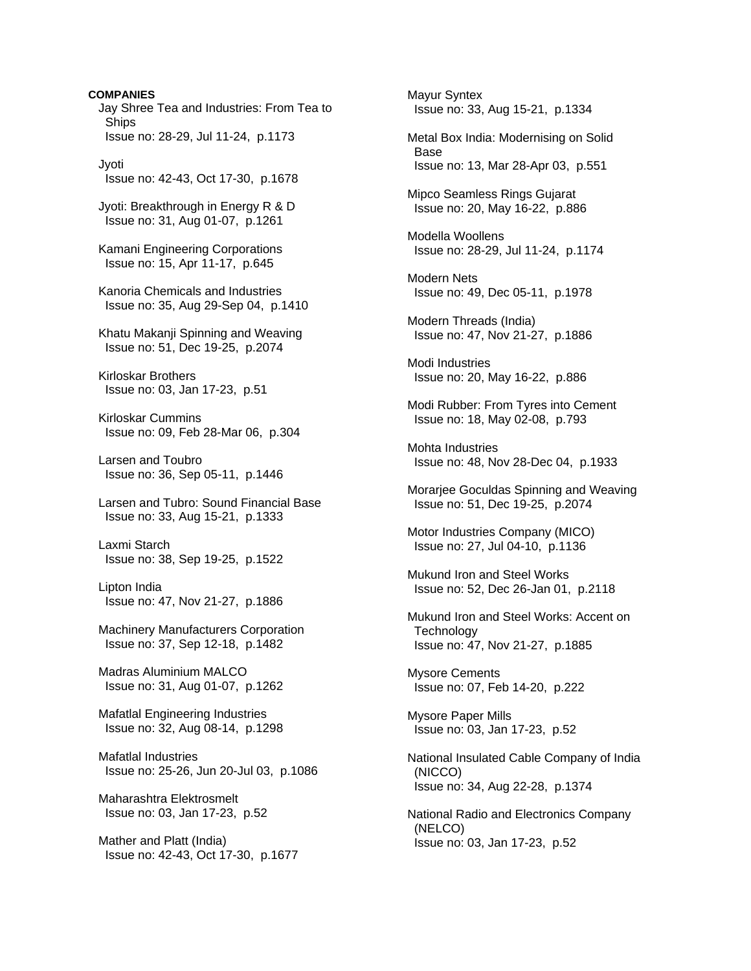**COMPANIES**  Jay Shree Tea and Industries: From Tea to **Ships**  Issue no: 28-29, Jul 11-24, p.1173 Jyoti Issue no: 42-43, Oct 17-30, p.1678 Jyoti: Breakthrough in Energy R & D Issue no: 31, Aug 01-07, p.1261 Kamani Engineering Corporations Issue no: 15, Apr 11-17, p.645 Kanoria Chemicals and Industries Issue no: 35, Aug 29-Sep 04, p.1410 Khatu Makanji Spinning and Weaving Issue no: 51, Dec 19-25, p.2074 Kirloskar Brothers Issue no: 03, Jan 17-23, p.51 Kirloskar Cummins Issue no: 09, Feb 28-Mar 06, p.304 Larsen and Toubro Issue no: 36, Sep 05-11, p.1446 Larsen and Tubro: Sound Financial Base Issue no: 33, Aug 15-21, p.1333 Laxmi Starch Issue no: 38, Sep 19-25, p.1522 Lipton India Issue no: 47, Nov 21-27, p.1886 Machinery Manufacturers Corporation Issue no: 37, Sep 12-18, p.1482 Madras Aluminium MALCO Issue no: 31, Aug 01-07, p.1262 Mafatlal Engineering Industries Issue no: 32, Aug 08-14, p.1298 Mafatlal Industries Issue no: 25-26, Jun 20-Jul 03, p.1086 Maharashtra Elektrosmelt Issue no: 03, Jan 17-23, p.52 Mather and Platt (India) Issue no: 42-43, Oct 17-30, p.1677

 Mayur Syntex Issue no: 33, Aug 15-21, p.1334 Metal Box India: Modernising on Solid Base Issue no: 13, Mar 28-Apr 03, p.551 Mipco Seamless Rings Gujarat Issue no: 20, May 16-22, p.886 Modella Woollens Issue no: 28-29, Jul 11-24, p.1174 Modern Nets Issue no: 49, Dec 05-11, p.1978 Modern Threads (India) Issue no: 47, Nov 21-27, p.1886 Modi Industries Issue no: 20, May 16-22, p.886 Modi Rubber: From Tyres into Cement Issue no: 18, May 02-08, p.793 Mohta Industries Issue no: 48, Nov 28-Dec 04, p.1933 Morarjee Goculdas Spinning and Weaving Issue no: 51, Dec 19-25, p.2074 Motor Industries Company (MICO) Issue no: 27, Jul 04-10, p.1136 Mukund Iron and Steel Works Issue no: 52, Dec 26-Jan 01, p.2118 Mukund Iron and Steel Works: Accent on **Technology**  Issue no: 47, Nov 21-27, p.1885 Mysore Cements Issue no: 07, Feb 14-20, p.222 Mysore Paper Mills Issue no: 03, Jan 17-23, p.52 National Insulated Cable Company of India (NICCO) Issue no: 34, Aug 22-28, p.1374 National Radio and Electronics Company (NELCO) Issue no: 03, Jan 17-23, p.52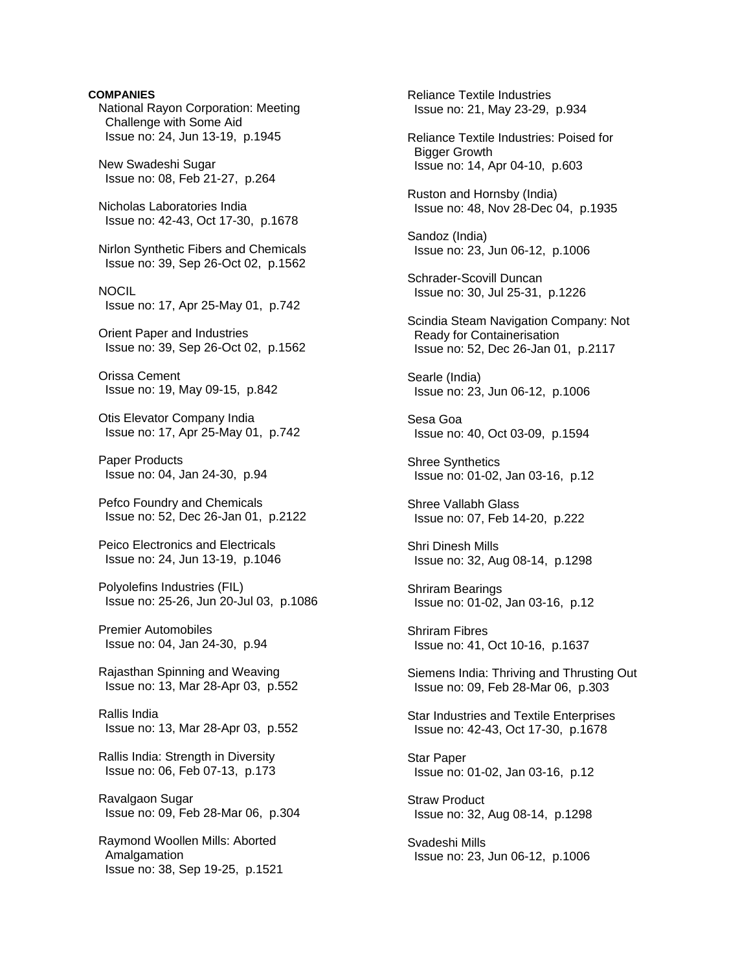**COMPANIES**  National Rayon Corporation: Meeting Challenge with Some Aid Issue no: 24, Jun 13-19, p.1945 New Swadeshi Sugar Issue no: 08, Feb 21-27, p.264 Nicholas Laboratories India Issue no: 42-43, Oct 17-30, p.1678 Nirlon Synthetic Fibers and Chemicals Issue no: 39, Sep 26-Oct 02, p.1562 NOCIL Issue no: 17, Apr 25-May 01, p.742 Orient Paper and Industries Issue no: 39, Sep 26-Oct 02, p.1562 Orissa Cement Issue no: 19, May 09-15, p.842 Otis Elevator Company India Issue no: 17, Apr 25-May 01, p.742 Paper Products Issue no: 04, Jan 24-30, p.94 Pefco Foundry and Chemicals Issue no: 52, Dec 26-Jan 01, p.2122 Peico Electronics and Electricals Issue no: 24, Jun 13-19, p.1046 Polyolefins Industries (FIL) Issue no: 25-26, Jun 20-Jul 03, p.1086 Premier Automobiles Issue no: 04, Jan 24-30, p.94 Rajasthan Spinning and Weaving Issue no: 13, Mar 28-Apr 03, p.552 Rallis India Issue no: 13, Mar 28-Apr 03, p.552 Rallis India: Strength in Diversity Issue no: 06, Feb 07-13, p.173 Ravalgaon Sugar Issue no: 09, Feb 28-Mar 06, p.304 Raymond Woollen Mills: Aborted Amalgamation Issue no: 38, Sep 19-25, p.1521

 Reliance Textile Industries Issue no: 21, May 23-29, p.934 Reliance Textile Industries: Poised for Bigger Growth Issue no: 14, Apr 04-10, p.603 Ruston and Hornsby (India) Issue no: 48, Nov 28-Dec 04, p.1935 Sandoz (India) Issue no: 23, Jun 06-12, p.1006 Schrader-Scovill Duncan Issue no: 30, Jul 25-31, p.1226 Scindia Steam Navigation Company: Not Ready for Containerisation Issue no: 52, Dec 26-Jan 01, p.2117 Searle (India) Issue no: 23, Jun 06-12, p.1006 Sesa Goa Issue no: 40, Oct 03-09, p.1594 Shree Synthetics Issue no: 01-02, Jan 03-16, p.12 Shree Vallabh Glass Issue no: 07, Feb 14-20, p.222 Shri Dinesh Mills Issue no: 32, Aug 08-14, p.1298 Shriram Bearings Issue no: 01-02, Jan 03-16, p.12 Shriram Fibres Issue no: 41, Oct 10-16, p.1637 Siemens India: Thriving and Thrusting Out Issue no: 09, Feb 28-Mar 06, p.303 Star Industries and Textile Enterprises Issue no: 42-43, Oct 17-30, p.1678 Star Paper Issue no: 01-02, Jan 03-16, p.12 Straw Product Issue no: 32, Aug 08-14, p.1298 Svadeshi Mills Issue no: 23, Jun 06-12, p.1006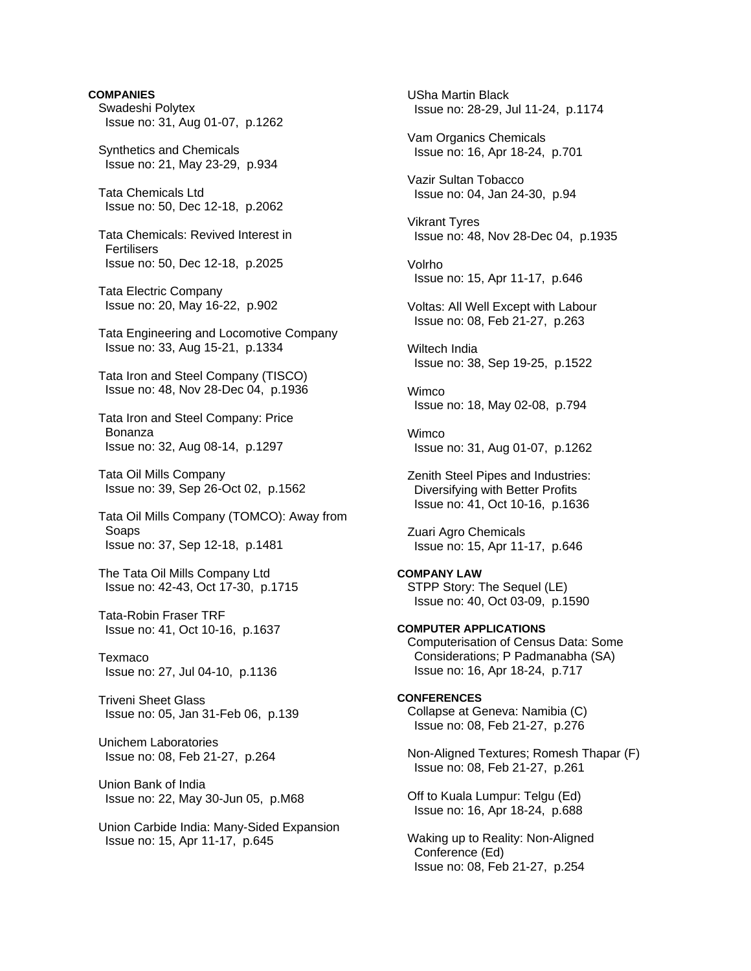**COMPANIES**  Swadeshi Polytex Issue no: 31, Aug 01-07, p.1262 Synthetics and Chemicals Issue no: 21, May 23-29, p.934 Tata Chemicals Ltd Issue no: 50, Dec 12-18, p.2062 Tata Chemicals: Revived Interest in **Fertilisers**  Issue no: 50, Dec 12-18, p.2025 Tata Electric Company Issue no: 20, May 16-22, p.902 Tata Engineering and Locomotive Company Issue no: 33, Aug 15-21, p.1334 Tata Iron and Steel Company (TISCO) Issue no: 48, Nov 28-Dec 04, p.1936 Tata Iron and Steel Company: Price Bonanza Issue no: 32, Aug 08-14, p.1297 Tata Oil Mills Company Issue no: 39, Sep 26-Oct 02, p.1562 Tata Oil Mills Company (TOMCO): Away from **Soaps**  Issue no: 37, Sep 12-18, p.1481 The Tata Oil Mills Company Ltd Issue no: 42-43, Oct 17-30, p.1715 Tata-Robin Fraser TRF Issue no: 41, Oct 10-16, p.1637 Texmaco Issue no: 27, Jul 04-10, p.1136 Triveni Sheet Glass Issue no: 05, Jan 31-Feb 06, p.139 Unichem Laboratories Issue no: 08, Feb 21-27, p.264 Union Bank of India Issue no: 22, May 30-Jun 05, p.M68 Union Carbide India: Many-Sided Expansion Issue no: 15, Apr 11-17, p.645

 USha Martin Black Issue no: 28-29, Jul 11-24, p.1174 Vam Organics Chemicals Issue no: 16, Apr 18-24, p.701 Vazir Sultan Tobacco Issue no: 04, Jan 24-30, p.94 Vikrant Tyres Issue no: 48, Nov 28-Dec 04, p.1935 Volrho Issue no: 15, Apr 11-17, p.646 Voltas: All Well Except with Labour Issue no: 08, Feb 21-27, p.263 Wiltech India Issue no: 38, Sep 19-25, p.1522 Wimco Issue no: 18, May 02-08, p.794 Wimco Issue no: 31, Aug 01-07, p.1262 Zenith Steel Pipes and Industries: Diversifying with Better Profits Issue no: 41, Oct 10-16, p.1636 Zuari Agro Chemicals Issue no: 15, Apr 11-17, p.646 **COMPANY LAW**  STPP Story: The Sequel (LE) Issue no: 40, Oct 03-09, p.1590 **COMPUTER APPLICATIONS**  Computerisation of Census Data: Some Considerations; P Padmanabha (SA) Issue no: 16, Apr 18-24, p.717 **CONFERENCES**  Collapse at Geneva: Namibia (C) Issue no: 08, Feb 21-27, p.276 Non-Aligned Textures; Romesh Thapar (F) Issue no: 08, Feb 21-27, p.261 Off to Kuala Lumpur: Telgu (Ed) Issue no: 16, Apr 18-24, p.688 Waking up to Reality: Non-Aligned

 Conference (Ed) Issue no: 08, Feb 21-27, p.254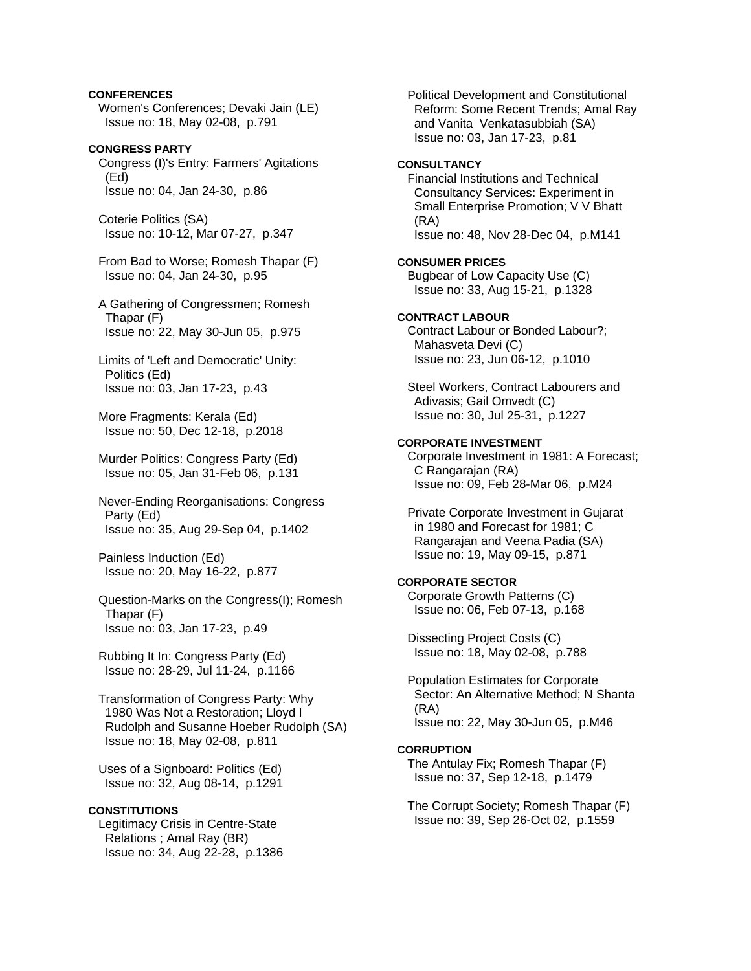# **CONFERENCES**

 Women's Conferences; Devaki Jain (LE) Issue no: 18, May 02-08, p.791

**CONGRESS PARTY**  Congress (I)'s Entry: Farmers' Agitations (Ed) Issue no: 04, Jan 24-30, p.86

 Coterie Politics (SA) Issue no: 10-12, Mar 07-27, p.347

 From Bad to Worse; Romesh Thapar (F) Issue no: 04, Jan 24-30, p.95

- A Gathering of Congressmen; Romesh Thapar (F) Issue no: 22, May 30-Jun 05, p.975
- Limits of 'Left and Democratic' Unity: Politics (Ed) Issue no: 03, Jan 17-23, p.43

 More Fragments: Kerala (Ed) Issue no: 50, Dec 12-18, p.2018

 Murder Politics: Congress Party (Ed) Issue no: 05, Jan 31-Feb 06, p.131

 Never-Ending Reorganisations: Congress Party (Ed) Issue no: 35, Aug 29-Sep 04, p.1402

 Painless Induction (Ed) Issue no: 20, May 16-22, p.877

 Question-Marks on the Congress(I); Romesh Thapar (F) Issue no: 03, Jan 17-23, p.49

 Rubbing It In: Congress Party (Ed) Issue no: 28-29, Jul 11-24, p.1166

 Transformation of Congress Party: Why 1980 Was Not a Restoration; Lloyd I Rudolph and Susanne Hoeber Rudolph (SA) Issue no: 18, May 02-08, p.811

 Uses of a Signboard: Politics (Ed) Issue no: 32, Aug 08-14, p.1291

#### **CONSTITUTIONS**

 Legitimacy Crisis in Centre-State Relations ; Amal Ray (BR) Issue no: 34, Aug 22-28, p.1386

 Political Development and Constitutional Reform: Some Recent Trends; Amal Ray and Vanita Venkatasubbiah (SA) Issue no: 03, Jan 17-23, p.81 **CONSULTANCY**  Financial Institutions and Technical Consultancy Services: Experiment in Small Enterprise Promotion; V V Bhatt (RA) Issue no: 48, Nov 28-Dec 04, p.M141 **CONSUMER PRICES**  Bugbear of Low Capacity Use (C) Issue no: 33, Aug 15-21, p.1328 **CONTRACT LABOUR**  Contract Labour or Bonded Labour?; Mahasveta Devi (C) Issue no: 23, Jun 06-12, p.1010 Steel Workers, Contract Labourers and Adivasis; Gail Omvedt (C) Issue no: 30, Jul 25-31, p.1227 **CORPORATE INVESTMENT**  Corporate Investment in 1981: A Forecast; C Rangarajan (RA) Issue no: 09, Feb 28-Mar 06, p.M24 Private Corporate Investment in Gujarat in 1980 and Forecast for 1981; C Rangarajan and Veena Padia (SA) Issue no: 19, May 09-15, p.871 **CORPORATE SECTOR**  Corporate Growth Patterns (C) Issue no: 06, Feb 07-13, p.168 Dissecting Project Costs (C) Issue no: 18, May 02-08, p.788 Population Estimates for Corporate Sector: An Alternative Method; N Shanta (RA) Issue no: 22, May 30-Jun 05, p.M46 **CORRUPTION** 

 The Antulay Fix; Romesh Thapar (F) Issue no: 37, Sep 12-18, p.1479

 The Corrupt Society; Romesh Thapar (F) Issue no: 39, Sep 26-Oct 02, p.1559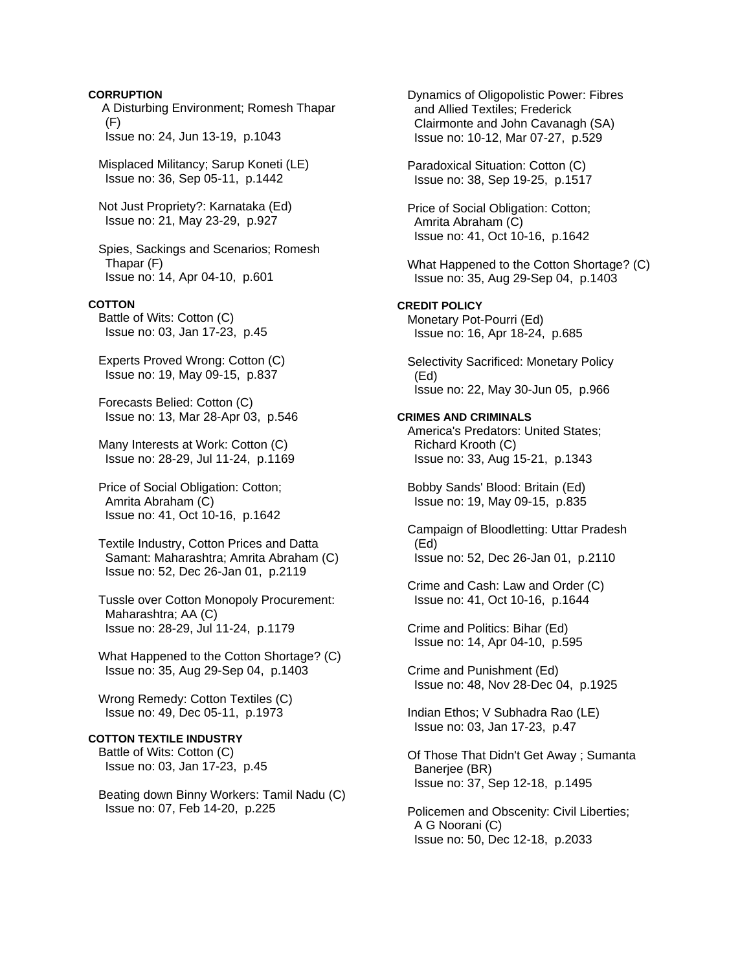#### **CORRUPTION**

 A Disturbing Environment; Romesh Thapar (F) Issue no: 24, Jun 13-19, p.1043

 Misplaced Militancy; Sarup Koneti (LE) Issue no: 36, Sep 05-11, p.1442

 Not Just Propriety?: Karnataka (Ed) Issue no: 21, May 23-29, p.927

 Spies, Sackings and Scenarios; Romesh Thapar (F) Issue no: 14, Apr 04-10, p.601

#### **COTTON**

 Battle of Wits: Cotton (C) Issue no: 03, Jan 17-23, p.45

 Experts Proved Wrong: Cotton (C) Issue no: 19, May 09-15, p.837

 Forecasts Belied: Cotton (C) Issue no: 13, Mar 28-Apr 03, p.546

 Many Interests at Work: Cotton (C) Issue no: 28-29, Jul 11-24, p.1169

 Price of Social Obligation: Cotton; Amrita Abraham (C) Issue no: 41, Oct 10-16, p.1642

 Textile Industry, Cotton Prices and Datta Samant: Maharashtra; Amrita Abraham (C) Issue no: 52, Dec 26-Jan 01, p.2119

 Tussle over Cotton Monopoly Procurement: Maharashtra; AA (C) Issue no: 28-29, Jul 11-24, p.1179

 What Happened to the Cotton Shortage? (C) Issue no: 35, Aug 29-Sep 04, p.1403

 Wrong Remedy: Cotton Textiles (C) Issue no: 49, Dec 05-11, p.1973

## **COTTON TEXTILE INDUSTRY**

 Battle of Wits: Cotton (C) Issue no: 03, Jan 17-23, p.45

 Beating down Binny Workers: Tamil Nadu (C) Issue no: 07, Feb 14-20, p.225

 Dynamics of Oligopolistic Power: Fibres and Allied Textiles; Frederick Clairmonte and John Cavanagh (SA) Issue no: 10-12, Mar 07-27, p.529 Paradoxical Situation: Cotton (C) Issue no: 38, Sep 19-25, p.1517 Price of Social Obligation: Cotton; Amrita Abraham (C) Issue no: 41, Oct 10-16, p.1642 What Happened to the Cotton Shortage? (C) Issue no: 35, Aug 29-Sep 04, p.1403 **CREDIT POLICY**  Monetary Pot-Pourri (Ed) Issue no: 16, Apr 18-24, p.685 Selectivity Sacrificed: Monetary Policy (Ed) Issue no: 22, May 30-Jun 05, p.966 **CRIMES AND CRIMINALS**  America's Predators: United States; Richard Krooth (C) Issue no: 33, Aug 15-21, p.1343 Bobby Sands' Blood: Britain (Ed) Issue no: 19, May 09-15, p.835 Campaign of Bloodletting: Uttar Pradesh (Ed) Issue no: 52, Dec 26-Jan 01, p.2110 Crime and Cash: Law and Order (C) Issue no: 41, Oct 10-16, p.1644 Crime and Politics: Bihar (Ed) Issue no: 14, Apr 04-10, p.595 Crime and Punishment (Ed) Issue no: 48, Nov 28-Dec 04, p.1925 Indian Ethos; V Subhadra Rao (LE) Issue no: 03, Jan 17-23, p.47 Of Those That Didn't Get Away ; Sumanta Banerjee (BR) Issue no: 37, Sep 12-18, p.1495 Policemen and Obscenity: Civil Liberties; A G Noorani (C) Issue no: 50, Dec 12-18, p.2033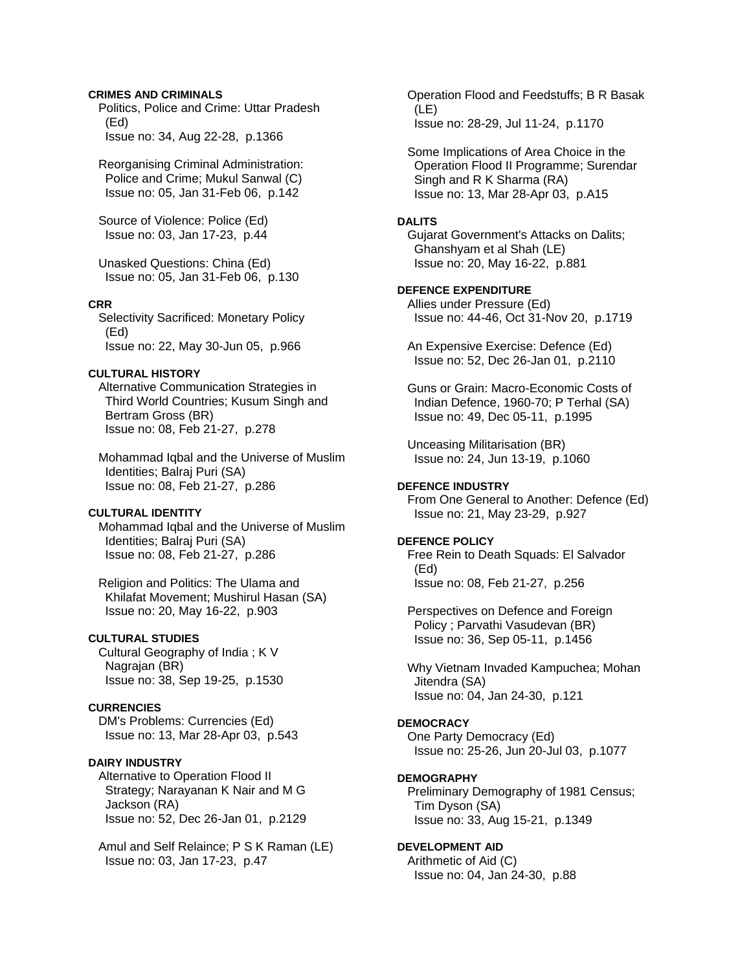## **CRIMES AND CRIMINALS**

 Politics, Police and Crime: Uttar Pradesh (Ed) Issue no: 34, Aug 22-28, p.1366

 Reorganising Criminal Administration: Police and Crime; Mukul Sanwal (C) Issue no: 05, Jan 31-Feb 06, p.142

 Source of Violence: Police (Ed) Issue no: 03, Jan 17-23, p.44

 Unasked Questions: China (Ed) Issue no: 05, Jan 31-Feb 06, p.130

#### **CRR**

 Selectivity Sacrificed: Monetary Policy (Ed) Issue no: 22, May 30-Jun 05, p.966

# **CULTURAL HISTORY**

 Alternative Communication Strategies in Third World Countries; Kusum Singh and Bertram Gross (BR) Issue no: 08, Feb 21-27, p.278

 Mohammad Iqbal and the Universe of Muslim Identities; Balraj Puri (SA) Issue no: 08, Feb 21-27, p.286

# **CULTURAL IDENTITY**

 Mohammad Iqbal and the Universe of Muslim Identities; Balraj Puri (SA) Issue no: 08, Feb 21-27, p.286

 Religion and Politics: The Ulama and Khilafat Movement; Mushirul Hasan (SA) Issue no: 20, May 16-22, p.903

#### **CULTURAL STUDIES**

 Cultural Geography of India ; K V Nagrajan (BR) Issue no: 38, Sep 19-25, p.1530

# **CURRENCIES**

 DM's Problems: Currencies (Ed) Issue no: 13, Mar 28-Apr 03, p.543

## **DAIRY INDUSTRY**

 Alternative to Operation Flood II Strategy; Narayanan K Nair and M G Jackson (RA) Issue no: 52, Dec 26-Jan 01, p.2129

 Amul and Self Relaince; P S K Raman (LE) Issue no: 03, Jan 17-23, p.47

 Operation Flood and Feedstuffs; B R Basak (LE) Issue no: 28-29, Jul 11-24, p.1170

 Some Implications of Area Choice in the Operation Flood II Programme; Surendar Singh and R K Sharma (RA) Issue no: 13, Mar 28-Apr 03, p.A15

# **DALITS**

 Gujarat Government's Attacks on Dalits; Ghanshyam et al Shah (LE) Issue no: 20, May 16-22, p.881

# **DEFENCE EXPENDITURE**

 Allies under Pressure (Ed) Issue no: 44-46, Oct 31-Nov 20, p.1719

 An Expensive Exercise: Defence (Ed) Issue no: 52, Dec 26-Jan 01, p.2110

 Guns or Grain: Macro-Economic Costs of Indian Defence, 1960-70; P Terhal (SA) Issue no: 49, Dec 05-11, p.1995

 Unceasing Militarisation (BR) Issue no: 24, Jun 13-19, p.1060

#### **DEFENCE INDUSTRY**

 From One General to Another: Defence (Ed) Issue no: 21, May 23-29, p.927

## **DEFENCE POLICY**

 Free Rein to Death Squads: El Salvador (Ed) Issue no: 08, Feb 21-27, p.256

 Perspectives on Defence and Foreign Policy ; Parvathi Vasudevan (BR) Issue no: 36, Sep 05-11, p.1456

 Why Vietnam Invaded Kampuchea; Mohan Jitendra (SA) Issue no: 04, Jan 24-30, p.121

#### **DEMOCRACY**

 One Party Democracy (Ed) Issue no: 25-26, Jun 20-Jul 03, p.1077

# **DEMOGRAPHY**

 Preliminary Demography of 1981 Census; Tim Dyson (SA) Issue no: 33, Aug 15-21, p.1349

#### **DEVELOPMENT AID**

 Arithmetic of Aid (C) Issue no: 04, Jan 24-30, p.88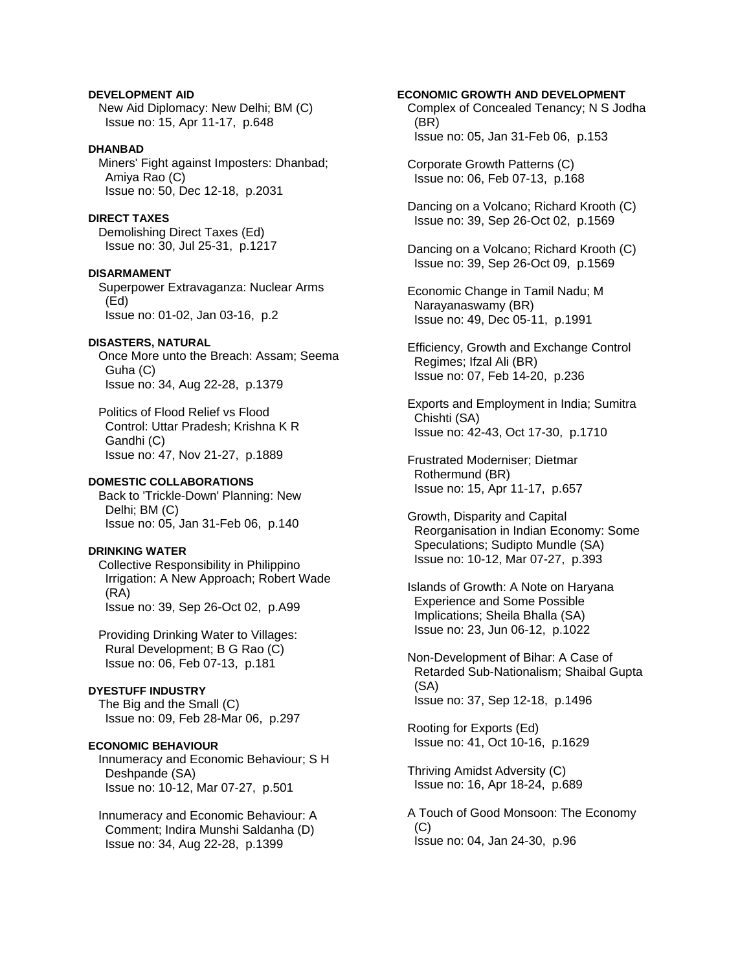**DEVELOPMENT AID**  New Aid Diplomacy: New Delhi; BM (C) Issue no: 15, Apr 11-17, p.648

## **DHANBAD**

 Miners' Fight against Imposters: Dhanbad; Amiya Rao (C) Issue no: 50, Dec 12-18, p.2031

# **DIRECT TAXES**

 Demolishing Direct Taxes (Ed) Issue no: 30, Jul 25-31, p.1217

**DISARMAMENT** 

 Superpower Extravaganza: Nuclear Arms (Ed) Issue no: 01-02, Jan 03-16, p.2

# **DISASTERS, NATURAL**

 Once More unto the Breach: Assam; Seema Guha (C) Issue no: 34, Aug 22-28, p.1379

 Politics of Flood Relief vs Flood Control: Uttar Pradesh; Krishna K R Gandhi (C) Issue no: 47, Nov 21-27, p.1889

# **DOMESTIC COLLABORATIONS**

 Back to 'Trickle-Down' Planning: New Delhi; BM (C) Issue no: 05, Jan 31-Feb 06, p.140

### **DRINKING WATER**

 Collective Responsibility in Philippino Irrigation: A New Approach; Robert Wade (RA) Issue no: 39, Sep 26-Oct 02, p.A99

 Providing Drinking Water to Villages: Rural Development; B G Rao (C) Issue no: 06, Feb 07-13, p.181

# **DYESTUFF INDUSTRY**

 The Big and the Small (C) Issue no: 09, Feb 28-Mar 06, p.297

# **ECONOMIC BEHAVIOUR**

 Innumeracy and Economic Behaviour; S H Deshpande (SA) Issue no: 10-12, Mar 07-27, p.501

 Innumeracy and Economic Behaviour: A Comment; Indira Munshi Saldanha (D) Issue no: 34, Aug 22-28, p.1399

## **ECONOMIC GROWTH AND DEVELOPMENT**

 Complex of Concealed Tenancy; N S Jodha (BR) Issue no: 05, Jan 31-Feb 06, p.153

 Corporate Growth Patterns (C) Issue no: 06, Feb 07-13, p.168

 Dancing on a Volcano; Richard Krooth (C) Issue no: 39, Sep 26-Oct 02, p.1569

 Dancing on a Volcano; Richard Krooth (C) Issue no: 39, Sep 26-Oct 09, p.1569

 Economic Change in Tamil Nadu; M Narayanaswamy (BR) Issue no: 49, Dec 05-11, p.1991

 Efficiency, Growth and Exchange Control Regimes; Ifzal Ali (BR) Issue no: 07, Feb 14-20, p.236

 Exports and Employment in India; Sumitra Chishti (SA) Issue no: 42-43, Oct 17-30, p.1710

 Frustrated Moderniser; Dietmar Rothermund (BR) Issue no: 15, Apr 11-17, p.657

 Growth, Disparity and Capital Reorganisation in Indian Economy: Some Speculations; Sudipto Mundle (SA) Issue no: 10-12, Mar 07-27, p.393

 Islands of Growth: A Note on Haryana Experience and Some Possible Implications; Sheila Bhalla (SA) Issue no: 23, Jun 06-12, p.1022

 Non-Development of Bihar: A Case of Retarded Sub-Nationalism; Shaibal Gupta (SA) Issue no: 37, Sep 12-18, p.1496

 Rooting for Exports (Ed) Issue no: 41, Oct 10-16, p.1629

 Thriving Amidst Adversity (C) Issue no: 16, Apr 18-24, p.689

 A Touch of Good Monsoon: The Economy  $(C)$ Issue no: 04, Jan 24-30, p.96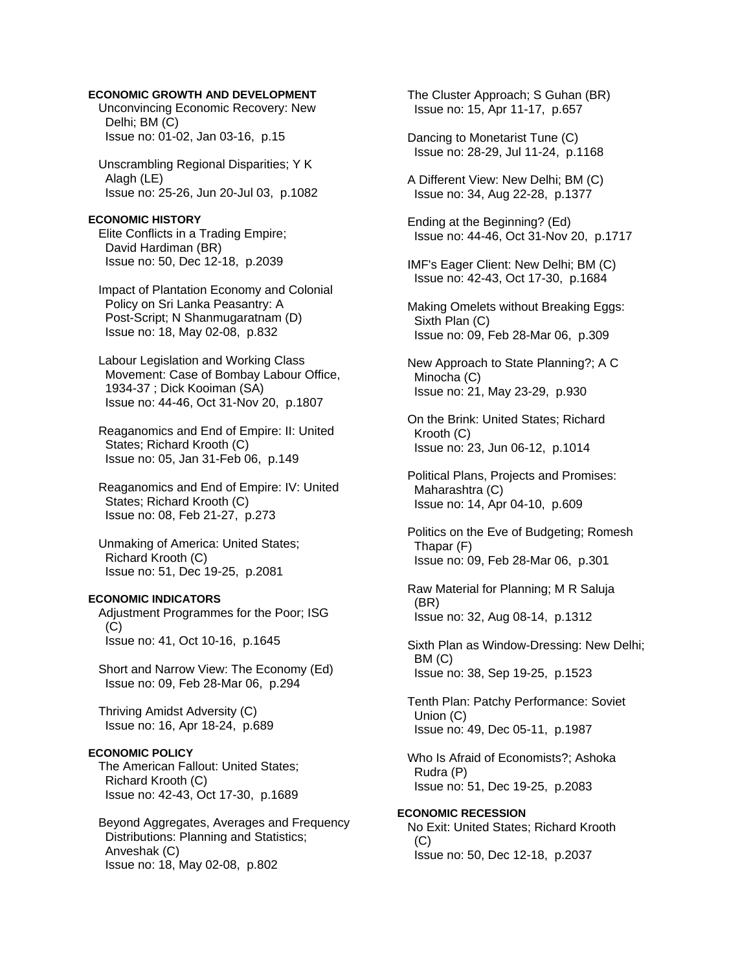## **ECONOMIC GROWTH AND DEVELOPMENT**

 Unconvincing Economic Recovery: New Delhi; BM (C) Issue no: 01-02, Jan 03-16, p.15

 Unscrambling Regional Disparities; Y K Alagh (LE) Issue no: 25-26, Jun 20-Jul 03, p.1082

### **ECONOMIC HISTORY**

 Elite Conflicts in a Trading Empire; David Hardiman (BR) Issue no: 50, Dec 12-18, p.2039

 Impact of Plantation Economy and Colonial Policy on Sri Lanka Peasantry: A Post-Script; N Shanmugaratnam (D) Issue no: 18, May 02-08, p.832

 Labour Legislation and Working Class Movement: Case of Bombay Labour Office, 1934-37 ; Dick Kooiman (SA) Issue no: 44-46, Oct 31-Nov 20, p.1807

 Reaganomics and End of Empire: II: United States; Richard Krooth (C) Issue no: 05, Jan 31-Feb 06, p.149

 Reaganomics and End of Empire: IV: United States; Richard Krooth (C) Issue no: 08, Feb 21-27, p.273

 Unmaking of America: United States; Richard Krooth (C) Issue no: 51, Dec 19-25, p.2081

# **ECONOMIC INDICATORS**

 Adjustment Programmes for the Poor; ISG  $(C)$ Issue no: 41, Oct 10-16, p.1645

 Short and Narrow View: The Economy (Ed) Issue no: 09, Feb 28-Mar 06, p.294

 Thriving Amidst Adversity (C) Issue no: 16, Apr 18-24, p.689

# **ECONOMIC POLICY**

 The American Fallout: United States; Richard Krooth (C) Issue no: 42-43, Oct 17-30, p.1689

 Beyond Aggregates, Averages and Frequency Distributions: Planning and Statistics; Anveshak (C) Issue no: 18, May 02-08, p.802

 The Cluster Approach; S Guhan (BR) Issue no: 15, Apr 11-17, p.657

 Dancing to Monetarist Tune (C) Issue no: 28-29, Jul 11-24, p.1168

 A Different View: New Delhi; BM (C) Issue no: 34, Aug 22-28, p.1377

 Ending at the Beginning? (Ed) Issue no: 44-46, Oct 31-Nov 20, p.1717

 IMF's Eager Client: New Delhi; BM (C) Issue no: 42-43, Oct 17-30, p.1684

 Making Omelets without Breaking Eggs: Sixth Plan (C) Issue no: 09, Feb 28-Mar 06, p.309

 New Approach to State Planning?; A C Minocha (C) Issue no: 21, May 23-29, p.930

 On the Brink: United States; Richard Krooth (C) Issue no: 23, Jun 06-12, p.1014

 Political Plans, Projects and Promises: Maharashtra (C) Issue no: 14, Apr 04-10, p.609

 Politics on the Eve of Budgeting; Romesh Thapar (F) Issue no: 09, Feb 28-Mar 06, p.301

 Raw Material for Planning; M R Saluja (BR) Issue no: 32, Aug 08-14, p.1312

 Sixth Plan as Window-Dressing: New Delhi; BM (C) Issue no: 38, Sep 19-25, p.1523

 Tenth Plan: Patchy Performance: Soviet Union (C) Issue no: 49, Dec 05-11, p.1987

 Who Is Afraid of Economists?; Ashoka Rudra (P) Issue no: 51, Dec 19-25, p.2083

**ECONOMIC RECESSION**  No Exit: United States; Richard Krooth  $(C)$ Issue no: 50, Dec 12-18, p.2037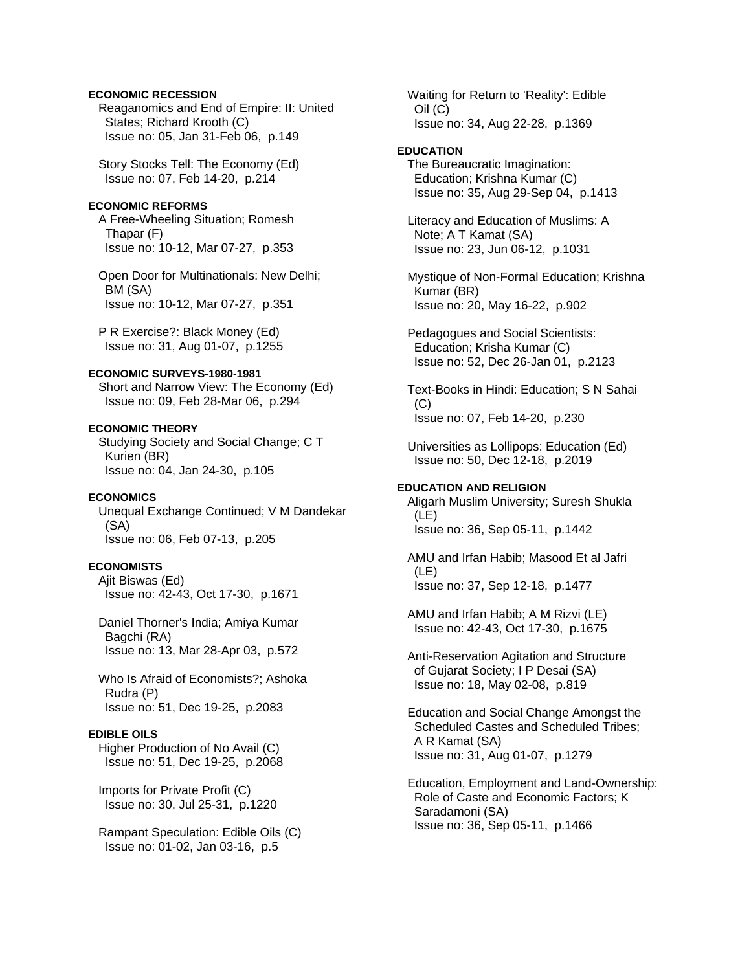## **ECONOMIC RECESSION**

 Reaganomics and End of Empire: II: United States; Richard Krooth (C) Issue no: 05, Jan 31-Feb 06, p.149

 Story Stocks Tell: The Economy (Ed) Issue no: 07, Feb 14-20, p.214

# **ECONOMIC REFORMS**

 A Free-Wheeling Situation; Romesh Thapar (F) Issue no: 10-12, Mar 07-27, p.353

 Open Door for Multinationals: New Delhi; BM (SA) Issue no: 10-12, Mar 07-27, p.351

 P R Exercise?: Black Money (Ed) Issue no: 31, Aug 01-07, p.1255

## **ECONOMIC SURVEYS-1980-1981**

 Short and Narrow View: The Economy (Ed) Issue no: 09, Feb 28-Mar 06, p.294

# **ECONOMIC THEORY**

 Studying Society and Social Change; C T Kurien (BR) Issue no: 04, Jan 24-30, p.105

## **ECONOMICS**

 Unequal Exchange Continued; V M Dandekar (SA) Issue no: 06, Feb 07-13, p.205

# **ECONOMISTS**

 Ajit Biswas (Ed) Issue no: 42-43, Oct 17-30, p.1671

 Daniel Thorner's India; Amiya Kumar Bagchi (RA) Issue no: 13, Mar 28-Apr 03, p.572

 Who Is Afraid of Economists?; Ashoka Rudra (P) Issue no: 51, Dec 19-25, p.2083

### **EDIBLE OILS**

 Higher Production of No Avail (C) Issue no: 51, Dec 19-25, p.2068

 Imports for Private Profit (C) Issue no: 30, Jul 25-31, p.1220

 Rampant Speculation: Edible Oils (C) Issue no: 01-02, Jan 03-16, p.5

 Waiting for Return to 'Reality': Edible Oil (C) Issue no: 34, Aug 22-28, p.1369

#### **EDUCATION**

 The Bureaucratic Imagination: Education; Krishna Kumar (C) Issue no: 35, Aug 29-Sep 04, p.1413

 Literacy and Education of Muslims: A Note; A T Kamat (SA) Issue no: 23, Jun 06-12, p.1031

 Mystique of Non-Formal Education; Krishna Kumar (BR) Issue no: 20, May 16-22, p.902

 Pedagogues and Social Scientists: Education; Krisha Kumar (C) Issue no: 52, Dec 26-Jan 01, p.2123

 Text-Books in Hindi: Education; S N Sahai  $(C)$ Issue no: 07, Feb 14-20, p.230

 Universities as Lollipops: Education (Ed) Issue no: 50, Dec 12-18, p.2019

#### **EDUCATION AND RELIGION**

 Aligarh Muslim University; Suresh Shukla (LE) Issue no: 36, Sep 05-11, p.1442

 AMU and Irfan Habib; Masood Et al Jafri (LE) Issue no: 37, Sep 12-18, p.1477

 AMU and Irfan Habib; A M Rizvi (LE) Issue no: 42-43, Oct 17-30, p.1675

 Anti-Reservation Agitation and Structure of Gujarat Society; I P Desai (SA) Issue no: 18, May 02-08, p.819

 Education and Social Change Amongst the Scheduled Castes and Scheduled Tribes; A R Kamat (SA) Issue no: 31, Aug 01-07, p.1279

 Education, Employment and Land-Ownership: Role of Caste and Economic Factors; K Saradamoni (SA) Issue no: 36, Sep 05-11, p.1466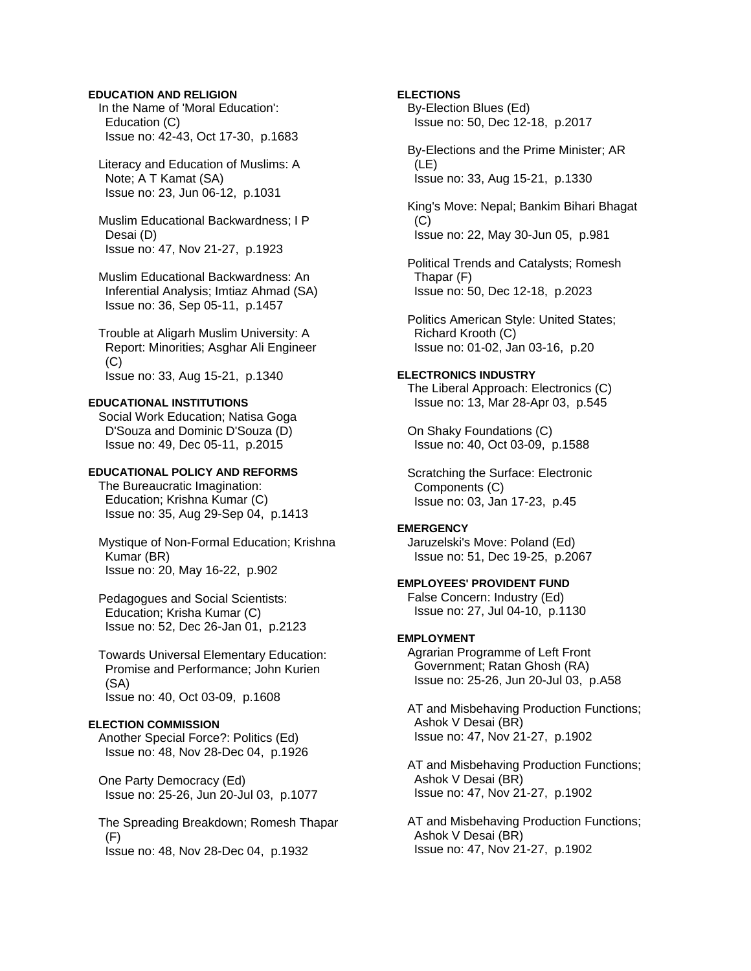# **EDUCATION AND RELIGION**

 In the Name of 'Moral Education': Education (C) Issue no: 42-43, Oct 17-30, p.1683

 Literacy and Education of Muslims: A Note; A T Kamat (SA) Issue no: 23, Jun 06-12, p.1031

 Muslim Educational Backwardness; I P Desai (D) Issue no: 47, Nov 21-27, p.1923

 Muslim Educational Backwardness: An Inferential Analysis; Imtiaz Ahmad (SA) Issue no: 36, Sep 05-11, p.1457

 Trouble at Aligarh Muslim University: A Report: Minorities; Asghar Ali Engineer (C) Issue no: 33, Aug 15-21, p.1340

# **EDUCATIONAL INSTITUTIONS**

 Social Work Education; Natisa Goga D'Souza and Dominic D'Souza (D) Issue no: 49, Dec 05-11, p.2015

# **EDUCATIONAL POLICY AND REFORMS**

 The Bureaucratic Imagination: Education; Krishna Kumar (C) Issue no: 35, Aug 29-Sep 04, p.1413

 Mystique of Non-Formal Education; Krishna Kumar (BR) Issue no: 20, May 16-22, p.902

 Pedagogues and Social Scientists: Education; Krisha Kumar (C) Issue no: 52, Dec 26-Jan 01, p.2123

 Towards Universal Elementary Education: Promise and Performance; John Kurien (SA) Issue no: 40, Oct 03-09, p.1608

#### **ELECTION COMMISSION**

 Another Special Force?: Politics (Ed) Issue no: 48, Nov 28-Dec 04, p.1926

 One Party Democracy (Ed) Issue no: 25-26, Jun 20-Jul 03, p.1077

 The Spreading Breakdown; Romesh Thapar (F) Issue no: 48, Nov 28-Dec 04, p.1932

# **ELECTIONS**

 By-Election Blues (Ed) Issue no: 50, Dec 12-18, p.2017

 By-Elections and the Prime Minister; AR (LE) Issue no: 33, Aug 15-21, p.1330

 King's Move: Nepal; Bankim Bihari Bhagat  $(C)$ Issue no: 22, May 30-Jun 05, p.981

 Political Trends and Catalysts; Romesh Thapar (F) Issue no: 50, Dec 12-18, p.2023

 Politics American Style: United States; Richard Krooth (C) Issue no: 01-02, Jan 03-16, p.20

# **ELECTRONICS INDUSTRY**

 The Liberal Approach: Electronics (C) Issue no: 13, Mar 28-Apr 03, p.545

 On Shaky Foundations (C) Issue no: 40, Oct 03-09, p.1588

 Scratching the Surface: Electronic Components (C) Issue no: 03, Jan 17-23, p.45

#### **EMERGENCY**

 Jaruzelski's Move: Poland (Ed) Issue no: 51, Dec 19-25, p.2067

**EMPLOYEES' PROVIDENT FUND**  False Concern: Industry (Ed) Issue no: 27, Jul 04-10, p.1130

#### **EMPLOYMENT**

 Agrarian Programme of Left Front Government; Ratan Ghosh (RA) Issue no: 25-26, Jun 20-Jul 03, p.A58

 AT and Misbehaving Production Functions; Ashok V Desai (BR) Issue no: 47, Nov 21-27, p.1902

 AT and Misbehaving Production Functions; Ashok V Desai (BR) Issue no: 47, Nov 21-27, p.1902

 AT and Misbehaving Production Functions; Ashok V Desai (BR) Issue no: 47, Nov 21-27, p.1902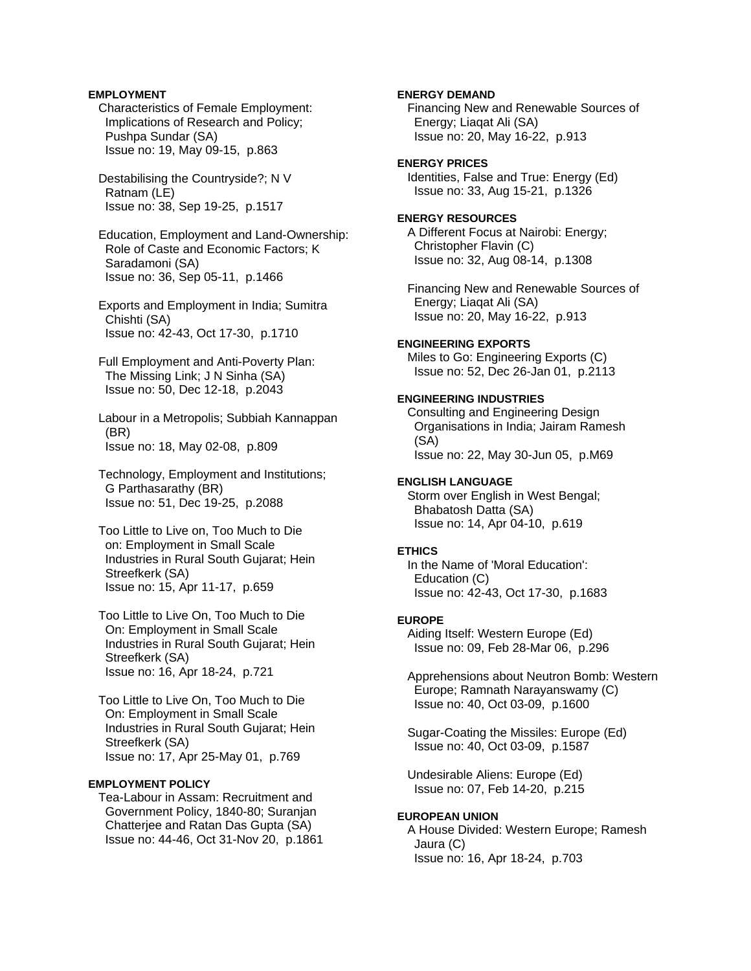## **EMPLOYMENT**

- Characteristics of Female Employment: Implications of Research and Policy; Pushpa Sundar (SA) Issue no: 19, May 09-15, p.863
- Destabilising the Countryside?; N V Ratnam (LE) Issue no: 38, Sep 19-25, p.1517
- Education, Employment and Land-Ownership: Role of Caste and Economic Factors; K Saradamoni (SA) Issue no: 36, Sep 05-11, p.1466
- Exports and Employment in India; Sumitra Chishti (SA) Issue no: 42-43, Oct 17-30, p.1710
- Full Employment and Anti-Poverty Plan: The Missing Link; J N Sinha (SA) Issue no: 50, Dec 12-18, p.2043
- Labour in a Metropolis; Subbiah Kannappan (BR) Issue no: 18, May 02-08, p.809
- Technology, Employment and Institutions; G Parthasarathy (BR) Issue no: 51, Dec 19-25, p.2088
- Too Little to Live on, Too Much to Die on: Employment in Small Scale Industries in Rural South Gujarat; Hein Streefkerk (SA) Issue no: 15, Apr 11-17, p.659
- Too Little to Live On, Too Much to Die On: Employment in Small Scale Industries in Rural South Gujarat; Hein Streefkerk (SA) Issue no: 16, Apr 18-24, p.721
- Too Little to Live On, Too Much to Die On: Employment in Small Scale Industries in Rural South Gujarat; Hein Streefkerk (SA) Issue no: 17, Apr 25-May 01, p.769

# **EMPLOYMENT POLICY**

 Tea-Labour in Assam: Recruitment and Government Policy, 1840-80; Suranjan Chatterjee and Ratan Das Gupta (SA) Issue no: 44-46, Oct 31-Nov 20, p.1861

# **ENERGY DEMAND**

 Financing New and Renewable Sources of Energy; Liaqat Ali (SA) Issue no: 20, May 16-22, p.913

# **ENERGY PRICES**

 Identities, False and True: Energy (Ed) Issue no: 33, Aug 15-21, p.1326

# **ENERGY RESOURCES**

 A Different Focus at Nairobi: Energy; Christopher Flavin (C) Issue no: 32, Aug 08-14, p.1308

 Financing New and Renewable Sources of Energy; Liaqat Ali (SA) Issue no: 20, May 16-22, p.913

#### **ENGINEERING EXPORTS**

 Miles to Go: Engineering Exports (C) Issue no: 52, Dec 26-Jan 01, p.2113

## **ENGINEERING INDUSTRIES**

 Consulting and Engineering Design Organisations in India; Jairam Ramesh (SA) Issue no: 22, May 30-Jun 05, p.M69

#### **ENGLISH LANGUAGE**

 Storm over English in West Bengal; Bhabatosh Datta (SA) Issue no: 14, Apr 04-10, p.619

#### **ETHICS**

 In the Name of 'Moral Education': Education (C) Issue no: 42-43, Oct 17-30, p.1683

#### **EUROPE**

 Aiding Itself: Western Europe (Ed) Issue no: 09, Feb 28-Mar 06, p.296

 Apprehensions about Neutron Bomb: Western Europe; Ramnath Narayanswamy (C) Issue no: 40, Oct 03-09, p.1600

 Sugar-Coating the Missiles: Europe (Ed) Issue no: 40, Oct 03-09, p.1587

 Undesirable Aliens: Europe (Ed) Issue no: 07, Feb 14-20, p.215

#### **EUROPEAN UNION**

 A House Divided: Western Europe; Ramesh Jaura (C) Issue no: 16, Apr 18-24, p.703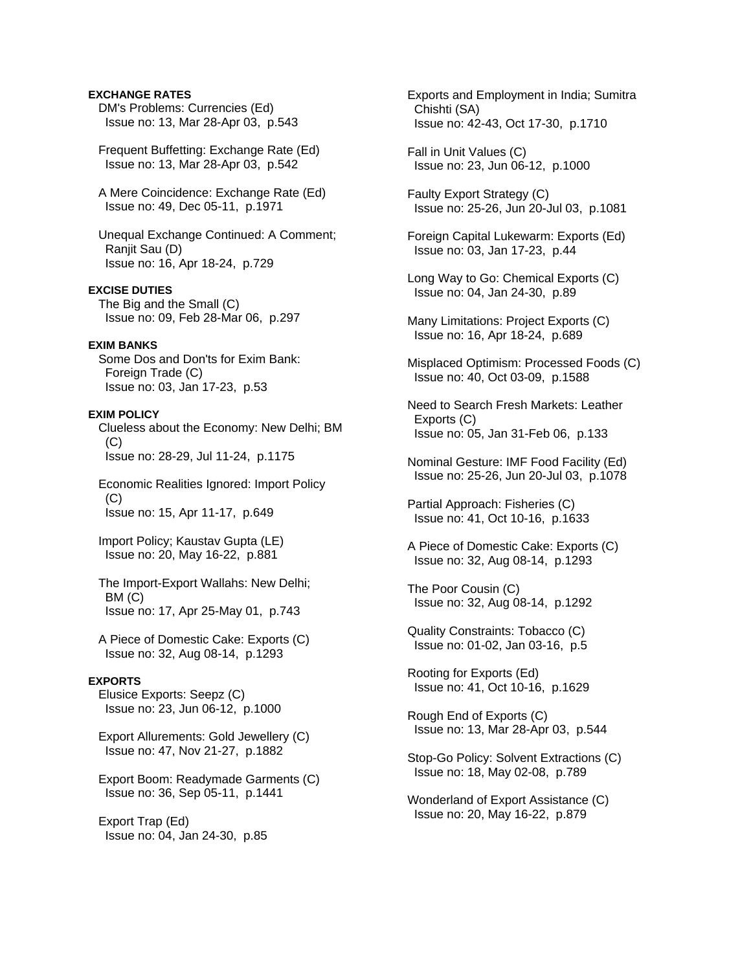# **EXCHANGE RATES**

 DM's Problems: Currencies (Ed) Issue no: 13, Mar 28-Apr 03, p.543

 Frequent Buffetting: Exchange Rate (Ed) Issue no: 13, Mar 28-Apr 03, p.542

 A Mere Coincidence: Exchange Rate (Ed) Issue no: 49, Dec 05-11, p.1971

 Unequal Exchange Continued: A Comment; Ranjit Sau (D) Issue no: 16, Apr 18-24, p.729

## **EXCISE DUTIES**

 The Big and the Small (C) Issue no: 09, Feb 28-Mar 06, p.297

#### **EXIM BANKS**

 Some Dos and Don'ts for Exim Bank: Foreign Trade (C) Issue no: 03, Jan 17-23, p.53

## **EXIM POLICY**

 Clueless about the Economy: New Delhi; BM (C) Issue no: 28-29, Jul 11-24, p.1175

 Economic Realities Ignored: Import Policy  $(C)$ Issue no: 15, Apr 11-17, p.649

 Import Policy; Kaustav Gupta (LE) Issue no: 20, May 16-22, p.881

 The Import-Export Wallahs: New Delhi; BM (C) Issue no: 17, Apr 25-May 01, p.743

 A Piece of Domestic Cake: Exports (C) Issue no: 32, Aug 08-14, p.1293

## **EXPORTS**

 Elusice Exports: Seepz (C) Issue no: 23, Jun 06-12, p.1000

 Export Allurements: Gold Jewellery (C) Issue no: 47, Nov 21-27, p.1882

 Export Boom: Readymade Garments (C) Issue no: 36, Sep 05-11, p.1441

 Export Trap (Ed) Issue no: 04, Jan 24-30, p.85  Exports and Employment in India; Sumitra Chishti (SA) Issue no: 42-43, Oct 17-30, p.1710

 Fall in Unit Values (C) Issue no: 23, Jun 06-12, p.1000

 Faulty Export Strategy (C) Issue no: 25-26, Jun 20-Jul 03, p.1081

 Foreign Capital Lukewarm: Exports (Ed) Issue no: 03, Jan 17-23, p.44

- Long Way to Go: Chemical Exports (C) Issue no: 04, Jan 24-30, p.89
- Many Limitations: Project Exports (C) Issue no: 16, Apr 18-24, p.689
- Misplaced Optimism: Processed Foods (C) Issue no: 40, Oct 03-09, p.1588
- Need to Search Fresh Markets: Leather Exports (C) Issue no: 05, Jan 31-Feb 06, p.133
- Nominal Gesture: IMF Food Facility (Ed) Issue no: 25-26, Jun 20-Jul 03, p.1078

 Partial Approach: Fisheries (C) Issue no: 41, Oct 10-16, p.1633

 A Piece of Domestic Cake: Exports (C) Issue no: 32, Aug 08-14, p.1293

 The Poor Cousin (C) Issue no: 32, Aug 08-14, p.1292

 Quality Constraints: Tobacco (C) Issue no: 01-02, Jan 03-16, p.5

 Rooting for Exports (Ed) Issue no: 41, Oct 10-16, p.1629

 Rough End of Exports (C) Issue no: 13, Mar 28-Apr 03, p.544

 Stop-Go Policy: Solvent Extractions (C) Issue no: 18, May 02-08, p.789

 Wonderland of Export Assistance (C) Issue no: 20, May 16-22, p.879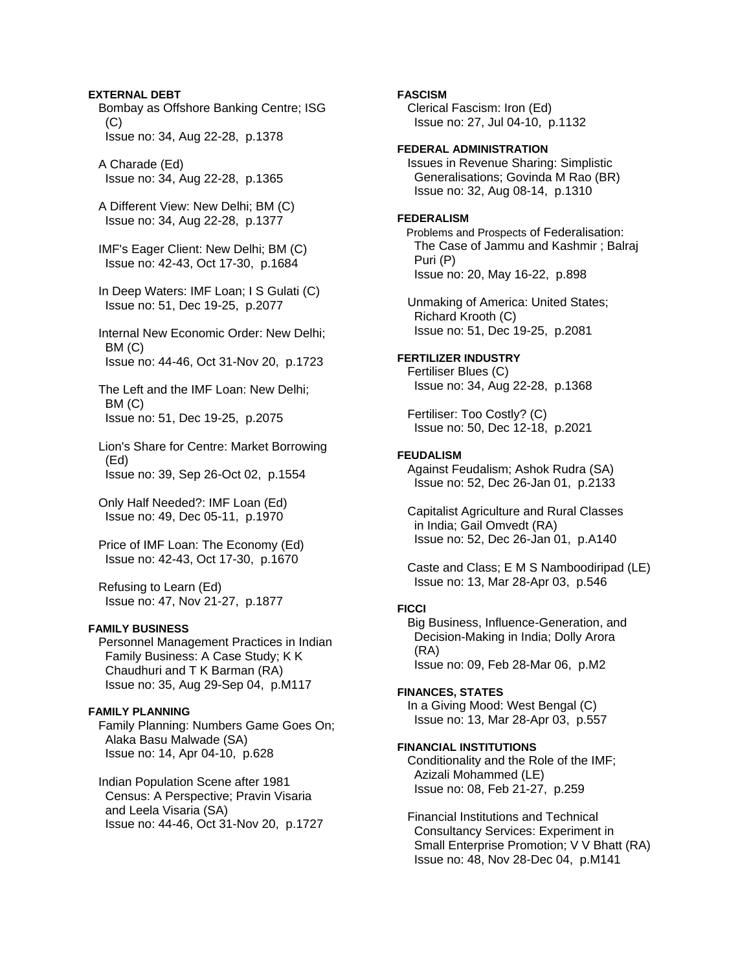## **EXTERNAL DEBT**

 Bombay as Offshore Banking Centre; ISG  $(C)$ Issue no: 34, Aug 22-28, p.1378

 A Charade (Ed) Issue no: 34, Aug 22-28, p.1365

 A Different View: New Delhi; BM (C) Issue no: 34, Aug 22-28, p.1377

 IMF's Eager Client: New Delhi; BM (C) Issue no: 42-43, Oct 17-30, p.1684

 In Deep Waters: IMF Loan; I S Gulati (C) Issue no: 51, Dec 19-25, p.2077

 Internal New Economic Order: New Delhi; BM (C) Issue no: 44-46, Oct 31-Nov 20, p.1723

 The Left and the IMF Loan: New Delhi; BM (C) Issue no: 51, Dec 19-25, p.2075

 Lion's Share for Centre: Market Borrowing (Ed) Issue no: 39, Sep 26-Oct 02, p.1554

 Only Half Needed?: IMF Loan (Ed) Issue no: 49, Dec 05-11, p.1970

 Price of IMF Loan: The Economy (Ed) Issue no: 42-43, Oct 17-30, p.1670

 Refusing to Learn (Ed) Issue no: 47, Nov 21-27, p.1877

### **FAMILY BUSINESS**

 Personnel Management Practices in Indian Family Business: A Case Study; K K Chaudhuri and T K Barman (RA) Issue no: 35, Aug 29-Sep 04, p.M117

### **FAMILY PLANNING**

 Family Planning: Numbers Game Goes On; Alaka Basu Malwade (SA) Issue no: 14, Apr 04-10, p.628

 Indian Population Scene after 1981 Census: A Perspective; Pravin Visaria and Leela Visaria (SA) Issue no: 44-46, Oct 31-Nov 20, p.1727

# **FASCISM**

 Clerical Fascism: Iron (Ed) Issue no: 27, Jul 04-10, p.1132

# **FEDERAL ADMINISTRATION**

 Issues in Revenue Sharing: Simplistic Generalisations; Govinda M Rao (BR) Issue no: 32, Aug 08-14, p.1310

## **FEDERALISM**

Problems and Prospects of Federalisation: The Case of Jammu and Kashmir ; Balraj Puri (P) Issue no: 20, May 16-22, p.898

 Unmaking of America: United States; Richard Krooth (C) Issue no: 51, Dec 19-25, p.2081

# **FERTILIZER INDUSTRY**

 Fertiliser Blues (C) Issue no: 34, Aug 22-28, p.1368

 Fertiliser: Too Costly? (C) Issue no: 50, Dec 12-18, p.2021

#### **FEUDALISM**

 Against Feudalism; Ashok Rudra (SA) Issue no: 52, Dec 26-Jan 01, p.2133

 Capitalist Agriculture and Rural Classes in India; Gail Omvedt (RA) Issue no: 52, Dec 26-Jan 01, p.A140

 Caste and Class; E M S Namboodiripad (LE) Issue no: 13, Mar 28-Apr 03, p.546

#### **FICCI**

 Big Business, Influence-Generation, and Decision-Making in India; Dolly Arora (RA) Issue no: 09, Feb 28-Mar 06, p.M2

#### **FINANCES, STATES**

 In a Giving Mood: West Bengal (C) Issue no: 13, Mar 28-Apr 03, p.557

#### **FINANCIAL INSTITUTIONS**

 Conditionality and the Role of the IMF; Azizali Mohammed (LE) Issue no: 08, Feb 21-27, p.259

 Financial Institutions and Technical Consultancy Services: Experiment in Small Enterprise Promotion; V V Bhatt (RA) Issue no: 48, Nov 28-Dec 04, p.M141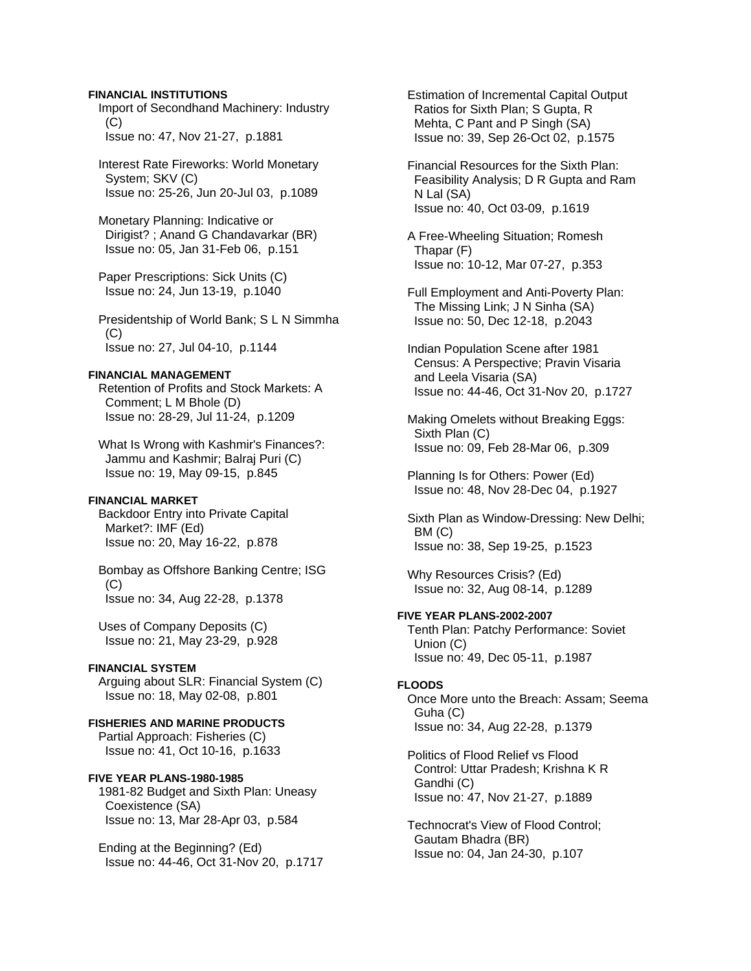## **FINANCIAL INSTITUTIONS**

 Import of Secondhand Machinery: Industry  $(C)$ Issue no: 47, Nov 21-27, p.1881

 Interest Rate Fireworks: World Monetary System; SKV (C) Issue no: 25-26, Jun 20-Jul 03, p.1089

 Monetary Planning: Indicative or Dirigist? ; Anand G Chandavarkar (BR) Issue no: 05, Jan 31-Feb 06, p.151

 Paper Prescriptions: Sick Units (C) Issue no: 24, Jun 13-19, p.1040

 Presidentship of World Bank; S L N Simmha  $(C)$ Issue no: 27, Jul 04-10, p.1144

# **FINANCIAL MANAGEMENT**

 Retention of Profits and Stock Markets: A Comment; L M Bhole (D) Issue no: 28-29, Jul 11-24, p.1209

 What Is Wrong with Kashmir's Finances?: Jammu and Kashmir; Balraj Puri (C) Issue no: 19, May 09-15, p.845

# **FINANCIAL MARKET**

 Backdoor Entry into Private Capital Market?: IMF (Ed) Issue no: 20, May 16-22, p.878

 Bombay as Offshore Banking Centre; ISG  $(C)$ Issue no: 34, Aug 22-28, p.1378

 Uses of Company Deposits (C) Issue no: 21, May 23-29, p.928

#### **FINANCIAL SYSTEM**

 Arguing about SLR: Financial System (C) Issue no: 18, May 02-08, p.801

**FISHERIES AND MARINE PRODUCTS** Partial Approach: Fisheries (C) Issue no: 41, Oct 10-16, p.1633

# **FIVE YEAR PLANS-1980-1985**

 1981-82 Budget and Sixth Plan: Uneasy Coexistence (SA) Issue no: 13, Mar 28-Apr 03, p.584

 Ending at the Beginning? (Ed) Issue no: 44-46, Oct 31-Nov 20, p.1717  Estimation of Incremental Capital Output Ratios for Sixth Plan; S Gupta, R Mehta, C Pant and P Singh (SA) Issue no: 39, Sep 26-Oct 02, p.1575

 Financial Resources for the Sixth Plan: Feasibility Analysis; D R Gupta and Ram N Lal (SA) Issue no: 40, Oct 03-09, p.1619

 A Free-Wheeling Situation; Romesh Thapar (F) Issue no: 10-12, Mar 07-27, p.353

 Full Employment and Anti-Poverty Plan: The Missing Link; J N Sinha (SA) Issue no: 50, Dec 12-18, p.2043

 Indian Population Scene after 1981 Census: A Perspective; Pravin Visaria and Leela Visaria (SA) Issue no: 44-46, Oct 31-Nov 20, p.1727

 Making Omelets without Breaking Eggs: Sixth Plan (C) Issue no: 09, Feb 28-Mar 06, p.309

 Planning Is for Others: Power (Ed) Issue no: 48, Nov 28-Dec 04, p.1927

 Sixth Plan as Window-Dressing: New Delhi; BM (C) Issue no: 38, Sep 19-25, p.1523

 Why Resources Crisis? (Ed) Issue no: 32, Aug 08-14, p.1289

# **FIVE YEAR PLANS-2002-2007**

 Tenth Plan: Patchy Performance: Soviet Union (C) Issue no: 49, Dec 05-11, p.1987

#### **FLOODS**

 Once More unto the Breach: Assam; Seema Guha (C) Issue no: 34, Aug 22-28, p.1379

 Politics of Flood Relief vs Flood Control: Uttar Pradesh; Krishna K R Gandhi (C) Issue no: 47, Nov 21-27, p.1889

 Technocrat's View of Flood Control; Gautam Bhadra (BR) Issue no: 04, Jan 24-30, p.107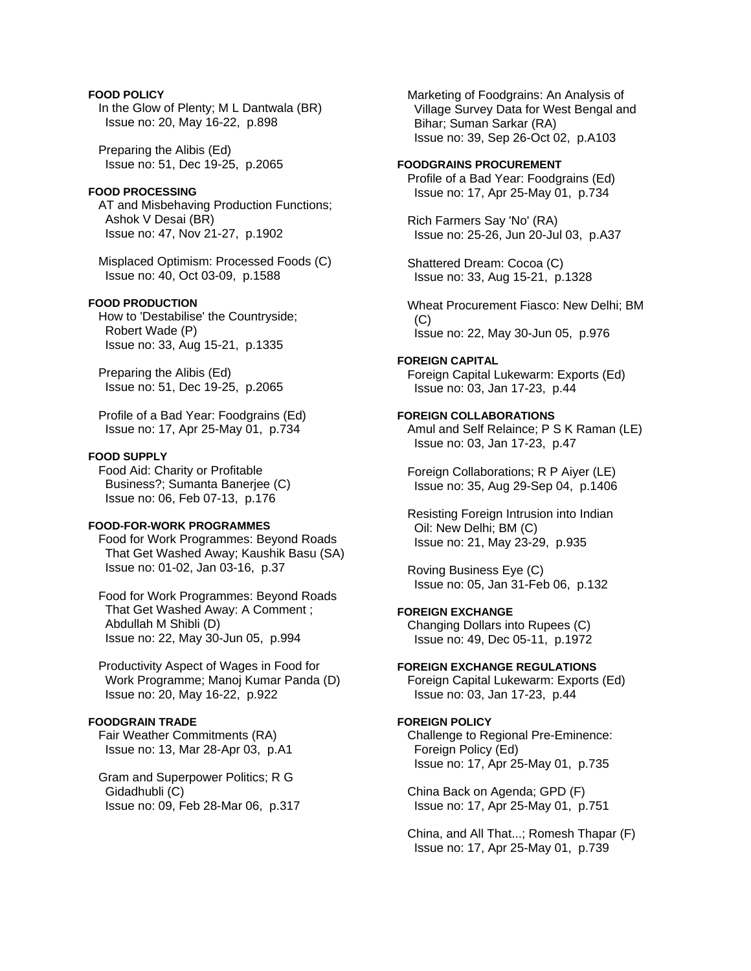# **FOOD POLICY**

 In the Glow of Plenty; M L Dantwala (BR) Issue no: 20, May 16-22, p.898

 Preparing the Alibis (Ed) Issue no: 51, Dec 19-25, p.2065

# **FOOD PROCESSING**

 AT and Misbehaving Production Functions; Ashok V Desai (BR) Issue no: 47, Nov 21-27, p.1902

 Misplaced Optimism: Processed Foods (C) Issue no: 40, Oct 03-09, p.1588

# **FOOD PRODUCTION**

 How to 'Destabilise' the Countryside; Robert Wade (P) Issue no: 33, Aug 15-21, p.1335

 Preparing the Alibis (Ed) Issue no: 51, Dec 19-25, p.2065

 Profile of a Bad Year: Foodgrains (Ed) Issue no: 17, Apr 25-May 01, p.734

#### **FOOD SUPPLY**

 Food Aid: Charity or Profitable Business?; Sumanta Banerjee (C) Issue no: 06, Feb 07-13, p.176

### **FOOD-FOR-WORK PROGRAMMES**

 Food for Work Programmes: Beyond Roads That Get Washed Away; Kaushik Basu (SA) Issue no: 01-02, Jan 03-16, p.37

 Food for Work Programmes: Beyond Roads That Get Washed Away: A Comment ; Abdullah M Shibli (D) Issue no: 22, May 30-Jun 05, p.994

 Productivity Aspect of Wages in Food for Work Programme; Manoj Kumar Panda (D) Issue no: 20, May 16-22, p.922

# **FOODGRAIN TRADE**

 Fair Weather Commitments (RA) Issue no: 13, Mar 28-Apr 03, p.A1

 Gram and Superpower Politics; R G Gidadhubli (C) Issue no: 09, Feb 28-Mar 06, p.317  Marketing of Foodgrains: An Analysis of Village Survey Data for West Bengal and Bihar; Suman Sarkar (RA) Issue no: 39, Sep 26-Oct 02, p.A103

# **FOODGRAINS PROCUREMENT**

 Profile of a Bad Year: Foodgrains (Ed) Issue no: 17, Apr 25-May 01, p.734

 Rich Farmers Say 'No' (RA) Issue no: 25-26, Jun 20-Jul 03, p.A37

 Shattered Dream: Cocoa (C) Issue no: 33, Aug 15-21, p.1328

 Wheat Procurement Fiasco: New Delhi; BM  $(C)$ Issue no: 22, May 30-Jun 05, p.976

#### **FOREIGN CAPITAL**

 Foreign Capital Lukewarm: Exports (Ed) Issue no: 03, Jan 17-23, p.44

### **FOREIGN COLLABORATIONS**

 Amul and Self Relaince; P S K Raman (LE) Issue no: 03, Jan 17-23, p.47

 Foreign Collaborations; R P Aiyer (LE) Issue no: 35, Aug 29-Sep 04, p.1406

 Resisting Foreign Intrusion into Indian Oil: New Delhi; BM (C) Issue no: 21, May 23-29, p.935

 Roving Business Eye (C) Issue no: 05, Jan 31-Feb 06, p.132

# **FOREIGN EXCHANGE**

 Changing Dollars into Rupees (C) Issue no: 49, Dec 05-11, p.1972

# **FOREIGN EXCHANGE REGULATIONS**

 Foreign Capital Lukewarm: Exports (Ed) Issue no: 03, Jan 17-23, p.44

# **FOREIGN POLICY**

 Challenge to Regional Pre-Eminence: Foreign Policy (Ed) Issue no: 17, Apr 25-May 01, p.735

 China Back on Agenda; GPD (F) Issue no: 17, Apr 25-May 01, p.751

 China, and All That...; Romesh Thapar (F) Issue no: 17, Apr 25-May 01, p.739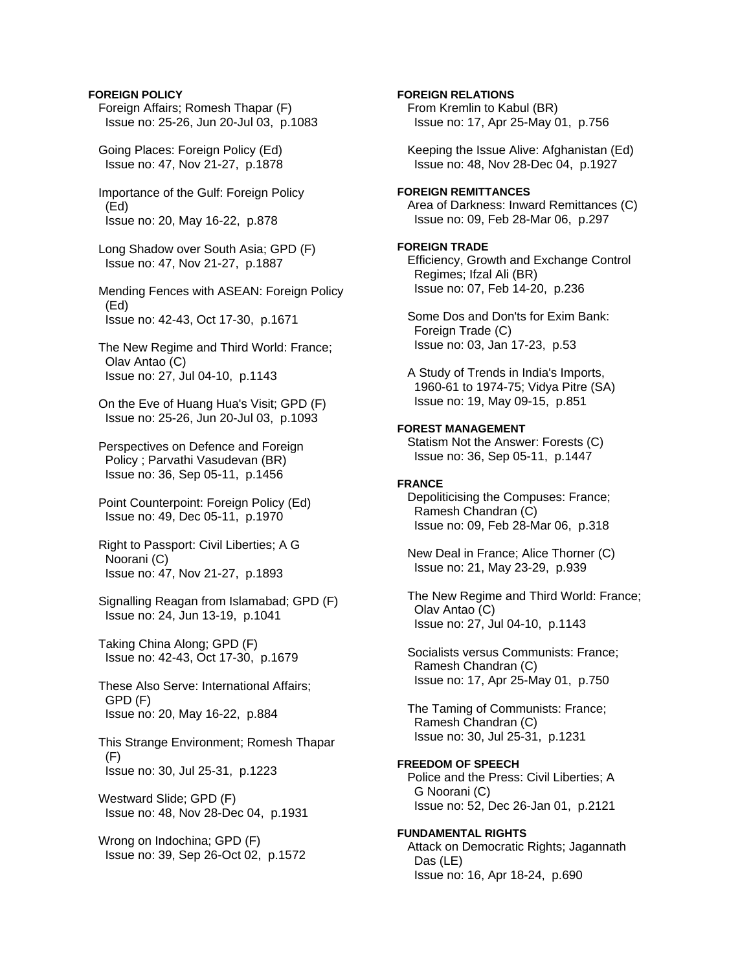# **FOREIGN POLICY**

 Foreign Affairs; Romesh Thapar (F) Issue no: 25-26, Jun 20-Jul 03, p.1083

 Going Places: Foreign Policy (Ed) Issue no: 47, Nov 21-27, p.1878

 Importance of the Gulf: Foreign Policy (Ed) Issue no: 20, May 16-22, p.878

 Long Shadow over South Asia; GPD (F) Issue no: 47, Nov 21-27, p.1887

 Mending Fences with ASEAN: Foreign Policy (Ed) Issue no: 42-43, Oct 17-30, p.1671

 The New Regime and Third World: France; Olav Antao (C) Issue no: 27, Jul 04-10, p.1143

 On the Eve of Huang Hua's Visit; GPD (F) Issue no: 25-26, Jun 20-Jul 03, p.1093

 Perspectives on Defence and Foreign Policy ; Parvathi Vasudevan (BR) Issue no: 36, Sep 05-11, p.1456

 Point Counterpoint: Foreign Policy (Ed) Issue no: 49, Dec 05-11, p.1970

 Right to Passport: Civil Liberties; A G Noorani (C) Issue no: 47, Nov 21-27, p.1893

 Signalling Reagan from Islamabad; GPD (F) Issue no: 24, Jun 13-19, p.1041

 Taking China Along; GPD (F) Issue no: 42-43, Oct 17-30, p.1679

 These Also Serve: International Affairs; GPD (F) Issue no: 20, May 16-22, p.884

 This Strange Environment; Romesh Thapar  $(F)$ Issue no: 30, Jul 25-31, p.1223

 Westward Slide; GPD (F) Issue no: 48, Nov 28-Dec 04, p.1931

 Wrong on Indochina; GPD (F) Issue no: 39, Sep 26-Oct 02, p.1572 **FOREIGN RELATIONS** 

 From Kremlin to Kabul (BR) Issue no: 17, Apr 25-May 01, p.756

 Keeping the Issue Alive: Afghanistan (Ed) Issue no: 48, Nov 28-Dec 04, p.1927

# **FOREIGN REMITTANCES**

 Area of Darkness: Inward Remittances (C) Issue no: 09, Feb 28-Mar 06, p.297

# **FOREIGN TRADE**

 Efficiency, Growth and Exchange Control Regimes; Ifzal Ali (BR) Issue no: 07, Feb 14-20, p.236

 Some Dos and Don'ts for Exim Bank: Foreign Trade (C) Issue no: 03, Jan 17-23, p.53

 A Study of Trends in India's Imports, 1960-61 to 1974-75; Vidya Pitre (SA) Issue no: 19, May 09-15, p.851

# **FOREST MANAGEMENT**

 Statism Not the Answer: Forests (C) Issue no: 36, Sep 05-11, p.1447

#### **FRANCE**

 Depoliticising the Compuses: France; Ramesh Chandran (C) Issue no: 09, Feb 28-Mar 06, p.318

 New Deal in France; Alice Thorner (C) Issue no: 21, May 23-29, p.939

 The New Regime and Third World: France; Olav Antao (C) Issue no: 27, Jul 04-10, p.1143

 Socialists versus Communists: France; Ramesh Chandran (C) Issue no: 17, Apr 25-May 01, p.750

 The Taming of Communists: France; Ramesh Chandran (C) Issue no: 30, Jul 25-31, p.1231

# **FREEDOM OF SPEECH**

 Police and the Press: Civil Liberties; A G Noorani (C) Issue no: 52, Dec 26-Jan 01, p.2121

#### **FUNDAMENTAL RIGHTS**

 Attack on Democratic Rights; Jagannath Das (LE) Issue no: 16, Apr 18-24, p.690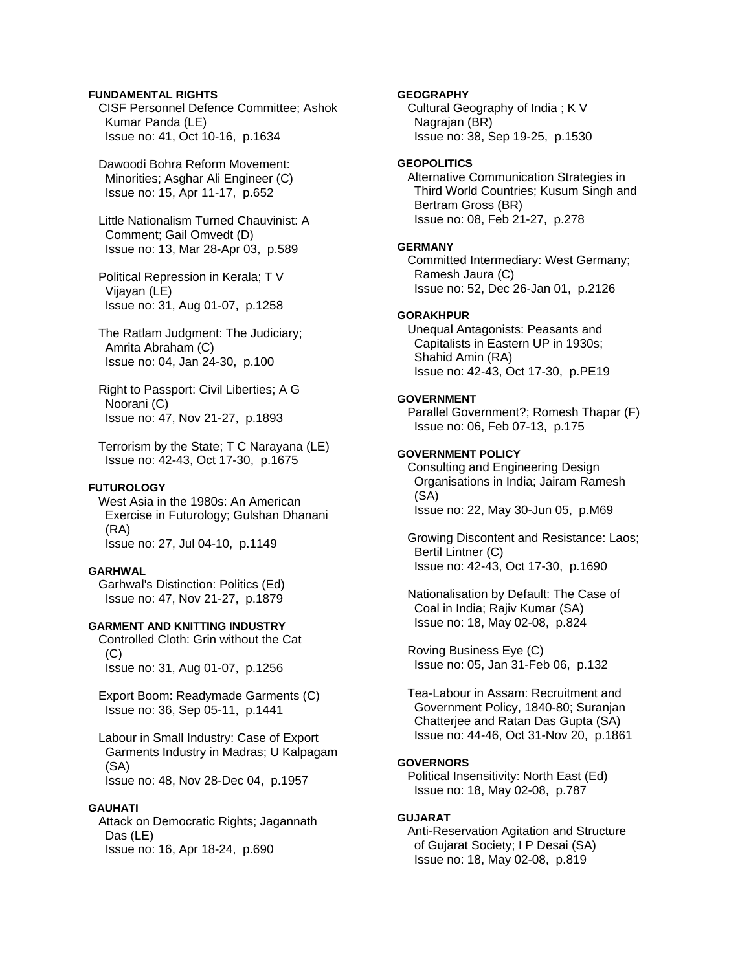# **FUNDAMENTAL RIGHTS**

 CISF Personnel Defence Committee; Ashok Kumar Panda (LE) Issue no: 41, Oct 10-16, p.1634

 Dawoodi Bohra Reform Movement: Minorities; Asghar Ali Engineer (C) Issue no: 15, Apr 11-17, p.652

 Little Nationalism Turned Chauvinist: A Comment; Gail Omvedt (D) Issue no: 13, Mar 28-Apr 03, p.589

 Political Repression in Kerala; T V Vijayan (LE) Issue no: 31, Aug 01-07, p.1258

- The Ratlam Judgment: The Judiciary; Amrita Abraham (C) Issue no: 04, Jan 24-30, p.100
- Right to Passport: Civil Liberties; A G Noorani (C) Issue no: 47, Nov 21-27, p.1893

 Terrorism by the State; T C Narayana (LE) Issue no: 42-43, Oct 17-30, p.1675

### **FUTUROLOGY**

 West Asia in the 1980s: An American Exercise in Futurology; Gulshan Dhanani (RA) Issue no: 27, Jul 04-10, p.1149

### **GARHWAL**

 Garhwal's Distinction: Politics (Ed) Issue no: 47, Nov 21-27, p.1879

# **GARMENT AND KNITTING INDUSTRY**

 Controlled Cloth: Grin without the Cat  $(C)$ Issue no: 31, Aug 01-07, p.1256

 Export Boom: Readymade Garments (C) Issue no: 36, Sep 05-11, p.1441

 Labour in Small Industry: Case of Export Garments Industry in Madras; U Kalpagam (SA) Issue no: 48, Nov 28-Dec 04, p.1957

# **GAUHATI**

 Attack on Democratic Rights; Jagannath Das (LE) Issue no: 16, Apr 18-24, p.690

### **GEOGRAPHY**

 Cultural Geography of India ; K V Nagrajan (BR) Issue no: 38, Sep 19-25, p.1530

# **GEOPOLITICS**

 Alternative Communication Strategies in Third World Countries; Kusum Singh and Bertram Gross (BR) Issue no: 08, Feb 21-27, p.278

# **GERMANY**

 Committed Intermediary: West Germany; Ramesh Jaura (C) Issue no: 52, Dec 26-Jan 01, p.2126

### **GORAKHPUR**

 Unequal Antagonists: Peasants and Capitalists in Eastern UP in 1930s; Shahid Amin (RA) Issue no: 42-43, Oct 17-30, p.PE19

# **GOVERNMENT**

 Parallel Government?; Romesh Thapar (F) Issue no: 06, Feb 07-13, p.175

# **GOVERNMENT POLICY**

 Consulting and Engineering Design Organisations in India; Jairam Ramesh (SA) Issue no: 22, May 30-Jun 05, p.M69

 Growing Discontent and Resistance: Laos; Bertil Lintner (C) Issue no: 42-43, Oct 17-30, p.1690

 Nationalisation by Default: The Case of Coal in India; Rajiv Kumar (SA) Issue no: 18, May 02-08, p.824

 Roving Business Eye (C) Issue no: 05, Jan 31-Feb 06, p.132

 Tea-Labour in Assam: Recruitment and Government Policy, 1840-80; Suranjan Chatterjee and Ratan Das Gupta (SA) Issue no: 44-46, Oct 31-Nov 20, p.1861

### **GOVERNORS**

 Political Insensitivity: North East (Ed) Issue no: 18, May 02-08, p.787

# **GUJARAT**

 Anti-Reservation Agitation and Structure of Gujarat Society; I P Desai (SA) Issue no: 18, May 02-08, p.819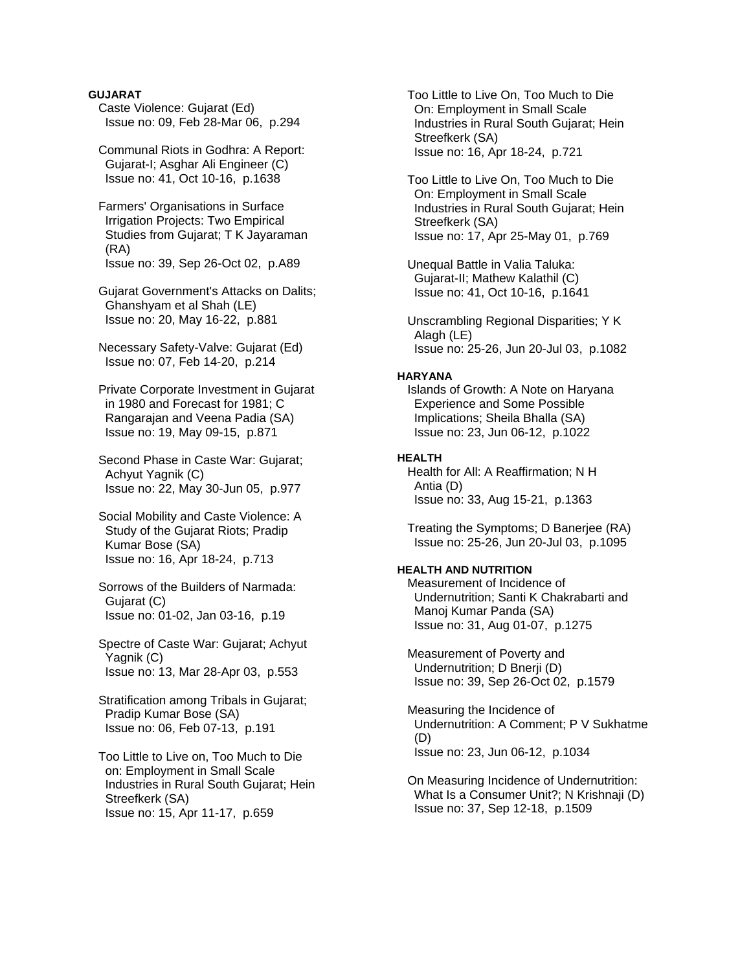### **GUJARAT**

 Caste Violence: Gujarat (Ed) Issue no: 09, Feb 28-Mar 06, p.294

 Communal Riots in Godhra: A Report: Gujarat-I; Asghar Ali Engineer (C) Issue no: 41, Oct 10-16, p.1638

 Farmers' Organisations in Surface Irrigation Projects: Two Empirical Studies from Gujarat; T K Jayaraman (RA) Issue no: 39, Sep 26-Oct 02, p.A89

 Gujarat Government's Attacks on Dalits; Ghanshyam et al Shah (LE) Issue no: 20, May 16-22, p.881

 Necessary Safety-Valve: Gujarat (Ed) Issue no: 07, Feb 14-20, p.214

 Private Corporate Investment in Gujarat in 1980 and Forecast for 1981; C Rangarajan and Veena Padia (SA) Issue no: 19, May 09-15, p.871

 Second Phase in Caste War: Gujarat; Achyut Yagnik (C) Issue no: 22, May 30-Jun 05, p.977

 Social Mobility and Caste Violence: A Study of the Gujarat Riots; Pradip Kumar Bose (SA) Issue no: 16, Apr 18-24, p.713

 Sorrows of the Builders of Narmada: Gujarat (C) Issue no: 01-02, Jan 03-16, p.19

 Spectre of Caste War: Gujarat; Achyut Yagnik (C) Issue no: 13, Mar 28-Apr 03, p.553

 Stratification among Tribals in Gujarat; Pradip Kumar Bose (SA) Issue no: 06, Feb 07-13, p.191

 Too Little to Live on, Too Much to Die on: Employment in Small Scale Industries in Rural South Gujarat; Hein Streefkerk (SA) Issue no: 15, Apr 11-17, p.659

 Too Little to Live On, Too Much to Die On: Employment in Small Scale Industries in Rural South Gujarat; Hein Streefkerk (SA) Issue no: 16, Apr 18-24, p.721

 Too Little to Live On, Too Much to Die On: Employment in Small Scale Industries in Rural South Gujarat; Hein Streefkerk (SA) Issue no: 17, Apr 25-May 01, p.769

 Unequal Battle in Valia Taluka: Gujarat-II; Mathew Kalathil (C) Issue no: 41, Oct 10-16, p.1641

 Unscrambling Regional Disparities; Y K Alagh (LE) Issue no: 25-26, Jun 20-Jul 03, p.1082

# **HARYANA**

 Islands of Growth: A Note on Haryana Experience and Some Possible Implications; Sheila Bhalla (SA) Issue no: 23, Jun 06-12, p.1022

### **HEALTH**

 Health for All: A Reaffirmation; N H Antia (D) Issue no: 33, Aug 15-21, p.1363

 Treating the Symptoms; D Banerjee (RA) Issue no: 25-26, Jun 20-Jul 03, p.1095

# **HEALTH AND NUTRITION**

 Measurement of Incidence of Undernutrition; Santi K Chakrabarti and Manoj Kumar Panda (SA) Issue no: 31, Aug 01-07, p.1275

 Measurement of Poverty and Undernutrition; D Bnerji (D) Issue no: 39, Sep 26-Oct 02, p.1579

 Measuring the Incidence of Undernutrition: A Comment; P V Sukhatme (D) Issue no: 23, Jun 06-12, p.1034

 On Measuring Incidence of Undernutrition: What Is a Consumer Unit?; N Krishnaji (D) Issue no: 37, Sep 12-18, p.1509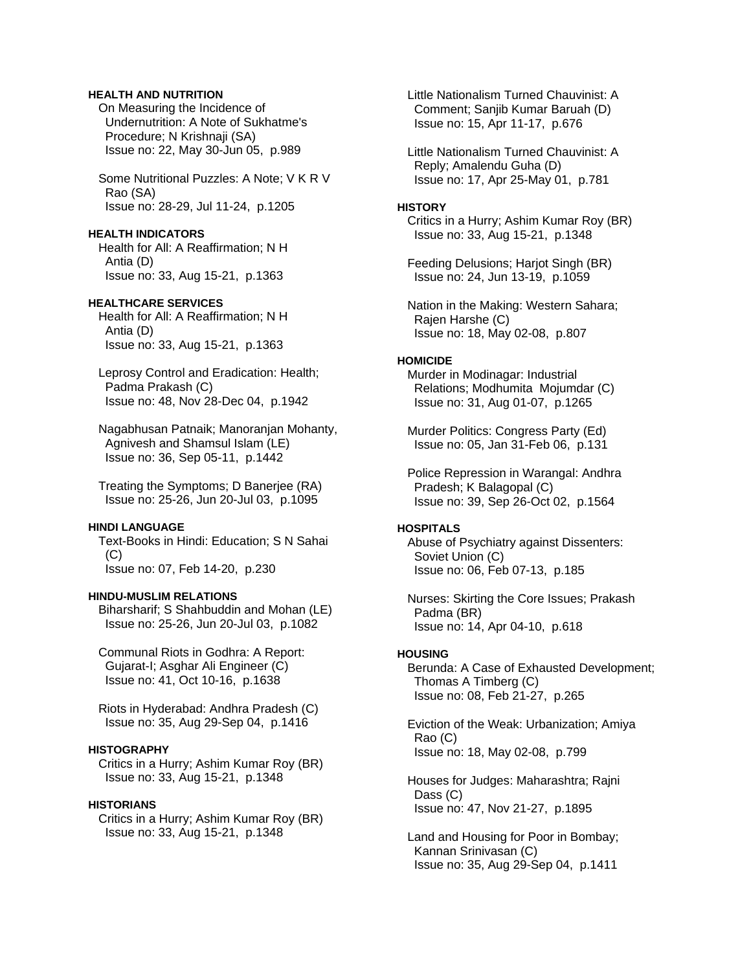# **HEALTH AND NUTRITION**

 On Measuring the Incidence of Undernutrition: A Note of Sukhatme's Procedure; N Krishnaji (SA) Issue no: 22, May 30-Jun 05, p.989

 Some Nutritional Puzzles: A Note; V K R V Rao (SA) Issue no: 28-29, Jul 11-24, p.1205

### **HEALTH INDICATORS**

 Health for All: A Reaffirmation; N H Antia (D) Issue no: 33, Aug 15-21, p.1363

# **HEALTHCARE SERVICES**

 Health for All: A Reaffirmation; N H Antia (D) Issue no: 33, Aug 15-21, p.1363

 Leprosy Control and Eradication: Health; Padma Prakash (C) Issue no: 48, Nov 28-Dec 04, p.1942

 Nagabhusan Patnaik; Manoranjan Mohanty, Agnivesh and Shamsul Islam (LE) Issue no: 36, Sep 05-11, p.1442

 Treating the Symptoms; D Banerjee (RA) Issue no: 25-26, Jun 20-Jul 03, p.1095

#### **HINDI LANGUAGE**

 Text-Books in Hindi: Education; S N Sahai  $(C)$ Issue no: 07, Feb 14-20, p.230

# **HINDU-MUSLIM RELATIONS**

 Biharsharif; S Shahbuddin and Mohan (LE) Issue no: 25-26, Jun 20-Jul 03, p.1082

 Communal Riots in Godhra: A Report: Gujarat-I; Asghar Ali Engineer (C) Issue no: 41, Oct 10-16, p.1638

 Riots in Hyderabad: Andhra Pradesh (C) Issue no: 35, Aug 29-Sep 04, p.1416

#### **HISTOGRAPHY**

 Critics in a Hurry; Ashim Kumar Roy (BR) Issue no: 33, Aug 15-21, p.1348

# **HISTORIANS**

 Critics in a Hurry; Ashim Kumar Roy (BR) Issue no: 33, Aug 15-21, p.1348

 Little Nationalism Turned Chauvinist: A Comment; Sanjib Kumar Baruah (D) Issue no: 15, Apr 11-17, p.676

 Little Nationalism Turned Chauvinist: A Reply; Amalendu Guha (D) Issue no: 17, Apr 25-May 01, p.781

#### **HISTORY**

 Critics in a Hurry; Ashim Kumar Roy (BR) Issue no: 33, Aug 15-21, p.1348

 Feeding Delusions; Harjot Singh (BR) Issue no: 24, Jun 13-19, p.1059

 Nation in the Making: Western Sahara; Rajen Harshe (C) Issue no: 18, May 02-08, p.807

#### **HOMICIDE**

 Murder in Modinagar: Industrial Relations; Modhumita Mojumdar (C) Issue no: 31, Aug 01-07, p.1265

 Murder Politics: Congress Party (Ed) Issue no: 05, Jan 31-Feb 06, p.131

 Police Repression in Warangal: Andhra Pradesh; K Balagopal (C) Issue no: 39, Sep 26-Oct 02, p.1564

# **HOSPITALS**

 Abuse of Psychiatry against Dissenters: Soviet Union (C) Issue no: 06, Feb 07-13, p.185

 Nurses: Skirting the Core Issues; Prakash Padma (BR) Issue no: 14, Apr 04-10, p.618

#### **HOUSING**

 Berunda: A Case of Exhausted Development; Thomas A Timberg (C) Issue no: 08, Feb 21-27, p.265

 Eviction of the Weak: Urbanization; Amiya Rao (C) Issue no: 18, May 02-08, p.799

 Houses for Judges: Maharashtra; Rajni Dass (C) Issue no: 47, Nov 21-27, p.1895

 Land and Housing for Poor in Bombay; Kannan Srinivasan (C) Issue no: 35, Aug 29-Sep 04, p.1411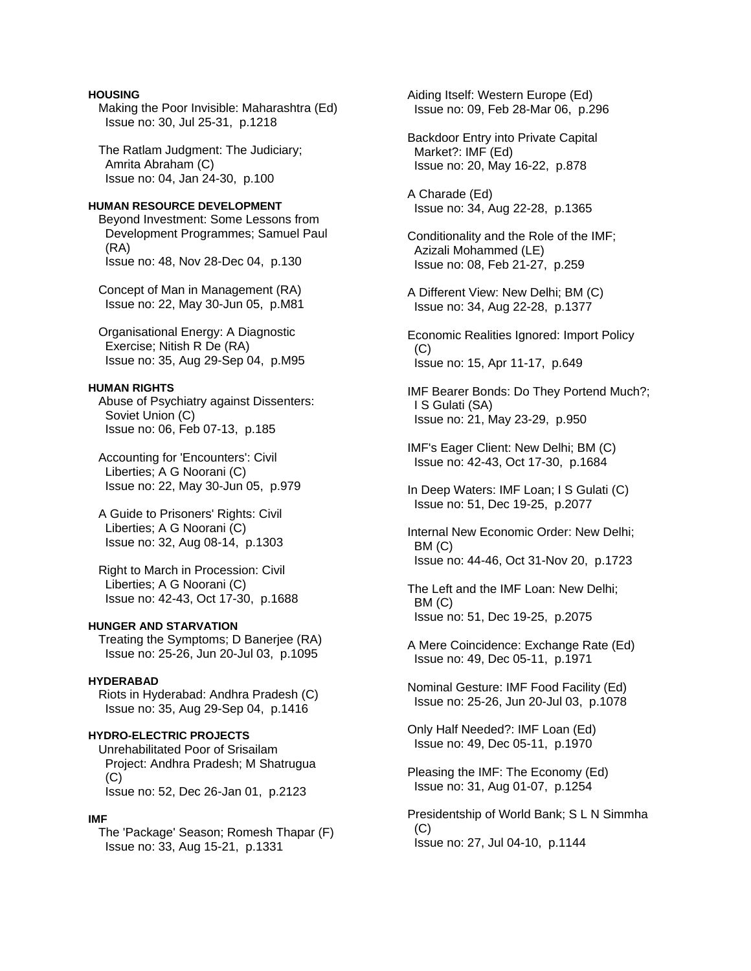# **HOUSING**

 Making the Poor Invisible: Maharashtra (Ed) Issue no: 30, Jul 25-31, p.1218

 The Ratlam Judgment: The Judiciary; Amrita Abraham (C) Issue no: 04, Jan 24-30, p.100

# **HUMAN RESOURCE DEVELOPMENT**

 Beyond Investment: Some Lessons from Development Programmes; Samuel Paul (RA) Issue no: 48, Nov 28-Dec 04, p.130

 Concept of Man in Management (RA) Issue no: 22, May 30-Jun 05, p.M81

 Organisational Energy: A Diagnostic Exercise; Nitish R De (RA) Issue no: 35, Aug 29-Sep 04, p.M95

#### **HUMAN RIGHTS**

 Abuse of Psychiatry against Dissenters: Soviet Union (C) Issue no: 06, Feb 07-13, p.185

 Accounting for 'Encounters': Civil Liberties; A G Noorani (C) Issue no: 22, May 30-Jun 05, p.979

 A Guide to Prisoners' Rights: Civil Liberties; A G Noorani (C) Issue no: 32, Aug 08-14, p.1303

 Right to March in Procession: Civil Liberties; A G Noorani (C) Issue no: 42-43, Oct 17-30, p.1688

# **HUNGER AND STARVATION**

 Treating the Symptoms; D Banerjee (RA) Issue no: 25-26, Jun 20-Jul 03, p.1095

# **HYDERABAD**

 Riots in Hyderabad: Andhra Pradesh (C) Issue no: 35, Aug 29-Sep 04, p.1416

#### **HYDRO-ELECTRIC PROJECTS**

 Unrehabilitated Poor of Srisailam Project: Andhra Pradesh; M Shatrugua  $(C)$ Issue no: 52, Dec 26-Jan 01, p.2123

#### **IMF**

 The 'Package' Season; Romesh Thapar (F) Issue no: 33, Aug 15-21, p.1331

 Aiding Itself: Western Europe (Ed) Issue no: 09, Feb 28-Mar 06, p.296

 Backdoor Entry into Private Capital Market?: IMF (Ed) Issue no: 20, May 16-22, p.878

 A Charade (Ed) Issue no: 34, Aug 22-28, p.1365

 Conditionality and the Role of the IMF; Azizali Mohammed (LE) Issue no: 08, Feb 21-27, p.259

 A Different View: New Delhi; BM (C) Issue no: 34, Aug 22-28, p.1377

 Economic Realities Ignored: Import Policy  $(C)$ Issue no: 15, Apr 11-17, p.649

 IMF Bearer Bonds: Do They Portend Much?; I S Gulati (SA) Issue no: 21, May 23-29, p.950

 IMF's Eager Client: New Delhi; BM (C) Issue no: 42-43, Oct 17-30, p.1684

 In Deep Waters: IMF Loan; I S Gulati (C) Issue no: 51, Dec 19-25, p.2077

 Internal New Economic Order: New Delhi; BM (C) Issue no: 44-46, Oct 31-Nov 20, p.1723

 The Left and the IMF Loan: New Delhi; BM (C) Issue no: 51, Dec 19-25, p.2075

 A Mere Coincidence: Exchange Rate (Ed) Issue no: 49, Dec 05-11, p.1971

 Nominal Gesture: IMF Food Facility (Ed) Issue no: 25-26, Jun 20-Jul 03, p.1078

 Only Half Needed?: IMF Loan (Ed) Issue no: 49, Dec 05-11, p.1970

 Pleasing the IMF: The Economy (Ed) Issue no: 31, Aug 01-07, p.1254

 Presidentship of World Bank; S L N Simmha (C) Issue no: 27, Jul 04-10, p.1144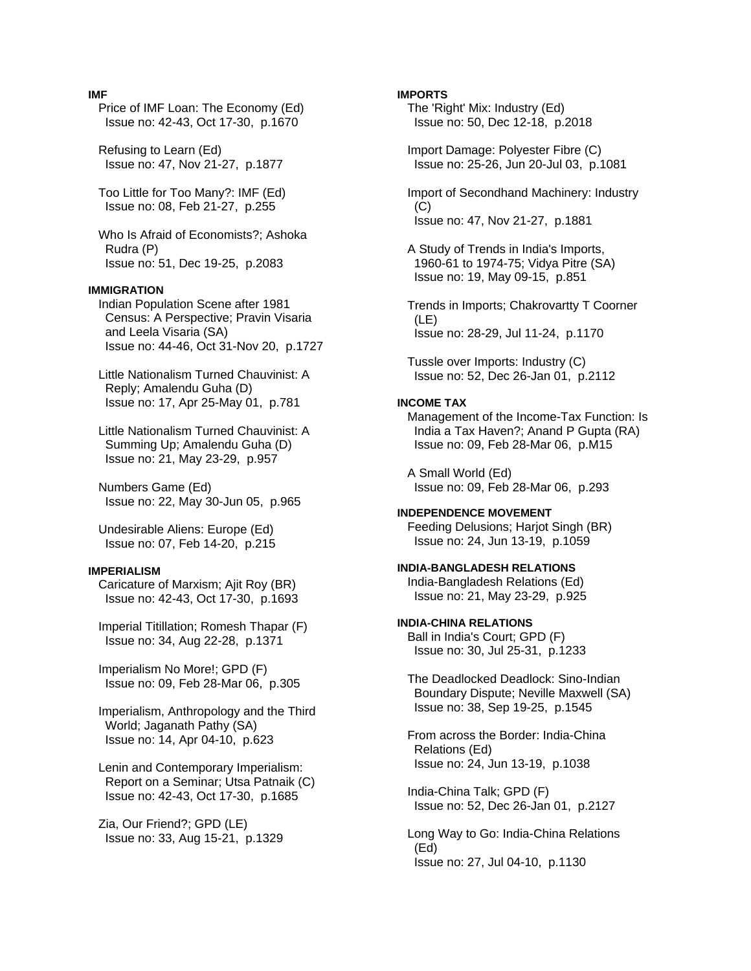### **IMF**

 Price of IMF Loan: The Economy (Ed) Issue no: 42-43, Oct 17-30, p.1670

 Refusing to Learn (Ed) Issue no: 47, Nov 21-27, p.1877

 Too Little for Too Many?: IMF (Ed) Issue no: 08, Feb 21-27, p.255

 Who Is Afraid of Economists?; Ashoka Rudra (P) Issue no: 51, Dec 19-25, p.2083

#### **IMMIGRATION**

 Indian Population Scene after 1981 Census: A Perspective; Pravin Visaria and Leela Visaria (SA) Issue no: 44-46, Oct 31-Nov 20, p.1727

 Little Nationalism Turned Chauvinist: A Reply; Amalendu Guha (D) Issue no: 17, Apr 25-May 01, p.781

 Little Nationalism Turned Chauvinist: A Summing Up; Amalendu Guha (D) Issue no: 21, May 23-29, p.957

 Numbers Game (Ed) Issue no: 22, May 30-Jun 05, p.965

 Undesirable Aliens: Europe (Ed) Issue no: 07, Feb 14-20, p.215

#### **IMPERIALISM**

 Caricature of Marxism; Ajit Roy (BR) Issue no: 42-43, Oct 17-30, p.1693

 Imperial Titillation; Romesh Thapar (F) Issue no: 34, Aug 22-28, p.1371

 Imperialism No More!; GPD (F) Issue no: 09, Feb 28-Mar 06, p.305

 Imperialism, Anthropology and the Third World; Jaganath Pathy (SA) Issue no: 14, Apr 04-10, p.623

 Lenin and Contemporary Imperialism: Report on a Seminar; Utsa Patnaik (C) Issue no: 42-43, Oct 17-30, p.1685

 Zia, Our Friend?; GPD (LE) Issue no: 33, Aug 15-21, p.1329

### **IMPORTS**

 The 'Right' Mix: Industry (Ed) Issue no: 50, Dec 12-18, p.2018

 Import Damage: Polyester Fibre (C) Issue no: 25-26, Jun 20-Jul 03, p.1081

 Import of Secondhand Machinery: Industry  $(C)$ Issue no: 47, Nov 21-27, p.1881

 A Study of Trends in India's Imports, 1960-61 to 1974-75; Vidya Pitre (SA) Issue no: 19, May 09-15, p.851

 Trends in Imports; Chakrovartty T Coorner (LE) Issue no: 28-29, Jul 11-24, p.1170

 Tussle over Imports: Industry (C) Issue no: 52, Dec 26-Jan 01, p.2112

#### **INCOME TAX**

 Management of the Income-Tax Function: Is India a Tax Haven?; Anand P Gupta (RA) Issue no: 09, Feb 28-Mar 06, p.M15

 A Small World (Ed) Issue no: 09, Feb 28-Mar 06, p.293

**INDEPENDENCE MOVEMENT**  Feeding Delusions; Harjot Singh (BR) Issue no: 24, Jun 13-19, p.1059

**INDIA-BANGLADESH RELATIONS**  India-Bangladesh Relations (Ed)

Issue no: 21, May 23-29, p.925

**INDIA-CHINA RELATIONS**  Ball in India's Court; GPD (F)

Issue no: 30, Jul 25-31, p.1233

 The Deadlocked Deadlock: Sino-Indian Boundary Dispute; Neville Maxwell (SA) Issue no: 38, Sep 19-25, p.1545

 From across the Border: India-China Relations (Ed) Issue no: 24, Jun 13-19, p.1038

 India-China Talk; GPD (F) Issue no: 52, Dec 26-Jan 01, p.2127

 Long Way to Go: India-China Relations (Ed) Issue no: 27, Jul 04-10, p.1130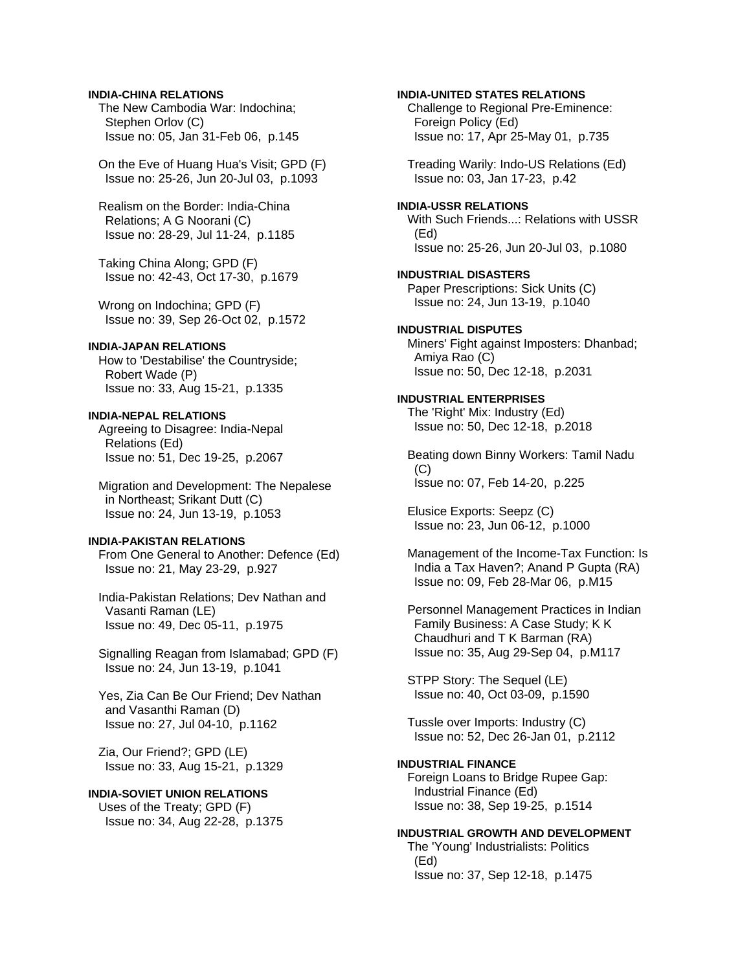# **INDIA-CHINA RELATIONS**

 The New Cambodia War: Indochina; Stephen Orlov (C) Issue no: 05, Jan 31-Feb 06, p.145

 On the Eve of Huang Hua's Visit; GPD (F) Issue no: 25-26, Jun 20-Jul 03, p.1093

 Realism on the Border: India-China Relations; A G Noorani (C) Issue no: 28-29, Jul 11-24, p.1185

 Taking China Along; GPD (F) Issue no: 42-43, Oct 17-30, p.1679

 Wrong on Indochina; GPD (F) Issue no: 39, Sep 26-Oct 02, p.1572

### **INDIA-JAPAN RELATIONS**

 How to 'Destabilise' the Countryside; Robert Wade (P) Issue no: 33, Aug 15-21, p.1335

# **INDIA-NEPAL RELATIONS**

 Agreeing to Disagree: India-Nepal Relations (Ed) Issue no: 51, Dec 19-25, p.2067

 Migration and Development: The Nepalese in Northeast; Srikant Dutt (C) Issue no: 24, Jun 13-19, p.1053

# **INDIA-PAKISTAN RELATIONS**

 From One General to Another: Defence (Ed) Issue no: 21, May 23-29, p.927

 India-Pakistan Relations; Dev Nathan and Vasanti Raman (LE) Issue no: 49, Dec 05-11, p.1975

 Signalling Reagan from Islamabad; GPD (F) Issue no: 24, Jun 13-19, p.1041

 Yes, Zia Can Be Our Friend; Dev Nathan and Vasanthi Raman (D) Issue no: 27, Jul 04-10, p.1162

 Zia, Our Friend?; GPD (LE) Issue no: 33, Aug 15-21, p.1329

# **INDIA-SOVIET UNION RELATIONS**

 Uses of the Treaty; GPD (F) Issue no: 34, Aug 22-28, p.1375

### **INDIA-UNITED STATES RELATIONS**

 Challenge to Regional Pre-Eminence: Foreign Policy (Ed) Issue no: 17, Apr 25-May 01, p.735

 Treading Warily: Indo-US Relations (Ed) Issue no: 03, Jan 17-23, p.42

### **INDIA-USSR RELATIONS**

 With Such Friends...: Relations with USSR (Ed) Issue no: 25-26, Jun 20-Jul 03, p.1080

### **INDUSTRIAL DISASTERS**  Paper Prescriptions: Sick Units (C)

Issue no: 24, Jun 13-19, p.1040

# **INDUSTRIAL DISPUTES**  Miners' Fight against Imposters: Dhanbad; Amiya Rao (C) Issue no: 50, Dec 12-18, p.2031

**INDUSTRIAL ENTERPRISES**  The 'Right' Mix: Industry (Ed) Issue no: 50, Dec 12-18, p.2018

 Beating down Binny Workers: Tamil Nadu  $(C)$ Issue no: 07, Feb 14-20, p.225

 Elusice Exports: Seepz (C) Issue no: 23, Jun 06-12, p.1000

 Management of the Income-Tax Function: Is India a Tax Haven?; Anand P Gupta (RA) Issue no: 09, Feb 28-Mar 06, p.M15

 Personnel Management Practices in Indian Family Business: A Case Study; K K Chaudhuri and T K Barman (RA) Issue no: 35, Aug 29-Sep 04, p.M117

 STPP Story: The Sequel (LE) Issue no: 40, Oct 03-09, p.1590

 Tussle over Imports: Industry (C) Issue no: 52, Dec 26-Jan 01, p.2112

### **INDUSTRIAL FINANCE**

 Foreign Loans to Bridge Rupee Gap: Industrial Finance (Ed) Issue no: 38, Sep 19-25, p.1514

# **INDUSTRIAL GROWTH AND DEVELOPMENT**

 The 'Young' Industrialists: Politics (Ed) Issue no: 37, Sep 12-18, p.1475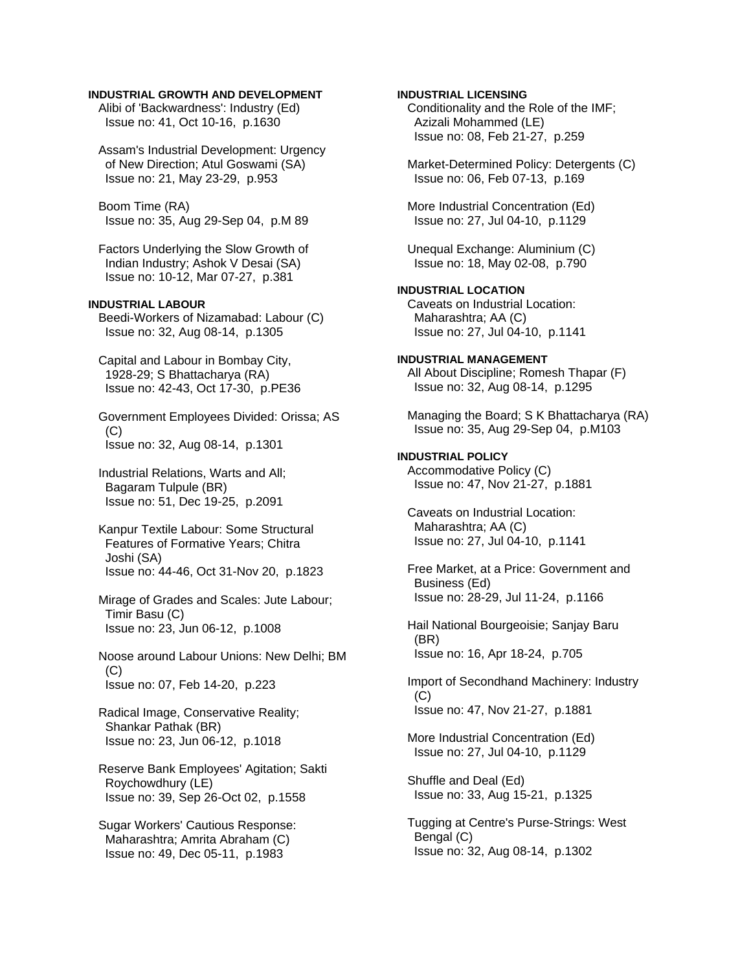## **INDUSTRIAL GROWTH AND DEVELOPMENT**

 Alibi of 'Backwardness': Industry (Ed) Issue no: 41, Oct 10-16, p.1630

 Assam's Industrial Development: Urgency of New Direction; Atul Goswami (SA) Issue no: 21, May 23-29, p.953

 Boom Time (RA) Issue no: 35, Aug 29-Sep 04, p.M 89

 Factors Underlying the Slow Growth of Indian Industry; Ashok V Desai (SA) Issue no: 10-12, Mar 07-27, p.381

# **INDUSTRIAL LABOUR**

 Beedi-Workers of Nizamabad: Labour (C) Issue no: 32, Aug 08-14, p.1305

 Capital and Labour in Bombay City, 1928-29; S Bhattacharya (RA) Issue no: 42-43, Oct 17-30, p.PE36

 Government Employees Divided: Orissa; AS  $(C)$ Issue no: 32, Aug 08-14, p.1301

 Industrial Relations, Warts and All; Bagaram Tulpule (BR) Issue no: 51, Dec 19-25, p.2091

 Kanpur Textile Labour: Some Structural Features of Formative Years; Chitra Joshi (SA) Issue no: 44-46, Oct 31-Nov 20, p.1823

 Mirage of Grades and Scales: Jute Labour; Timir Basu (C) Issue no: 23, Jun 06-12, p.1008

 Noose around Labour Unions: New Delhi; BM  $(C)$ Issue no: 07, Feb 14-20, p.223

 Radical Image, Conservative Reality; Shankar Pathak (BR) Issue no: 23, Jun 06-12, p.1018

 Reserve Bank Employees' Agitation; Sakti Roychowdhury (LE) Issue no: 39, Sep 26-Oct 02, p.1558

 Sugar Workers' Cautious Response: Maharashtra; Amrita Abraham (C) Issue no: 49, Dec 05-11, p.1983

**INDUSTRIAL LICENSING**  Conditionality and the Role of the IMF; Azizali Mohammed (LE) Issue no: 08, Feb 21-27, p.259 Market-Determined Policy: Detergents (C) Issue no: 06, Feb 07-13, p.169 More Industrial Concentration (Ed) Issue no: 27, Jul 04-10, p.1129 Unequal Exchange: Aluminium (C) Issue no: 18, May 02-08, p.790 **INDUSTRIAL LOCATION**  Caveats on Industrial Location: Maharashtra; AA (C) Issue no: 27, Jul 04-10, p.1141 **INDUSTRIAL MANAGEMENT**  All About Discipline; Romesh Thapar (F) Issue no: 32, Aug 08-14, p.1295 Managing the Board; S K Bhattacharya (RA) Issue no: 35, Aug 29-Sep 04, p.M103 **INDUSTRIAL POLICY**  Accommodative Policy (C) Issue no: 47, Nov 21-27, p.1881 Caveats on Industrial Location: Maharashtra; AA (C) Issue no: 27, Jul 04-10, p.1141 Free Market, at a Price: Government and Business (Ed) Issue no: 28-29, Jul 11-24, p.1166 Hail National Bourgeoisie; Sanjay Baru (BR) Issue no: 16, Apr 18-24, p.705 Import of Secondhand Machinery: Industry  $(C)$  Issue no: 47, Nov 21-27, p.1881 More Industrial Concentration (Ed) Issue no: 27, Jul 04-10, p.1129 Shuffle and Deal (Ed) Issue no: 33, Aug 15-21, p.1325 Tugging at Centre's Purse-Strings: West Bengal (C) Issue no: 32, Aug 08-14, p.1302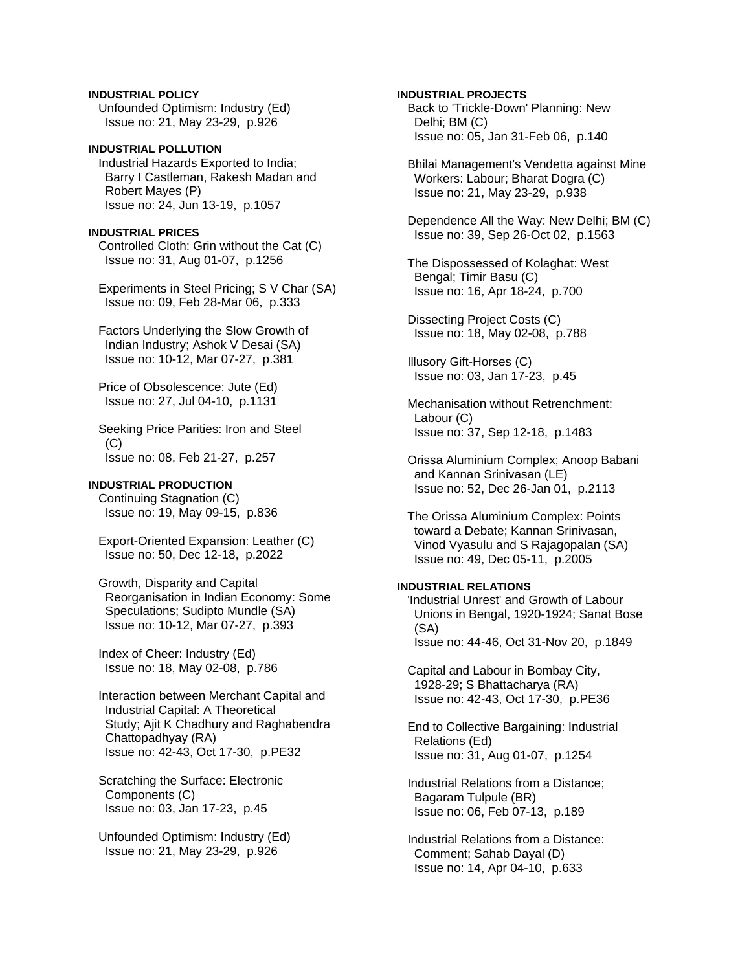**INDUSTRIAL POLICY**  Unfounded Optimism: Industry (Ed) Issue no: 21, May 23-29, p.926

# **INDUSTRIAL POLLUTION**  Industrial Hazards Exported to India; Barry I Castleman, Rakesh Madan and Robert Mayes (P) Issue no: 24, Jun 13-19, p.1057

#### **INDUSTRIAL PRICES**

 Controlled Cloth: Grin without the Cat (C) Issue no: 31, Aug 01-07, p.1256

 Experiments in Steel Pricing; S V Char (SA) Issue no: 09, Feb 28-Mar 06, p.333

 Factors Underlying the Slow Growth of Indian Industry; Ashok V Desai (SA) Issue no: 10-12, Mar 07-27, p.381

 Price of Obsolescence: Jute (Ed) Issue no: 27, Jul 04-10, p.1131

 Seeking Price Parities: Iron and Steel  $(C)$ Issue no: 08, Feb 21-27, p.257

#### **INDUSTRIAL PRODUCTION**

 Continuing Stagnation (C) Issue no: 19, May 09-15, p.836

 Export-Oriented Expansion: Leather (C) Issue no: 50, Dec 12-18, p.2022

 Growth, Disparity and Capital Reorganisation in Indian Economy: Some Speculations; Sudipto Mundle (SA) Issue no: 10-12, Mar 07-27, p.393

 Index of Cheer: Industry (Ed) Issue no: 18, May 02-08, p.786

 Interaction between Merchant Capital and Industrial Capital: A Theoretical Study; Ajit K Chadhury and Raghabendra Chattopadhyay (RA) Issue no: 42-43, Oct 17-30, p.PE32

 Scratching the Surface: Electronic Components (C) Issue no: 03, Jan 17-23, p.45

 Unfounded Optimism: Industry (Ed) Issue no: 21, May 23-29, p.926

**INDUSTRIAL PROJECTS**  Back to 'Trickle-Down' Planning: New

 Delhi; BM (C) Issue no: 05, Jan 31-Feb 06, p.140

 Bhilai Management's Vendetta against Mine Workers: Labour; Bharat Dogra (C) Issue no: 21, May 23-29, p.938

 Dependence All the Way: New Delhi; BM (C) Issue no: 39, Sep 26-Oct 02, p.1563

 The Dispossessed of Kolaghat: West Bengal; Timir Basu (C) Issue no: 16, Apr 18-24, p.700

 Dissecting Project Costs (C) Issue no: 18, May 02-08, p.788

 Illusory Gift-Horses (C) Issue no: 03, Jan 17-23, p.45

 Mechanisation without Retrenchment: Labour (C) Issue no: 37, Sep 12-18, p.1483

 Orissa Aluminium Complex; Anoop Babani and Kannan Srinivasan (LE) Issue no: 52, Dec 26-Jan 01, p.2113

 The Orissa Aluminium Complex: Points toward a Debate; Kannan Srinivasan, Vinod Vyasulu and S Rajagopalan (SA) Issue no: 49, Dec 05-11, p.2005

# **INDUSTRIAL RELATIONS**

 'Industrial Unrest' and Growth of Labour Unions in Bengal, 1920-1924; Sanat Bose (SA) Issue no: 44-46, Oct 31-Nov 20, p.1849

 Capital and Labour in Bombay City, 1928-29; S Bhattacharya (RA) Issue no: 42-43, Oct 17-30, p.PE36

 End to Collective Bargaining: Industrial Relations (Ed) Issue no: 31, Aug 01-07, p.1254

 Industrial Relations from a Distance; Bagaram Tulpule (BR) Issue no: 06, Feb 07-13, p.189

 Industrial Relations from a Distance: Comment; Sahab Dayal (D) Issue no: 14, Apr 04-10, p.633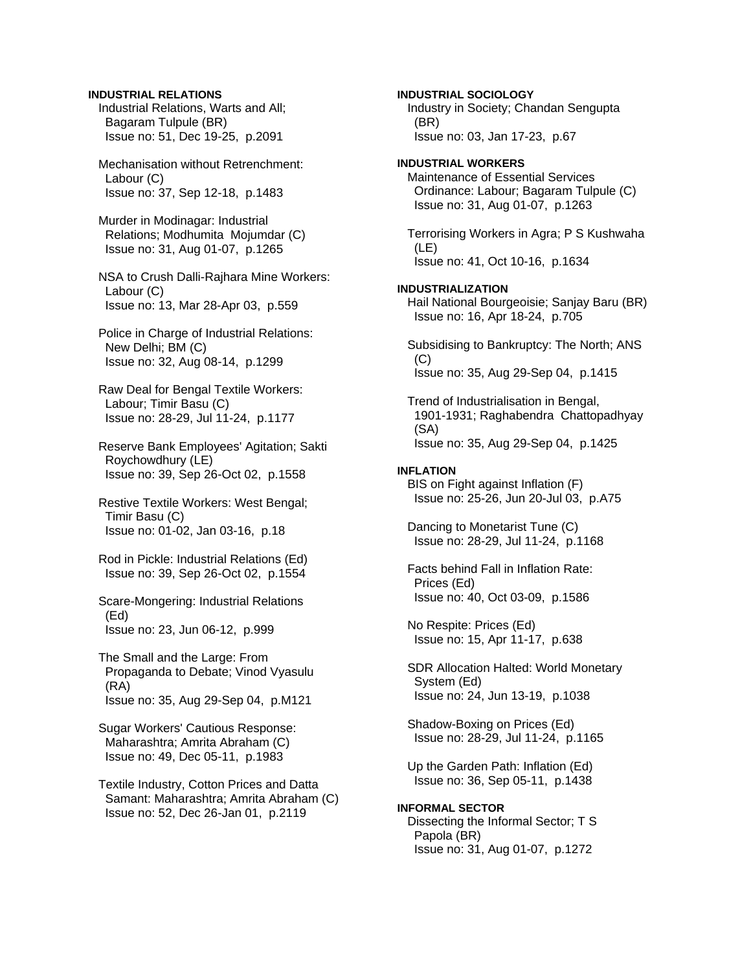# **INDUSTRIAL RELATIONS**

 Industrial Relations, Warts and All; Bagaram Tulpule (BR) Issue no: 51, Dec 19-25, p.2091

 Mechanisation without Retrenchment: Labour (C) Issue no: 37, Sep 12-18, p.1483

 Murder in Modinagar: Industrial Relations; Modhumita Mojumdar (C) Issue no: 31, Aug 01-07, p.1265

 NSA to Crush Dalli-Rajhara Mine Workers: Labour (C) Issue no: 13, Mar 28-Apr 03, p.559

- Police in Charge of Industrial Relations: New Delhi; BM (C) Issue no: 32, Aug 08-14, p.1299
- Raw Deal for Bengal Textile Workers: Labour; Timir Basu (C) Issue no: 28-29, Jul 11-24, p.1177
- Reserve Bank Employees' Agitation; Sakti Roychowdhury (LE) Issue no: 39, Sep 26-Oct 02, p.1558
- Restive Textile Workers: West Bengal; Timir Basu (C) Issue no: 01-02, Jan 03-16, p.18
- Rod in Pickle: Industrial Relations (Ed) Issue no: 39, Sep 26-Oct 02, p.1554
- Scare-Mongering: Industrial Relations (Ed) Issue no: 23, Jun 06-12, p.999
- The Small and the Large: From Propaganda to Debate; Vinod Vyasulu (RA) Issue no: 35, Aug 29-Sep 04, p.M121

 Sugar Workers' Cautious Response: Maharashtra; Amrita Abraham (C) Issue no: 49, Dec 05-11, p.1983

 Textile Industry, Cotton Prices and Datta Samant: Maharashtra; Amrita Abraham (C) Issue no: 52, Dec 26-Jan 01, p.2119

**INDUSTRIAL SOCIOLOGY**  Industry in Society; Chandan Sengupta (BR) Issue no: 03, Jan 17-23, p.67 **INDUSTRIAL WORKERS**  Maintenance of Essential Services Ordinance: Labour; Bagaram Tulpule (C) Issue no: 31, Aug 01-07, p.1263 Terrorising Workers in Agra; P S Kushwaha (LE) Issue no: 41, Oct 10-16, p.1634 **INDUSTRIALIZATION**  Hail National Bourgeoisie; Sanjay Baru (BR) Issue no: 16, Apr 18-24, p.705 Subsidising to Bankruptcy: The North; ANS (C) Issue no: 35, Aug 29-Sep 04, p.1415 Trend of Industrialisation in Bengal, 1901-1931; Raghabendra Chattopadhyay (SA) Issue no: 35, Aug 29-Sep 04, p.1425 **INFLATION**  BIS on Fight against Inflation (F) Issue no: 25-26, Jun 20-Jul 03, p.A75 Dancing to Monetarist Tune (C) Issue no: 28-29, Jul 11-24, p.1168 Facts behind Fall in Inflation Rate: Prices (Ed) Issue no: 40, Oct 03-09, p.1586 No Respite: Prices (Ed) Issue no: 15, Apr 11-17, p.638 SDR Allocation Halted: World Monetary System (Ed) Issue no: 24, Jun 13-19, p.1038 Shadow-Boxing on Prices (Ed) Issue no: 28-29, Jul 11-24, p.1165 Up the Garden Path: Inflation (Ed) Issue no: 36, Sep 05-11, p.1438 **INFORMAL SECTOR**  Dissecting the Informal Sector; T S Papola (BR) Issue no: 31, Aug 01-07, p.1272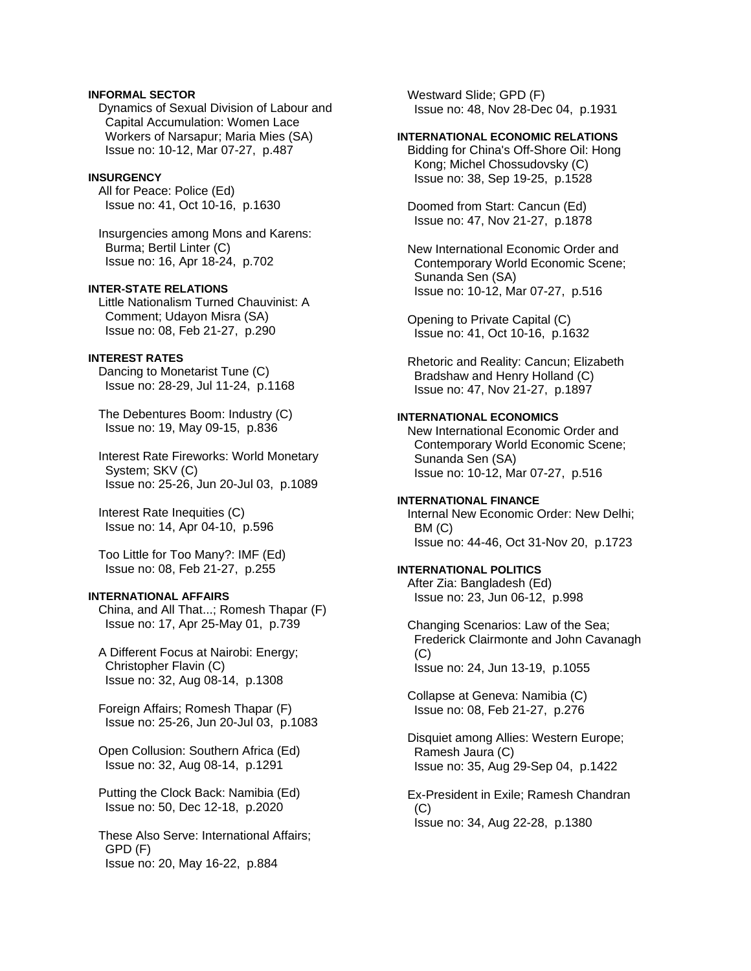# **INFORMAL SECTOR**

 Dynamics of Sexual Division of Labour and Capital Accumulation: Women Lace Workers of Narsapur; Maria Mies (SA) Issue no: 10-12, Mar 07-27, p.487

#### **INSURGENCY**

 All for Peace: Police (Ed) Issue no: 41, Oct 10-16, p.1630

 Insurgencies among Mons and Karens: Burma; Bertil Linter (C) Issue no: 16, Apr 18-24, p.702

# **INTER-STATE RELATIONS**

 Little Nationalism Turned Chauvinist: A Comment; Udayon Misra (SA) Issue no: 08, Feb 21-27, p.290

# **INTEREST RATES**

 Dancing to Monetarist Tune (C) Issue no: 28-29, Jul 11-24, p.1168

 The Debentures Boom: Industry (C) Issue no: 19, May 09-15, p.836

 Interest Rate Fireworks: World Monetary System; SKV (C) Issue no: 25-26, Jun 20-Jul 03, p.1089

 Interest Rate Inequities (C) Issue no: 14, Apr 04-10, p.596

 Too Little for Too Many?: IMF (Ed) Issue no: 08, Feb 21-27, p.255

# **INTERNATIONAL AFFAIRS**

 China, and All That...; Romesh Thapar (F) Issue no: 17, Apr 25-May 01, p.739

 A Different Focus at Nairobi: Energy; Christopher Flavin (C) Issue no: 32, Aug 08-14, p.1308

 Foreign Affairs; Romesh Thapar (F) Issue no: 25-26, Jun 20-Jul 03, p.1083

 Open Collusion: Southern Africa (Ed) Issue no: 32, Aug 08-14, p.1291

 Putting the Clock Back: Namibia (Ed) Issue no: 50, Dec 12-18, p.2020

 These Also Serve: International Affairs; GPD (F) Issue no: 20, May 16-22, p.884

 Westward Slide; GPD (F) Issue no: 48, Nov 28-Dec 04, p.1931

### **INTERNATIONAL ECONOMIC RELATIONS**

 Bidding for China's Off-Shore Oil: Hong Kong; Michel Chossudovsky (C) Issue no: 38, Sep 19-25, p.1528

 Doomed from Start: Cancun (Ed) Issue no: 47, Nov 21-27, p.1878

 New International Economic Order and Contemporary World Economic Scene; Sunanda Sen (SA) Issue no: 10-12, Mar 07-27, p.516

 Opening to Private Capital (C) Issue no: 41, Oct 10-16, p.1632

 Rhetoric and Reality: Cancun; Elizabeth Bradshaw and Henry Holland (C) Issue no: 47, Nov 21-27, p.1897

# **INTERNATIONAL ECONOMICS**

 New International Economic Order and Contemporary World Economic Scene; Sunanda Sen (SA) Issue no: 10-12, Mar 07-27, p.516

# **INTERNATIONAL FINANCE**

 Internal New Economic Order: New Delhi; BM (C) Issue no: 44-46, Oct 31-Nov 20, p.1723

# **INTERNATIONAL POLITICS**

 After Zia: Bangladesh (Ed) Issue no: 23, Jun 06-12, p.998

 Changing Scenarios: Law of the Sea; Frederick Clairmonte and John Cavanagh  $(C)$ Issue no: 24, Jun 13-19, p.1055

 Collapse at Geneva: Namibia (C) Issue no: 08, Feb 21-27, p.276

 Disquiet among Allies: Western Europe; Ramesh Jaura (C) Issue no: 35, Aug 29-Sep 04, p.1422

 Ex-President in Exile; Ramesh Chandran  $(C)$ Issue no: 34, Aug 22-28, p.1380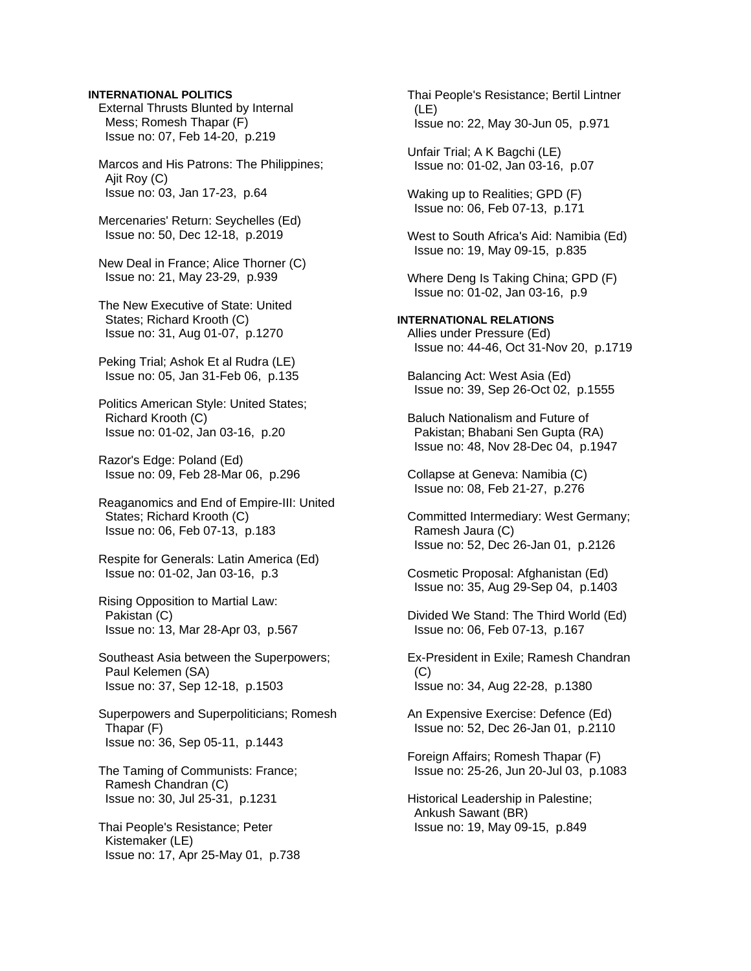# **INTERNATIONAL POLITICS**

 External Thrusts Blunted by Internal Mess; Romesh Thapar (F) Issue no: 07, Feb 14-20, p.219

 Marcos and His Patrons: The Philippines; Ajit Roy (C) Issue no: 03, Jan 17-23, p.64

 Mercenaries' Return: Seychelles (Ed) Issue no: 50, Dec 12-18, p.2019

 New Deal in France; Alice Thorner (C) Issue no: 21, May 23-29, p.939

 The New Executive of State: United States; Richard Krooth (C) Issue no: 31, Aug 01-07, p.1270

 Peking Trial; Ashok Et al Rudra (LE) Issue no: 05, Jan 31-Feb 06, p.135

 Politics American Style: United States; Richard Krooth (C) Issue no: 01-02, Jan 03-16, p.20

 Razor's Edge: Poland (Ed) Issue no: 09, Feb 28-Mar 06, p.296

 Reaganomics and End of Empire-III: United States; Richard Krooth (C) Issue no: 06, Feb 07-13, p.183

 Respite for Generals: Latin America (Ed) Issue no: 01-02, Jan 03-16, p.3

 Rising Opposition to Martial Law: Pakistan (C) Issue no: 13, Mar 28-Apr 03, p.567

 Southeast Asia between the Superpowers; Paul Kelemen (SA) Issue no: 37, Sep 12-18, p.1503

 Superpowers and Superpoliticians; Romesh Thapar (F) Issue no: 36, Sep 05-11, p.1443

 The Taming of Communists: France; Ramesh Chandran (C) Issue no: 30, Jul 25-31, p.1231

 Thai People's Resistance; Peter Kistemaker (LE) Issue no: 17, Apr 25-May 01, p.738  Thai People's Resistance; Bertil Lintner (LE) Issue no: 22, May 30-Jun 05, p.971

 Unfair Trial; A K Bagchi (LE) Issue no: 01-02, Jan 03-16, p.07

 Waking up to Realities; GPD (F) Issue no: 06, Feb 07-13, p.171

 West to South Africa's Aid: Namibia (Ed) Issue no: 19, May 09-15, p.835

 Where Deng Is Taking China; GPD (F) Issue no: 01-02, Jan 03-16, p.9

**INTERNATIONAL RELATIONS**  Allies under Pressure (Ed) Issue no: 44-46, Oct 31-Nov 20, p.1719

 Balancing Act: West Asia (Ed) Issue no: 39, Sep 26-Oct 02, p.1555

 Baluch Nationalism and Future of Pakistan; Bhabani Sen Gupta (RA) Issue no: 48, Nov 28-Dec 04, p.1947

 Collapse at Geneva: Namibia (C) Issue no: 08, Feb 21-27, p.276

 Committed Intermediary: West Germany; Ramesh Jaura (C) Issue no: 52, Dec 26-Jan 01, p.2126

 Cosmetic Proposal: Afghanistan (Ed) Issue no: 35, Aug 29-Sep 04, p.1403

 Divided We Stand: The Third World (Ed) Issue no: 06, Feb 07-13, p.167

 Ex-President in Exile; Ramesh Chandran  $(C)$ Issue no: 34, Aug 22-28, p.1380

 An Expensive Exercise: Defence (Ed) Issue no: 52, Dec 26-Jan 01, p.2110

 Foreign Affairs; Romesh Thapar (F) Issue no: 25-26, Jun 20-Jul 03, p.1083

 Historical Leadership in Palestine; Ankush Sawant (BR) Issue no: 19, May 09-15, p.849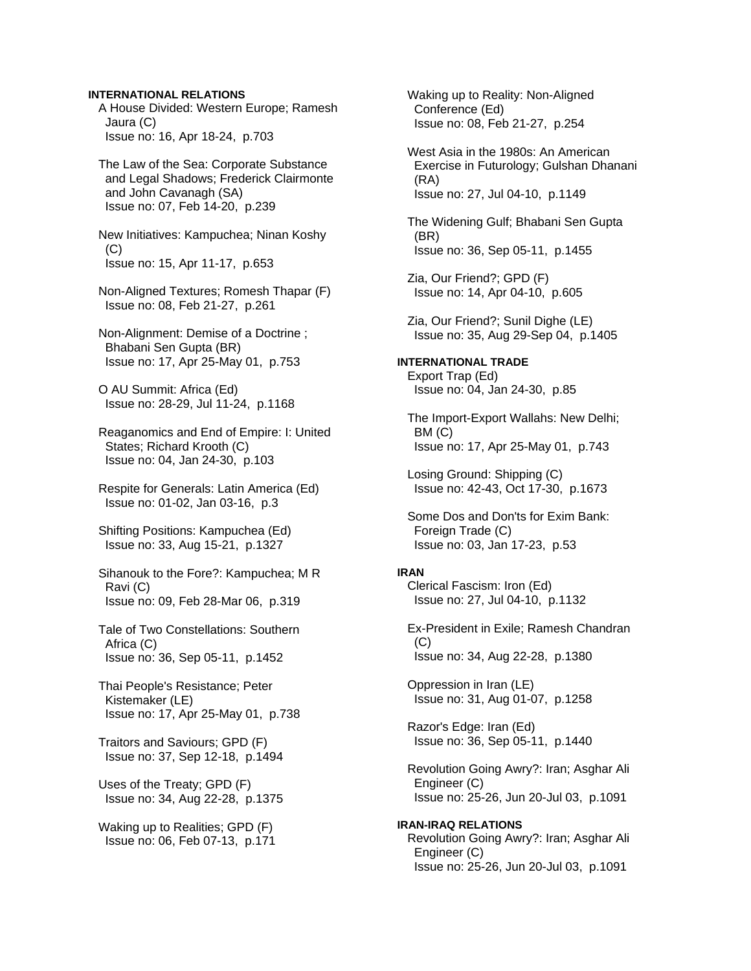### **INTERNATIONAL RELATIONS**

 A House Divided: Western Europe; Ramesh Jaura (C) Issue no: 16, Apr 18-24, p.703

 The Law of the Sea: Corporate Substance and Legal Shadows; Frederick Clairmonte and John Cavanagh (SA) Issue no: 07, Feb 14-20, p.239

 New Initiatives: Kampuchea; Ninan Koshy  $(C)$ Issue no: 15, Apr 11-17, p.653

 Non-Aligned Textures; Romesh Thapar (F) Issue no: 08, Feb 21-27, p.261

 Non-Alignment: Demise of a Doctrine ; Bhabani Sen Gupta (BR) Issue no: 17, Apr 25-May 01, p.753

 O AU Summit: Africa (Ed) Issue no: 28-29, Jul 11-24, p.1168

 Reaganomics and End of Empire: I: United States; Richard Krooth (C) Issue no: 04, Jan 24-30, p.103

 Respite for Generals: Latin America (Ed) Issue no: 01-02, Jan 03-16, p.3

 Shifting Positions: Kampuchea (Ed) Issue no: 33, Aug 15-21, p.1327

 Sihanouk to the Fore?: Kampuchea; M R Ravi (C) Issue no: 09, Feb 28-Mar 06, p.319

 Tale of Two Constellations: Southern Africa (C) Issue no: 36, Sep 05-11, p.1452

 Thai People's Resistance; Peter Kistemaker (LE) Issue no: 17, Apr 25-May 01, p.738

 Traitors and Saviours; GPD (F) Issue no: 37, Sep 12-18, p.1494

 Uses of the Treaty; GPD (F) Issue no: 34, Aug 22-28, p.1375

 Waking up to Realities; GPD (F) Issue no: 06, Feb 07-13, p.171  Waking up to Reality: Non-Aligned Conference (Ed) Issue no: 08, Feb 21-27, p.254

 West Asia in the 1980s: An American Exercise in Futurology; Gulshan Dhanani (RA) Issue no: 27, Jul 04-10, p.1149

 The Widening Gulf; Bhabani Sen Gupta (BR) Issue no: 36, Sep 05-11, p.1455

 Zia, Our Friend?; GPD (F) Issue no: 14, Apr 04-10, p.605

 Zia, Our Friend?; Sunil Dighe (LE) Issue no: 35, Aug 29-Sep 04, p.1405

**INTERNATIONAL TRADE**  Export Trap (Ed) Issue no: 04, Jan 24-30, p.85

 The Import-Export Wallahs: New Delhi; BM (C) Issue no: 17, Apr 25-May 01, p.743

 Losing Ground: Shipping (C) Issue no: 42-43, Oct 17-30, p.1673

 Some Dos and Don'ts for Exim Bank: Foreign Trade (C) Issue no: 03, Jan 17-23, p.53

### **IRAN**

 Clerical Fascism: Iron (Ed) Issue no: 27, Jul 04-10, p.1132

 Ex-President in Exile; Ramesh Chandran (C) Issue no: 34, Aug 22-28, p.1380

 Oppression in Iran (LE) Issue no: 31, Aug 01-07, p.1258

 Razor's Edge: Iran (Ed) Issue no: 36, Sep 05-11, p.1440

 Revolution Going Awry?: Iran; Asghar Ali Engineer (C) Issue no: 25-26, Jun 20-Jul 03, p.1091

**IRAN-IRAQ RELATIONS**  Revolution Going Awry?: Iran; Asghar Ali Engineer (C) Issue no: 25-26, Jun 20-Jul 03, p.1091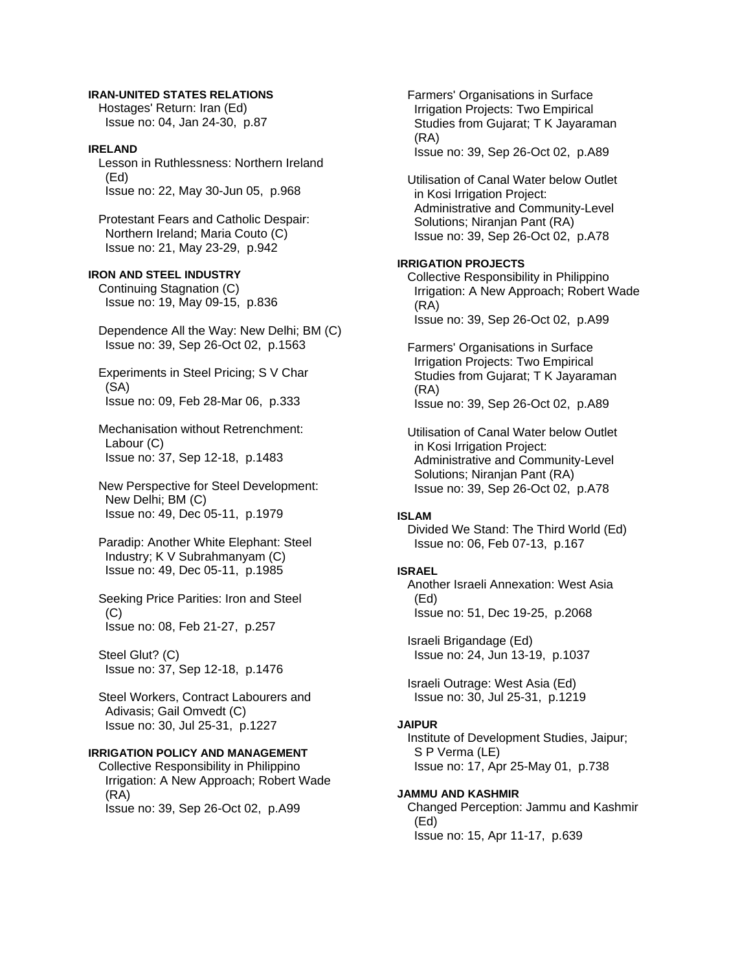### **IRAN-UNITED STATES RELATIONS**

 Hostages' Return: Iran (Ed) Issue no: 04, Jan 24-30, p.87

# **IRELAND**

 Lesson in Ruthlessness: Northern Ireland (Ed) Issue no: 22, May 30-Jun 05, p.968

 Protestant Fears and Catholic Despair: Northern Ireland; Maria Couto (C) Issue no: 21, May 23-29, p.942

# **IRON AND STEEL INDUSTRY**

 Continuing Stagnation (C) Issue no: 19, May 09-15, p.836

- Dependence All the Way: New Delhi; BM (C) Issue no: 39, Sep 26-Oct 02, p.1563
- Experiments in Steel Pricing; S V Char (SA) Issue no: 09, Feb 28-Mar 06, p.333
- Mechanisation without Retrenchment: Labour (C) Issue no: 37, Sep 12-18, p.1483
- New Perspective for Steel Development: New Delhi; BM (C) Issue no: 49, Dec 05-11, p.1979
- Paradip: Another White Elephant: Steel Industry; K V Subrahmanyam (C) Issue no: 49, Dec 05-11, p.1985
- Seeking Price Parities: Iron and Steel (C) Issue no: 08, Feb 21-27, p.257

 Steel Glut? (C) Issue no: 37, Sep 12-18, p.1476

 Steel Workers, Contract Labourers and Adivasis; Gail Omvedt (C) Issue no: 30, Jul 25-31, p.1227

# **IRRIGATION POLICY AND MANAGEMENT**

 Collective Responsibility in Philippino Irrigation: A New Approach; Robert Wade (RA) Issue no: 39, Sep 26-Oct 02, p.A99

 Farmers' Organisations in Surface Irrigation Projects: Two Empirical Studies from Gujarat; T K Jayaraman (RA) Issue no: 39, Sep 26-Oct 02, p.A89

 Utilisation of Canal Water below Outlet in Kosi Irrigation Project: Administrative and Community-Level Solutions; Niranjan Pant (RA) Issue no: 39, Sep 26-Oct 02, p.A78

### **IRRIGATION PROJECTS**

 Collective Responsibility in Philippino Irrigation: A New Approach; Robert Wade (RA) Issue no: 39, Sep 26-Oct 02, p.A99

 Farmers' Organisations in Surface Irrigation Projects: Two Empirical Studies from Gujarat; T K Jayaraman (RA) Issue no: 39, Sep 26-Oct 02, p.A89

 Utilisation of Canal Water below Outlet in Kosi Irrigation Project: Administrative and Community-Level Solutions; Niranjan Pant (RA) Issue no: 39, Sep 26-Oct 02, p.A78

### **ISLAM**

 Divided We Stand: The Third World (Ed) Issue no: 06, Feb 07-13, p.167

### **ISRAEL**

 Another Israeli Annexation: West Asia (Ed) Issue no: 51, Dec 19-25, p.2068

 Israeli Brigandage (Ed) Issue no: 24, Jun 13-19, p.1037

 Israeli Outrage: West Asia (Ed) Issue no: 30, Jul 25-31, p.1219

#### **JAIPUR**

 Institute of Development Studies, Jaipur; S P Verma (LE) Issue no: 17, Apr 25-May 01, p.738

#### **JAMMU AND KASHMIR**

 Changed Perception: Jammu and Kashmir (Ed) Issue no: 15, Apr 11-17, p.639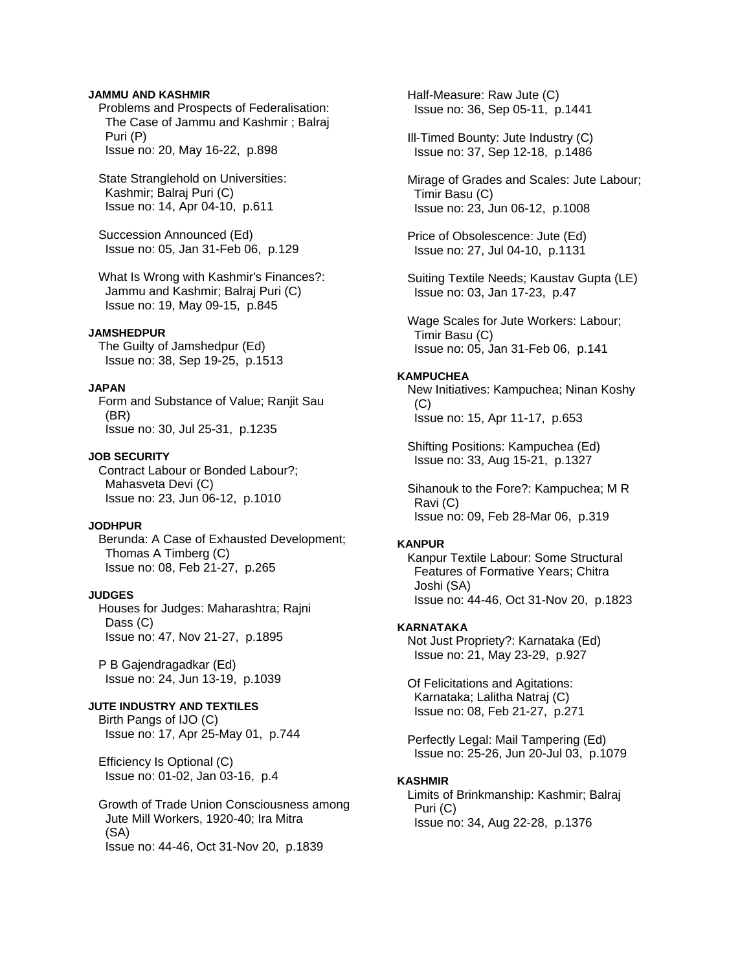### **JAMMU AND KASHMIR**

 Problems and Prospects of Federalisation: The Case of Jammu and Kashmir ; Balraj Puri (P) Issue no: 20, May 16-22, p.898

 State Stranglehold on Universities: Kashmir; Balraj Puri (C) Issue no: 14, Apr 04-10, p.611

 Succession Announced (Ed) Issue no: 05, Jan 31-Feb 06, p.129

 What Is Wrong with Kashmir's Finances?: Jammu and Kashmir; Balraj Puri (C) Issue no: 19, May 09-15, p.845

#### **JAMSHEDPUR**

 The Guilty of Jamshedpur (Ed) Issue no: 38, Sep 19-25, p.1513

#### **JAPAN**

 Form and Substance of Value; Ranjit Sau (BR) Issue no: 30, Jul 25-31, p.1235

#### **JOB SECURITY**

 Contract Labour or Bonded Labour?; Mahasveta Devi (C) Issue no: 23, Jun 06-12, p.1010

# **JODHPUR**

 Berunda: A Case of Exhausted Development; Thomas A Timberg (C) Issue no: 08, Feb 21-27, p.265

### **JUDGES**

 Houses for Judges: Maharashtra; Rajni Dass (C) Issue no: 47, Nov 21-27, p.1895

 P B Gajendragadkar (Ed) Issue no: 24, Jun 13-19, p.1039

# **JUTE INDUSTRY AND TEXTILES**

 Birth Pangs of IJO (C) Issue no: 17, Apr 25-May 01, p.744

 Efficiency Is Optional (C) Issue no: 01-02, Jan 03-16, p.4

 Growth of Trade Union Consciousness among Jute Mill Workers, 1920-40; Ira Mitra (SA) Issue no: 44-46, Oct 31-Nov 20, p.1839

 Half-Measure: Raw Jute (C) Issue no: 36, Sep 05-11, p.1441

 Ill-Timed Bounty: Jute Industry (C) Issue no: 37, Sep 12-18, p.1486

 Mirage of Grades and Scales: Jute Labour; Timir Basu (C) Issue no: 23, Jun 06-12, p.1008

 Price of Obsolescence: Jute (Ed) Issue no: 27, Jul 04-10, p.1131

 Suiting Textile Needs; Kaustav Gupta (LE) Issue no: 03, Jan 17-23, p.47

 Wage Scales for Jute Workers: Labour; Timir Basu (C) Issue no: 05, Jan 31-Feb 06, p.141

### **KAMPUCHEA**

 New Initiatives: Kampuchea; Ninan Koshy (C) Issue no: 15, Apr 11-17, p.653

 Shifting Positions: Kampuchea (Ed) Issue no: 33, Aug 15-21, p.1327

 Sihanouk to the Fore?: Kampuchea; M R Ravi (C) Issue no: 09, Feb 28-Mar 06, p.319

#### **KANPUR**

 Kanpur Textile Labour: Some Structural Features of Formative Years; Chitra Joshi (SA) Issue no: 44-46, Oct 31-Nov 20, p.1823

#### **KARNATAKA**

 Not Just Propriety?: Karnataka (Ed) Issue no: 21, May 23-29, p.927

 Of Felicitations and Agitations: Karnataka; Lalitha Natraj (C) Issue no: 08, Feb 21-27, p.271

 Perfectly Legal: Mail Tampering (Ed) Issue no: 25-26, Jun 20-Jul 03, p.1079

### **KASHMIR**

 Limits of Brinkmanship: Kashmir; Balraj Puri (C) Issue no: 34, Aug 22-28, p.1376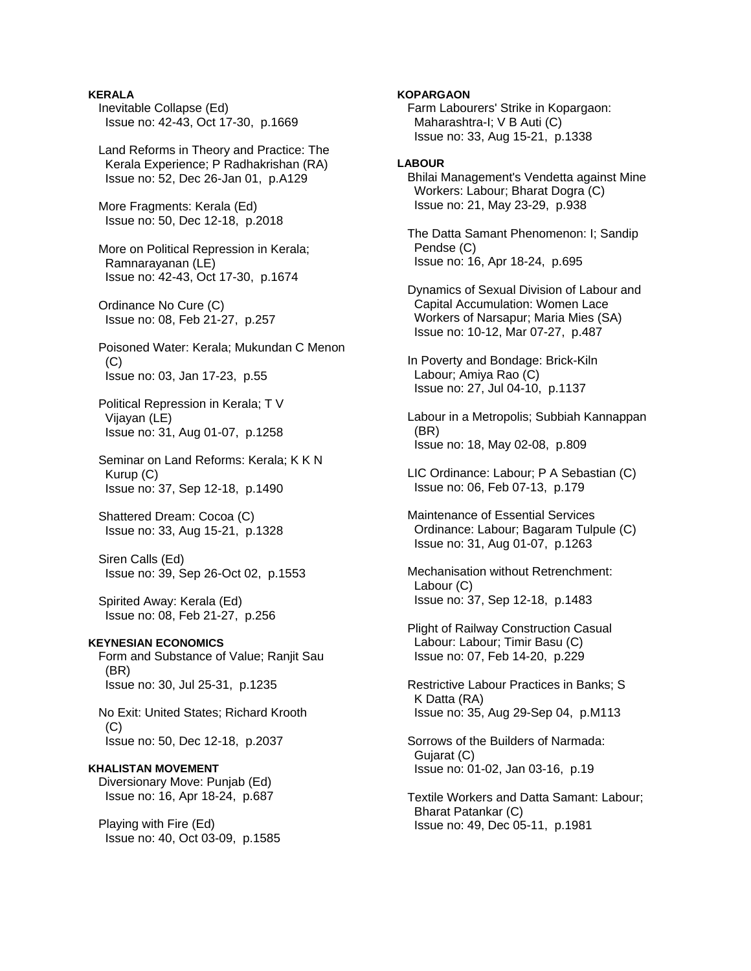**KERALA**  Inevitable Collapse (Ed) Issue no: 42-43, Oct 17-30, p.1669

 Land Reforms in Theory and Practice: The Kerala Experience; P Radhakrishan (RA) Issue no: 52, Dec 26-Jan 01, p.A129

 More Fragments: Kerala (Ed) Issue no: 50, Dec 12-18, p.2018

 More on Political Repression in Kerala; Ramnarayanan (LE) Issue no: 42-43, Oct 17-30, p.1674

 Ordinance No Cure (C) Issue no: 08, Feb 21-27, p.257

 Poisoned Water: Kerala; Mukundan C Menon  $(C)$ Issue no: 03, Jan 17-23, p.55

 Political Repression in Kerala; T V Vijayan (LE) Issue no: 31, Aug 01-07, p.1258

Seminar on Land Reforms: Kerala; K K N Kurup (C) Issue no: 37, Sep 12-18, p.1490

 Shattered Dream: Cocoa (C) Issue no: 33, Aug 15-21, p.1328

 Siren Calls (Ed) Issue no: 39, Sep 26-Oct 02, p.1553

 Spirited Away: Kerala (Ed) Issue no: 08, Feb 21-27, p.256

# **KEYNESIAN ECONOMICS**

 Form and Substance of Value; Ranjit Sau (BR) Issue no: 30, Jul 25-31, p.1235

 No Exit: United States; Richard Krooth  $(C)$ Issue no: 50, Dec 12-18, p.2037

# **KHALISTAN MOVEMENT**

 Diversionary Move: Punjab (Ed) Issue no: 16, Apr 18-24, p.687

 Playing with Fire (Ed) Issue no: 40, Oct 03-09, p.1585

## **KOPARGAON**

 Farm Labourers' Strike in Kopargaon: Maharashtra-I; V B Auti (C) Issue no: 33, Aug 15-21, p.1338

# **LABOUR**

 Bhilai Management's Vendetta against Mine Workers: Labour; Bharat Dogra (C) Issue no: 21, May 23-29, p.938

 The Datta Samant Phenomenon: I; Sandip Pendse (C) Issue no: 16, Apr 18-24, p.695

 Dynamics of Sexual Division of Labour and Capital Accumulation: Women Lace Workers of Narsapur; Maria Mies (SA) Issue no: 10-12, Mar 07-27, p.487

 In Poverty and Bondage: Brick-Kiln Labour; Amiya Rao (C) Issue no: 27, Jul 04-10, p.1137

 Labour in a Metropolis; Subbiah Kannappan (BR) Issue no: 18, May 02-08, p.809

 LIC Ordinance: Labour; P A Sebastian (C) Issue no: 06, Feb 07-13, p.179

 Maintenance of Essential Services Ordinance: Labour; Bagaram Tulpule (C) Issue no: 31, Aug 01-07, p.1263

 Mechanisation without Retrenchment: Labour (C) Issue no: 37, Sep 12-18, p.1483

 Plight of Railway Construction Casual Labour: Labour; Timir Basu (C) Issue no: 07, Feb 14-20, p.229

 Restrictive Labour Practices in Banks; S K Datta (RA) Issue no: 35, Aug 29-Sep 04, p.M113

 Sorrows of the Builders of Narmada: Gujarat (C) Issue no: 01-02, Jan 03-16, p.19

 Textile Workers and Datta Samant: Labour; Bharat Patankar (C) Issue no: 49, Dec 05-11, p.1981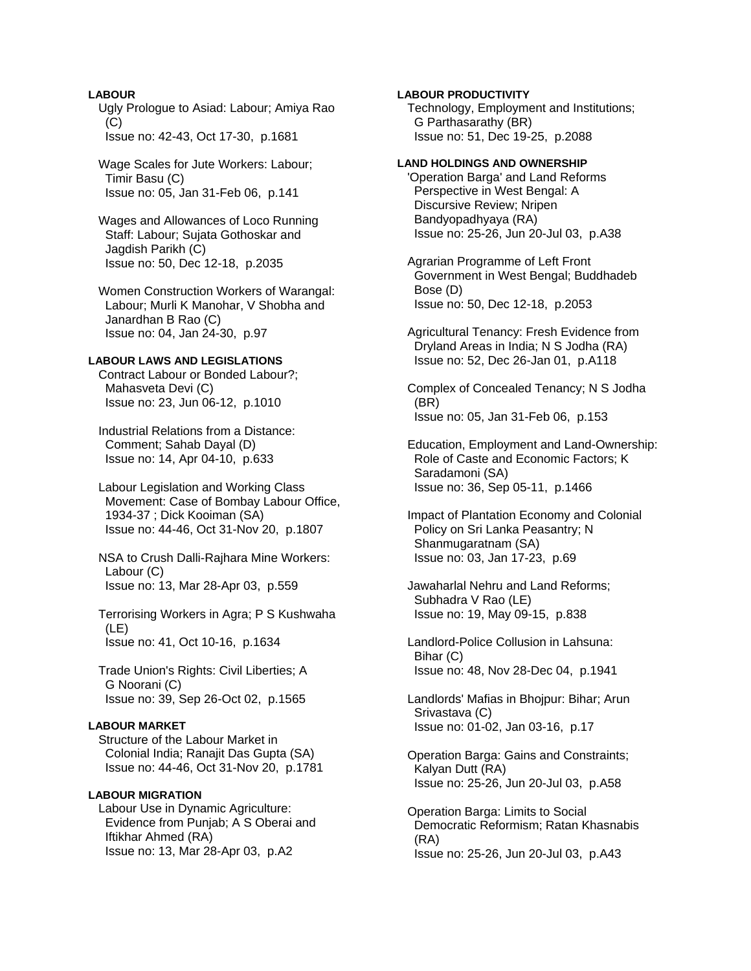# **LABOUR**

 Ugly Prologue to Asiad: Labour; Amiya Rao  $(C)$ Issue no: 42-43, Oct 17-30, p.1681

 Wage Scales for Jute Workers: Labour; Timir Basu (C) Issue no: 05, Jan 31-Feb 06, p.141

 Wages and Allowances of Loco Running Staff: Labour; Sujata Gothoskar and Jagdish Parikh (C) Issue no: 50, Dec 12-18, p.2035

 Women Construction Workers of Warangal: Labour; Murli K Manohar, V Shobha and Janardhan B Rao (C) Issue no: 04, Jan 24-30, p.97

# **LABOUR LAWS AND LEGISLATIONS**

 Contract Labour or Bonded Labour?; Mahasveta Devi (C) Issue no: 23, Jun 06-12, p.1010

 Industrial Relations from a Distance: Comment; Sahab Dayal (D) Issue no: 14, Apr 04-10, p.633

 Labour Legislation and Working Class Movement: Case of Bombay Labour Office, 1934-37 ; Dick Kooiman (SA) Issue no: 44-46, Oct 31-Nov 20, p.1807

 NSA to Crush Dalli-Rajhara Mine Workers: Labour (C) Issue no: 13, Mar 28-Apr 03, p.559

 Terrorising Workers in Agra; P S Kushwaha (LE) Issue no: 41, Oct 10-16, p.1634

 Trade Union's Rights: Civil Liberties; A G Noorani (C) Issue no: 39, Sep 26-Oct 02, p.1565

## **LABOUR MARKET**

 Structure of the Labour Market in Colonial India; Ranajit Das Gupta (SA) Issue no: 44-46, Oct 31-Nov 20, p.1781

# **LABOUR MIGRATION**

 Labour Use in Dynamic Agriculture: Evidence from Punjab; A S Oberai and Iftikhar Ahmed (RA) Issue no: 13, Mar 28-Apr 03, p.A2

### **LABOUR PRODUCTIVITY**

 Technology, Employment and Institutions; G Parthasarathy (BR) Issue no: 51, Dec 19-25, p.2088

### **LAND HOLDINGS AND OWNERSHIP**

 'Operation Barga' and Land Reforms Perspective in West Bengal: A Discursive Review; Nripen Bandyopadhyaya (RA) Issue no: 25-26, Jun 20-Jul 03, p.A38

 Agrarian Programme of Left Front Government in West Bengal; Buddhadeb Bose (D) Issue no: 50, Dec 12-18, p.2053

 Agricultural Tenancy: Fresh Evidence from Dryland Areas in India; N S Jodha (RA) Issue no: 52, Dec 26-Jan 01, p.A118

 Complex of Concealed Tenancy; N S Jodha (BR) Issue no: 05, Jan 31-Feb 06, p.153

 Education, Employment and Land-Ownership: Role of Caste and Economic Factors; K Saradamoni (SA) Issue no: 36, Sep 05-11, p.1466

 Impact of Plantation Economy and Colonial Policy on Sri Lanka Peasantry; N Shanmugaratnam (SA) Issue no: 03, Jan 17-23, p.69

 Jawaharlal Nehru and Land Reforms; Subhadra V Rao (LE) Issue no: 19, May 09-15, p.838

 Landlord-Police Collusion in Lahsuna: Bihar (C) Issue no: 48, Nov 28-Dec 04, p.1941

 Landlords' Mafias in Bhojpur: Bihar; Arun Srivastava (C) Issue no: 01-02, Jan 03-16, p.17

 Operation Barga: Gains and Constraints; Kalyan Dutt (RA) Issue no: 25-26, Jun 20-Jul 03, p.A58

 Operation Barga: Limits to Social Democratic Reformism; Ratan Khasnabis (RA) Issue no: 25-26, Jun 20-Jul 03, p.A43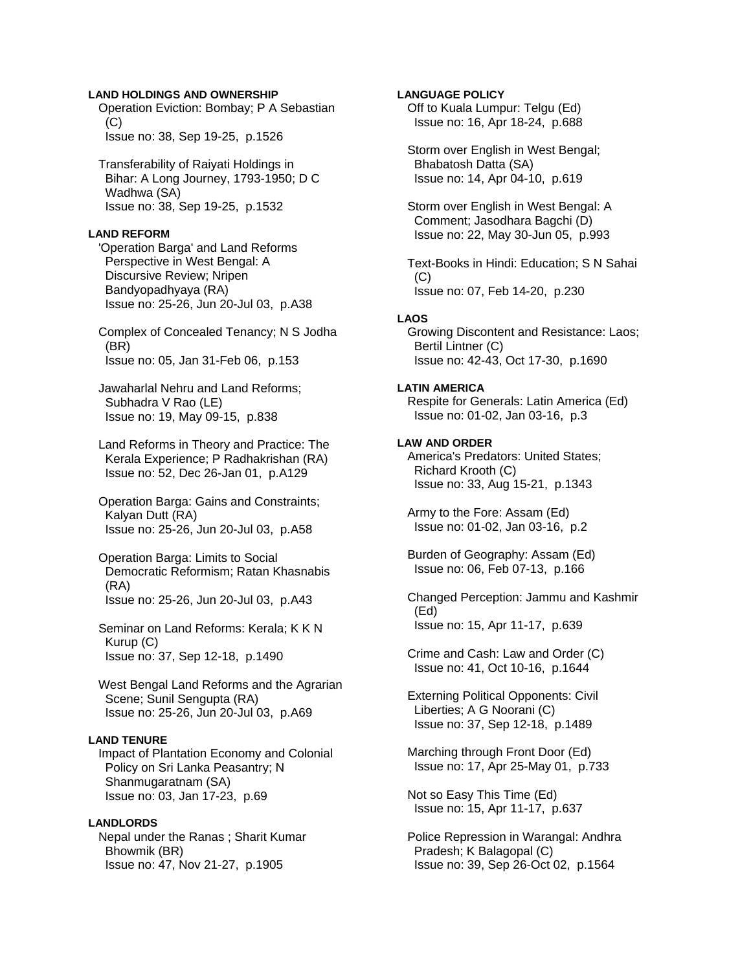## **LAND HOLDINGS AND OWNERSHIP**

 Operation Eviction: Bombay; P A Sebastian  $(C)$ Issue no: 38, Sep 19-25, p.1526

 Transferability of Raiyati Holdings in Bihar: A Long Journey, 1793-1950; D C Wadhwa (SA) Issue no: 38, Sep 19-25, p.1532

### **LAND REFORM**

 'Operation Barga' and Land Reforms Perspective in West Bengal: A Discursive Review; Nripen Bandyopadhyaya (RA) Issue no: 25-26, Jun 20-Jul 03, p.A38

 Complex of Concealed Tenancy; N S Jodha (BR) Issue no: 05, Jan 31-Feb 06, p.153

 Jawaharlal Nehru and Land Reforms; Subhadra V Rao (LE) Issue no: 19, May 09-15, p.838

 Land Reforms in Theory and Practice: The Kerala Experience; P Radhakrishan (RA) Issue no: 52, Dec 26-Jan 01, p.A129

 Operation Barga: Gains and Constraints; Kalyan Dutt (RA) Issue no: 25-26, Jun 20-Jul 03, p.A58

 Operation Barga: Limits to Social Democratic Reformism; Ratan Khasnabis (RA) Issue no: 25-26, Jun 20-Jul 03, p.A43

 Seminar on Land Reforms: Kerala; K K N Kurup (C) Issue no: 37, Sep 12-18, p.1490

 West Bengal Land Reforms and the Agrarian Scene; Sunil Sengupta (RA) Issue no: 25-26, Jun 20-Jul 03, p.A69

## **LAND TENURE**

 Impact of Plantation Economy and Colonial Policy on Sri Lanka Peasantry; N Shanmugaratnam (SA) Issue no: 03, Jan 17-23, p.69

# **LANDLORDS**  Nepal under the Ranas ; Sharit Kumar Bhowmik (BR) Issue no: 47, Nov 21-27, p.1905

**LANGUAGE POLICY** Off to Kuala Lumpur: Telgu (Ed) Issue no: 16, Apr 18-24, p.688 Storm over English in West Bengal; Bhabatosh Datta (SA) Issue no: 14, Apr 04-10, p.619 Storm over English in West Bengal: A Comment; Jasodhara Bagchi (D) Issue no: 22, May 30-Jun 05, p.993 Text-Books in Hindi: Education; S N Sahai  $(C)$  Issue no: 07, Feb 14-20, p.230 **LAOS**  Growing Discontent and Resistance: Laos; Bertil Lintner (C) Issue no: 42-43, Oct 17-30, p.1690 **LATIN AMERICA**  Respite for Generals: Latin America (Ed) Issue no: 01-02, Jan 03-16, p.3 **LAW AND ORDER**  America's Predators: United States; Richard Krooth (C) Issue no: 33, Aug 15-21, p.1343 Army to the Fore: Assam (Ed) Issue no: 01-02, Jan 03-16, p.2 Burden of Geography: Assam (Ed) Issue no: 06, Feb 07-13, p.166 Changed Perception: Jammu and Kashmir (Ed) Issue no: 15, Apr 11-17, p.639 Crime and Cash: Law and Order (C) Issue no: 41, Oct 10-16, p.1644 Externing Political Opponents: Civil Liberties; A G Noorani (C) Issue no: 37, Sep 12-18, p.1489 Marching through Front Door (Ed) Issue no: 17, Apr 25-May 01, p.733 Not so Easy This Time (Ed) Issue no: 15, Apr 11-17, p.637

 Police Repression in Warangal: Andhra Pradesh; K Balagopal (C) Issue no: 39, Sep 26-Oct 02, p.1564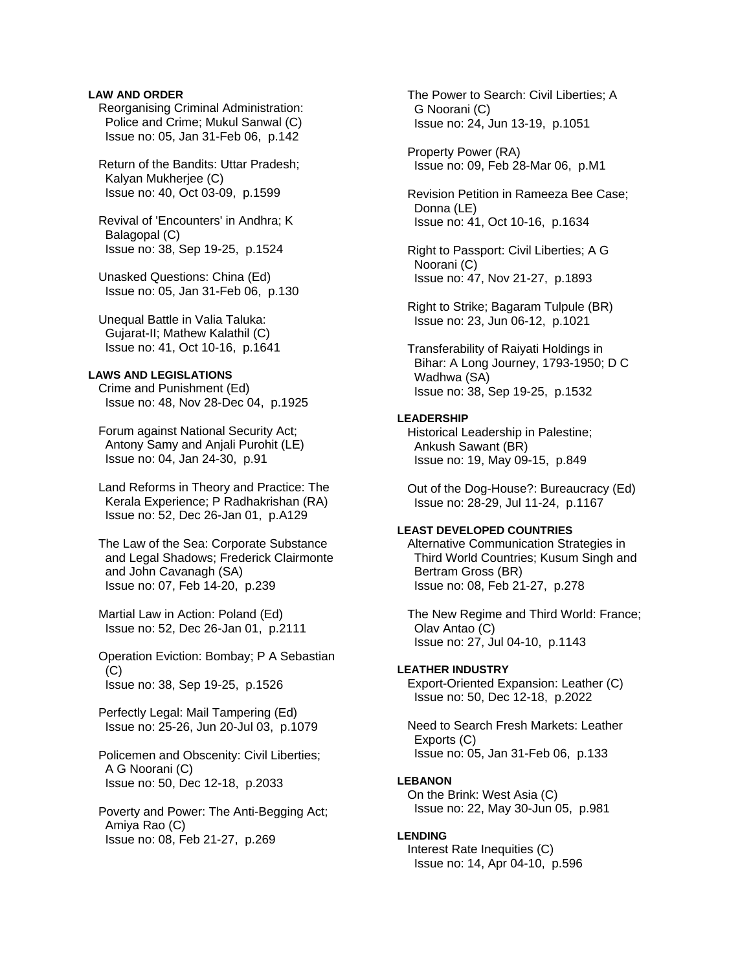# **LAW AND ORDER**

 Reorganising Criminal Administration: Police and Crime; Mukul Sanwal (C) Issue no: 05, Jan 31-Feb 06, p.142

 Return of the Bandits: Uttar Pradesh; Kalyan Mukherjee (C) Issue no: 40, Oct 03-09, p.1599

 Revival of 'Encounters' in Andhra; K Balagopal (C) Issue no: 38, Sep 19-25, p.1524

 Unasked Questions: China (Ed) Issue no: 05, Jan 31-Feb 06, p.130

 Unequal Battle in Valia Taluka: Gujarat-II; Mathew Kalathil (C) Issue no: 41, Oct 10-16, p.1641

# **LAWS AND LEGISLATIONS**

 Crime and Punishment (Ed) Issue no: 48, Nov 28-Dec 04, p.1925

 Forum against National Security Act; Antony Samy and Anjali Purohit (LE) Issue no: 04, Jan 24-30, p.91

 Land Reforms in Theory and Practice: The Kerala Experience; P Radhakrishan (RA) Issue no: 52, Dec 26-Jan 01, p.A129

 The Law of the Sea: Corporate Substance and Legal Shadows; Frederick Clairmonte and John Cavanagh (SA) Issue no: 07, Feb 14-20, p.239

 Martial Law in Action: Poland (Ed) Issue no: 52, Dec 26-Jan 01, p.2111

 Operation Eviction: Bombay; P A Sebastian  $(C)$ Issue no: 38, Sep 19-25, p.1526

 Perfectly Legal: Mail Tampering (Ed) Issue no: 25-26, Jun 20-Jul 03, p.1079

 Policemen and Obscenity: Civil Liberties; A G Noorani (C) Issue no: 50, Dec 12-18, p.2033

 Poverty and Power: The Anti-Begging Act; Amiya Rao (C) Issue no: 08, Feb 21-27, p.269

 The Power to Search: Civil Liberties; A G Noorani (C) Issue no: 24, Jun 13-19, p.1051

 Property Power (RA) Issue no: 09, Feb 28-Mar 06, p.M1

 Revision Petition in Rameeza Bee Case; Donna (LE) Issue no: 41, Oct 10-16, p.1634

 Right to Passport: Civil Liberties; A G Noorani (C) Issue no: 47, Nov 21-27, p.1893

 Right to Strike; Bagaram Tulpule (BR) Issue no: 23, Jun 06-12, p.1021

 Transferability of Raiyati Holdings in Bihar: A Long Journey, 1793-1950; D C Wadhwa (SA) Issue no: 38, Sep 19-25, p.1532

# **LEADERSHIP**

 Historical Leadership in Palestine; Ankush Sawant (BR) Issue no: 19, May 09-15, p.849

 Out of the Dog-House?: Bureaucracy (Ed) Issue no: 28-29, Jul 11-24, p.1167

# **LEAST DEVELOPED COUNTRIES**

 Alternative Communication Strategies in Third World Countries; Kusum Singh and Bertram Gross (BR) Issue no: 08, Feb 21-27, p.278

 The New Regime and Third World: France; Olav Antao (C) Issue no: 27, Jul 04-10, p.1143

#### **LEATHER INDUSTRY**

 Export-Oriented Expansion: Leather (C) Issue no: 50, Dec 12-18, p.2022

 Need to Search Fresh Markets: Leather Exports (C) Issue no: 05, Jan 31-Feb 06, p.133

### **LEBANON**

 On the Brink: West Asia (C) Issue no: 22, May 30-Jun 05, p.981

# **LENDING**

 Interest Rate Inequities (C) Issue no: 14, Apr 04-10, p.596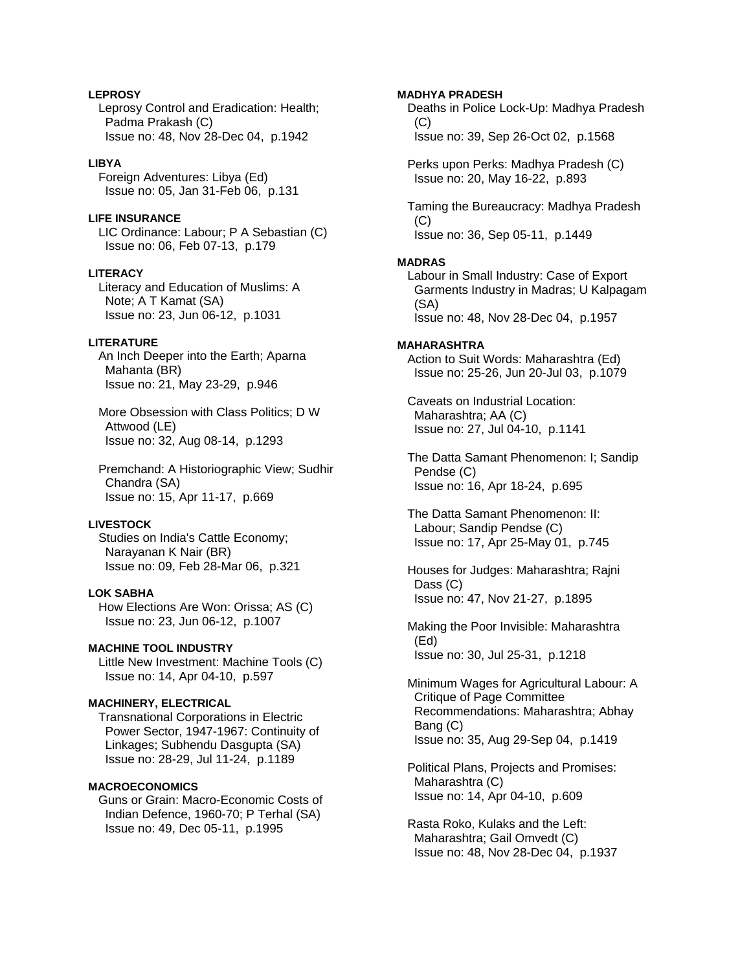# **LEPROSY**

 Leprosy Control and Eradication: Health; Padma Prakash (C) Issue no: 48, Nov 28-Dec 04, p.1942

# **LIBYA**

 Foreign Adventures: Libya (Ed) Issue no: 05, Jan 31-Feb 06, p.131

# **LIFE INSURANCE**

 LIC Ordinance: Labour; P A Sebastian (C) Issue no: 06, Feb 07-13, p.179

# **LITERACY**

 Literacy and Education of Muslims: A Note; A T Kamat (SA) Issue no: 23, Jun 06-12, p.1031

# **LITERATURE**

 An Inch Deeper into the Earth; Aparna Mahanta (BR) Issue no: 21, May 23-29, p.946

 More Obsession with Class Politics; D W Attwood (LE) Issue no: 32, Aug 08-14, p.1293

 Premchand: A Historiographic View; Sudhir Chandra (SA) Issue no: 15, Apr 11-17, p.669

# **LIVESTOCK**

 Studies on India's Cattle Economy; Narayanan K Nair (BR) Issue no: 09, Feb 28-Mar 06, p.321

#### **LOK SABHA**

 How Elections Are Won: Orissa; AS (C) Issue no: 23, Jun 06-12, p.1007

### **MACHINE TOOL INDUSTRY**

 Little New Investment: Machine Tools (C) Issue no: 14, Apr 04-10, p.597

# **MACHINERY, ELECTRICAL**

 Transnational Corporations in Electric Power Sector, 1947-1967: Continuity of Linkages; Subhendu Dasgupta (SA) Issue no: 28-29, Jul 11-24, p.1189

#### **MACROECONOMICS**

 Guns or Grain: Macro-Economic Costs of Indian Defence, 1960-70; P Terhal (SA) Issue no: 49, Dec 05-11, p.1995

**MADHYA PRADESH**  Deaths in Police Lock-Up: Madhya Pradesh  $(C)$  Issue no: 39, Sep 26-Oct 02, p.1568 Perks upon Perks: Madhya Pradesh (C) Issue no: 20, May 16-22, p.893 Taming the Bureaucracy: Madhya Pradesh (C) Issue no: 36, Sep 05-11, p.1449 **MADRAS**  Labour in Small Industry: Case of Export Garments Industry in Madras; U Kalpagam (SA) Issue no: 48, Nov 28-Dec 04, p.1957 **MAHARASHTRA**  Action to Suit Words: Maharashtra (Ed) Issue no: 25-26, Jun 20-Jul 03, p.1079 Caveats on Industrial Location: Maharashtra; AA (C) Issue no: 27, Jul 04-10, p.1141 The Datta Samant Phenomenon: I; Sandip Pendse (C) Issue no: 16, Apr 18-24, p.695 The Datta Samant Phenomenon: II: Labour; Sandip Pendse (C) Issue no: 17, Apr 25-May 01, p.745 Houses for Judges: Maharashtra; Rajni Dass (C) Issue no: 47, Nov 21-27, p.1895 Making the Poor Invisible: Maharashtra (Ed) Issue no: 30, Jul 25-31, p.1218 Minimum Wages for Agricultural Labour: A Critique of Page Committee Recommendations: Maharashtra; Abhay Bang (C) Issue no: 35, Aug 29-Sep 04, p.1419

 Political Plans, Projects and Promises: Maharashtra (C) Issue no: 14, Apr 04-10, p.609

 Rasta Roko, Kulaks and the Left: Maharashtra; Gail Omvedt (C) Issue no: 48, Nov 28-Dec 04, p.1937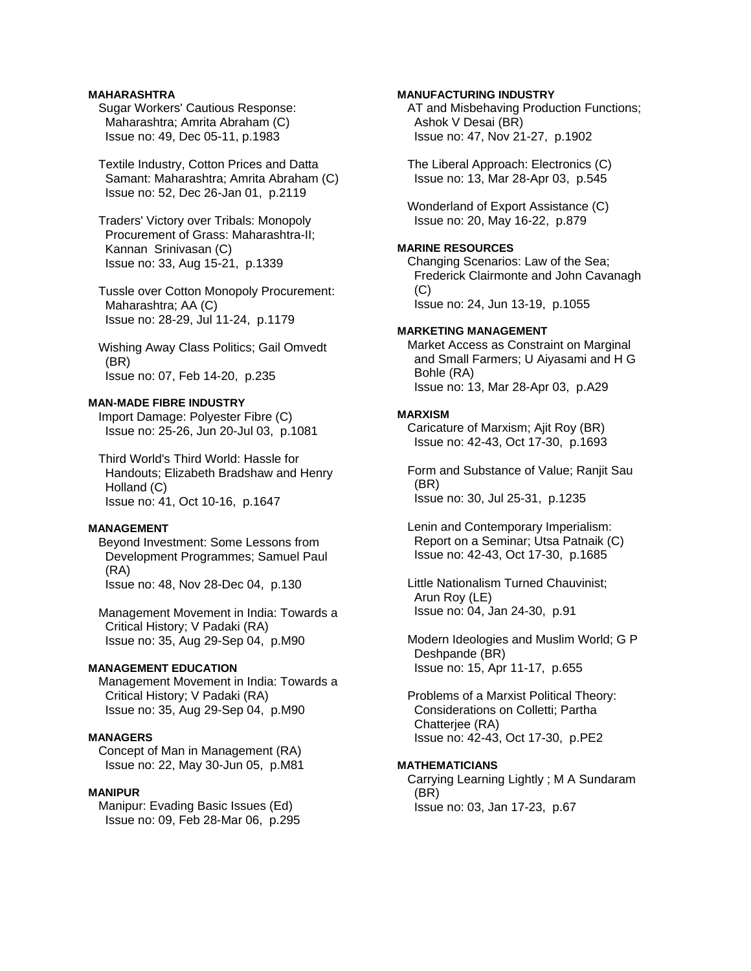# **MAHARASHTRA**

 Sugar Workers' Cautious Response: Maharashtra; Amrita Abraham (C) Issue no: 49, Dec 05-11, p.1983

 Textile Industry, Cotton Prices and Datta Samant: Maharashtra; Amrita Abraham (C) Issue no: 52, Dec 26-Jan 01, p.2119

 Traders' Victory over Tribals: Monopoly Procurement of Grass: Maharashtra-II; Kannan Srinivasan (C) Issue no: 33, Aug 15-21, p.1339

 Tussle over Cotton Monopoly Procurement: Maharashtra; AA (C) Issue no: 28-29, Jul 11-24, p.1179

 Wishing Away Class Politics; Gail Omvedt (BR) Issue no: 07, Feb 14-20, p.235

# **MAN-MADE FIBRE INDUSTRY**

 Import Damage: Polyester Fibre (C) Issue no: 25-26, Jun 20-Jul 03, p.1081

 Third World's Third World: Hassle for Handouts; Elizabeth Bradshaw and Henry Holland (C) Issue no: 41, Oct 10-16, p.1647

# **MANAGEMENT**

 Beyond Investment: Some Lessons from Development Programmes; Samuel Paul (RA) Issue no: 48, Nov 28-Dec 04, p.130

 Management Movement in India: Towards a Critical History; V Padaki (RA) Issue no: 35, Aug 29-Sep 04, p.M90

# **MANAGEMENT EDUCATION**

 Management Movement in India: Towards a Critical History; V Padaki (RA) Issue no: 35, Aug 29-Sep 04, p.M90

### **MANAGERS**

 Concept of Man in Management (RA) Issue no: 22, May 30-Jun 05, p.M81

# **MANIPUR**

 Manipur: Evading Basic Issues (Ed) Issue no: 09, Feb 28-Mar 06, p.295

## **MANUFACTURING INDUSTRY**

 AT and Misbehaving Production Functions; Ashok V Desai (BR) Issue no: 47, Nov 21-27, p.1902

 The Liberal Approach: Electronics (C) Issue no: 13, Mar 28-Apr 03, p.545

 Wonderland of Export Assistance (C) Issue no: 20, May 16-22, p.879

# **MARINE RESOURCES**

 Changing Scenarios: Law of the Sea; Frederick Clairmonte and John Cavanagh (C) Issue no: 24, Jun 13-19, p.1055

# **MARKETING MANAGEMENT**

 Market Access as Constraint on Marginal and Small Farmers; U Aiyasami and H G Bohle (RA) Issue no: 13, Mar 28-Apr 03, p.A29

#### **MARXISM**

 Caricature of Marxism; Ajit Roy (BR) Issue no: 42-43, Oct 17-30, p.1693

 Form and Substance of Value; Ranjit Sau (BR) Issue no: 30, Jul 25-31, p.1235

 Lenin and Contemporary Imperialism: Report on a Seminar; Utsa Patnaik (C) Issue no: 42-43, Oct 17-30, p.1685

 Little Nationalism Turned Chauvinist; Arun Roy (LE) Issue no: 04, Jan 24-30, p.91

 Modern Ideologies and Muslim World; G P Deshpande (BR) Issue no: 15, Apr 11-17, p.655

 Problems of a Marxist Political Theory: Considerations on Colletti; Partha Chatterjee (RA) Issue no: 42-43, Oct 17-30, p.PE2

#### **MATHEMATICIANS**

 Carrying Learning Lightly ; M A Sundaram (BR) Issue no: 03, Jan 17-23, p.67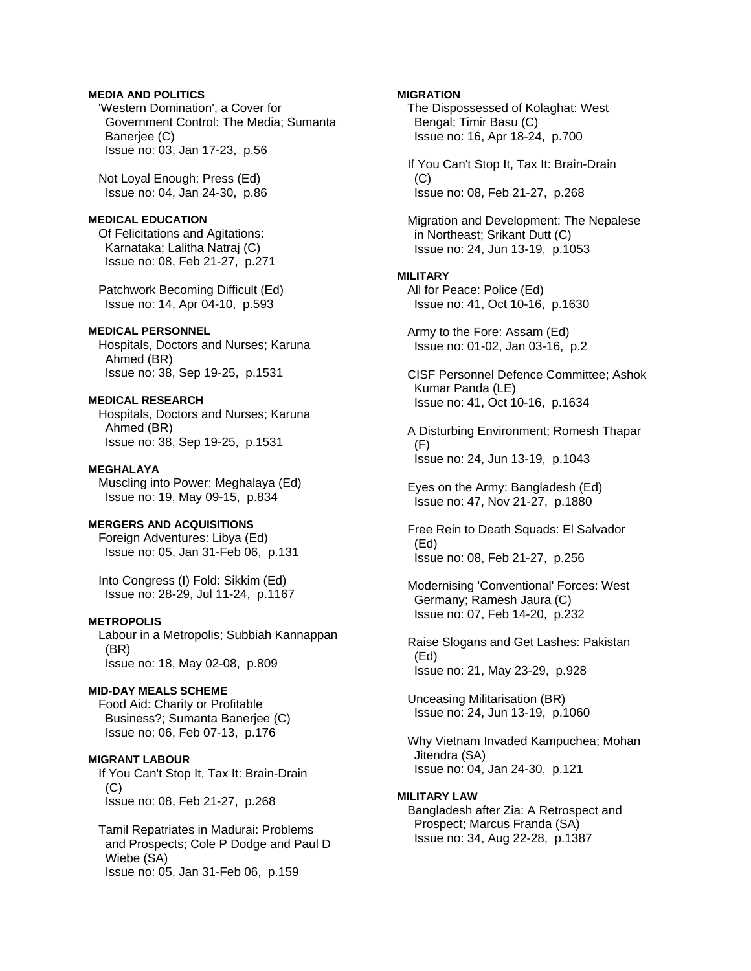# **MEDIA AND POLITICS**

 'Western Domination', a Cover for Government Control: The Media; Sumanta Banerjee (C) Issue no: 03, Jan 17-23, p.56

 Not Loyal Enough: Press (Ed) Issue no: 04, Jan 24-30, p.86

### **MEDICAL EDUCATION**

 Of Felicitations and Agitations: Karnataka; Lalitha Natraj (C) Issue no: 08, Feb 21-27, p.271

 Patchwork Becoming Difficult (Ed) Issue no: 14, Apr 04-10, p.593

# **MEDICAL PERSONNEL**

 Hospitals, Doctors and Nurses; Karuna Ahmed (BR) Issue no: 38, Sep 19-25, p.1531

# **MEDICAL RESEARCH**

 Hospitals, Doctors and Nurses; Karuna Ahmed (BR) Issue no: 38, Sep 19-25, p.1531

#### **MEGHALAYA**

 Muscling into Power: Meghalaya (Ed) Issue no: 19, May 09-15, p.834

# **MERGERS AND ACQUISITIONS**

 Foreign Adventures: Libya (Ed) Issue no: 05, Jan 31-Feb 06, p.131

 Into Congress (I) Fold: Sikkim (Ed) Issue no: 28-29, Jul 11-24, p.1167

#### **METROPOLIS**

 Labour in a Metropolis; Subbiah Kannappan (BR) Issue no: 18, May 02-08, p.809

#### **MID-DAY MEALS SCHEME**

 Food Aid: Charity or Profitable Business?; Sumanta Banerjee (C) Issue no: 06, Feb 07-13, p.176

#### **MIGRANT LABOUR**

 If You Can't Stop It, Tax It: Brain-Drain (C) Issue no: 08, Feb 21-27, p.268

 Tamil Repatriates in Madurai: Problems and Prospects; Cole P Dodge and Paul D Wiebe (SA) Issue no: 05, Jan 31-Feb 06, p.159

# **MIGRATION**

 The Dispossessed of Kolaghat: West Bengal; Timir Basu (C) Issue no: 16, Apr 18-24, p.700

 If You Can't Stop It, Tax It: Brain-Drain  $(C)$ Issue no: 08, Feb 21-27, p.268

 Migration and Development: The Nepalese in Northeast; Srikant Dutt (C) Issue no: 24, Jun 13-19, p.1053

#### **MILITARY**

 All for Peace: Police (Ed) Issue no: 41, Oct 10-16, p.1630

 Army to the Fore: Assam (Ed) Issue no: 01-02, Jan 03-16, p.2

 CISF Personnel Defence Committee; Ashok Kumar Panda (LE) Issue no: 41, Oct 10-16, p.1634

 A Disturbing Environment; Romesh Thapar (F) Issue no: 24, Jun 13-19, p.1043

 Eyes on the Army: Bangladesh (Ed) Issue no: 47, Nov 21-27, p.1880

 Free Rein to Death Squads: El Salvador (Ed) Issue no: 08, Feb 21-27, p.256

 Modernising 'Conventional' Forces: West Germany; Ramesh Jaura (C) Issue no: 07, Feb 14-20, p.232

 Raise Slogans and Get Lashes: Pakistan (Ed) Issue no: 21, May 23-29, p.928

 Unceasing Militarisation (BR) Issue no: 24, Jun 13-19, p.1060

 Why Vietnam Invaded Kampuchea; Mohan Jitendra (SA) Issue no: 04, Jan 24-30, p.121

# **MILITARY LAW**

 Bangladesh after Zia: A Retrospect and Prospect; Marcus Franda (SA) Issue no: 34, Aug 22-28, p.1387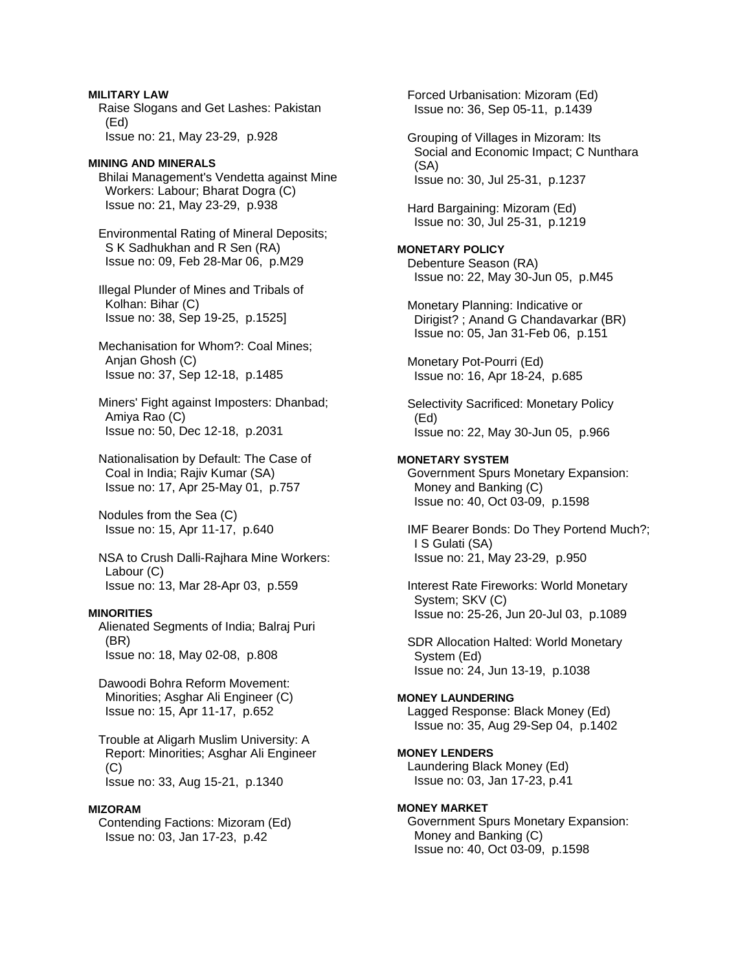**MILITARY LAW**  Raise Slogans and Get Lashes: Pakistan (Ed) Issue no: 21, May 23-29, p.928

**MINING AND MINERALS**  Bhilai Management's Vendetta against Mine Workers: Labour; Bharat Dogra (C) Issue no: 21, May 23-29, p.938

 Environmental Rating of Mineral Deposits; S K Sadhukhan and R Sen (RA) Issue no: 09, Feb 28-Mar 06, p.M29

 Illegal Plunder of Mines and Tribals of Kolhan: Bihar (C) Issue no: 38, Sep 19-25, p.1525]

 Mechanisation for Whom?: Coal Mines; Anjan Ghosh (C) Issue no: 37, Sep 12-18, p.1485

 Miners' Fight against Imposters: Dhanbad; Amiya Rao (C) Issue no: 50, Dec 12-18, p.2031

 Nationalisation by Default: The Case of Coal in India; Rajiv Kumar (SA) Issue no: 17, Apr 25-May 01, p.757

 Nodules from the Sea (C) Issue no: 15, Apr 11-17, p.640

 NSA to Crush Dalli-Rajhara Mine Workers: Labour (C) Issue no: 13, Mar 28-Apr 03, p.559

# **MINORITIES**

 Alienated Segments of India; Balraj Puri (BR) Issue no: 18, May 02-08, p.808

 Dawoodi Bohra Reform Movement: Minorities; Asghar Ali Engineer (C) Issue no: 15, Apr 11-17, p.652

 Trouble at Aligarh Muslim University: A Report: Minorities; Asghar Ali Engineer (C) Issue no: 33, Aug 15-21, p.1340

### **MIZORAM**

 Contending Factions: Mizoram (Ed) Issue no: 03, Jan 17-23, p.42

 Forced Urbanisation: Mizoram (Ed) Issue no: 36, Sep 05-11, p.1439

 Grouping of Villages in Mizoram: Its Social and Economic Impact; C Nunthara (SA) Issue no: 30, Jul 25-31, p.1237

 Hard Bargaining: Mizoram (Ed) Issue no: 30, Jul 25-31, p.1219

**MONETARY POLICY**  Debenture Season (RA) Issue no: 22, May 30-Jun 05, p.M45

 Monetary Planning: Indicative or Dirigist? ; Anand G Chandavarkar (BR) Issue no: 05, Jan 31-Feb 06, p.151

 Monetary Pot-Pourri (Ed) Issue no: 16, Apr 18-24, p.685

 Selectivity Sacrificed: Monetary Policy (Ed) Issue no: 22, May 30-Jun 05, p.966

#### **MONETARY SYSTEM**

 Government Spurs Monetary Expansion: Money and Banking (C) Issue no: 40, Oct 03-09, p.1598

 IMF Bearer Bonds: Do They Portend Much?; I S Gulati (SA) Issue no: 21, May 23-29, p.950

 Interest Rate Fireworks: World Monetary System; SKV (C) Issue no: 25-26, Jun 20-Jul 03, p.1089

 SDR Allocation Halted: World Monetary System (Ed) Issue no: 24, Jun 13-19, p.1038

# **MONEY LAUNDERING**  Lagged Response: Black Money (Ed)

Issue no: 35, Aug 29-Sep 04, p.1402

**MONEY LENDERS**  Laundering Black Money (Ed) Issue no: 03, Jan 17-23, p.41

**MONEY MARKET**  Government Spurs Monetary Expansion: Money and Banking (C) Issue no: 40, Oct 03-09, p.1598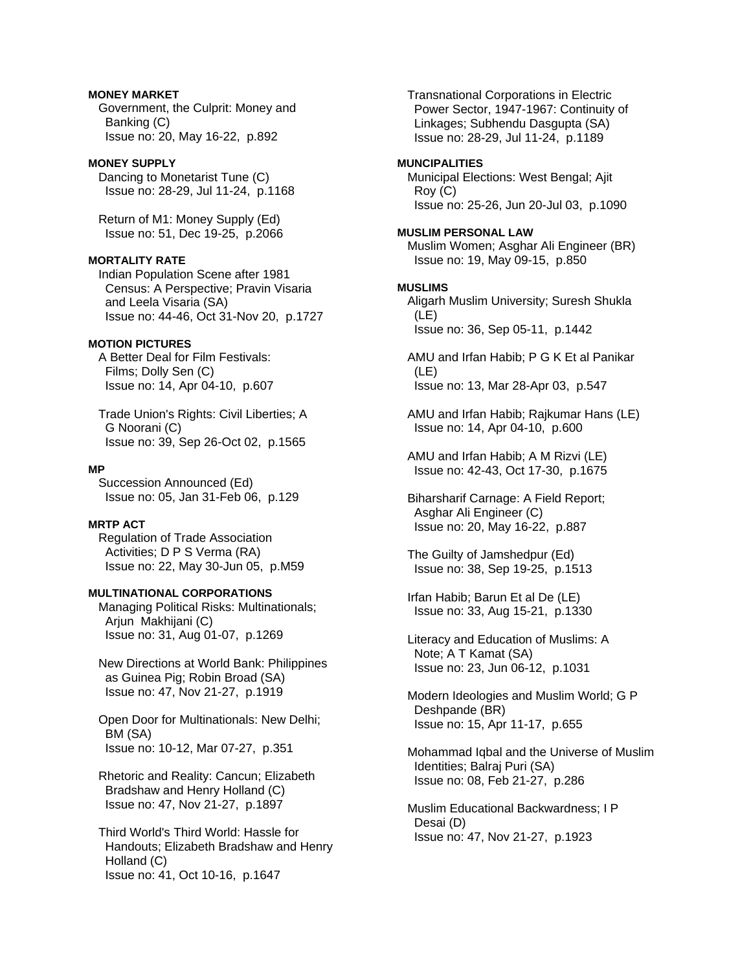# **MONEY MARKET**

 Government, the Culprit: Money and Banking (C) Issue no: 20, May 16-22, p.892

### **MONEY SUPPLY**

 Dancing to Monetarist Tune (C) Issue no: 28-29, Jul 11-24, p.1168

 Return of M1: Money Supply (Ed) Issue no: 51, Dec 19-25, p.2066

### **MORTALITY RATE**

 Indian Population Scene after 1981 Census: A Perspective; Pravin Visaria and Leela Visaria (SA) Issue no: 44-46, Oct 31-Nov 20, p.1727

# **MOTION PICTURES**

 A Better Deal for Film Festivals: Films; Dolly Sen (C) Issue no: 14, Apr 04-10, p.607

 Trade Union's Rights: Civil Liberties; A G Noorani (C) Issue no: 39, Sep 26-Oct 02, p.1565

#### **MP**

 Succession Announced (Ed) Issue no: 05, Jan 31-Feb 06, p.129

# **MRTP ACT**

 Regulation of Trade Association Activities; D P S Verma (RA) Issue no: 22, May 30-Jun 05, p.M59

# **MULTINATIONAL CORPORATIONS**

 Managing Political Risks: Multinationals; Arjun Makhijani (C) Issue no: 31, Aug 01-07, p.1269

 New Directions at World Bank: Philippines as Guinea Pig; Robin Broad (SA) Issue no: 47, Nov 21-27, p.1919

 Open Door for Multinationals: New Delhi; BM (SA) Issue no: 10-12, Mar 07-27, p.351

 Rhetoric and Reality: Cancun; Elizabeth Bradshaw and Henry Holland (C) Issue no: 47, Nov 21-27, p.1897

 Third World's Third World: Hassle for Handouts; Elizabeth Bradshaw and Henry Holland (C) Issue no: 41, Oct 10-16, p.1647

 Transnational Corporations in Electric Power Sector, 1947-1967: Continuity of Linkages; Subhendu Dasgupta (SA) Issue no: 28-29, Jul 11-24, p.1189

# **MUNCIPALITIES**

 Municipal Elections: West Bengal; Ajit Roy (C) Issue no: 25-26, Jun 20-Jul 03, p.1090

#### **MUSLIM PERSONAL LAW**

 Muslim Women; Asghar Ali Engineer (BR) Issue no: 19, May 09-15, p.850

#### **MUSLIMS**

 Aligarh Muslim University; Suresh Shukla (LE) Issue no: 36, Sep 05-11, p.1442

 AMU and Irfan Habib; P G K Et al Panikar (LE) Issue no: 13, Mar 28-Apr 03, p.547

 AMU and Irfan Habib; Rajkumar Hans (LE) Issue no: 14, Apr 04-10, p.600

 AMU and Irfan Habib; A M Rizvi (LE) Issue no: 42-43, Oct 17-30, p.1675

 Biharsharif Carnage: A Field Report; Asghar Ali Engineer (C) Issue no: 20, May 16-22, p.887

 The Guilty of Jamshedpur (Ed) Issue no: 38, Sep 19-25, p.1513

 Irfan Habib; Barun Et al De (LE) Issue no: 33, Aug 15-21, p.1330

 Literacy and Education of Muslims: A Note; A T Kamat (SA) Issue no: 23, Jun 06-12, p.1031

 Modern Ideologies and Muslim World; G P Deshpande (BR) Issue no: 15, Apr 11-17, p.655

 Mohammad Iqbal and the Universe of Muslim Identities; Balraj Puri (SA) Issue no: 08, Feb 21-27, p.286

 Muslim Educational Backwardness; I P Desai (D) Issue no: 47, Nov 21-27, p.1923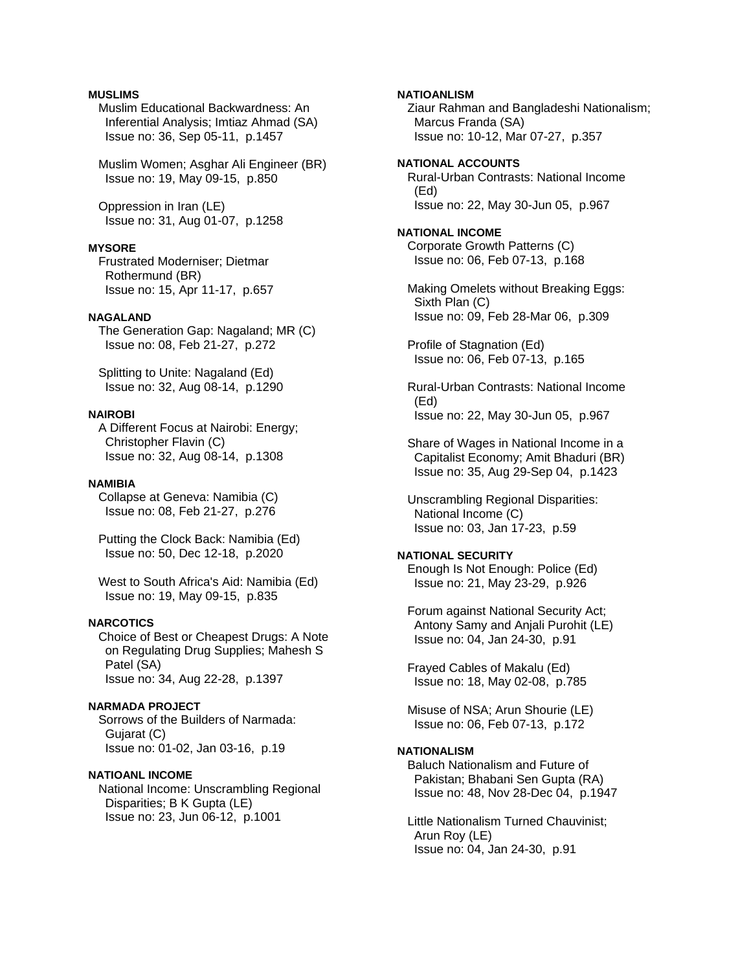# **MUSLIMS**

 Muslim Educational Backwardness: An Inferential Analysis; Imtiaz Ahmad (SA) Issue no: 36, Sep 05-11, p.1457

 Muslim Women; Asghar Ali Engineer (BR) Issue no: 19, May 09-15, p.850

 Oppression in Iran (LE) Issue no: 31, Aug 01-07, p.1258

#### **MYSORE**

 Frustrated Moderniser; Dietmar Rothermund (BR) Issue no: 15, Apr 11-17, p.657

#### **NAGALAND**

 The Generation Gap: Nagaland; MR (C) Issue no: 08, Feb 21-27, p.272

 Splitting to Unite: Nagaland (Ed) Issue no: 32, Aug 08-14, p.1290

#### **NAIROBI**

 A Different Focus at Nairobi: Energy; Christopher Flavin (C) Issue no: 32, Aug 08-14, p.1308

#### **NAMIBIA**

 Collapse at Geneva: Namibia (C) Issue no: 08, Feb 21-27, p.276

 Putting the Clock Back: Namibia (Ed) Issue no: 50, Dec 12-18, p.2020

 West to South Africa's Aid: Namibia (Ed) Issue no: 19, May 09-15, p.835

# **NARCOTICS**

 Choice of Best or Cheapest Drugs: A Note on Regulating Drug Supplies; Mahesh S Patel (SA) Issue no: 34, Aug 22-28, p.1397

### **NARMADA PROJECT**

 Sorrows of the Builders of Narmada: Gujarat (C) Issue no: 01-02, Jan 03-16, p.19

#### **NATIOANL INCOME**

 National Income: Unscrambling Regional Disparities; B K Gupta (LE) Issue no: 23, Jun 06-12, p.1001

**NATIOANLISM**  Ziaur Rahman and Bangladeshi Nationalism; Marcus Franda (SA) Issue no: 10-12, Mar 07-27, p.357 **NATIONAL ACCOUNTS**  Rural-Urban Contrasts: National Income (Ed) Issue no: 22, May 30-Jun 05, p.967 **NATIONAL INCOME**  Corporate Growth Patterns (C) Issue no: 06, Feb 07-13, p.168 Making Omelets without Breaking Eggs: Sixth Plan (C) Issue no: 09, Feb 28-Mar 06, p.309

 Profile of Stagnation (Ed) Issue no: 06, Feb 07-13, p.165

 Rural-Urban Contrasts: National Income (Ed) Issue no: 22, May 30-Jun 05, p.967

 Share of Wages in National Income in a Capitalist Economy; Amit Bhaduri (BR) Issue no: 35, Aug 29-Sep 04, p.1423

 Unscrambling Regional Disparities: National Income (C) Issue no: 03, Jan 17-23, p.59

# **NATIONAL SECURITY**

 Enough Is Not Enough: Police (Ed) Issue no: 21, May 23-29, p.926

 Forum against National Security Act; Antony Samy and Anjali Purohit (LE) Issue no: 04, Jan 24-30, p.91

 Frayed Cables of Makalu (Ed) Issue no: 18, May 02-08, p.785

 Misuse of NSA; Arun Shourie (LE) Issue no: 06, Feb 07-13, p.172

#### **NATIONALISM**

 Baluch Nationalism and Future of Pakistan; Bhabani Sen Gupta (RA) Issue no: 48, Nov 28-Dec 04, p.1947

 Little Nationalism Turned Chauvinist; Arun Roy (LE) Issue no: 04, Jan 24-30, p.91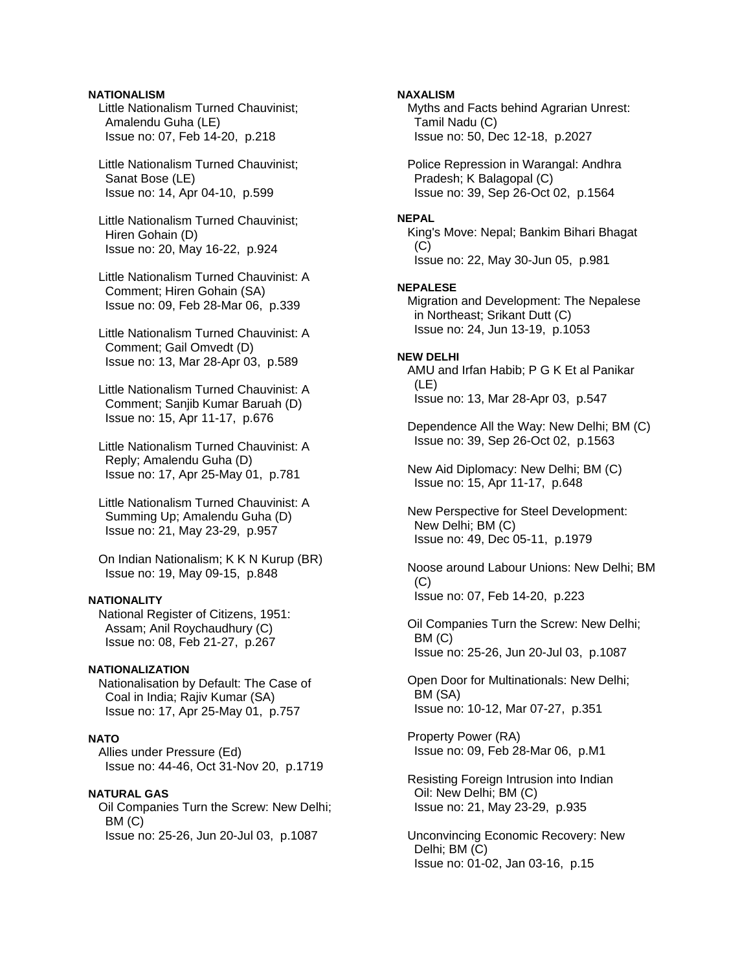## **NATIONALISM**

 Little Nationalism Turned Chauvinist; Amalendu Guha (LE) Issue no: 07, Feb 14-20, p.218

 Little Nationalism Turned Chauvinist; Sanat Bose (LE) Issue no: 14, Apr 04-10, p.599

 Little Nationalism Turned Chauvinist; Hiren Gohain (D) Issue no: 20, May 16-22, p.924

 Little Nationalism Turned Chauvinist: A Comment; Hiren Gohain (SA) Issue no: 09, Feb 28-Mar 06, p.339

 Little Nationalism Turned Chauvinist: A Comment; Gail Omvedt (D) Issue no: 13, Mar 28-Apr 03, p.589

 Little Nationalism Turned Chauvinist: A Comment; Sanjib Kumar Baruah (D) Issue no: 15, Apr 11-17, p.676

 Little Nationalism Turned Chauvinist: A Reply; Amalendu Guha (D) Issue no: 17, Apr 25-May 01, p.781

 Little Nationalism Turned Chauvinist: A Summing Up; Amalendu Guha (D) Issue no: 21, May 23-29, p.957

 On Indian Nationalism; K K N Kurup (BR) Issue no: 19, May 09-15, p.848

# **NATIONALITY**

 National Register of Citizens, 1951: Assam; Anil Roychaudhury (C) Issue no: 08, Feb 21-27, p.267

#### **NATIONALIZATION**

 Nationalisation by Default: The Case of Coal in India; Rajiv Kumar (SA) Issue no: 17, Apr 25-May 01, p.757

#### **NATO**

 Allies under Pressure (Ed) Issue no: 44-46, Oct 31-Nov 20, p.1719

#### **NATURAL GAS**

 Oil Companies Turn the Screw: New Delhi; BM (C) Issue no: 25-26, Jun 20-Jul 03, p.1087

## **NAXALISM**

 Myths and Facts behind Agrarian Unrest: Tamil Nadu (C) Issue no: 50, Dec 12-18, p.2027

 Police Repression in Warangal: Andhra Pradesh; K Balagopal (C) Issue no: 39, Sep 26-Oct 02, p.1564

#### **NEPAL**

 King's Move: Nepal; Bankim Bihari Bhagat  $(C)$ Issue no: 22, May 30-Jun 05, p.981

#### **NEPALESE**

 Migration and Development: The Nepalese in Northeast; Srikant Dutt (C) Issue no: 24, Jun 13-19, p.1053

# **NEW DELHI**

 AMU and Irfan Habib; P G K Et al Panikar (LE) Issue no: 13, Mar 28-Apr 03, p.547

 Dependence All the Way: New Delhi; BM (C) Issue no: 39, Sep 26-Oct 02, p.1563

 New Aid Diplomacy: New Delhi; BM (C) Issue no: 15, Apr 11-17, p.648

 New Perspective for Steel Development: New Delhi; BM (C) Issue no: 49, Dec 05-11, p.1979

 Noose around Labour Unions: New Delhi; BM  $(C)$ Issue no: 07, Feb 14-20, p.223

 Oil Companies Turn the Screw: New Delhi; BM (C) Issue no: 25-26, Jun 20-Jul 03, p.1087

 Open Door for Multinationals: New Delhi; BM (SA) Issue no: 10-12, Mar 07-27, p.351

 Property Power (RA) Issue no: 09, Feb 28-Mar 06, p.M1

 Resisting Foreign Intrusion into Indian Oil: New Delhi; BM (C) Issue no: 21, May 23-29, p.935

 Unconvincing Economic Recovery: New Delhi; BM (C) Issue no: 01-02, Jan 03-16, p.15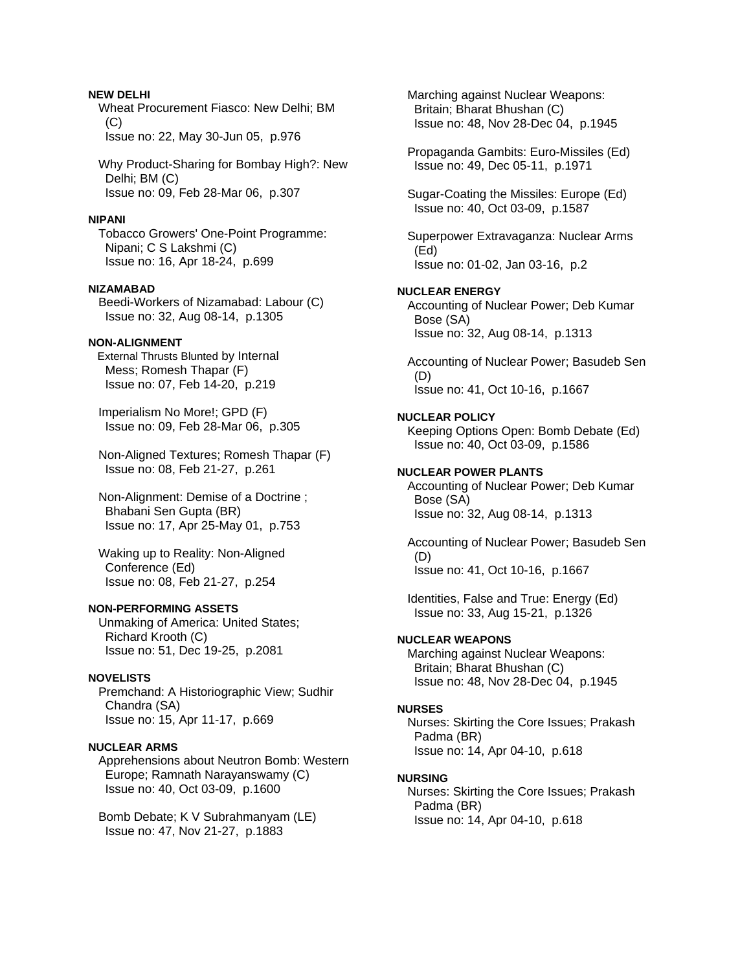# **NEW DELHI**

 Wheat Procurement Fiasco: New Delhi; BM  $(C)$ Issue no: 22, May 30-Jun 05, p.976

 Why Product-Sharing for Bombay High?: New Delhi; BM (C) Issue no: 09, Feb 28-Mar 06, p.307

#### **NIPANI**

 Tobacco Growers' One-Point Programme: Nipani; C S Lakshmi (C) Issue no: 16, Apr 18-24, p.699

# **NIZAMABAD**

 Beedi-Workers of Nizamabad: Labour (C) Issue no: 32, Aug 08-14, p.1305

#### **NON-ALIGNMENT**

**External Thrusts Blunted by Internal**  Mess; Romesh Thapar (F) Issue no: 07, Feb 14-20, p.219

 Imperialism No More!; GPD (F) Issue no: 09, Feb 28-Mar 06, p.305

 Non-Aligned Textures; Romesh Thapar (F) Issue no: 08, Feb 21-27, p.261

 Non-Alignment: Demise of a Doctrine ; Bhabani Sen Gupta (BR) Issue no: 17, Apr 25-May 01, p.753

 Waking up to Reality: Non-Aligned Conference (Ed) Issue no: 08, Feb 21-27, p.254

#### **NON-PERFORMING ASSETS**

 Unmaking of America: United States; Richard Krooth (C) Issue no: 51, Dec 19-25, p.2081

#### **NOVELISTS**

 Premchand: A Historiographic View; Sudhir Chandra (SA) Issue no: 15, Apr 11-17, p.669

### **NUCLEAR ARMS**

 Apprehensions about Neutron Bomb: Western Europe; Ramnath Narayanswamy (C) Issue no: 40, Oct 03-09, p.1600

 Bomb Debate; K V Subrahmanyam (LE) Issue no: 47, Nov 21-27, p.1883

 Marching against Nuclear Weapons: Britain; Bharat Bhushan (C) Issue no: 48, Nov 28-Dec 04, p.1945

 Propaganda Gambits: Euro-Missiles (Ed) Issue no: 49, Dec 05-11, p.1971

 Sugar-Coating the Missiles: Europe (Ed) Issue no: 40, Oct 03-09, p.1587

 Superpower Extravaganza: Nuclear Arms (Ed) Issue no: 01-02, Jan 03-16, p.2

# **NUCLEAR ENERGY**

 Accounting of Nuclear Power; Deb Kumar Bose (SA) Issue no: 32, Aug 08-14, p.1313

 Accounting of Nuclear Power; Basudeb Sen (D) Issue no: 41, Oct 10-16, p.1667

#### **NUCLEAR POLICY**

 Keeping Options Open: Bomb Debate (Ed) Issue no: 40, Oct 03-09, p.1586

#### **NUCLEAR POWER PLANTS**

 Accounting of Nuclear Power; Deb Kumar Bose (SA) Issue no: 32, Aug 08-14, p.1313

 Accounting of Nuclear Power; Basudeb Sen (D) Issue no: 41, Oct 10-16, p.1667

 Identities, False and True: Energy (Ed) Issue no: 33, Aug 15-21, p.1326

# **NUCLEAR WEAPONS**

 Marching against Nuclear Weapons: Britain; Bharat Bhushan (C) Issue no: 48, Nov 28-Dec 04, p.1945

#### **NURSES**

 Nurses: Skirting the Core Issues; Prakash Padma (BR) Issue no: 14, Apr 04-10, p.618

#### **NURSING**

 Nurses: Skirting the Core Issues; Prakash Padma (BR) Issue no: 14, Apr 04-10, p.618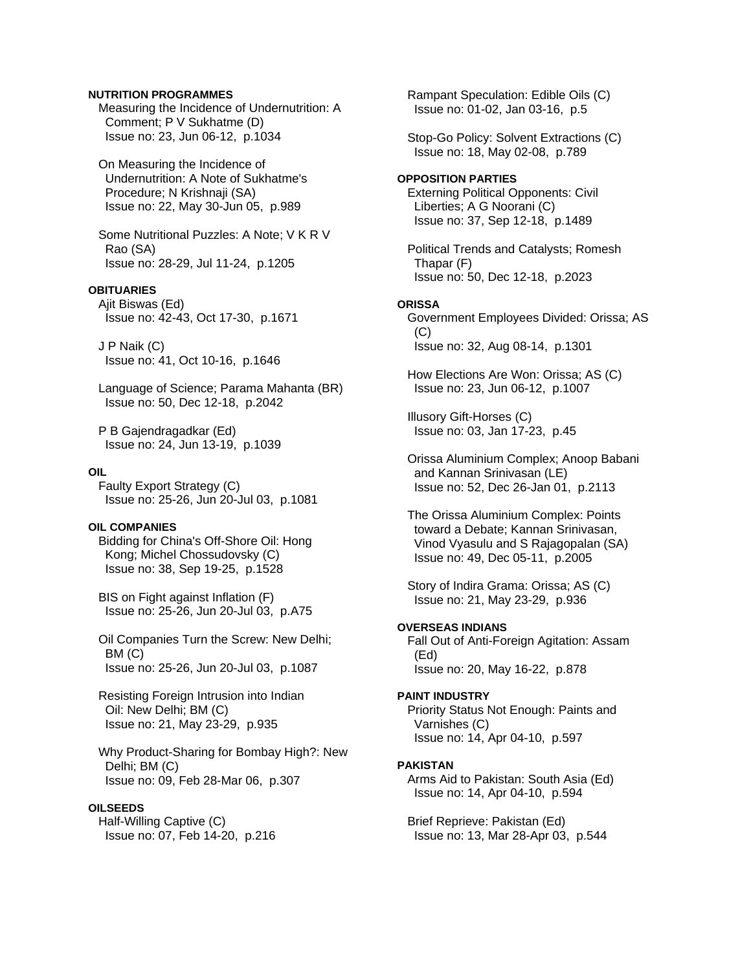# **NUTRITION PROGRAMMES**

 Measuring the Incidence of Undernutrition: A Comment; P V Sukhatme (D) Issue no: 23, Jun 06-12, p.1034

 On Measuring the Incidence of Undernutrition: A Note of Sukhatme's Procedure; N Krishnaji (SA) Issue no: 22, May 30-Jun 05, p.989

 Some Nutritional Puzzles: A Note; V K R V Rao (SA) Issue no: 28-29, Jul 11-24, p.1205

# **OBITUARIES**

 Ajit Biswas (Ed) Issue no: 42-43, Oct 17-30, p.1671

 J P Naik (C) Issue no: 41, Oct 10-16, p.1646

 Language of Science; Parama Mahanta (BR) Issue no: 50, Dec 12-18, p.2042

 P B Gajendragadkar (Ed) Issue no: 24, Jun 13-19, p.1039

#### **OIL**

 Faulty Export Strategy (C) Issue no: 25-26, Jun 20-Jul 03, p.1081

#### **OIL COMPANIES**

 Bidding for China's Off-Shore Oil: Hong Kong; Michel Chossudovsky (C) Issue no: 38, Sep 19-25, p.1528

 BIS on Fight against Inflation (F) Issue no: 25-26, Jun 20-Jul 03, p.A75

 Oil Companies Turn the Screw: New Delhi; BM (C) Issue no: 25-26, Jun 20-Jul 03, p.1087

 Resisting Foreign Intrusion into Indian Oil: New Delhi; BM (C) Issue no: 21, May 23-29, p.935

 Why Product-Sharing for Bombay High?: New Delhi; BM (C) Issue no: 09, Feb 28-Mar 06, p.307

# **OILSEEDS**

 Half-Willing Captive (C) Issue no: 07, Feb 14-20, p.216  Rampant Speculation: Edible Oils (C) Issue no: 01-02, Jan 03-16, p.5

 Stop-Go Policy: Solvent Extractions (C) Issue no: 18, May 02-08, p.789

### **OPPOSITION PARTIES**

 Externing Political Opponents: Civil Liberties; A G Noorani (C) Issue no: 37, Sep 12-18, p.1489

 Political Trends and Catalysts; Romesh Thapar (F) Issue no: 50, Dec 12-18, p.2023

#### **ORISSA**

 Government Employees Divided: Orissa; AS  $(C)$ Issue no: 32, Aug 08-14, p.1301

 How Elections Are Won: Orissa; AS (C) Issue no: 23, Jun 06-12, p.1007

 Illusory Gift-Horses (C) Issue no: 03, Jan 17-23, p.45

 Orissa Aluminium Complex; Anoop Babani and Kannan Srinivasan (LE) Issue no: 52, Dec 26-Jan 01, p.2113

 The Orissa Aluminium Complex: Points toward a Debate; Kannan Srinivasan, Vinod Vyasulu and S Rajagopalan (SA) Issue no: 49, Dec 05-11, p.2005

 Story of Indira Grama: Orissa; AS (C) Issue no: 21, May 23-29, p.936

### **OVERSEAS INDIANS**

 Fall Out of Anti-Foreign Agitation: Assam (Ed) Issue no: 20, May 16-22, p.878

#### **PAINT INDUSTRY**

 Priority Status Not Enough: Paints and Varnishes (C) Issue no: 14, Apr 04-10, p.597

#### **PAKISTAN**

 Arms Aid to Pakistan: South Asia (Ed) Issue no: 14, Apr 04-10, p.594

 Brief Reprieve: Pakistan (Ed) Issue no: 13, Mar 28-Apr 03, p.544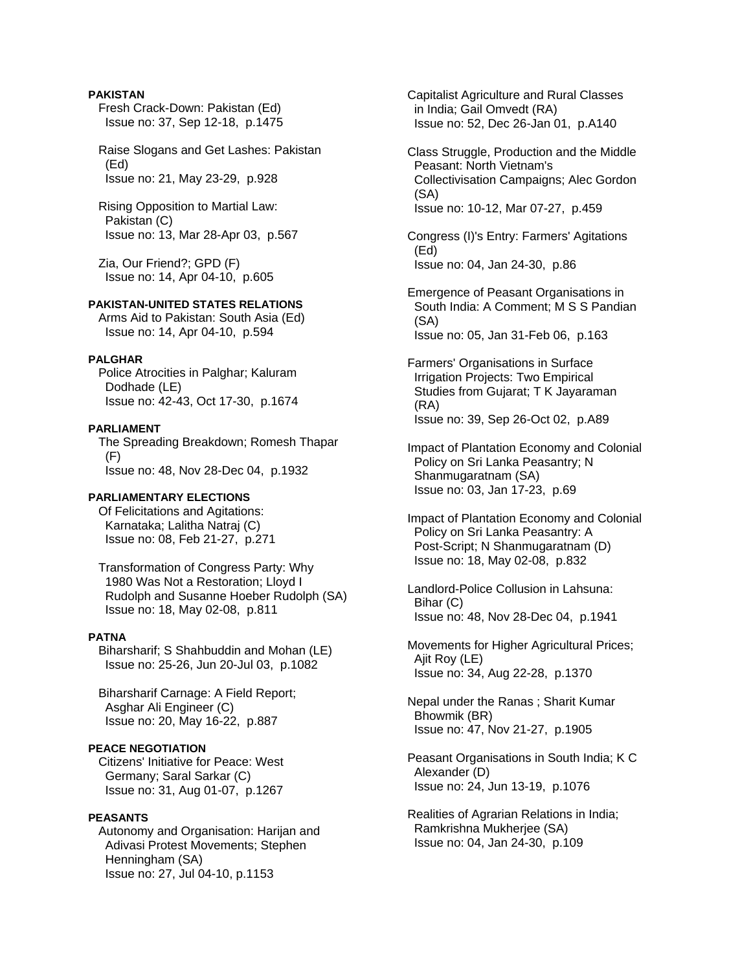# **PAKISTAN**

 Fresh Crack-Down: Pakistan (Ed) Issue no: 37, Sep 12-18, p.1475

 Raise Slogans and Get Lashes: Pakistan (Ed) Issue no: 21, May 23-29, p.928

 Rising Opposition to Martial Law: Pakistan (C) Issue no: 13, Mar 28-Apr 03, p.567

 Zia, Our Friend?; GPD (F) Issue no: 14, Apr 04-10, p.605

# **PAKISTAN-UNITED STATES RELATIONS**

 Arms Aid to Pakistan: South Asia (Ed) Issue no: 14, Apr 04-10, p.594

# **PALGHAR**

 Police Atrocities in Palghar; Kaluram Dodhade (LE) Issue no: 42-43, Oct 17-30, p.1674

#### **PARLIAMENT**

 The Spreading Breakdown; Romesh Thapar (F) Issue no: 48, Nov 28-Dec 04, p.1932

# **PARLIAMENTARY ELECTIONS**

 Of Felicitations and Agitations: Karnataka; Lalitha Natraj (C) Issue no: 08, Feb 21-27, p.271

 Transformation of Congress Party: Why 1980 Was Not a Restoration; Lloyd I Rudolph and Susanne Hoeber Rudolph (SA) Issue no: 18, May 02-08, p.811

# **PATNA**

 Biharsharif; S Shahbuddin and Mohan (LE) Issue no: 25-26, Jun 20-Jul 03, p.1082

 Biharsharif Carnage: A Field Report; Asghar Ali Engineer (C) Issue no: 20, May 16-22, p.887

# **PEACE NEGOTIATION**

 Citizens' Initiative for Peace: West Germany; Saral Sarkar (C) Issue no: 31, Aug 01-07, p.1267

### **PEASANTS**

 Autonomy and Organisation: Harijan and Adivasi Protest Movements; Stephen Henningham (SA) Issue no: 27, Jul 04-10, p.1153

 Capitalist Agriculture and Rural Classes in India; Gail Omvedt (RA) Issue no: 52, Dec 26-Jan 01, p.A140

 Class Struggle, Production and the Middle Peasant: North Vietnam's Collectivisation Campaigns; Alec Gordon (SA) Issue no: 10-12, Mar 07-27, p.459

 Congress (I)'s Entry: Farmers' Agitations (Ed) Issue no: 04, Jan 24-30, p.86

 Emergence of Peasant Organisations in South India: A Comment; M S S Pandian (SA) Issue no: 05, Jan 31-Feb 06, p.163

 Farmers' Organisations in Surface Irrigation Projects: Two Empirical Studies from Gujarat; T K Jayaraman (RA) Issue no: 39, Sep 26-Oct 02, p.A89

 Impact of Plantation Economy and Colonial Policy on Sri Lanka Peasantry; N Shanmugaratnam (SA) Issue no: 03, Jan 17-23, p.69

 Impact of Plantation Economy and Colonial Policy on Sri Lanka Peasantry: A Post-Script; N Shanmugaratnam (D) Issue no: 18, May 02-08, p.832

 Landlord-Police Collusion in Lahsuna: Bihar (C) Issue no: 48, Nov 28-Dec 04, p.1941

 Movements for Higher Agricultural Prices; Ajit Roy (LE) Issue no: 34, Aug 22-28, p.1370

 Nepal under the Ranas ; Sharit Kumar Bhowmik (BR) Issue no: 47, Nov 21-27, p.1905

 Peasant Organisations in South India; K C Alexander (D) Issue no: 24, Jun 13-19, p.1076

 Realities of Agrarian Relations in India; Ramkrishna Mukherjee (SA) Issue no: 04, Jan 24-30, p.109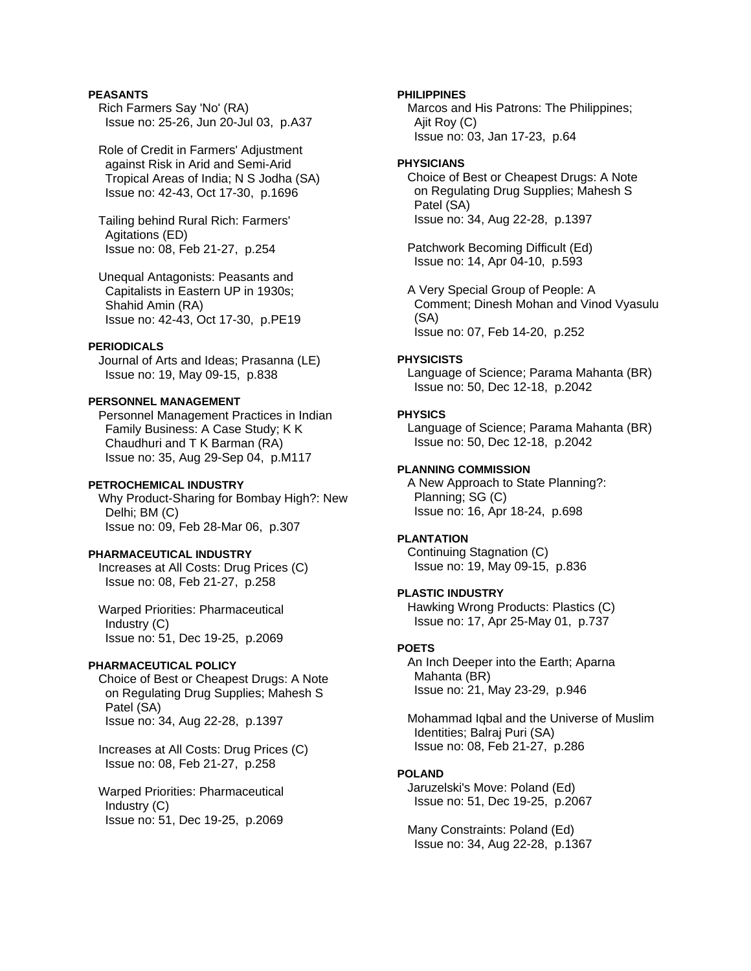# **PEASANTS**

 Rich Farmers Say 'No' (RA) Issue no: 25-26, Jun 20-Jul 03, p.A37

 Role of Credit in Farmers' Adjustment against Risk in Arid and Semi-Arid Tropical Areas of India; N S Jodha (SA) Issue no: 42-43, Oct 17-30, p.1696

 Tailing behind Rural Rich: Farmers' Agitations (ED) Issue no: 08, Feb 21-27, p.254

 Unequal Antagonists: Peasants and Capitalists in Eastern UP in 1930s; Shahid Amin (RA) Issue no: 42-43, Oct 17-30, p.PE19

# **PERIODICALS**

 Journal of Arts and Ideas; Prasanna (LE) Issue no: 19, May 09-15, p.838

### **PERSONNEL MANAGEMENT**

 Personnel Management Practices in Indian Family Business: A Case Study; K K Chaudhuri and T K Barman (RA) Issue no: 35, Aug 29-Sep 04, p.M117

# **PETROCHEMICAL INDUSTRY**

 Why Product-Sharing for Bombay High?: New Delhi; BM (C) Issue no: 09, Feb 28-Mar 06, p.307

# **PHARMACEUTICAL INDUSTRY**

 Increases at All Costs: Drug Prices (C) Issue no: 08, Feb 21-27, p.258

 Warped Priorities: Pharmaceutical Industry (C) Issue no: 51, Dec 19-25, p.2069

#### **PHARMACEUTICAL POLICY**

 Choice of Best or Cheapest Drugs: A Note on Regulating Drug Supplies; Mahesh S Patel (SA) Issue no: 34, Aug 22-28, p.1397

 Increases at All Costs: Drug Prices (C) Issue no: 08, Feb 21-27, p.258

 Warped Priorities: Pharmaceutical Industry (C) Issue no: 51, Dec 19-25, p.2069

#### **PHILIPPINES**

 Marcos and His Patrons: The Philippines; Ajit Roy (C) Issue no: 03, Jan 17-23, p.64

# **PHYSICIANS**

 Choice of Best or Cheapest Drugs: A Note on Regulating Drug Supplies; Mahesh S Patel (SA) Issue no: 34, Aug 22-28, p.1397

 Patchwork Becoming Difficult (Ed) Issue no: 14, Apr 04-10, p.593

 A Very Special Group of People: A Comment; Dinesh Mohan and Vinod Vyasulu (SA) Issue no: 07, Feb 14-20, p.252

#### **PHYSICISTS**

 Language of Science; Parama Mahanta (BR) Issue no: 50, Dec 12-18, p.2042

#### **PHYSICS**

 Language of Science; Parama Mahanta (BR) Issue no: 50, Dec 12-18, p.2042

#### **PLANNING COMMISSION**

 A New Approach to State Planning?: Planning; SG (C) Issue no: 16, Apr 18-24, p.698

#### **PLANTATION**

 Continuing Stagnation (C) Issue no: 19, May 09-15, p.836

# **PLASTIC INDUSTRY**

 Hawking Wrong Products: Plastics (C) Issue no: 17, Apr 25-May 01, p.737

# **POETS**

 An Inch Deeper into the Earth; Aparna Mahanta (BR) Issue no: 21, May 23-29, p.946

 Mohammad Iqbal and the Universe of Muslim Identities; Balraj Puri (SA) Issue no: 08, Feb 21-27, p.286

# **POLAND**

 Jaruzelski's Move: Poland (Ed) Issue no: 51, Dec 19-25, p.2067

 Many Constraints: Poland (Ed) Issue no: 34, Aug 22-28, p.1367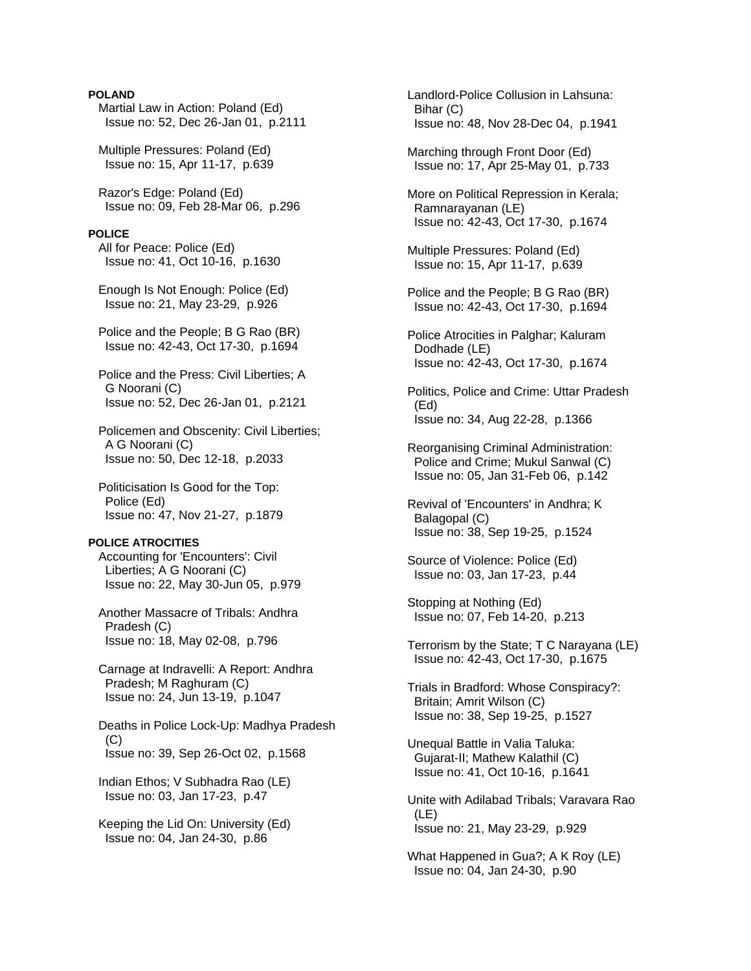# **POLAND**

 Martial Law in Action: Poland (Ed) Issue no: 52, Dec 26-Jan 01, p.2111

 Multiple Pressures: Poland (Ed) Issue no: 15, Apr 11-17, p.639

 Razor's Edge: Poland (Ed) Issue no: 09, Feb 28-Mar 06, p.296

#### **POLICE**

 All for Peace: Police (Ed) Issue no: 41, Oct 10-16, p.1630

 Enough Is Not Enough: Police (Ed) Issue no: 21, May 23-29, p.926

 Police and the People; B G Rao (BR) Issue no: 42-43, Oct 17-30, p.1694

 Police and the Press: Civil Liberties; A G Noorani (C) Issue no: 52, Dec 26-Jan 01, p.2121

 Policemen and Obscenity: Civil Liberties; A G Noorani (C) Issue no: 50, Dec 12-18, p.2033

 Politicisation Is Good for the Top: Police (Ed) Issue no: 47, Nov 21-27, p.1879

#### **POLICE ATROCITIES**

 Accounting for 'Encounters': Civil Liberties; A G Noorani (C) Issue no: 22, May 30-Jun 05, p.979

 Another Massacre of Tribals: Andhra Pradesh (C) Issue no: 18, May 02-08, p.796

 Carnage at Indravelli: A Report: Andhra Pradesh; M Raghuram (C) Issue no: 24, Jun 13-19, p.1047

 Deaths in Police Lock-Up: Madhya Pradesh (C) Issue no: 39, Sep 26-Oct 02, p.1568

 Indian Ethos; V Subhadra Rao (LE) Issue no: 03, Jan 17-23, p.47

 Keeping the Lid On: University (Ed) Issue no: 04, Jan 24-30, p.86

 Landlord-Police Collusion in Lahsuna: Bihar (C) Issue no: 48, Nov 28-Dec 04, p.1941 Marching through Front Door (Ed) Issue no: 17, Apr 25-May 01, p.733 More on Political Repression in Kerala; Ramnarayanan (LE) Issue no: 42-43, Oct 17-30, p.1674 Multiple Pressures: Poland (Ed) Issue no: 15, Apr 11-17, p.639 Police and the People; B G Rao (BR) Issue no: 42-43, Oct 17-30, p.1694 Police Atrocities in Palghar; Kaluram Dodhade (LE) Issue no: 42-43, Oct 17-30, p.1674 Politics, Police and Crime: Uttar Pradesh (Ed) Issue no: 34, Aug 22-28, p.1366 Reorganising Criminal Administration: Police and Crime; Mukul Sanwal (C) Issue no: 05, Jan 31-Feb 06, p.142 Revival of 'Encounters' in Andhra; K Balagopal (C) Issue no: 38, Sep 19-25, p.1524 Source of Violence: Police (Ed) Issue no: 03, Jan 17-23, p.44 Stopping at Nothing (Ed) Issue no: 07, Feb 14-20, p.213 Terrorism by the State; T C Narayana (LE) Issue no: 42-43, Oct 17-30, p.1675 Trials in Bradford: Whose Conspiracy?: Britain; Amrit Wilson (C) Issue no: 38, Sep 19-25, p.1527 Unequal Battle in Valia Taluka: Gujarat-II; Mathew Kalathil (C) Issue no: 41, Oct 10-16, p.1641 Unite with Adilabad Tribals; Varavara Rao (LE) Issue no: 21, May 23-29, p.929 What Happened in Gua?; A K Roy (LE) Issue no: 04, Jan 24-30, p.90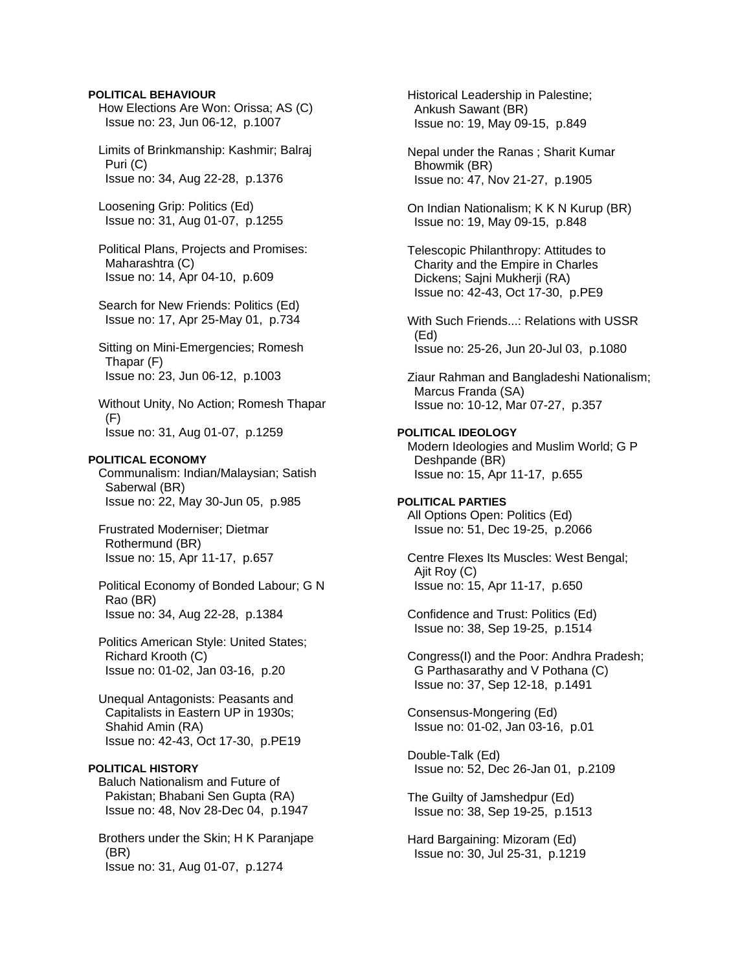### **POLITICAL BEHAVIOUR**

 How Elections Are Won: Orissa; AS (C) Issue no: 23, Jun 06-12, p.1007

 Limits of Brinkmanship: Kashmir; Balraj Puri (C) Issue no: 34, Aug 22-28, p.1376

 Loosening Grip: Politics (Ed) Issue no: 31, Aug 01-07, p.1255

 Political Plans, Projects and Promises: Maharashtra (C) Issue no: 14, Apr 04-10, p.609

- Search for New Friends: Politics (Ed) Issue no: 17, Apr 25-May 01, p.734
- Sitting on Mini-Emergencies; Romesh Thapar (F) Issue no: 23, Jun 06-12, p.1003

 Without Unity, No Action; Romesh Thapar (F) Issue no: 31, Aug 01-07, p.1259

#### **POLITICAL ECONOMY**

 Communalism: Indian/Malaysian; Satish Saberwal (BR) Issue no: 22, May 30-Jun 05, p.985

 Frustrated Moderniser; Dietmar Rothermund (BR) Issue no: 15, Apr 11-17, p.657

 Political Economy of Bonded Labour; G N Rao (BR) Issue no: 34, Aug 22-28, p.1384

 Politics American Style: United States; Richard Krooth (C) Issue no: 01-02, Jan 03-16, p.20

 Unequal Antagonists: Peasants and Capitalists in Eastern UP in 1930s; Shahid Amin (RA) Issue no: 42-43, Oct 17-30, p.PE19

# **POLITICAL HISTORY**

 Baluch Nationalism and Future of Pakistan; Bhabani Sen Gupta (RA) Issue no: 48, Nov 28-Dec 04, p.1947

 Brothers under the Skin; H K Paranjape (BR) Issue no: 31, Aug 01-07, p.1274

 Historical Leadership in Palestine; Ankush Sawant (BR) Issue no: 19, May 09-15, p.849

 Nepal under the Ranas ; Sharit Kumar Bhowmik (BR) Issue no: 47, Nov 21-27, p.1905

 On Indian Nationalism; K K N Kurup (BR) Issue no: 19, May 09-15, p.848

 Telescopic Philanthropy: Attitudes to Charity and the Empire in Charles Dickens; Sajni Mukherji (RA) Issue no: 42-43, Oct 17-30, p.PE9

 With Such Friends...: Relations with USSR (Ed) Issue no: 25-26, Jun 20-Jul 03, p.1080

 Ziaur Rahman and Bangladeshi Nationalism; Marcus Franda (SA) Issue no: 10-12, Mar 07-27, p.357

- **POLITICAL IDEOLOGY**  Modern Ideologies and Muslim World; G P Deshpande (BR) Issue no: 15, Apr 11-17, p.655
- **POLITICAL PARTIES**  All Options Open: Politics (Ed) Issue no: 51, Dec 19-25, p.2066

 Centre Flexes Its Muscles: West Bengal; Ajit Roy (C) Issue no: 15, Apr 11-17, p.650

 Confidence and Trust: Politics (Ed) Issue no: 38, Sep 19-25, p.1514

 Congress(I) and the Poor: Andhra Pradesh; G Parthasarathy and V Pothana (C) Issue no: 37, Sep 12-18, p.1491

 Consensus-Mongering (Ed) Issue no: 01-02, Jan 03-16, p.01

 Double-Talk (Ed) Issue no: 52, Dec 26-Jan 01, p.2109

 The Guilty of Jamshedpur (Ed) Issue no: 38, Sep 19-25, p.1513

 Hard Bargaining: Mizoram (Ed) Issue no: 30, Jul 25-31, p.1219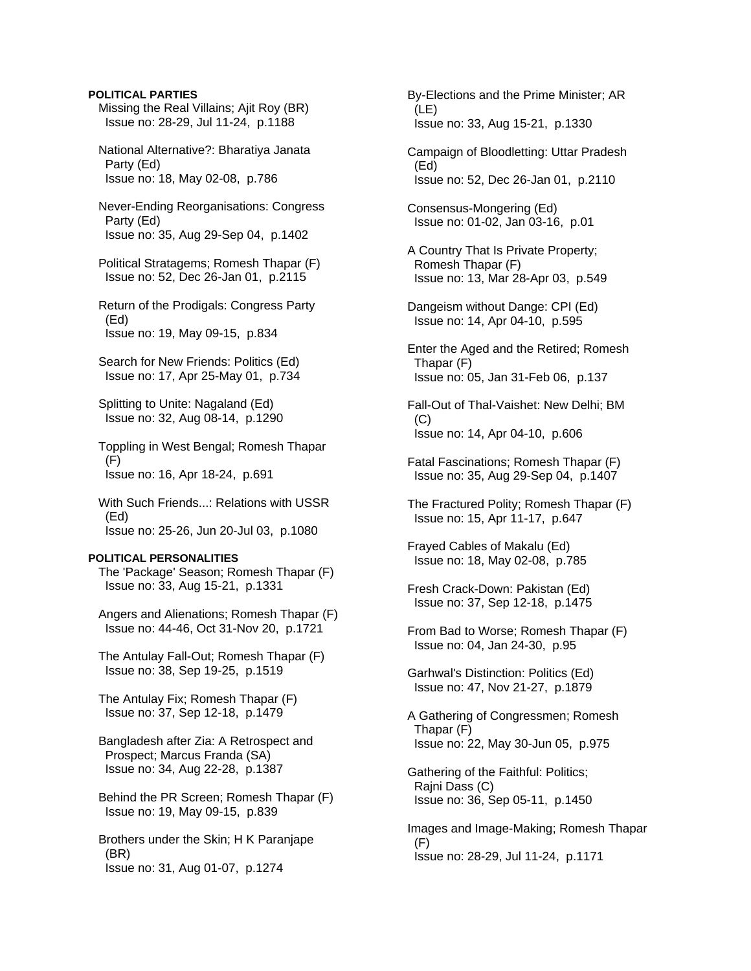# **POLITICAL PARTIES**

 Missing the Real Villains; Ajit Roy (BR) Issue no: 28-29, Jul 11-24, p.1188

 National Alternative?: Bharatiya Janata Party (Ed) Issue no: 18, May 02-08, p.786

- Never-Ending Reorganisations: Congress Party (Ed) Issue no: 35, Aug 29-Sep 04, p.1402
- Political Stratagems; Romesh Thapar (F) Issue no: 52, Dec 26-Jan 01, p.2115
- Return of the Prodigals: Congress Party (Ed) Issue no: 19, May 09-15, p.834
- Search for New Friends: Politics (Ed) Issue no: 17, Apr 25-May 01, p.734
- Splitting to Unite: Nagaland (Ed) Issue no: 32, Aug 08-14, p.1290
- Toppling in West Bengal; Romesh Thapar (F) Issue no: 16, Apr 18-24, p.691
- With Such Friends...: Relations with USSR (Ed) Issue no: 25-26, Jun 20-Jul 03, p.1080

### **POLITICAL PERSONALITIES**

 The 'Package' Season; Romesh Thapar (F) Issue no: 33, Aug 15-21, p.1331

- Angers and Alienations; Romesh Thapar (F) Issue no: 44-46, Oct 31-Nov 20, p.1721
- The Antulay Fall-Out; Romesh Thapar (F) Issue no: 38, Sep 19-25, p.1519
- The Antulay Fix; Romesh Thapar (F) Issue no: 37, Sep 12-18, p.1479
- Bangladesh after Zia: A Retrospect and Prospect; Marcus Franda (SA) Issue no: 34, Aug 22-28, p.1387
- Behind the PR Screen; Romesh Thapar (F) Issue no: 19, May 09-15, p.839

 Brothers under the Skin; H K Paranjape (BR) Issue no: 31, Aug 01-07, p.1274

- By-Elections and the Prime Minister; AR (LE) Issue no: 33, Aug 15-21, p.1330
- Campaign of Bloodletting: Uttar Pradesh (Ed) Issue no: 52, Dec 26-Jan 01, p.2110
- Consensus-Mongering (Ed) Issue no: 01-02, Jan 03-16, p.01
- A Country That Is Private Property; Romesh Thapar (F) Issue no: 13, Mar 28-Apr 03, p.549
- Dangeism without Dange: CPI (Ed) Issue no: 14, Apr 04-10, p.595
- Enter the Aged and the Retired; Romesh Thapar (F) Issue no: 05, Jan 31-Feb 06, p.137
- Fall-Out of Thal-Vaishet: New Delhi; BM  $(C)$ Issue no: 14, Apr 04-10, p.606
- Fatal Fascinations; Romesh Thapar (F) Issue no: 35, Aug 29-Sep 04, p.1407
- The Fractured Polity; Romesh Thapar (F) Issue no: 15, Apr 11-17, p.647
- Frayed Cables of Makalu (Ed) Issue no: 18, May 02-08, p.785
- Fresh Crack-Down: Pakistan (Ed) Issue no: 37, Sep 12-18, p.1475
- From Bad to Worse; Romesh Thapar (F) Issue no: 04, Jan 24-30, p.95
- Garhwal's Distinction: Politics (Ed) Issue no: 47, Nov 21-27, p.1879
- A Gathering of Congressmen; Romesh Thapar (F) Issue no: 22, May 30-Jun 05, p.975
- Gathering of the Faithful: Politics; Rajni Dass (C) Issue no: 36, Sep 05-11, p.1450
- Images and Image-Making; Romesh Thapar (F) Issue no: 28-29, Jul 11-24, p.1171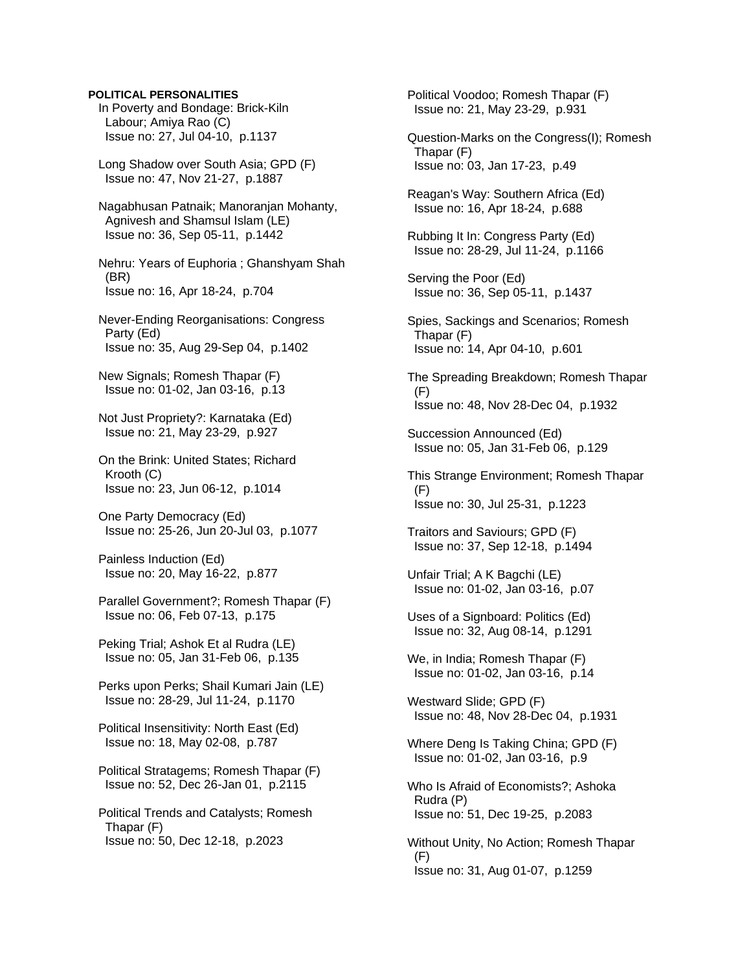### **POLITICAL PERSONALITIES**

 In Poverty and Bondage: Brick-Kiln Labour; Amiya Rao (C) Issue no: 27, Jul 04-10, p.1137

 Long Shadow over South Asia; GPD (F) Issue no: 47, Nov 21-27, p.1887

 Nagabhusan Patnaik; Manoranjan Mohanty, Agnivesh and Shamsul Islam (LE) Issue no: 36, Sep 05-11, p.1442

 Nehru: Years of Euphoria ; Ghanshyam Shah (BR) Issue no: 16, Apr 18-24, p.704

 Never-Ending Reorganisations: Congress Party (Ed) Issue no: 35, Aug 29-Sep 04, p.1402

 New Signals; Romesh Thapar (F) Issue no: 01-02, Jan 03-16, p.13

 Not Just Propriety?: Karnataka (Ed) Issue no: 21, May 23-29, p.927

 On the Brink: United States; Richard Krooth (C) Issue no: 23, Jun 06-12, p.1014

 One Party Democracy (Ed) Issue no: 25-26, Jun 20-Jul 03, p.1077

 Painless Induction (Ed) Issue no: 20, May 16-22, p.877

 Parallel Government?; Romesh Thapar (F) Issue no: 06, Feb 07-13, p.175

 Peking Trial; Ashok Et al Rudra (LE) Issue no: 05, Jan 31-Feb 06, p.135

 Perks upon Perks; Shail Kumari Jain (LE) Issue no: 28-29, Jul 11-24, p.1170

 Political Insensitivity: North East (Ed) Issue no: 18, May 02-08, p.787

 Political Stratagems; Romesh Thapar (F) Issue no: 52, Dec 26-Jan 01, p.2115

 Political Trends and Catalysts; Romesh Thapar (F) Issue no: 50, Dec 12-18, p.2023

 Political Voodoo; Romesh Thapar (F) Issue no: 21, May 23-29, p.931 Question-Marks on the Congress(I); Romesh Thapar (F) Issue no: 03, Jan 17-23, p.49 Reagan's Way: Southern Africa (Ed) Issue no: 16, Apr 18-24, p.688 Rubbing It In: Congress Party (Ed) Issue no: 28-29, Jul 11-24, p.1166 Serving the Poor (Ed) Issue no: 36, Sep 05-11, p.1437 Spies, Sackings and Scenarios; Romesh Thapar (F) Issue no: 14, Apr 04-10, p.601 The Spreading Breakdown; Romesh Thapar  $(F)$  Issue no: 48, Nov 28-Dec 04, p.1932 Succession Announced (Ed) Issue no: 05, Jan 31-Feb 06, p.129 This Strange Environment; Romesh Thapar (F) Issue no: 30, Jul 25-31, p.1223 Traitors and Saviours; GPD (F) Issue no: 37, Sep 12-18, p.1494 Unfair Trial; A K Bagchi (LE) Issue no: 01-02, Jan 03-16, p.07 Uses of a Signboard: Politics (Ed) Issue no: 32, Aug 08-14, p.1291 We, in India; Romesh Thapar (F) Issue no: 01-02, Jan 03-16, p.14 Westward Slide; GPD (F) Issue no: 48, Nov 28-Dec 04, p.1931 Where Deng Is Taking China; GPD (F) Issue no: 01-02, Jan 03-16, p.9 Who Is Afraid of Economists?; Ashoka Rudra (P) Issue no: 51, Dec 19-25, p.2083 Without Unity, No Action; Romesh Thapar (F) Issue no: 31, Aug 01-07, p.1259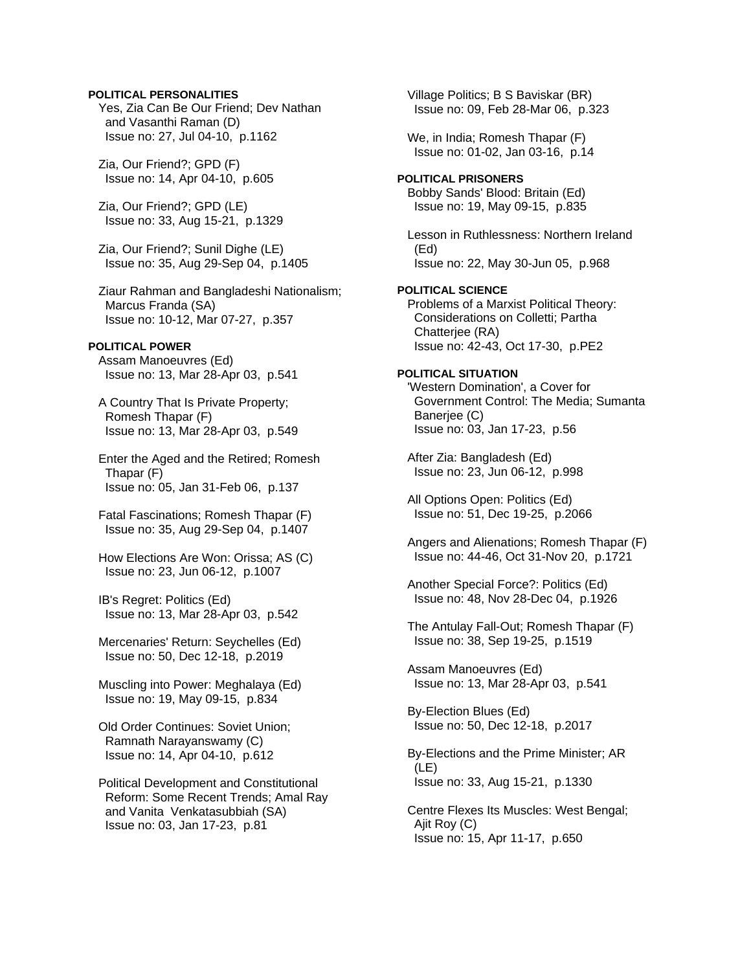# **POLITICAL PERSONALITIES**

 Yes, Zia Can Be Our Friend; Dev Nathan and Vasanthi Raman (D) Issue no: 27, Jul 04-10, p.1162

 Zia, Our Friend?; GPD (F) Issue no: 14, Apr 04-10, p.605

 Zia, Our Friend?; GPD (LE) Issue no: 33, Aug 15-21, p.1329

 Zia, Our Friend?; Sunil Dighe (LE) Issue no: 35, Aug 29-Sep 04, p.1405

 Ziaur Rahman and Bangladeshi Nationalism; Marcus Franda (SA) Issue no: 10-12, Mar 07-27, p.357

# **POLITICAL POWER**

 Assam Manoeuvres (Ed) Issue no: 13, Mar 28-Apr 03, p.541

 A Country That Is Private Property; Romesh Thapar (F) Issue no: 13, Mar 28-Apr 03, p.549

 Enter the Aged and the Retired; Romesh Thapar (F) Issue no: 05, Jan 31-Feb 06, p.137

 Fatal Fascinations; Romesh Thapar (F) Issue no: 35, Aug 29-Sep 04, p.1407

 How Elections Are Won: Orissa; AS (C) Issue no: 23, Jun 06-12, p.1007

 IB's Regret: Politics (Ed) Issue no: 13, Mar 28-Apr 03, p.542

 Mercenaries' Return: Seychelles (Ed) Issue no: 50, Dec 12-18, p.2019

 Muscling into Power: Meghalaya (Ed) Issue no: 19, May 09-15, p.834

 Old Order Continues: Soviet Union; Ramnath Narayanswamy (C) Issue no: 14, Apr 04-10, p.612

 Political Development and Constitutional Reform: Some Recent Trends; Amal Ray and Vanita Venkatasubbiah (SA) Issue no: 03, Jan 17-23, p.81

 Village Politics; B S Baviskar (BR) Issue no: 09, Feb 28-Mar 06, p.323

 We, in India; Romesh Thapar (F) Issue no: 01-02, Jan 03-16, p.14

### **POLITICAL PRISONERS**  Bobby Sands' Blood: Britain (Ed) Issue no: 19, May 09-15, p.835

 Lesson in Ruthlessness: Northern Ireland (Ed) Issue no: 22, May 30-Jun 05, p.968

# **POLITICAL SCIENCE**  Problems of a Marxist Political Theory: Considerations on Colletti; Partha Chatterjee (RA) Issue no: 42-43, Oct 17-30, p.PE2

# **POLITICAL SITUATION**

 'Western Domination', a Cover for Government Control: The Media; Sumanta Banerjee (C) Issue no: 03, Jan 17-23, p.56

 After Zia: Bangladesh (Ed) Issue no: 23, Jun 06-12, p.998

 All Options Open: Politics (Ed) Issue no: 51, Dec 19-25, p.2066

 Angers and Alienations; Romesh Thapar (F) Issue no: 44-46, Oct 31-Nov 20, p.1721

 Another Special Force?: Politics (Ed) Issue no: 48, Nov 28-Dec 04, p.1926

 The Antulay Fall-Out; Romesh Thapar (F) Issue no: 38, Sep 19-25, p.1519

 Assam Manoeuvres (Ed) Issue no: 13, Mar 28-Apr 03, p.541

 By-Election Blues (Ed) Issue no: 50, Dec 12-18, p.2017

 By-Elections and the Prime Minister; AR (LE) Issue no: 33, Aug 15-21, p.1330

 Centre Flexes Its Muscles: West Bengal; Ajit Roy (C) Issue no: 15, Apr 11-17, p.650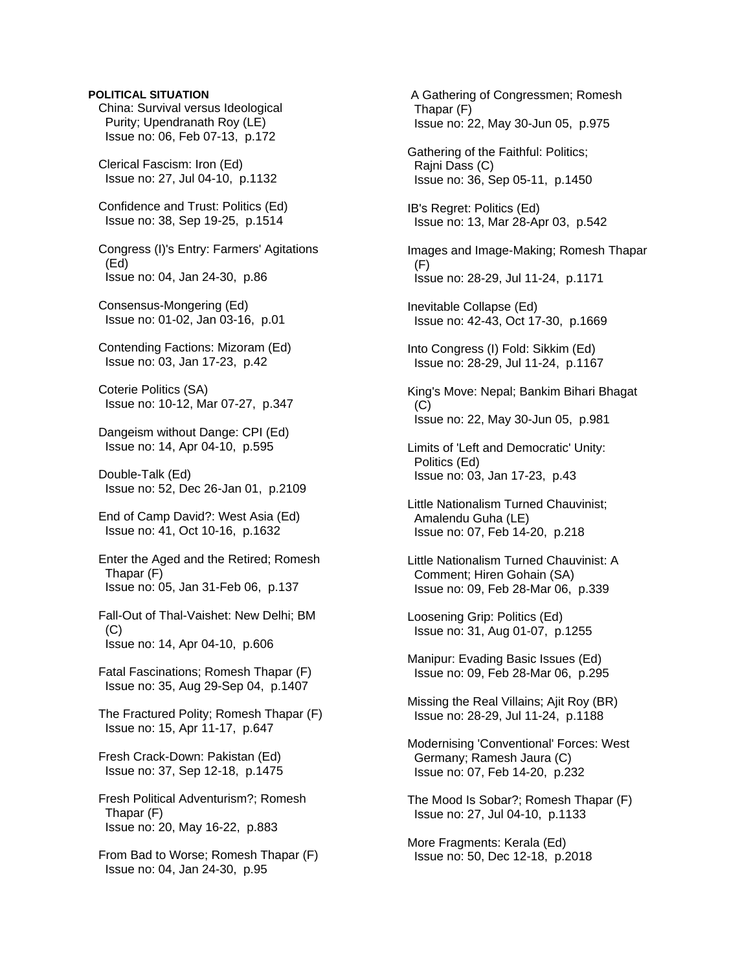#### **POLITICAL SITUATION**

 China: Survival versus Ideological Purity; Upendranath Roy (LE) Issue no: 06, Feb 07-13, p.172

 Clerical Fascism: Iron (Ed) Issue no: 27, Jul 04-10, p.1132

 Confidence and Trust: Politics (Ed) Issue no: 38, Sep 19-25, p.1514

 Congress (I)'s Entry: Farmers' Agitations (Ed) Issue no: 04, Jan 24-30, p.86

 Consensus-Mongering (Ed) Issue no: 01-02, Jan 03-16, p.01

 Contending Factions: Mizoram (Ed) Issue no: 03, Jan 17-23, p.42

 Coterie Politics (SA) Issue no: 10-12, Mar 07-27, p.347

 Dangeism without Dange: CPI (Ed) Issue no: 14, Apr 04-10, p.595

 Double-Talk (Ed) Issue no: 52, Dec 26-Jan 01, p.2109

 End of Camp David?: West Asia (Ed) Issue no: 41, Oct 10-16, p.1632

 Enter the Aged and the Retired; Romesh Thapar (F) Issue no: 05, Jan 31-Feb 06, p.137

 Fall-Out of Thal-Vaishet: New Delhi; BM  $(C)$ Issue no: 14, Apr 04-10, p.606

 Fatal Fascinations; Romesh Thapar (F) Issue no: 35, Aug 29-Sep 04, p.1407

 The Fractured Polity; Romesh Thapar (F) Issue no: 15, Apr 11-17, p.647

 Fresh Crack-Down: Pakistan (Ed) Issue no: 37, Sep 12-18, p.1475

 Fresh Political Adventurism?; Romesh Thapar (F) Issue no: 20, May 16-22, p.883

 From Bad to Worse; Romesh Thapar (F) Issue no: 04, Jan 24-30, p.95

 A Gathering of Congressmen; Romesh Thapar (F) Issue no: 22, May 30-Jun 05, p.975

 Gathering of the Faithful: Politics; Rajni Dass (C) Issue no: 36, Sep 05-11, p.1450

 IB's Regret: Politics (Ed) Issue no: 13, Mar 28-Apr 03, p.542

 Images and Image-Making; Romesh Thapar (F) Issue no: 28-29, Jul 11-24, p.1171

 Inevitable Collapse (Ed) Issue no: 42-43, Oct 17-30, p.1669

 Into Congress (I) Fold: Sikkim (Ed) Issue no: 28-29, Jul 11-24, p.1167

 King's Move: Nepal; Bankim Bihari Bhagat (C) Issue no: 22, May 30-Jun 05, p.981

 Limits of 'Left and Democratic' Unity: Politics (Ed) Issue no: 03, Jan 17-23, p.43

 Little Nationalism Turned Chauvinist; Amalendu Guha (LE) Issue no: 07, Feb 14-20, p.218

 Little Nationalism Turned Chauvinist: A Comment; Hiren Gohain (SA) Issue no: 09, Feb 28-Mar 06, p.339

 Loosening Grip: Politics (Ed) Issue no: 31, Aug 01-07, p.1255

 Manipur: Evading Basic Issues (Ed) Issue no: 09, Feb 28-Mar 06, p.295

 Missing the Real Villains; Ajit Roy (BR) Issue no: 28-29, Jul 11-24, p.1188

 Modernising 'Conventional' Forces: West Germany; Ramesh Jaura (C) Issue no: 07, Feb 14-20, p.232

 The Mood Is Sobar?; Romesh Thapar (F) Issue no: 27, Jul 04-10, p.1133

 More Fragments: Kerala (Ed) Issue no: 50, Dec 12-18, p.2018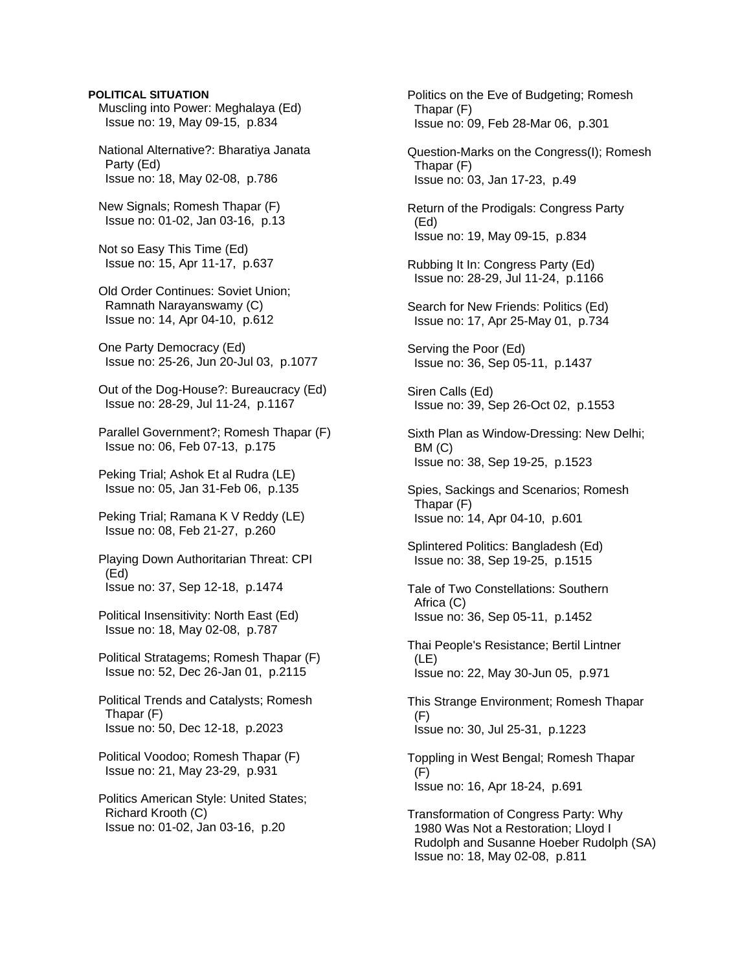#### **POLITICAL SITUATION**

 Muscling into Power: Meghalaya (Ed) Issue no: 19, May 09-15, p.834

 National Alternative?: Bharatiya Janata Party (Ed) Issue no: 18, May 02-08, p.786

 New Signals; Romesh Thapar (F) Issue no: 01-02, Jan 03-16, p.13

 Not so Easy This Time (Ed) Issue no: 15, Apr 11-17, p.637

 Old Order Continues: Soviet Union; Ramnath Narayanswamy (C) Issue no: 14, Apr 04-10, p.612

 One Party Democracy (Ed) Issue no: 25-26, Jun 20-Jul 03, p.1077

 Out of the Dog-House?: Bureaucracy (Ed) Issue no: 28-29, Jul 11-24, p.1167

 Parallel Government?; Romesh Thapar (F) Issue no: 06, Feb 07-13, p.175

 Peking Trial; Ashok Et al Rudra (LE) Issue no: 05, Jan 31-Feb 06, p.135

 Peking Trial; Ramana K V Reddy (LE) Issue no: 08, Feb 21-27, p.260

 Playing Down Authoritarian Threat: CPI (Ed) Issue no: 37, Sep 12-18, p.1474

 Political Insensitivity: North East (Ed) Issue no: 18, May 02-08, p.787

 Political Stratagems; Romesh Thapar (F) Issue no: 52, Dec 26-Jan 01, p.2115

 Political Trends and Catalysts; Romesh Thapar (F) Issue no: 50, Dec 12-18, p.2023

 Political Voodoo; Romesh Thapar (F) Issue no: 21, May 23-29, p.931

 Politics American Style: United States; Richard Krooth (C) Issue no: 01-02, Jan 03-16, p.20

 Politics on the Eve of Budgeting; Romesh Thapar (F) Issue no: 09, Feb 28-Mar 06, p.301

 Question-Marks on the Congress(I); Romesh Thapar (F) Issue no: 03, Jan 17-23, p.49

 Return of the Prodigals: Congress Party (Ed) Issue no: 19, May 09-15, p.834

 Rubbing It In: Congress Party (Ed) Issue no: 28-29, Jul 11-24, p.1166

 Search for New Friends: Politics (Ed) Issue no: 17, Apr 25-May 01, p.734

 Serving the Poor (Ed) Issue no: 36, Sep 05-11, p.1437

 Siren Calls (Ed) Issue no: 39, Sep 26-Oct 02, p.1553

 Sixth Plan as Window-Dressing: New Delhi; BM (C) Issue no: 38, Sep 19-25, p.1523

 Spies, Sackings and Scenarios; Romesh Thapar (F) Issue no: 14, Apr 04-10, p.601

 Splintered Politics: Bangladesh (Ed) Issue no: 38, Sep 19-25, p.1515

 Tale of Two Constellations: Southern Africa (C) Issue no: 36, Sep 05-11, p.1452

 Thai People's Resistance; Bertil Lintner (LE) Issue no: 22, May 30-Jun 05, p.971

 This Strange Environment; Romesh Thapar (F) Issue no: 30, Jul 25-31, p.1223

 Toppling in West Bengal; Romesh Thapar (F) Issue no: 16, Apr 18-24, p.691

 Transformation of Congress Party: Why 1980 Was Not a Restoration; Lloyd I Rudolph and Susanne Hoeber Rudolph (SA) Issue no: 18, May 02-08, p.811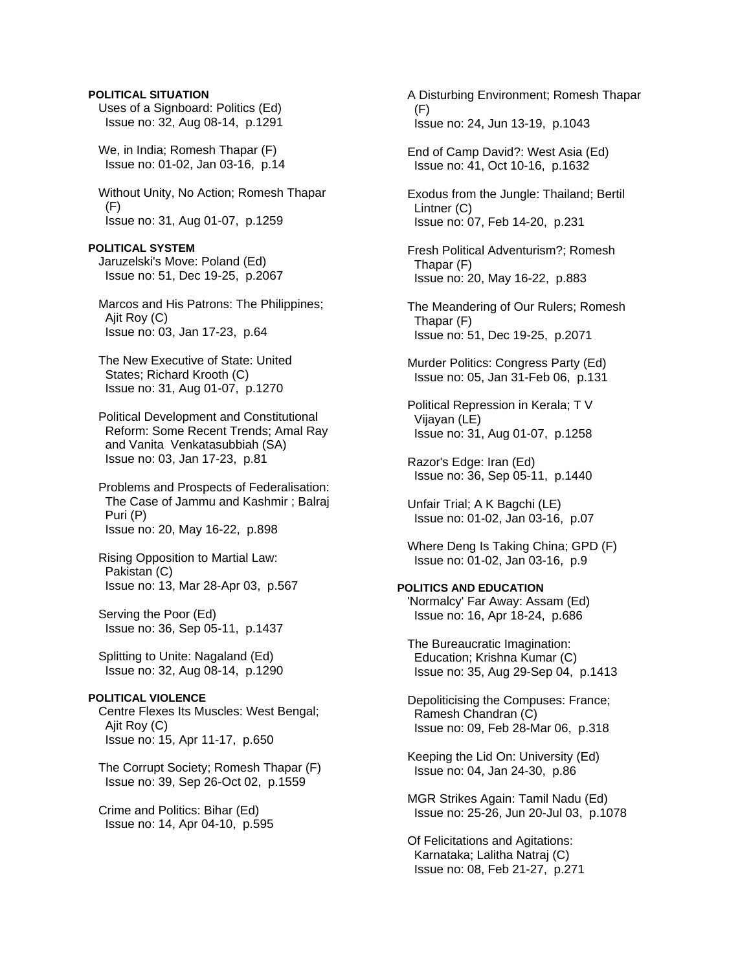## **POLITICAL SITUATION**

 Uses of a Signboard: Politics (Ed) Issue no: 32, Aug 08-14, p.1291

 We, in India; Romesh Thapar (F) Issue no: 01-02, Jan 03-16, p.14

 Without Unity, No Action; Romesh Thapar (F) Issue no: 31, Aug 01-07, p.1259

**POLITICAL SYSTEM**  Jaruzelski's Move: Poland (Ed) Issue no: 51, Dec 19-25, p.2067

 Marcos and His Patrons: The Philippines; Ajit Roy (C) Issue no: 03, Jan 17-23, p.64

 The New Executive of State: United States; Richard Krooth (C) Issue no: 31, Aug 01-07, p.1270

 Political Development and Constitutional Reform: Some Recent Trends; Amal Ray and Vanita Venkatasubbiah (SA) Issue no: 03, Jan 17-23, p.81

 Problems and Prospects of Federalisation: The Case of Jammu and Kashmir ; Balraj Puri (P) Issue no: 20, May 16-22, p.898

 Rising Opposition to Martial Law: Pakistan (C) Issue no: 13, Mar 28-Apr 03, p.567

 Serving the Poor (Ed) Issue no: 36, Sep 05-11, p.1437

 Splitting to Unite: Nagaland (Ed) Issue no: 32, Aug 08-14, p.1290

## **POLITICAL VIOLENCE**  Centre Flexes Its Muscles: West Bengal; Ajit Roy (C) Issue no: 15, Apr 11-17, p.650

 The Corrupt Society; Romesh Thapar (F) Issue no: 39, Sep 26-Oct 02, p.1559

 Crime and Politics: Bihar (Ed) Issue no: 14, Apr 04-10, p.595  A Disturbing Environment; Romesh Thapar (F) Issue no: 24, Jun 13-19, p.1043

 End of Camp David?: West Asia (Ed) Issue no: 41, Oct 10-16, p.1632

 Exodus from the Jungle: Thailand; Bertil Lintner (C) Issue no: 07, Feb 14-20, p.231

 Fresh Political Adventurism?; Romesh Thapar (F) Issue no: 20, May 16-22, p.883

 The Meandering of Our Rulers; Romesh Thapar (F) Issue no: 51, Dec 19-25, p.2071

 Murder Politics: Congress Party (Ed) Issue no: 05, Jan 31-Feb 06, p.131

 Political Repression in Kerala; T V Vijayan (LE) Issue no: 31, Aug 01-07, p.1258

 Razor's Edge: Iran (Ed) Issue no: 36, Sep 05-11, p.1440

 Unfair Trial; A K Bagchi (LE) Issue no: 01-02, Jan 03-16, p.07

 Where Deng Is Taking China; GPD (F) Issue no: 01-02, Jan 03-16, p.9

# **POLITICS AND EDUCATION**

 'Normalcy' Far Away: Assam (Ed) Issue no: 16, Apr 18-24, p.686

 The Bureaucratic Imagination: Education; Krishna Kumar (C) Issue no: 35, Aug 29-Sep 04, p.1413

 Depoliticising the Compuses: France; Ramesh Chandran (C) Issue no: 09, Feb 28-Mar 06, p.318

 Keeping the Lid On: University (Ed) Issue no: 04, Jan 24-30, p.86

 MGR Strikes Again: Tamil Nadu (Ed) Issue no: 25-26, Jun 20-Jul 03, p.1078

 Of Felicitations and Agitations: Karnataka; Lalitha Natraj (C) Issue no: 08, Feb 21-27, p.271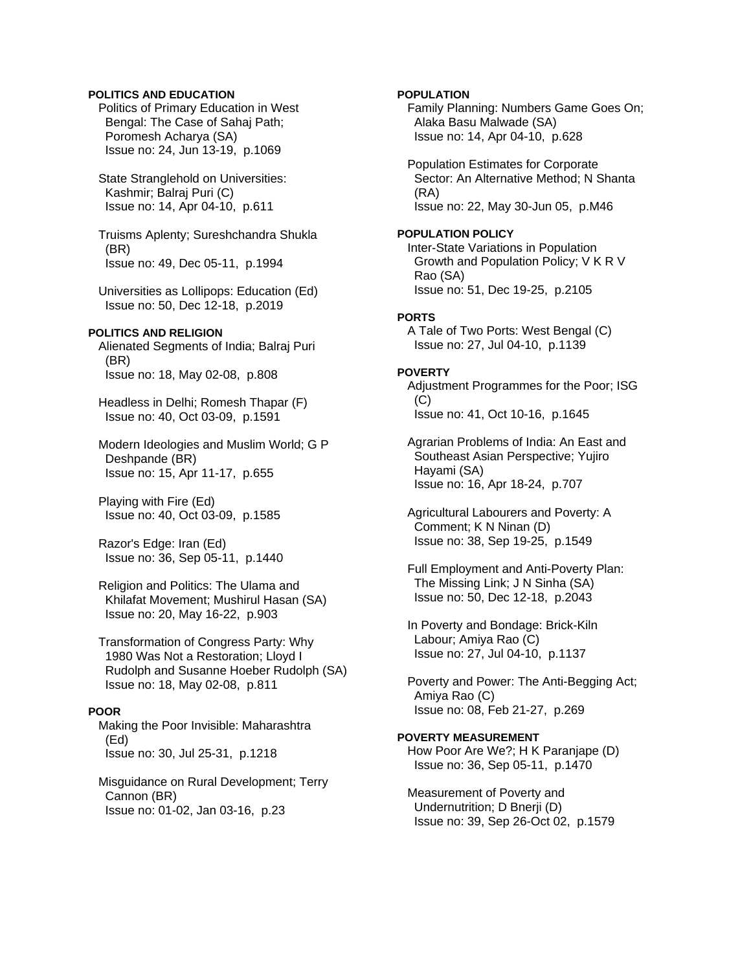## **POLITICS AND EDUCATION**

 Politics of Primary Education in West Bengal: The Case of Sahaj Path; Poromesh Acharya (SA) Issue no: 24, Jun 13-19, p.1069

 State Stranglehold on Universities: Kashmir; Balraj Puri (C) Issue no: 14, Apr 04-10, p.611

 Truisms Aplenty; Sureshchandra Shukla (BR) Issue no: 49, Dec 05-11, p.1994

 Universities as Lollipops: Education (Ed) Issue no: 50, Dec 12-18, p.2019

#### **POLITICS AND RELIGION**

 Alienated Segments of India; Balraj Puri (BR) Issue no: 18, May 02-08, p.808

 Headless in Delhi; Romesh Thapar (F) Issue no: 40, Oct 03-09, p.1591

 Modern Ideologies and Muslim World; G P Deshpande (BR) Issue no: 15, Apr 11-17, p.655

 Playing with Fire (Ed) Issue no: 40, Oct 03-09, p.1585

 Razor's Edge: Iran (Ed) Issue no: 36, Sep 05-11, p.1440

 Religion and Politics: The Ulama and Khilafat Movement; Mushirul Hasan (SA) Issue no: 20, May 16-22, p.903

 Transformation of Congress Party: Why 1980 Was Not a Restoration; Lloyd I Rudolph and Susanne Hoeber Rudolph (SA) Issue no: 18, May 02-08, p.811

#### **POOR**

 Making the Poor Invisible: Maharashtra (Ed) Issue no: 30, Jul 25-31, p.1218

 Misguidance on Rural Development; Terry Cannon (BR) Issue no: 01-02, Jan 03-16, p.23

## **POPULATION**

 Family Planning: Numbers Game Goes On; Alaka Basu Malwade (SA) Issue no: 14, Apr 04-10, p.628

 Population Estimates for Corporate Sector: An Alternative Method; N Shanta (RA) Issue no: 22, May 30-Jun 05, p.M46

#### **POPULATION POLICY**

 Inter-State Variations in Population Growth and Population Policy; V K R V Rao (SA) Issue no: 51, Dec 19-25, p.2105

#### **PORTS**

 A Tale of Two Ports: West Bengal (C) Issue no: 27, Jul 04-10, p.1139

#### **POVERTY**

 Adjustment Programmes for the Poor; ISG (C) Issue no: 41, Oct 10-16, p.1645

 Agrarian Problems of India: An East and Southeast Asian Perspective; Yujiro Hayami (SA) Issue no: 16, Apr 18-24, p.707

 Agricultural Labourers and Poverty: A Comment; K N Ninan (D) Issue no: 38, Sep 19-25, p.1549

 Full Employment and Anti-Poverty Plan: The Missing Link; J N Sinha (SA) Issue no: 50, Dec 12-18, p.2043

 In Poverty and Bondage: Brick-Kiln Labour; Amiya Rao (C) Issue no: 27, Jul 04-10, p.1137

 Poverty and Power: The Anti-Begging Act; Amiya Rao (C) Issue no: 08, Feb 21-27, p.269

#### **POVERTY MEASUREMENT**  How Poor Are We?; H K Paranjape (D)

Issue no: 36, Sep 05-11, p.1470

 Measurement of Poverty and Undernutrition; D Bnerji (D) Issue no: 39, Sep 26-Oct 02, p.1579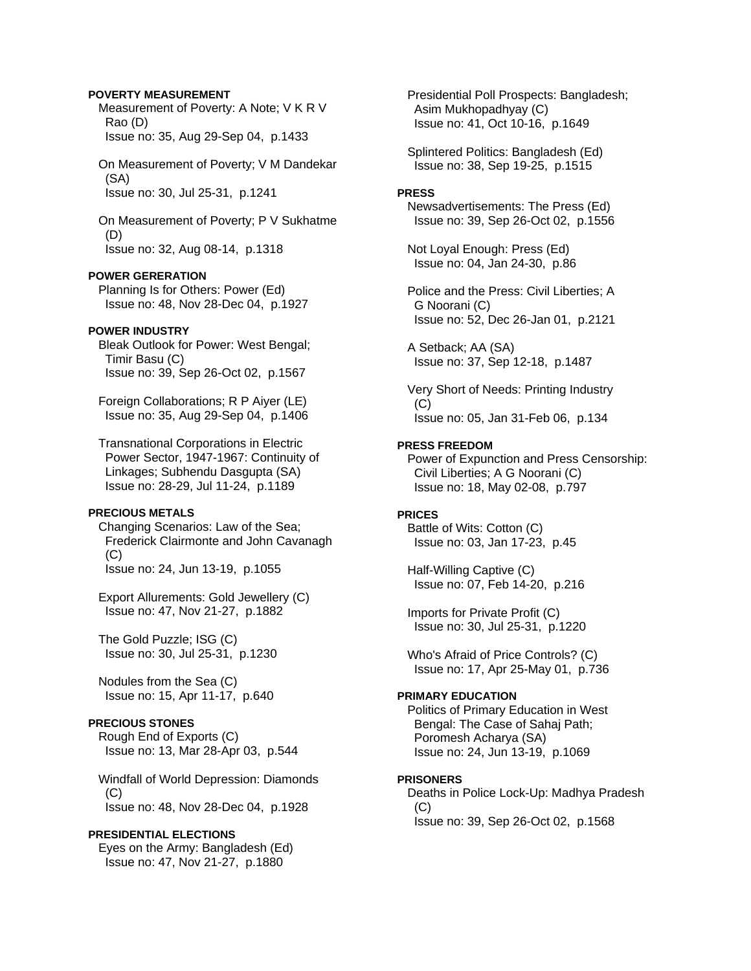## **POVERTY MEASUREMENT**

 Measurement of Poverty: A Note; V K R V Rao (D) Issue no: 35, Aug 29-Sep 04, p.1433

 On Measurement of Poverty; V M Dandekar (SA) Issue no: 30, Jul 25-31, p.1241

 On Measurement of Poverty; P V Sukhatme (D) Issue no: 32, Aug 08-14, p.1318

#### **POWER GERERATION**

 Planning Is for Others: Power (Ed) Issue no: 48, Nov 28-Dec 04, p.1927

#### **POWER INDUSTRY**

 Bleak Outlook for Power: West Bengal; Timir Basu (C) Issue no: 39, Sep 26-Oct 02, p.1567

 Foreign Collaborations; R P Aiyer (LE) Issue no: 35, Aug 29-Sep 04, p.1406

 Transnational Corporations in Electric Power Sector, 1947-1967: Continuity of Linkages; Subhendu Dasgupta (SA) Issue no: 28-29, Jul 11-24, p.1189

# **PRECIOUS METALS**

 Changing Scenarios: Law of the Sea; Frederick Clairmonte and John Cavanagh  $(C)$ Issue no: 24, Jun 13-19, p.1055

 Export Allurements: Gold Jewellery (C) Issue no: 47, Nov 21-27, p.1882

 The Gold Puzzle; ISG (C) Issue no: 30, Jul 25-31, p.1230

 Nodules from the Sea (C) Issue no: 15, Apr 11-17, p.640

# **PRECIOUS STONES**

 Rough End of Exports (C) Issue no: 13, Mar 28-Apr 03, p.544

 Windfall of World Depression: Diamonds  $(C)$ Issue no: 48, Nov 28-Dec 04, p.1928

#### **PRESIDENTIAL ELECTIONS**

 Eyes on the Army: Bangladesh (Ed) Issue no: 47, Nov 21-27, p.1880

 Presidential Poll Prospects: Bangladesh; Asim Mukhopadhyay (C) Issue no: 41, Oct 10-16, p.1649

 Splintered Politics: Bangladesh (Ed) Issue no: 38, Sep 19-25, p.1515

#### **PRESS**

 Newsadvertisements: The Press (Ed) Issue no: 39, Sep 26-Oct 02, p.1556

 Not Loyal Enough: Press (Ed) Issue no: 04, Jan 24-30, p.86

 Police and the Press: Civil Liberties; A G Noorani (C) Issue no: 52, Dec 26-Jan 01, p.2121

 A Setback; AA (SA) Issue no: 37, Sep 12-18, p.1487

 Very Short of Needs: Printing Industry  $(C)$ Issue no: 05, Jan 31-Feb 06, p.134

#### **PRESS FREEDOM**

 Power of Expunction and Press Censorship: Civil Liberties; A G Noorani (C) Issue no: 18, May 02-08, p.797

#### **PRICES**

 Battle of Wits: Cotton (C) Issue no: 03, Jan 17-23, p.45

 Half-Willing Captive (C) Issue no: 07, Feb 14-20, p.216

 Imports for Private Profit (C) Issue no: 30, Jul 25-31, p.1220

 Who's Afraid of Price Controls? (C) Issue no: 17, Apr 25-May 01, p.736

## **PRIMARY EDUCATION**

 Politics of Primary Education in West Bengal: The Case of Sahaj Path; Poromesh Acharya (SA) Issue no: 24, Jun 13-19, p.1069

#### **PRISONERS**

 Deaths in Police Lock-Up: Madhya Pradesh (C) Issue no: 39, Sep 26-Oct 02, p.1568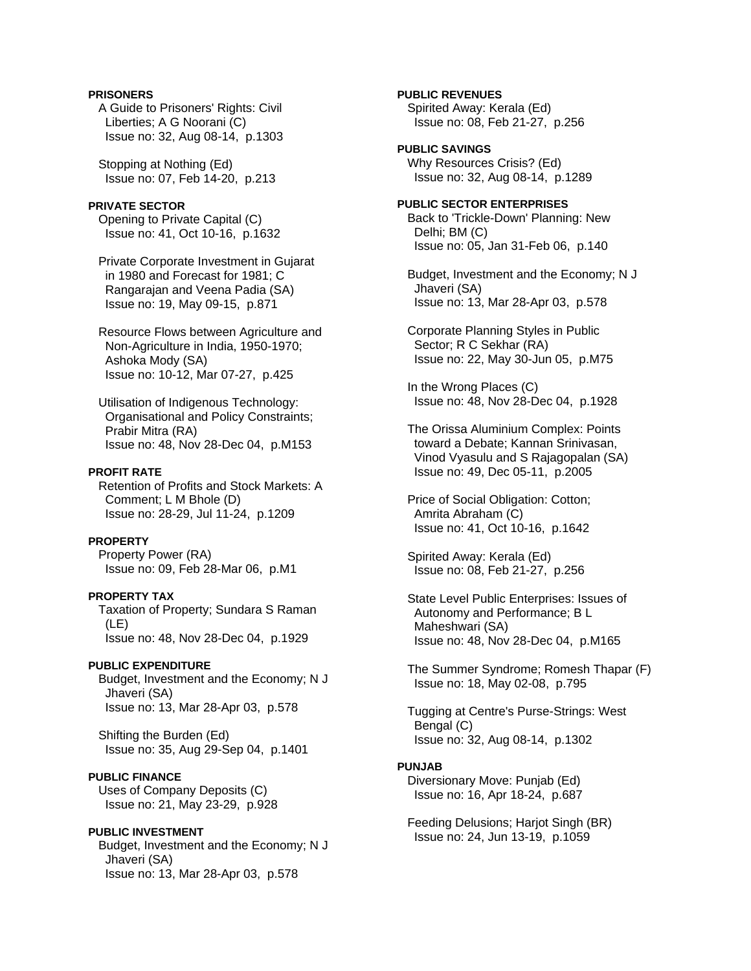## **PRISONERS**

 A Guide to Prisoners' Rights: Civil Liberties; A G Noorani (C) Issue no: 32, Aug 08-14, p.1303

 Stopping at Nothing (Ed) Issue no: 07, Feb 14-20, p.213

## **PRIVATE SECTOR**

 Opening to Private Capital (C) Issue no: 41, Oct 10-16, p.1632

 Private Corporate Investment in Gujarat in 1980 and Forecast for 1981; C Rangarajan and Veena Padia (SA) Issue no: 19, May 09-15, p.871

 Resource Flows between Agriculture and Non-Agriculture in India, 1950-1970; Ashoka Mody (SA) Issue no: 10-12, Mar 07-27, p.425

 Utilisation of Indigenous Technology: Organisational and Policy Constraints; Prabir Mitra (RA) Issue no: 48, Nov 28-Dec 04, p.M153

## **PROFIT RATE**

 Retention of Profits and Stock Markets: A Comment; L M Bhole (D) Issue no: 28-29, Jul 11-24, p.1209

#### **PROPERTY**

 Property Power (RA) Issue no: 09, Feb 28-Mar 06, p.M1

## **PROPERTY TAX**

 Taxation of Property; Sundara S Raman (LE) Issue no: 48, Nov 28-Dec 04, p.1929

#### **PUBLIC EXPENDITURE**

 Budget, Investment and the Economy; N J Jhaveri (SA) Issue no: 13, Mar 28-Apr 03, p.578

 Shifting the Burden (Ed) Issue no: 35, Aug 29-Sep 04, p.1401

#### **PUBLIC FINANCE**

 Uses of Company Deposits (C) Issue no: 21, May 23-29, p.928

#### **PUBLIC INVESTMENT**

 Budget, Investment and the Economy; N J Jhaveri (SA) Issue no: 13, Mar 28-Apr 03, p.578

## **PUBLIC REVENUES**

 Spirited Away: Kerala (Ed) Issue no: 08, Feb 21-27, p.256

# **PUBLIC SAVINGS**

 Why Resources Crisis? (Ed) Issue no: 32, Aug 08-14, p.1289

## **PUBLIC SECTOR ENTERPRISES**  Back to 'Trickle-Down' Planning: New Delhi; BM (C)

Issue no: 05, Jan 31-Feb 06, p.140

 Budget, Investment and the Economy; N J Jhaveri (SA) Issue no: 13, Mar 28-Apr 03, p.578

 Corporate Planning Styles in Public Sector; R C Sekhar (RA) Issue no: 22, May 30-Jun 05, p.M75

 In the Wrong Places (C) Issue no: 48, Nov 28-Dec 04, p.1928

 The Orissa Aluminium Complex: Points toward a Debate; Kannan Srinivasan, Vinod Vyasulu and S Rajagopalan (SA) Issue no: 49, Dec 05-11, p.2005

 Price of Social Obligation: Cotton; Amrita Abraham (C) Issue no: 41, Oct 10-16, p.1642

 Spirited Away: Kerala (Ed) Issue no: 08, Feb 21-27, p.256

 State Level Public Enterprises: Issues of Autonomy and Performance; B L Maheshwari (SA) Issue no: 48, Nov 28-Dec 04, p.M165

 The Summer Syndrome; Romesh Thapar (F) Issue no: 18, May 02-08, p.795

 Tugging at Centre's Purse-Strings: West Bengal (C) Issue no: 32, Aug 08-14, p.1302

#### **PUNJAB**

 Diversionary Move: Punjab (Ed) Issue no: 16, Apr 18-24, p.687

 Feeding Delusions; Harjot Singh (BR) Issue no: 24, Jun 13-19, p.1059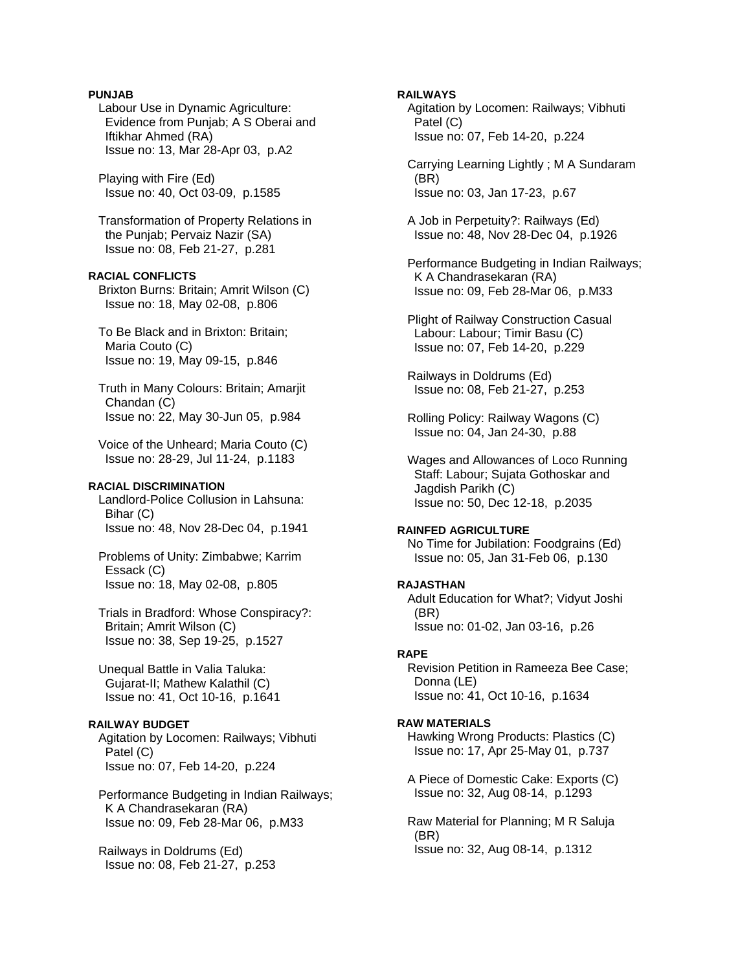## **PUNJAB**

 Labour Use in Dynamic Agriculture: Evidence from Punjab; A S Oberai and Iftikhar Ahmed (RA) Issue no: 13, Mar 28-Apr 03, p.A2

 Playing with Fire (Ed) Issue no: 40, Oct 03-09, p.1585

 Transformation of Property Relations in the Punjab; Pervaiz Nazir (SA) Issue no: 08, Feb 21-27, p.281

**RACIAL CONFLICTS**  Brixton Burns: Britain; Amrit Wilson (C) Issue no: 18, May 02-08, p.806

 To Be Black and in Brixton: Britain; Maria Couto (C) Issue no: 19, May 09-15, p.846

 Truth in Many Colours: Britain; Amarjit Chandan (C) Issue no: 22, May 30-Jun 05, p.984

 Voice of the Unheard; Maria Couto (C) Issue no: 28-29, Jul 11-24, p.1183

#### **RACIAL DISCRIMINATION**

 Landlord-Police Collusion in Lahsuna: Bihar (C) Issue no: 48, Nov 28-Dec 04, p.1941

 Problems of Unity: Zimbabwe; Karrim Essack (C) Issue no: 18, May 02-08, p.805

 Trials in Bradford: Whose Conspiracy?: Britain; Amrit Wilson (C) Issue no: 38, Sep 19-25, p.1527

 Unequal Battle in Valia Taluka: Gujarat-II; Mathew Kalathil (C) Issue no: 41, Oct 10-16, p.1641

# **RAILWAY BUDGET**

 Agitation by Locomen: Railways; Vibhuti Patel (C) Issue no: 07, Feb 14-20, p.224

 Performance Budgeting in Indian Railways; K A Chandrasekaran (RA) Issue no: 09, Feb 28-Mar 06, p.M33

 Railways in Doldrums (Ed) Issue no: 08, Feb 21-27, p.253

#### **RAILWAYS**

 Agitation by Locomen: Railways; Vibhuti Patel (C) Issue no: 07, Feb 14-20, p.224

 Carrying Learning Lightly ; M A Sundaram (BR) Issue no: 03, Jan 17-23, p.67

 A Job in Perpetuity?: Railways (Ed) Issue no: 48, Nov 28-Dec 04, p.1926

 Performance Budgeting in Indian Railways; K A Chandrasekaran (RA) Issue no: 09, Feb 28-Mar 06, p.M33

 Plight of Railway Construction Casual Labour: Labour; Timir Basu (C) Issue no: 07, Feb 14-20, p.229

 Railways in Doldrums (Ed) Issue no: 08, Feb 21-27, p.253

 Rolling Policy: Railway Wagons (C) Issue no: 04, Jan 24-30, p.88

 Wages and Allowances of Loco Running Staff: Labour; Sujata Gothoskar and Jagdish Parikh (C) Issue no: 50, Dec 12-18, p.2035

#### **RAINFED AGRICULTURE**

 No Time for Jubilation: Foodgrains (Ed) Issue no: 05, Jan 31-Feb 06, p.130

#### **RAJASTHAN**

 Adult Education for What?; Vidyut Joshi (BR) Issue no: 01-02, Jan 03-16, p.26

## **RAPE**

 Revision Petition in Rameeza Bee Case; Donna (LE) Issue no: 41, Oct 10-16, p.1634

#### **RAW MATERIALS**

 Hawking Wrong Products: Plastics (C) Issue no: 17, Apr 25-May 01, p.737

 A Piece of Domestic Cake: Exports (C) Issue no: 32, Aug 08-14, p.1293

 Raw Material for Planning; M R Saluja (BR) Issue no: 32, Aug 08-14, p.1312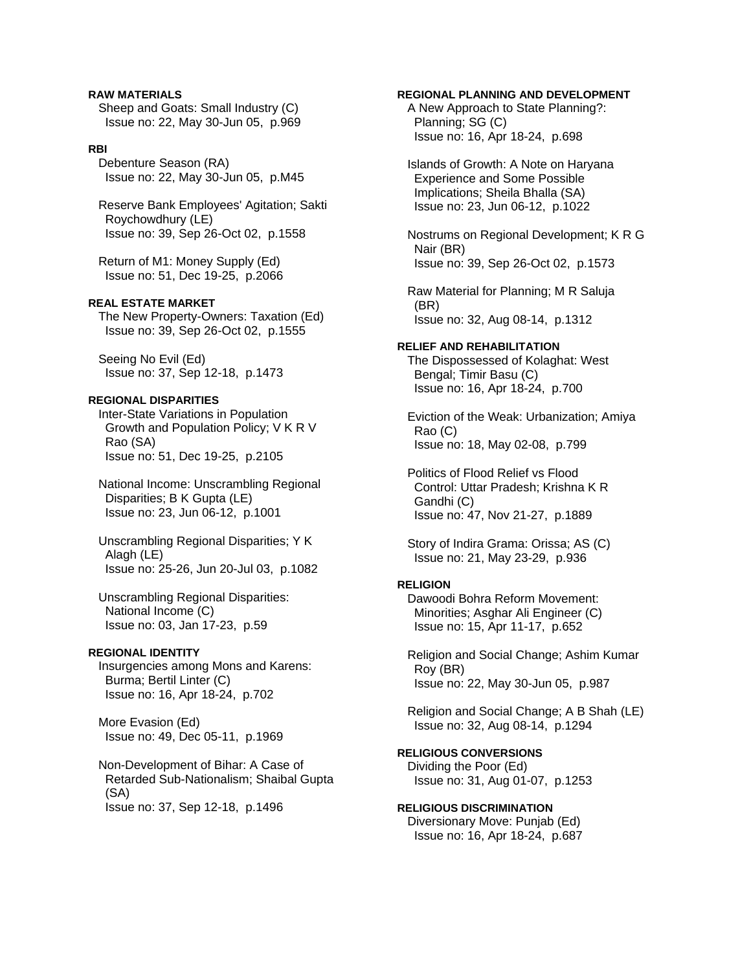**RAW MATERIALS**  Sheep and Goats: Small Industry (C) Issue no: 22, May 30-Jun 05, p.969

#### **RBI**

 Debenture Season (RA) Issue no: 22, May 30-Jun 05, p.M45

 Reserve Bank Employees' Agitation; Sakti Roychowdhury (LE) Issue no: 39, Sep 26-Oct 02, p.1558

 Return of M1: Money Supply (Ed) Issue no: 51, Dec 19-25, p.2066

## **REAL ESTATE MARKET**

 The New Property-Owners: Taxation (Ed) Issue no: 39, Sep 26-Oct 02, p.1555

 Seeing No Evil (Ed) Issue no: 37, Sep 12-18, p.1473

## **REGIONAL DISPARITIES**

 Inter-State Variations in Population Growth and Population Policy; V K R V Rao (SA) Issue no: 51, Dec 19-25, p.2105

 National Income: Unscrambling Regional Disparities; B K Gupta (LE) Issue no: 23, Jun 06-12, p.1001

 Unscrambling Regional Disparities; Y K Alagh (LE) Issue no: 25-26, Jun 20-Jul 03, p.1082

 Unscrambling Regional Disparities: National Income (C) Issue no: 03, Jan 17-23, p.59

#### **REGIONAL IDENTITY**

 Insurgencies among Mons and Karens: Burma; Bertil Linter (C) Issue no: 16, Apr 18-24, p.702

 More Evasion (Ed) Issue no: 49, Dec 05-11, p.1969

 Non-Development of Bihar: A Case of Retarded Sub-Nationalism; Shaibal Gupta (SA) Issue no: 37, Sep 12-18, p.1496

#### **REGIONAL PLANNING AND DEVELOPMENT**

 A New Approach to State Planning?: Planning; SG (C) Issue no: 16, Apr 18-24, p.698

 Islands of Growth: A Note on Haryana Experience and Some Possible Implications; Sheila Bhalla (SA) Issue no: 23, Jun 06-12, p.1022

 Nostrums on Regional Development; K R G Nair (BR) Issue no: 39, Sep 26-Oct 02, p.1573

 Raw Material for Planning; M R Saluja (BR) Issue no: 32, Aug 08-14, p.1312

## **RELIEF AND REHABILITATION**

 The Dispossessed of Kolaghat: West Bengal; Timir Basu (C) Issue no: 16, Apr 18-24, p.700

 Eviction of the Weak: Urbanization; Amiya Rao (C) Issue no: 18, May 02-08, p.799

 Politics of Flood Relief vs Flood Control: Uttar Pradesh; Krishna K R Gandhi (C) Issue no: 47, Nov 21-27, p.1889

 Story of Indira Grama: Orissa; AS (C) Issue no: 21, May 23-29, p.936

#### **RELIGION**

 Dawoodi Bohra Reform Movement: Minorities; Asghar Ali Engineer (C) Issue no: 15, Apr 11-17, p.652

 Religion and Social Change; Ashim Kumar Roy (BR) Issue no: 22, May 30-Jun 05, p.987

 Religion and Social Change; A B Shah (LE) Issue no: 32, Aug 08-14, p.1294

## **RELIGIOUS CONVERSIONS**

 Dividing the Poor (Ed) Issue no: 31, Aug 01-07, p.1253

**RELIGIOUS DISCRIMINATION**  Diversionary Move: Punjab (Ed) Issue no: 16, Apr 18-24, p.687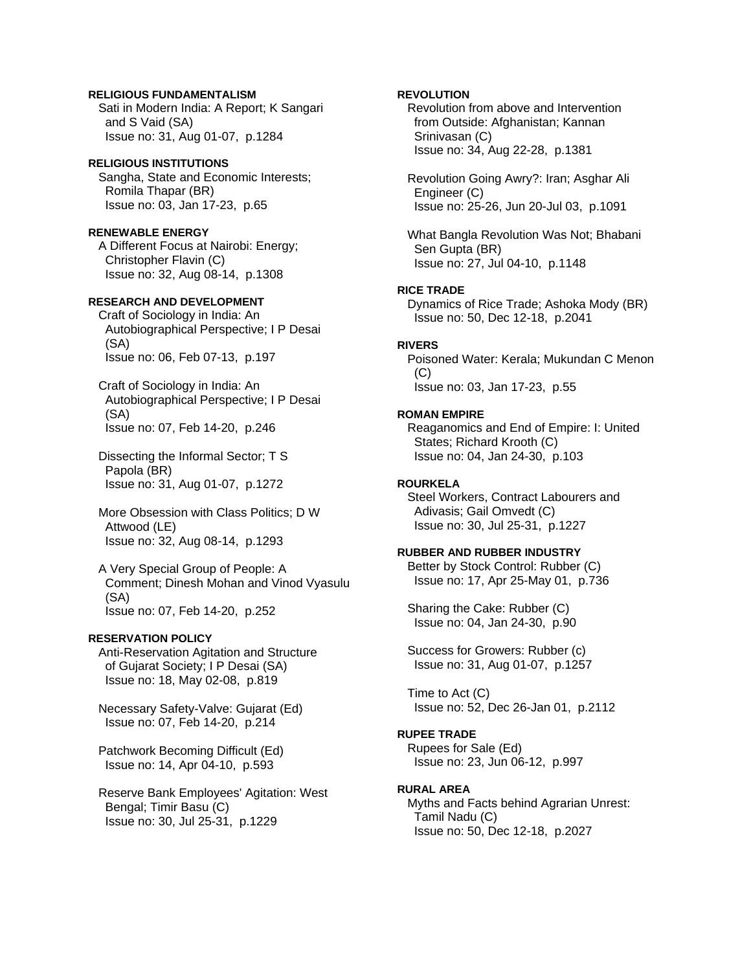## **RELIGIOUS FUNDAMENTALISM**

 Sati in Modern India: A Report; K Sangari and S Vaid (SA) Issue no: 31, Aug 01-07, p.1284

# **RELIGIOUS INSTITUTIONS**

 Sangha, State and Economic Interests; Romila Thapar (BR) Issue no: 03, Jan 17-23, p.65

#### **RENEWABLE ENERGY**

 A Different Focus at Nairobi: Energy; Christopher Flavin (C) Issue no: 32, Aug 08-14, p.1308

## **RESEARCH AND DEVELOPMENT**

 Craft of Sociology in India: An Autobiographical Perspective; I P Desai (SA) Issue no: 06, Feb 07-13, p.197

 Craft of Sociology in India: An Autobiographical Perspective; I P Desai (SA) Issue no: 07, Feb 14-20, p.246

 Dissecting the Informal Sector; T S Papola (BR) Issue no: 31, Aug 01-07, p.1272

 More Obsession with Class Politics; D W Attwood (LE) Issue no: 32, Aug 08-14, p.1293

 A Very Special Group of People: A Comment; Dinesh Mohan and Vinod Vyasulu (SA) Issue no: 07, Feb 14-20, p.252

#### **RESERVATION POLICY**

 Anti-Reservation Agitation and Structure of Gujarat Society; I P Desai (SA) Issue no: 18, May 02-08, p.819

 Necessary Safety-Valve: Gujarat (Ed) Issue no: 07, Feb 14-20, p.214

 Patchwork Becoming Difficult (Ed) Issue no: 14, Apr 04-10, p.593

 Reserve Bank Employees' Agitation: West Bengal; Timir Basu (C) Issue no: 30, Jul 25-31, p.1229

## **REVOLUTION**

 Revolution from above and Intervention from Outside: Afghanistan; Kannan Srinivasan (C) Issue no: 34, Aug 22-28, p.1381

 Revolution Going Awry?: Iran; Asghar Ali Engineer (C) Issue no: 25-26, Jun 20-Jul 03, p.1091

 What Bangla Revolution Was Not; Bhabani Sen Gupta (BR) Issue no: 27, Jul 04-10, p.1148

## **RICE TRADE**

 Dynamics of Rice Trade; Ashoka Mody (BR) Issue no: 50, Dec 12-18, p.2041

## **RIVERS**

 Poisoned Water: Kerala; Mukundan C Menon  $(C)$ Issue no: 03, Jan 17-23, p.55

## **ROMAN EMPIRE**

 Reaganomics and End of Empire: I: United States; Richard Krooth (C) Issue no: 04, Jan 24-30, p.103

#### **ROURKELA**

 Steel Workers, Contract Labourers and Adivasis; Gail Omvedt (C) Issue no: 30, Jul 25-31, p.1227

# **RUBBER AND RUBBER INDUSTRY**

 Better by Stock Control: Rubber (C) Issue no: 17, Apr 25-May 01, p.736

 Sharing the Cake: Rubber (C) Issue no: 04, Jan 24-30, p.90

 Success for Growers: Rubber (c) Issue no: 31, Aug 01-07, p.1257

 Time to Act (C) Issue no: 52, Dec 26-Jan 01, p.2112

## **RUPEE TRADE**

 Rupees for Sale (Ed) Issue no: 23, Jun 06-12, p.997

## **RURAL AREA**

 Myths and Facts behind Agrarian Unrest: Tamil Nadu (C) Issue no: 50, Dec 12-18, p.2027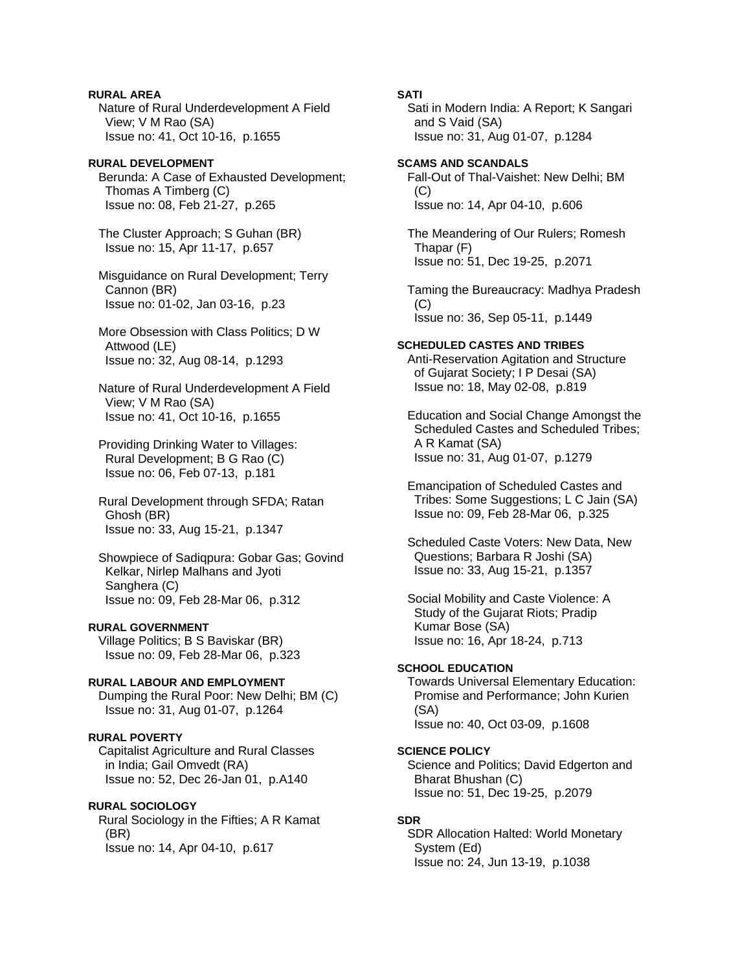**RURAL AREA**  Nature of Rural Underdevelopment A Field View; V M Rao (SA) Issue no: 41, Oct 10-16, p.1655

#### **RURAL DEVELOPMENT**  Berunda: A Case of Exhausted Development;

 Thomas A Timberg (C) Issue no: 08, Feb 21-27, p.265

 The Cluster Approach; S Guhan (BR) Issue no: 15, Apr 11-17, p.657

 Misguidance on Rural Development; Terry Cannon (BR) Issue no: 01-02, Jan 03-16, p.23

 More Obsession with Class Politics; D W Attwood (LE) Issue no: 32, Aug 08-14, p.1293

 Nature of Rural Underdevelopment A Field View; V M Rao (SA) Issue no: 41, Oct 10-16, p.1655

 Providing Drinking Water to Villages: Rural Development; B G Rao (C) Issue no: 06, Feb 07-13, p.181

 Rural Development through SFDA; Ratan Ghosh (BR) Issue no: 33, Aug 15-21, p.1347

 Showpiece of Sadiqpura: Gobar Gas; Govind Kelkar, Nirlep Malhans and Jyoti Sanghera (C) Issue no: 09, Feb 28-Mar 06, p.312

# **RURAL GOVERNMENT**

 Village Politics; B S Baviskar (BR) Issue no: 09, Feb 28-Mar 06, p.323

# **RURAL LABOUR AND EMPLOYMENT**

 Dumping the Rural Poor: New Delhi; BM (C) Issue no: 31, Aug 01-07, p.1264

# **RURAL POVERTY**

 Capitalist Agriculture and Rural Classes in India; Gail Omvedt (RA) Issue no: 52, Dec 26-Jan 01, p.A140

## **RURAL SOCIOLOGY**

 Rural Sociology in the Fifties; A R Kamat (BR) Issue no: 14, Apr 04-10, p.617

## **SATI**

 Sati in Modern India: A Report; K Sangari and S Vaid (SA) Issue no: 31, Aug 01-07, p.1284

#### **SCAMS AND SCANDALS**

 Fall-Out of Thal-Vaishet: New Delhi; BM  $(C)$ Issue no: 14, Apr 04-10, p.606

 The Meandering of Our Rulers; Romesh Thapar (F) Issue no: 51, Dec 19-25, p.2071

 Taming the Bureaucracy: Madhya Pradesh  $(C)$ Issue no: 36, Sep 05-11, p.1449

# **SCHEDULED CASTES AND TRIBES**

 Anti-Reservation Agitation and Structure of Gujarat Society; I P Desai (SA) Issue no: 18, May 02-08, p.819

 Education and Social Change Amongst the Scheduled Castes and Scheduled Tribes; A R Kamat (SA) Issue no: 31, Aug 01-07, p.1279

 Emancipation of Scheduled Castes and Tribes: Some Suggestions; L C Jain (SA) Issue no: 09, Feb 28-Mar 06, p.325

 Scheduled Caste Voters: New Data, New Questions; Barbara R Joshi (SA) Issue no: 33, Aug 15-21, p.1357

 Social Mobility and Caste Violence: A Study of the Gujarat Riots; Pradip Kumar Bose (SA) Issue no: 16, Apr 18-24, p.713

#### **SCHOOL EDUCATION**

 Towards Universal Elementary Education: Promise and Performance; John Kurien (SA) Issue no: 40, Oct 03-09, p.1608

## **SCIENCE POLICY**

 Science and Politics; David Edgerton and Bharat Bhushan (C) Issue no: 51, Dec 19-25, p.2079

#### **SDR**

 SDR Allocation Halted: World Monetary System (Ed) Issue no: 24, Jun 13-19, p.1038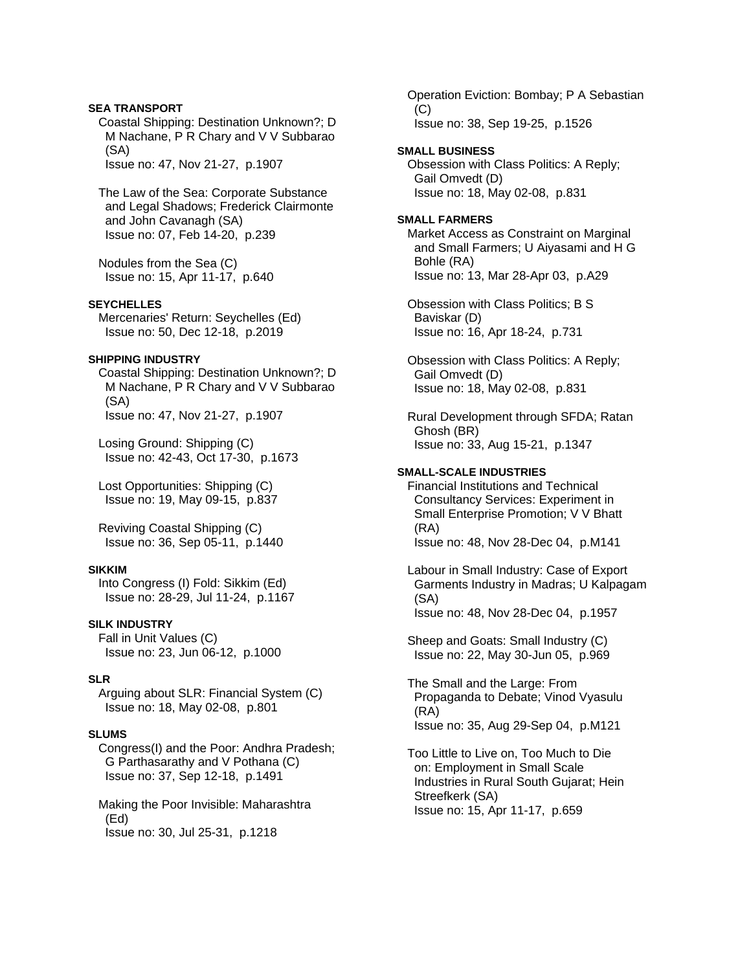## **SEA TRANSPORT**

 Coastal Shipping: Destination Unknown?; D M Nachane, P R Chary and V V Subbarao (SA)

Issue no: 47, Nov 21-27, p.1907

 The Law of the Sea: Corporate Substance and Legal Shadows; Frederick Clairmonte and John Cavanagh (SA) Issue no: 07, Feb 14-20, p.239

 Nodules from the Sea (C) Issue no: 15, Apr 11-17, p.640

#### **SEYCHELLES**

 Mercenaries' Return: Seychelles (Ed) Issue no: 50, Dec 12-18, p.2019

#### **SHIPPING INDUSTRY**

 Coastal Shipping: Destination Unknown?; D M Nachane, P R Chary and V V Subbarao (SA) Issue no: 47, Nov 21-27, p.1907

 Losing Ground: Shipping (C) Issue no: 42-43, Oct 17-30, p.1673

 Lost Opportunities: Shipping (C) Issue no: 19, May 09-15, p.837

 Reviving Coastal Shipping (C) Issue no: 36, Sep 05-11, p.1440

#### **SIKKIM**

 Into Congress (I) Fold: Sikkim (Ed) Issue no: 28-29, Jul 11-24, p.1167

## **SILK INDUSTRY**

 Fall in Unit Values (C) Issue no: 23, Jun 06-12, p.1000

#### **SLR**

 Arguing about SLR: Financial System (C) Issue no: 18, May 02-08, p.801

#### **SLUMS**

 Congress(I) and the Poor: Andhra Pradesh; G Parthasarathy and V Pothana (C) Issue no: 37, Sep 12-18, p.1491

 Making the Poor Invisible: Maharashtra (Ed) Issue no: 30, Jul 25-31, p.1218

 Operation Eviction: Bombay; P A Sebastian  $(C)$  Issue no: 38, Sep 19-25, p.1526 **SMALL BUSINESS**  Obsession with Class Politics: A Reply; Gail Omvedt (D) Issue no: 18, May 02-08, p.831 **SMALL FARMERS**  Market Access as Constraint on Marginal and Small Farmers; U Aiyasami and H G Bohle (RA) Issue no: 13, Mar 28-Apr 03, p.A29 Obsession with Class Politics; B S Baviskar (D) Issue no: 16, Apr 18-24, p.731 Obsession with Class Politics: A Reply; Gail Omvedt (D) Issue no: 18, May 02-08, p.831 Rural Development through SFDA; Ratan Ghosh (BR) Issue no: 33, Aug 15-21, p.1347 **SMALL-SCALE INDUSTRIES**  Financial Institutions and Technical Consultancy Services: Experiment in Small Enterprise Promotion; V V Bhatt (RA) Issue no: 48, Nov 28-Dec 04, p.M141 Labour in Small Industry: Case of Export Garments Industry in Madras; U Kalpagam (SA) Issue no: 48, Nov 28-Dec 04, p.1957 Sheep and Goats: Small Industry (C) Issue no: 22, May 30-Jun 05, p.969 The Small and the Large: From Propaganda to Debate; Vinod Vyasulu (RA) Issue no: 35, Aug 29-Sep 04, p.M121 Too Little to Live on, Too Much to Die on: Employment in Small Scale

 Industries in Rural South Gujarat; Hein Streefkerk (SA) Issue no: 15, Apr 11-17, p.659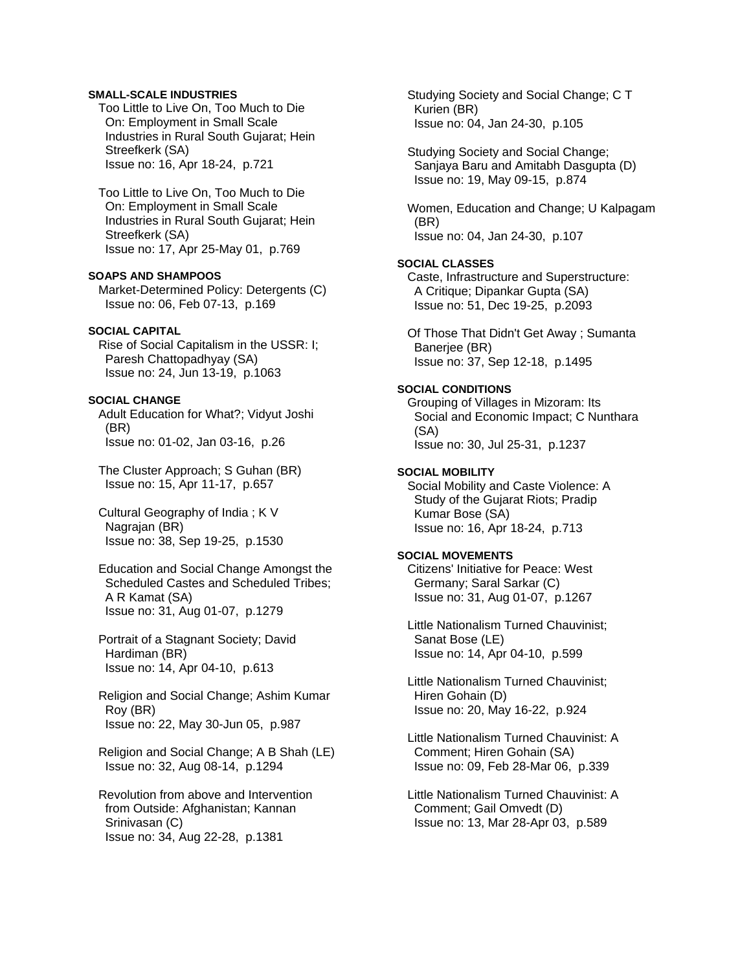## **SMALL-SCALE INDUSTRIES**

 Too Little to Live On, Too Much to Die On: Employment in Small Scale Industries in Rural South Gujarat; Hein Streefkerk (SA) Issue no: 16, Apr 18-24, p.721

 Too Little to Live On, Too Much to Die On: Employment in Small Scale Industries in Rural South Gujarat; Hein Streefkerk (SA) Issue no: 17, Apr 25-May 01, p.769

**SOAPS AND SHAMPOOS**  Market-Determined Policy: Detergents (C) Issue no: 06, Feb 07-13, p.169

## **SOCIAL CAPITAL**

 Rise of Social Capitalism in the USSR: I; Paresh Chattopadhyay (SA) Issue no: 24, Jun 13-19, p.1063

## **SOCIAL CHANGE**

 Adult Education for What?; Vidyut Joshi (BR) Issue no: 01-02, Jan 03-16, p.26

 The Cluster Approach; S Guhan (BR) Issue no: 15, Apr 11-17, p.657

 Cultural Geography of India ; K V Nagrajan (BR) Issue no: 38, Sep 19-25, p.1530

 Education and Social Change Amongst the Scheduled Castes and Scheduled Tribes; A R Kamat (SA) Issue no: 31, Aug 01-07, p.1279

 Portrait of a Stagnant Society; David Hardiman (BR) Issue no: 14, Apr 04-10, p.613

 Religion and Social Change; Ashim Kumar Roy (BR) Issue no: 22, May 30-Jun 05, p.987

 Religion and Social Change; A B Shah (LE) Issue no: 32, Aug 08-14, p.1294

 Revolution from above and Intervention from Outside: Afghanistan; Kannan Srinivasan (C) Issue no: 34, Aug 22-28, p.1381

 Studying Society and Social Change; C T Kurien (BR) Issue no: 04, Jan 24-30, p.105

 Studying Society and Social Change; Sanjaya Baru and Amitabh Dasgupta (D) Issue no: 19, May 09-15, p.874

 Women, Education and Change; U Kalpagam (BR) Issue no: 04, Jan 24-30, p.107

## **SOCIAL CLASSES**

 Caste, Infrastructure and Superstructure: A Critique; Dipankar Gupta (SA) Issue no: 51, Dec 19-25, p.2093

 Of Those That Didn't Get Away ; Sumanta Banerjee (BR) Issue no: 37, Sep 12-18, p.1495

#### **SOCIAL CONDITIONS**

 Grouping of Villages in Mizoram: Its Social and Economic Impact; C Nunthara (SA) Issue no: 30, Jul 25-31, p.1237

## **SOCIAL MOBILITY**

 Social Mobility and Caste Violence: A Study of the Gujarat Riots; Pradip Kumar Bose (SA) Issue no: 16, Apr 18-24, p.713

## **SOCIAL MOVEMENTS**

 Citizens' Initiative for Peace: West Germany; Saral Sarkar (C) Issue no: 31, Aug 01-07, p.1267

 Little Nationalism Turned Chauvinist; Sanat Bose (LE) Issue no: 14, Apr 04-10, p.599

 Little Nationalism Turned Chauvinist; Hiren Gohain (D) Issue no: 20, May 16-22, p.924

 Little Nationalism Turned Chauvinist: A Comment; Hiren Gohain (SA) Issue no: 09, Feb 28-Mar 06, p.339

 Little Nationalism Turned Chauvinist: A Comment; Gail Omvedt (D) Issue no: 13, Mar 28-Apr 03, p.589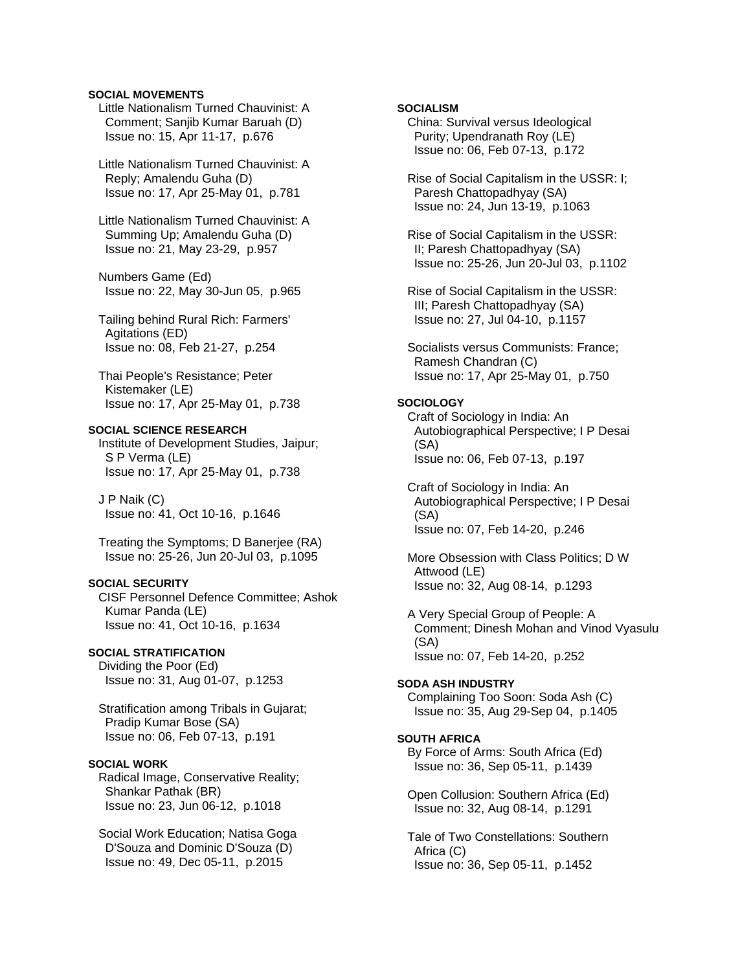#### **SOCIAL MOVEMENTS**

- Little Nationalism Turned Chauvinist: A Comment; Sanjib Kumar Baruah (D) Issue no: 15, Apr 11-17, p.676
- Little Nationalism Turned Chauvinist: A Reply; Amalendu Guha (D) Issue no: 17, Apr 25-May 01, p.781
- Little Nationalism Turned Chauvinist: A Summing Up; Amalendu Guha (D) Issue no: 21, May 23-29, p.957
- Numbers Game (Ed) Issue no: 22, May 30-Jun 05, p.965
- Tailing behind Rural Rich: Farmers' Agitations (ED) Issue no: 08, Feb 21-27, p.254
- Thai People's Resistance; Peter Kistemaker (LE) Issue no: 17, Apr 25-May 01, p.738

## **SOCIAL SCIENCE RESEARCH**

 Institute of Development Studies, Jaipur; S P Verma (LE) Issue no: 17, Apr 25-May 01, p.738

 J P Naik (C) Issue no: 41, Oct 10-16, p.1646

 Treating the Symptoms; D Banerjee (RA) Issue no: 25-26, Jun 20-Jul 03, p.1095

## **SOCIAL SECURITY**

 CISF Personnel Defence Committee; Ashok Kumar Panda (LE) Issue no: 41, Oct 10-16, p.1634

#### **SOCIAL STRATIFICATION**

 Dividing the Poor (Ed) Issue no: 31, Aug 01-07, p.1253

 Stratification among Tribals in Gujarat; Pradip Kumar Bose (SA) Issue no: 06, Feb 07-13, p.191

## **SOCIAL WORK**

 Radical Image, Conservative Reality; Shankar Pathak (BR) Issue no: 23, Jun 06-12, p.1018

 Social Work Education; Natisa Goga D'Souza and Dominic D'Souza (D) Issue no: 49, Dec 05-11, p.2015

# **SOCIALISM**

 China: Survival versus Ideological Purity; Upendranath Roy (LE) Issue no: 06, Feb 07-13, p.172

 Rise of Social Capitalism in the USSR: I; Paresh Chattopadhyay (SA) Issue no: 24, Jun 13-19, p.1063

 Rise of Social Capitalism in the USSR: II; Paresh Chattopadhyay (SA) Issue no: 25-26, Jun 20-Jul 03, p.1102

 Rise of Social Capitalism in the USSR: III; Paresh Chattopadhyay (SA) Issue no: 27, Jul 04-10, p.1157

 Socialists versus Communists: France; Ramesh Chandran (C) Issue no: 17, Apr 25-May 01, p.750

# **SOCIOLOGY**

 Craft of Sociology in India: An Autobiographical Perspective; I P Desai (SA) Issue no: 06, Feb 07-13, p.197

 Craft of Sociology in India: An Autobiographical Perspective; I P Desai (SA) Issue no: 07, Feb 14-20, p.246

 More Obsession with Class Politics; D W Attwood (LE) Issue no: 32, Aug 08-14, p.1293

 A Very Special Group of People: A Comment; Dinesh Mohan and Vinod Vyasulu (SA) Issue no: 07, Feb 14-20, p.252

#### **SODA ASH INDUSTRY**

 Complaining Too Soon: Soda Ash (C) Issue no: 35, Aug 29-Sep 04, p.1405

#### **SOUTH AFRICA**

 By Force of Arms: South Africa (Ed) Issue no: 36, Sep 05-11, p.1439

 Open Collusion: Southern Africa (Ed) Issue no: 32, Aug 08-14, p.1291

 Tale of Two Constellations: Southern Africa (C) Issue no: 36, Sep 05-11, p.1452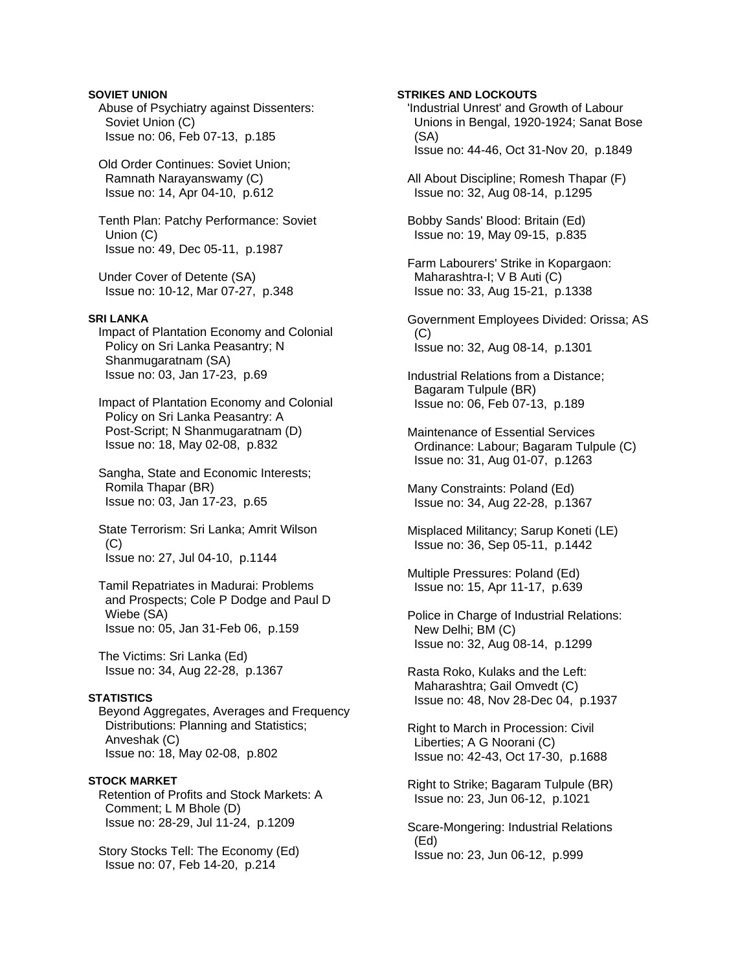# **SOVIET UNION**

 Abuse of Psychiatry against Dissenters: Soviet Union (C) Issue no: 06, Feb 07-13, p.185

 Old Order Continues: Soviet Union; Ramnath Narayanswamy (C) Issue no: 14, Apr 04-10, p.612

 Tenth Plan: Patchy Performance: Soviet Union (C) Issue no: 49, Dec 05-11, p.1987

 Under Cover of Detente (SA) Issue no: 10-12, Mar 07-27, p.348

# **SRI LANKA**

 Impact of Plantation Economy and Colonial Policy on Sri Lanka Peasantry; N Shanmugaratnam (SA) Issue no: 03, Jan 17-23, p.69

 Impact of Plantation Economy and Colonial Policy on Sri Lanka Peasantry: A Post-Script; N Shanmugaratnam (D) Issue no: 18, May 02-08, p.832

 Sangha, State and Economic Interests; Romila Thapar (BR) Issue no: 03, Jan 17-23, p.65

 State Terrorism: Sri Lanka; Amrit Wilson  $(C)$ Issue no: 27, Jul 04-10, p.1144

 Tamil Repatriates in Madurai: Problems and Prospects; Cole P Dodge and Paul D Wiebe (SA) Issue no: 05, Jan 31-Feb 06, p.159

 The Victims: Sri Lanka (Ed) Issue no: 34, Aug 22-28, p.1367

# **STATISTICS**

 Beyond Aggregates, Averages and Frequency Distributions: Planning and Statistics; Anveshak (C) Issue no: 18, May 02-08, p.802

# **STOCK MARKET**

 Retention of Profits and Stock Markets: A Comment; L M Bhole (D) Issue no: 28-29, Jul 11-24, p.1209

 Story Stocks Tell: The Economy (Ed) Issue no: 07, Feb 14-20, p.214

**STRIKES AND LOCKOUTS**  'Industrial Unrest' and Growth of Labour Unions in Bengal, 1920-1924; Sanat Bose (SA) Issue no: 44-46, Oct 31-Nov 20, p.1849 All About Discipline; Romesh Thapar (F) Issue no: 32, Aug 08-14, p.1295 Bobby Sands' Blood: Britain (Ed) Issue no: 19, May 09-15, p.835 Farm Labourers' Strike in Kopargaon: Maharashtra-I; V B Auti (C) Issue no: 33, Aug 15-21, p.1338 Government Employees Divided: Orissa; AS  $(C)$ Issue no: 32, Aug 08-14, p.1301

 Industrial Relations from a Distance; Bagaram Tulpule (BR) Issue no: 06, Feb 07-13, p.189

 Maintenance of Essential Services Ordinance: Labour; Bagaram Tulpule (C) Issue no: 31, Aug 01-07, p.1263

 Many Constraints: Poland (Ed) Issue no: 34, Aug 22-28, p.1367

 Misplaced Militancy; Sarup Koneti (LE) Issue no: 36, Sep 05-11, p.1442

 Multiple Pressures: Poland (Ed) Issue no: 15, Apr 11-17, p.639

Police in Charge of Industrial Relations: New Delhi; BM (C) Issue no: 32, Aug 08-14, p.1299

 Rasta Roko, Kulaks and the Left: Maharashtra; Gail Omvedt (C) Issue no: 48, Nov 28-Dec 04, p.1937

 Right to March in Procession: Civil Liberties; A G Noorani (C) Issue no: 42-43, Oct 17-30, p.1688

 Right to Strike; Bagaram Tulpule (BR) Issue no: 23, Jun 06-12, p.1021

 Scare-Mongering: Industrial Relations (Ed) Issue no: 23, Jun 06-12, p.999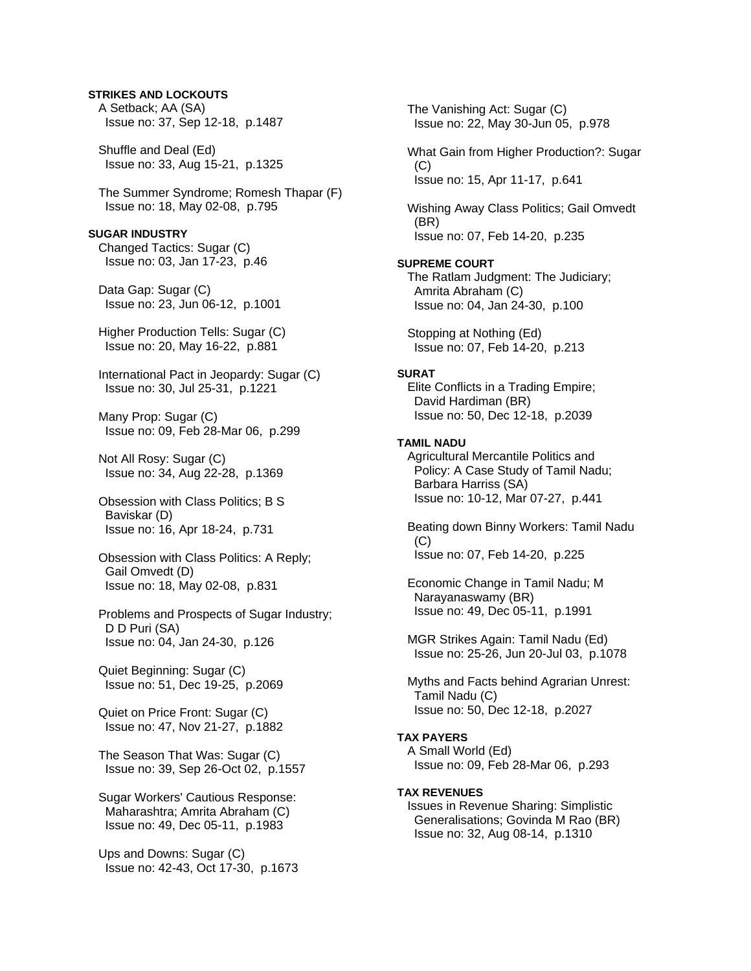## **STRIKES AND LOCKOUTS**

 A Setback; AA (SA) Issue no: 37, Sep 12-18, p.1487 Shuffle and Deal (Ed) Issue no: 33, Aug 15-21, p.1325 The Summer Syndrome; Romesh Thapar (F) Issue no: 18, May 02-08, p.795 **SUGAR INDUSTRY**  Changed Tactics: Sugar (C) Issue no: 03, Jan 17-23, p.46 Data Gap: Sugar (C) Issue no: 23, Jun 06-12, p.1001 Higher Production Tells: Sugar (C) Issue no: 20, May 16-22, p.881 International Pact in Jeopardy: Sugar (C) Issue no: 30, Jul 25-31, p.1221 Many Prop: Sugar (C) Issue no: 09, Feb 28-Mar 06, p.299 Not All Rosy: Sugar (C) Issue no: 34, Aug 22-28, p.1369 Obsession with Class Politics; B S Baviskar (D) Issue no: 16, Apr 18-24, p.731 Obsession with Class Politics: A Reply; Gail Omvedt (D) Issue no: 18, May 02-08, p.831 Problems and Prospects of Sugar Industry; D D Puri (SA) Issue no: 04, Jan 24-30, p.126 Quiet Beginning: Sugar (C) Issue no: 51, Dec 19-25, p.2069 Quiet on Price Front: Sugar (C) Issue no: 47, Nov 21-27, p.1882 The Season That Was: Sugar (C) Issue no: 39, Sep 26-Oct 02, p.1557 Sugar Workers' Cautious Response: Maharashtra; Amrita Abraham (C) Issue no: 49, Dec 05-11, p.1983

 Ups and Downs: Sugar (C) Issue no: 42-43, Oct 17-30, p.1673

 The Vanishing Act: Sugar (C) Issue no: 22, May 30-Jun 05, p.978 What Gain from Higher Production?: Sugar (C) Issue no: 15, Apr 11-17, p.641 Wishing Away Class Politics; Gail Omvedt (BR) Issue no: 07, Feb 14-20, p.235 **SUPREME COURT**  The Ratlam Judgment: The Judiciary; Amrita Abraham (C) Issue no: 04, Jan 24-30, p.100 Stopping at Nothing (Ed) Issue no: 07, Feb 14-20, p.213 **SURAT**  Elite Conflicts in a Trading Empire; David Hardiman (BR) Issue no: 50, Dec 12-18, p.2039 **TAMIL NADU**  Agricultural Mercantile Politics and Policy: A Case Study of Tamil Nadu; Barbara Harriss (SA) Issue no: 10-12, Mar 07-27, p.441 Beating down Binny Workers: Tamil Nadu (C) Issue no: 07, Feb 14-20, p.225 Economic Change in Tamil Nadu; M Narayanaswamy (BR) Issue no: 49, Dec 05-11, p.1991 MGR Strikes Again: Tamil Nadu (Ed) Issue no: 25-26, Jun 20-Jul 03, p.1078 Myths and Facts behind Agrarian Unrest: Tamil Nadu (C) Issue no: 50, Dec 12-18, p.2027 **TAX PAYERS**  A Small World (Ed) Issue no: 09, Feb 28-Mar 06, p.293 **TAX REVENUES**  Issues in Revenue Sharing: Simplistic Generalisations; Govinda M Rao (BR) Issue no: 32, Aug 08-14, p.1310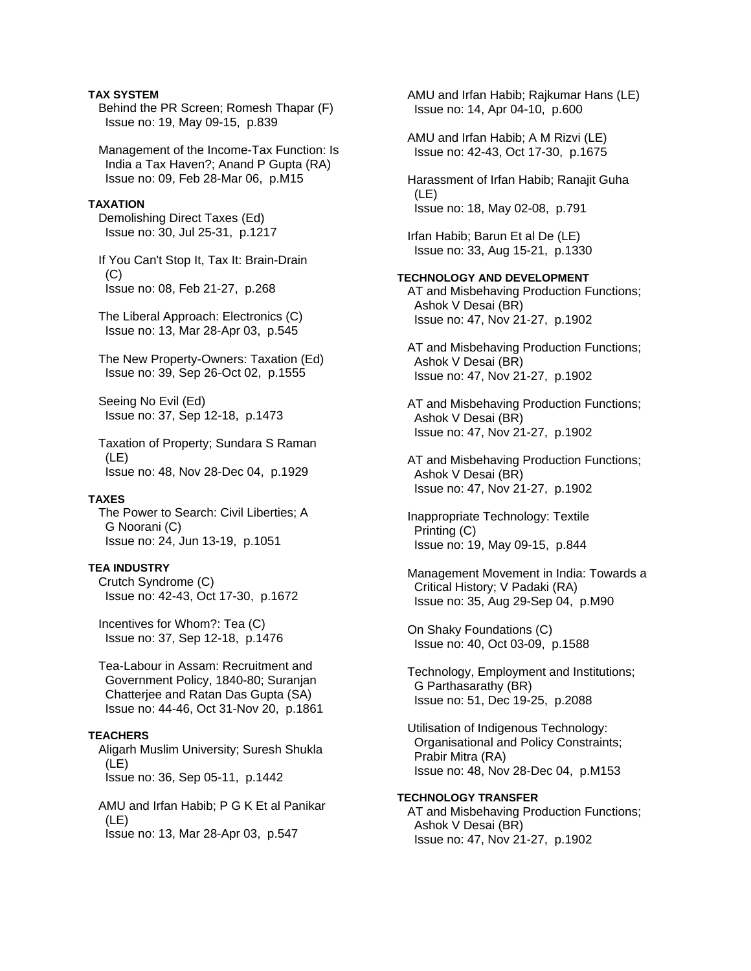## **TAX SYSTEM**

 Behind the PR Screen; Romesh Thapar (F) Issue no: 19, May 09-15, p.839

 Management of the Income-Tax Function: Is India a Tax Haven?; Anand P Gupta (RA) Issue no: 09, Feb 28-Mar 06, p.M15

## **TAXATION**

 Demolishing Direct Taxes (Ed) Issue no: 30, Jul 25-31, p.1217

 If You Can't Stop It, Tax It: Brain-Drain  $(C)$ Issue no: 08, Feb 21-27, p.268

 The Liberal Approach: Electronics (C) Issue no: 13, Mar 28-Apr 03, p.545

 The New Property-Owners: Taxation (Ed) Issue no: 39, Sep 26-Oct 02, p.1555

 Seeing No Evil (Ed) Issue no: 37, Sep 12-18, p.1473

 Taxation of Property; Sundara S Raman (LE) Issue no: 48, Nov 28-Dec 04, p.1929

#### **TAXES**

 The Power to Search: Civil Liberties; A G Noorani (C) Issue no: 24, Jun 13-19, p.1051

## **TEA INDUSTRY**

 Crutch Syndrome (C) Issue no: 42-43, Oct 17-30, p.1672

 Incentives for Whom?: Tea (C) Issue no: 37, Sep 12-18, p.1476

 Tea-Labour in Assam: Recruitment and Government Policy, 1840-80; Suranjan Chatterjee and Ratan Das Gupta (SA) Issue no: 44-46, Oct 31-Nov 20, p.1861

# **TEACHERS**

 Aligarh Muslim University; Suresh Shukla (LE) Issue no: 36, Sep 05-11, p.1442

 AMU and Irfan Habib; P G K Et al Panikar (LE) Issue no: 13, Mar 28-Apr 03, p.547

 AMU and Irfan Habib; Rajkumar Hans (LE) Issue no: 14, Apr 04-10, p.600 AMU and Irfan Habib; A M Rizvi (LE) Issue no: 42-43, Oct 17-30, p.1675 Harassment of Irfan Habib; Ranajit Guha (LE) Issue no: 18, May 02-08, p.791 Irfan Habib; Barun Et al De (LE) Issue no: 33, Aug 15-21, p.1330 **TECHNOLOGY AND DEVELOPMENT**  AT and Misbehaving Production Functions; Ashok V Desai (BR) Issue no: 47, Nov 21-27, p.1902 AT and Misbehaving Production Functions; Ashok V Desai (BR) Issue no: 47, Nov 21-27, p.1902 AT and Misbehaving Production Functions; Ashok V Desai (BR) Issue no: 47, Nov 21-27, p.1902 AT and Misbehaving Production Functions; Ashok V Desai (BR) Issue no: 47, Nov 21-27, p.1902 Inappropriate Technology: Textile Printing (C) Issue no: 19, May 09-15, p.844 Management Movement in India: Towards a Critical History; V Padaki (RA) Issue no: 35, Aug 29-Sep 04, p.M90 On Shaky Foundations (C) Issue no: 40, Oct 03-09, p.1588 Technology, Employment and Institutions; G Parthasarathy (BR) Issue no: 51, Dec 19-25, p.2088 Utilisation of Indigenous Technology: Organisational and Policy Constraints; Prabir Mitra (RA) Issue no: 48, Nov 28-Dec 04, p.M153 **TECHNOLOGY TRANSFER**  AT and Misbehaving Production Functions; Ashok V Desai (BR)

Issue no: 47, Nov 21-27, p.1902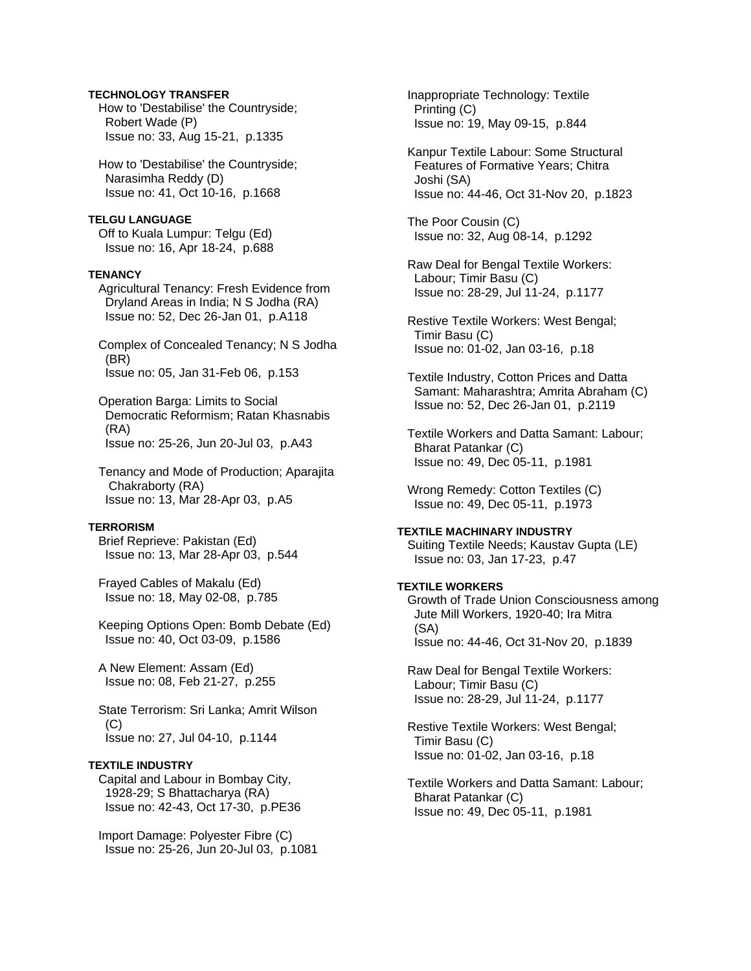## **TECHNOLOGY TRANSFER**

 How to 'Destabilise' the Countryside; Robert Wade (P) Issue no: 33, Aug 15-21, p.1335

 How to 'Destabilise' the Countryside; Narasimha Reddy (D) Issue no: 41, Oct 10-16, p.1668

**TELGU LANGUAGE**  Off to Kuala Lumpur: Telgu (Ed) Issue no: 16, Apr 18-24, p.688

#### **TENANCY**

 Agricultural Tenancy: Fresh Evidence from Dryland Areas in India; N S Jodha (RA) Issue no: 52, Dec 26-Jan 01, p.A118

 Complex of Concealed Tenancy; N S Jodha (BR) Issue no: 05, Jan 31-Feb 06, p.153

 Operation Barga: Limits to Social Democratic Reformism; Ratan Khasnabis (RA) Issue no: 25-26, Jun 20-Jul 03, p.A43

 Tenancy and Mode of Production; Aparajita Chakraborty (RA) Issue no: 13, Mar 28-Apr 03, p.A5

#### **TERRORISM**

 Brief Reprieve: Pakistan (Ed) Issue no: 13, Mar 28-Apr 03, p.544

 Frayed Cables of Makalu (Ed) Issue no: 18, May 02-08, p.785

 Keeping Options Open: Bomb Debate (Ed) Issue no: 40, Oct 03-09, p.1586

 A New Element: Assam (Ed) Issue no: 08, Feb 21-27, p.255

 State Terrorism: Sri Lanka; Amrit Wilson  $(C)$ Issue no: 27, Jul 04-10, p.1144

# **TEXTILE INDUSTRY**

 Capital and Labour in Bombay City, 1928-29; S Bhattacharya (RA) Issue no: 42-43, Oct 17-30, p.PE36

 Import Damage: Polyester Fibre (C) Issue no: 25-26, Jun 20-Jul 03, p.1081  Inappropriate Technology: Textile Printing (C) Issue no: 19, May 09-15, p.844

 Kanpur Textile Labour: Some Structural Features of Formative Years; Chitra Joshi (SA) Issue no: 44-46, Oct 31-Nov 20, p.1823

 The Poor Cousin (C) Issue no: 32, Aug 08-14, p.1292

 Raw Deal for Bengal Textile Workers: Labour; Timir Basu (C) Issue no: 28-29, Jul 11-24, p.1177

 Restive Textile Workers: West Bengal; Timir Basu (C) Issue no: 01-02, Jan 03-16, p.18

 Textile Industry, Cotton Prices and Datta Samant: Maharashtra; Amrita Abraham (C) Issue no: 52, Dec 26-Jan 01, p.2119

 Textile Workers and Datta Samant: Labour; Bharat Patankar (C) Issue no: 49, Dec 05-11, p.1981

 Wrong Remedy: Cotton Textiles (C) Issue no: 49, Dec 05-11, p.1973

# **TEXTILE MACHINARY INDUSTRY**

 Suiting Textile Needs; Kaustav Gupta (LE) Issue no: 03, Jan 17-23, p.47

# **TEXTILE WORKERS**

 Growth of Trade Union Consciousness among Jute Mill Workers, 1920-40; Ira Mitra (SA) Issue no: 44-46, Oct 31-Nov 20, p.1839

 Raw Deal for Bengal Textile Workers: Labour; Timir Basu (C) Issue no: 28-29, Jul 11-24, p.1177

 Restive Textile Workers: West Bengal; Timir Basu (C) Issue no: 01-02, Jan 03-16, p.18

 Textile Workers and Datta Samant: Labour; Bharat Patankar (C) Issue no: 49, Dec 05-11, p.1981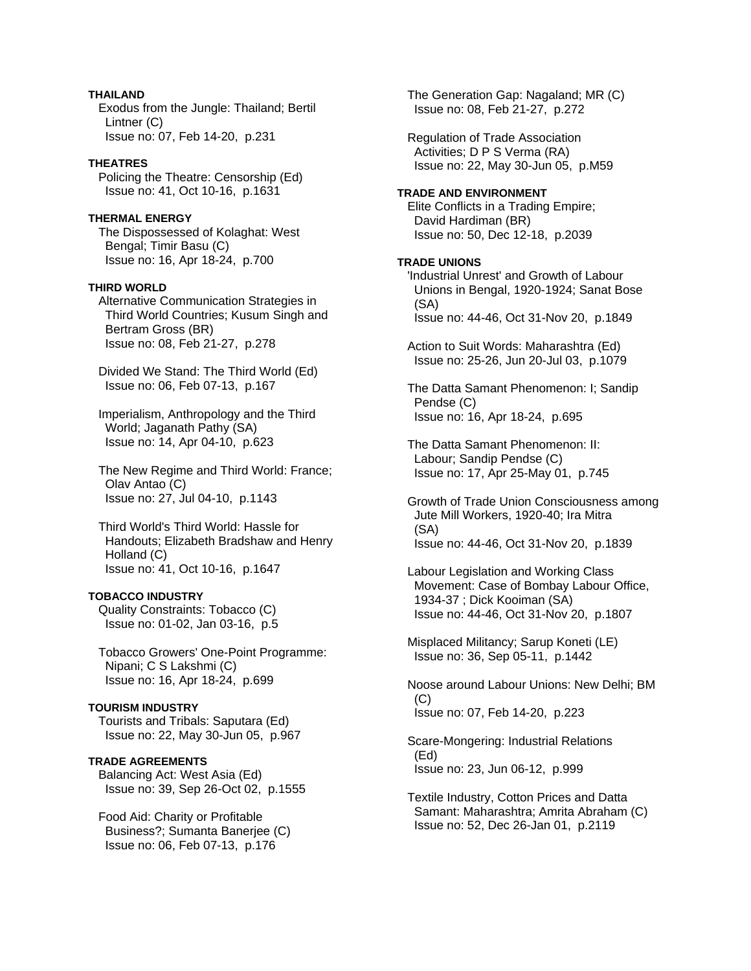## **THAILAND**

 Exodus from the Jungle: Thailand; Bertil Lintner (C) Issue no: 07, Feb 14-20, p.231

## **THEATRES**

 Policing the Theatre: Censorship (Ed) Issue no: 41, Oct 10-16, p.1631

# **THERMAL ENERGY**

 The Dispossessed of Kolaghat: West Bengal; Timir Basu (C) Issue no: 16, Apr 18-24, p.700

## **THIRD WORLD**

 Alternative Communication Strategies in Third World Countries; Kusum Singh and Bertram Gross (BR) Issue no: 08, Feb 21-27, p.278

 Divided We Stand: The Third World (Ed) Issue no: 06, Feb 07-13, p.167

 Imperialism, Anthropology and the Third World; Jaganath Pathy (SA) Issue no: 14, Apr 04-10, p.623

 The New Regime and Third World: France; Olav Antao (C) Issue no: 27, Jul 04-10, p.1143

 Third World's Third World: Hassle for Handouts; Elizabeth Bradshaw and Henry Holland (C) Issue no: 41, Oct 10-16, p.1647

## **TOBACCO INDUSTRY**

 Quality Constraints: Tobacco (C) Issue no: 01-02, Jan 03-16, p.5

 Tobacco Growers' One-Point Programme: Nipani; C S Lakshmi (C) Issue no: 16, Apr 18-24, p.699

# **TOURISM INDUSTRY**

 Tourists and Tribals: Saputara (Ed) Issue no: 22, May 30-Jun 05, p.967

## **TRADE AGREEMENTS**

 Balancing Act: West Asia (Ed) Issue no: 39, Sep 26-Oct 02, p.1555

 Food Aid: Charity or Profitable Business?; Sumanta Banerjee (C) Issue no: 06, Feb 07-13, p.176

 The Generation Gap: Nagaland; MR (C) Issue no: 08, Feb 21-27, p.272

 Regulation of Trade Association Activities; D P S Verma (RA) Issue no: 22, May 30-Jun 05, p.M59

## **TRADE AND ENVIRONMENT**

 Elite Conflicts in a Trading Empire; David Hardiman (BR) Issue no: 50, Dec 12-18, p.2039

#### **TRADE UNIONS**

 'Industrial Unrest' and Growth of Labour Unions in Bengal, 1920-1924; Sanat Bose (SA) Issue no: 44-46, Oct 31-Nov 20, p.1849

 Action to Suit Words: Maharashtra (Ed) Issue no: 25-26, Jun 20-Jul 03, p.1079

 The Datta Samant Phenomenon: I; Sandip Pendse (C) Issue no: 16, Apr 18-24, p.695

 The Datta Samant Phenomenon: II: Labour; Sandip Pendse (C) Issue no: 17, Apr 25-May 01, p.745

 Growth of Trade Union Consciousness among Jute Mill Workers, 1920-40; Ira Mitra (SA) Issue no: 44-46, Oct 31-Nov 20, p.1839

 Labour Legislation and Working Class Movement: Case of Bombay Labour Office, 1934-37 ; Dick Kooiman (SA) Issue no: 44-46, Oct 31-Nov 20, p.1807

 Misplaced Militancy; Sarup Koneti (LE) Issue no: 36, Sep 05-11, p.1442

 Noose around Labour Unions: New Delhi; BM  $(C)$ Issue no: 07, Feb 14-20, p.223

 Scare-Mongering: Industrial Relations (Ed) Issue no: 23, Jun 06-12, p.999

 Textile Industry, Cotton Prices and Datta Samant: Maharashtra; Amrita Abraham (C) Issue no: 52, Dec 26-Jan 01, p.2119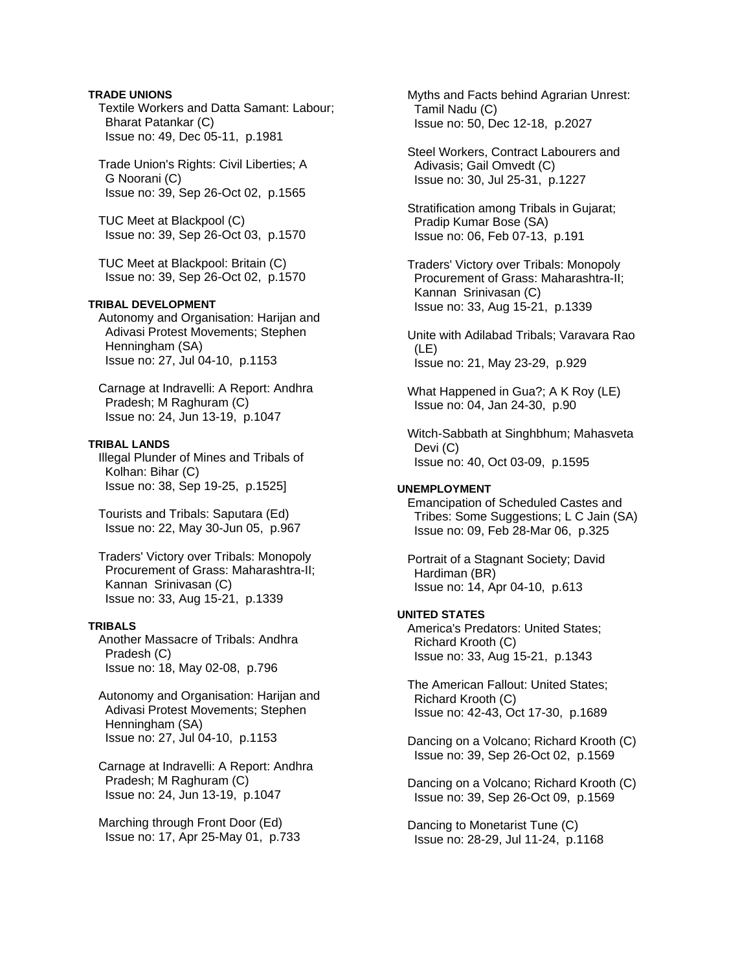## **TRADE UNIONS**

 Textile Workers and Datta Samant: Labour; Bharat Patankar (C) Issue no: 49, Dec 05-11, p.1981

 Trade Union's Rights: Civil Liberties; A G Noorani (C) Issue no: 39, Sep 26-Oct 02, p.1565

 TUC Meet at Blackpool (C) Issue no: 39, Sep 26-Oct 03, p.1570

 TUC Meet at Blackpool: Britain (C) Issue no: 39, Sep 26-Oct 02, p.1570

## **TRIBAL DEVELOPMENT**

 Autonomy and Organisation: Harijan and Adivasi Protest Movements; Stephen Henningham (SA) Issue no: 27, Jul 04-10, p.1153

 Carnage at Indravelli: A Report: Andhra Pradesh; M Raghuram (C) Issue no: 24, Jun 13-19, p.1047

## **TRIBAL LANDS**

 Illegal Plunder of Mines and Tribals of Kolhan: Bihar (C) Issue no: 38, Sep 19-25, p.1525]

 Tourists and Tribals: Saputara (Ed) Issue no: 22, May 30-Jun 05, p.967

 Traders' Victory over Tribals: Monopoly Procurement of Grass: Maharashtra-II; Kannan Srinivasan (C) Issue no: 33, Aug 15-21, p.1339

## **TRIBALS**

 Another Massacre of Tribals: Andhra Pradesh (C) Issue no: 18, May 02-08, p.796

 Autonomy and Organisation: Harijan and Adivasi Protest Movements; Stephen Henningham (SA) Issue no: 27, Jul 04-10, p.1153

 Carnage at Indravelli: A Report: Andhra Pradesh; M Raghuram (C) Issue no: 24, Jun 13-19, p.1047

 Marching through Front Door (Ed) Issue no: 17, Apr 25-May 01, p.733  Myths and Facts behind Agrarian Unrest: Tamil Nadu (C) Issue no: 50, Dec 12-18, p.2027

 Steel Workers, Contract Labourers and Adivasis; Gail Omvedt (C) Issue no: 30, Jul 25-31, p.1227

 Stratification among Tribals in Gujarat; Pradip Kumar Bose (SA) Issue no: 06, Feb 07-13, p.191

 Traders' Victory over Tribals: Monopoly Procurement of Grass: Maharashtra-II; Kannan Srinivasan (C) Issue no: 33, Aug 15-21, p.1339

 Unite with Adilabad Tribals; Varavara Rao (LE) Issue no: 21, May 23-29, p.929

 What Happened in Gua?; A K Roy (LE) Issue no: 04, Jan 24-30, p.90

 Witch-Sabbath at Singhbhum; Mahasveta Devi (C) Issue no: 40, Oct 03-09, p.1595

#### **UNEMPLOYMENT**

 Emancipation of Scheduled Castes and Tribes: Some Suggestions; L C Jain (SA) Issue no: 09, Feb 28-Mar 06, p.325

 Portrait of a Stagnant Society; David Hardiman (BR) Issue no: 14, Apr 04-10, p.613

#### **UNITED STATES**

 America's Predators: United States; Richard Krooth (C) Issue no: 33, Aug 15-21, p.1343

 The American Fallout: United States; Richard Krooth (C) Issue no: 42-43, Oct 17-30, p.1689

 Dancing on a Volcano; Richard Krooth (C) Issue no: 39, Sep 26-Oct 02, p.1569

 Dancing on a Volcano; Richard Krooth (C) Issue no: 39, Sep 26-Oct 09, p.1569

 Dancing to Monetarist Tune (C) Issue no: 28-29, Jul 11-24, p.1168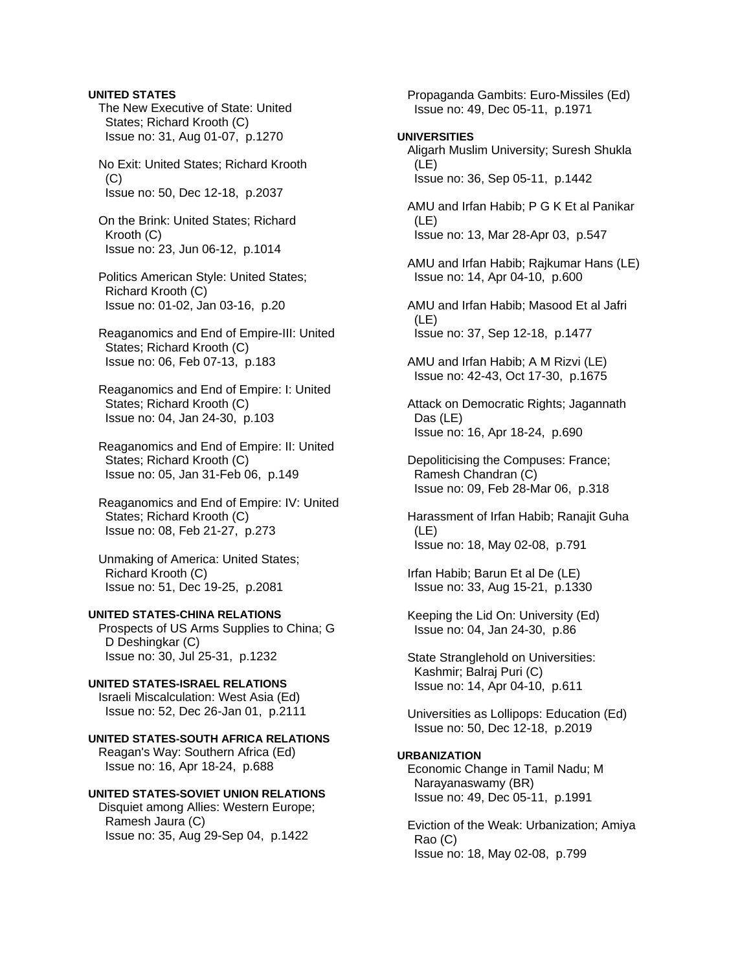#### **UNITED STATES**

 The New Executive of State: United States; Richard Krooth (C) Issue no: 31, Aug 01-07, p.1270

 No Exit: United States; Richard Krooth (C) Issue no: 50, Dec 12-18, p.2037

 On the Brink: United States; Richard Krooth (C) Issue no: 23, Jun 06-12, p.1014

 Politics American Style: United States; Richard Krooth (C) Issue no: 01-02, Jan 03-16, p.20

 Reaganomics and End of Empire-III: United States; Richard Krooth (C) Issue no: 06, Feb 07-13, p.183

 Reaganomics and End of Empire: I: United States; Richard Krooth (C) Issue no: 04, Jan 24-30, p.103

 Reaganomics and End of Empire: II: United States; Richard Krooth (C) Issue no: 05, Jan 31-Feb 06, p.149

 Reaganomics and End of Empire: IV: United States; Richard Krooth (C) Issue no: 08, Feb 21-27, p.273

 Unmaking of America: United States; Richard Krooth (C) Issue no: 51, Dec 19-25, p.2081

#### **UNITED STATES-CHINA RELATIONS**

 Prospects of US Arms Supplies to China; G D Deshingkar (C) Issue no: 30, Jul 25-31, p.1232

# **UNITED STATES-ISRAEL RELATIONS**

 Israeli Miscalculation: West Asia (Ed) Issue no: 52, Dec 26-Jan 01, p.2111

# **UNITED STATES-SOUTH AFRICA RELATIONS**

 Reagan's Way: Southern Africa (Ed) Issue no: 16, Apr 18-24, p.688

## **UNITED STATES-SOVIET UNION RELATIONS**

 Disquiet among Allies: Western Europe; Ramesh Jaura (C) Issue no: 35, Aug 29-Sep 04, p.1422

 Propaganda Gambits: Euro-Missiles (Ed) Issue no: 49, Dec 05-11, p.1971

#### **UNIVERSITIES**

 Aligarh Muslim University; Suresh Shukla (LE) Issue no: 36, Sep 05-11, p.1442

 AMU and Irfan Habib; P G K Et al Panikar (LE) Issue no: 13, Mar 28-Apr 03, p.547

 AMU and Irfan Habib; Rajkumar Hans (LE) Issue no: 14, Apr 04-10, p.600

 AMU and Irfan Habib; Masood Et al Jafri (LE) Issue no: 37, Sep 12-18, p.1477

 AMU and Irfan Habib; A M Rizvi (LE) Issue no: 42-43, Oct 17-30, p.1675

 Attack on Democratic Rights; Jagannath Das (LE) Issue no: 16, Apr 18-24, p.690

 Depoliticising the Compuses: France; Ramesh Chandran (C) Issue no: 09, Feb 28-Mar 06, p.318

 Harassment of Irfan Habib; Ranajit Guha (LE) Issue no: 18, May 02-08, p.791

 Irfan Habib; Barun Et al De (LE) Issue no: 33, Aug 15-21, p.1330

 Keeping the Lid On: University (Ed) Issue no: 04, Jan 24-30, p.86

 State Stranglehold on Universities: Kashmir; Balraj Puri (C) Issue no: 14, Apr 04-10, p.611

 Universities as Lollipops: Education (Ed) Issue no: 50, Dec 12-18, p.2019

#### **URBANIZATION**

 Economic Change in Tamil Nadu; M Narayanaswamy (BR) Issue no: 49, Dec 05-11, p.1991

 Eviction of the Weak: Urbanization; Amiya Rao (C) Issue no: 18, May 02-08, p.799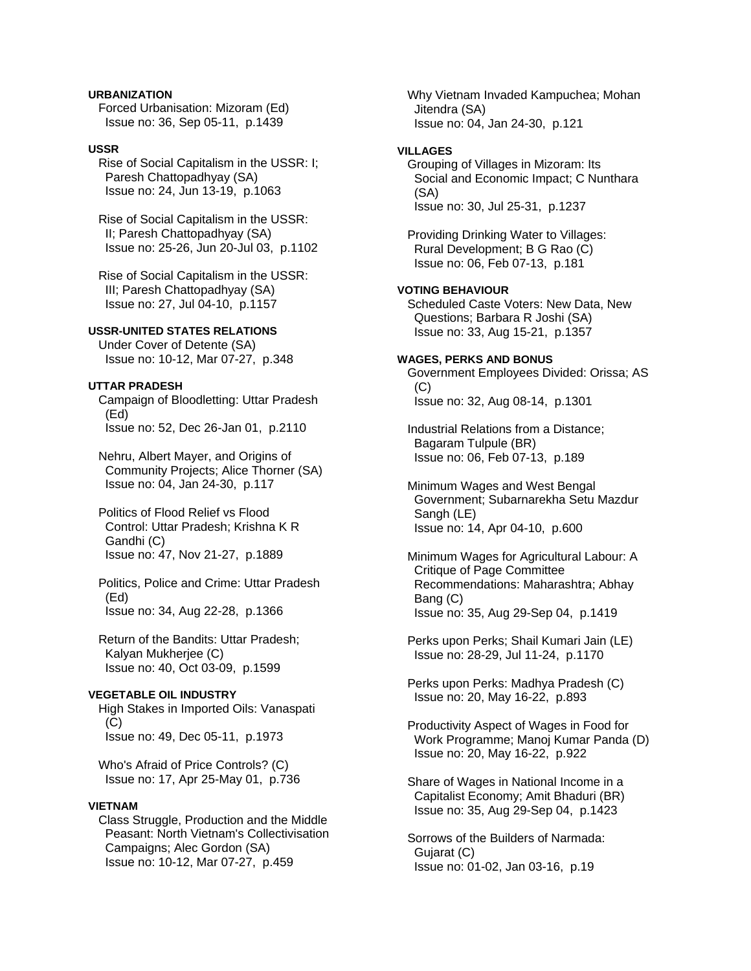**URBANIZATION** 

 Forced Urbanisation: Mizoram (Ed) Issue no: 36, Sep 05-11, p.1439

## **USSR**

 Rise of Social Capitalism in the USSR: I; Paresh Chattopadhyay (SA) Issue no: 24, Jun 13-19, p.1063

 Rise of Social Capitalism in the USSR: II; Paresh Chattopadhyay (SA) Issue no: 25-26, Jun 20-Jul 03, p.1102

 Rise of Social Capitalism in the USSR: III; Paresh Chattopadhyay (SA) Issue no: 27, Jul 04-10, p.1157

# **USSR-UNITED STATES RELATIONS**

 Under Cover of Detente (SA) Issue no: 10-12, Mar 07-27, p.348

## **UTTAR PRADESH**

 Campaign of Bloodletting: Uttar Pradesh (Ed) Issue no: 52, Dec 26-Jan 01, p.2110

 Nehru, Albert Mayer, and Origins of Community Projects; Alice Thorner (SA) Issue no: 04, Jan 24-30, p.117

 Politics of Flood Relief vs Flood Control: Uttar Pradesh; Krishna K R Gandhi (C) Issue no: 47, Nov 21-27, p.1889

 Politics, Police and Crime: Uttar Pradesh (Ed) Issue no: 34, Aug 22-28, p.1366

 Return of the Bandits: Uttar Pradesh; Kalyan Mukherjee (C) Issue no: 40, Oct 03-09, p.1599

# **VEGETABLE OIL INDUSTRY**

 High Stakes in Imported Oils: Vanaspati (C) Issue no: 49, Dec 05-11, p.1973

 Who's Afraid of Price Controls? (C) Issue no: 17, Apr 25-May 01, p.736

## **VIETNAM**

 Class Struggle, Production and the Middle Peasant: North Vietnam's Collectivisation Campaigns; Alec Gordon (SA) Issue no: 10-12, Mar 07-27, p.459

 Why Vietnam Invaded Kampuchea; Mohan Jitendra (SA) Issue no: 04, Jan 24-30, p.121

#### **VILLAGES**

 Grouping of Villages in Mizoram: Its Social and Economic Impact; C Nunthara (SA) Issue no: 30, Jul 25-31, p.1237

 Providing Drinking Water to Villages: Rural Development; B G Rao (C) Issue no: 06, Feb 07-13, p.181

## **VOTING BEHAVIOUR**

 Scheduled Caste Voters: New Data, New Questions; Barbara R Joshi (SA) Issue no: 33, Aug 15-21, p.1357

#### **WAGES, PERKS AND BONUS**

 Government Employees Divided: Orissa; AS (C) Issue no: 32, Aug 08-14, p.1301

 Industrial Relations from a Distance; Bagaram Tulpule (BR) Issue no: 06, Feb 07-13, p.189

 Minimum Wages and West Bengal Government; Subarnarekha Setu Mazdur Sangh (LE) Issue no: 14, Apr 04-10, p.600

 Minimum Wages for Agricultural Labour: A Critique of Page Committee Recommendations: Maharashtra; Abhay Bang (C) Issue no: 35, Aug 29-Sep 04, p.1419

 Perks upon Perks; Shail Kumari Jain (LE) Issue no: 28-29, Jul 11-24, p.1170

 Perks upon Perks: Madhya Pradesh (C) Issue no: 20, May 16-22, p.893

 Productivity Aspect of Wages in Food for Work Programme; Manoj Kumar Panda (D) Issue no: 20, May 16-22, p.922

 Share of Wages in National Income in a Capitalist Economy; Amit Bhaduri (BR) Issue no: 35, Aug 29-Sep 04, p.1423

 Sorrows of the Builders of Narmada: Gujarat (C) Issue no: 01-02, Jan 03-16, p.19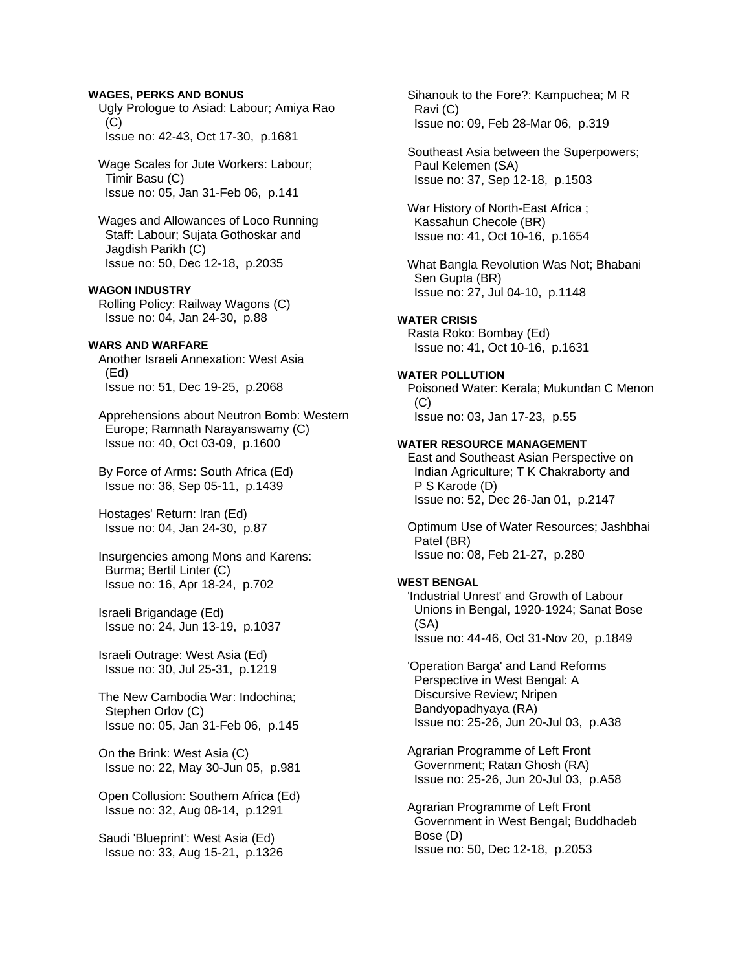#### **WAGES, PERKS AND BONUS**

 Ugly Prologue to Asiad: Labour; Amiya Rao  $(C)$ Issue no: 42-43, Oct 17-30, p.1681

 Wage Scales for Jute Workers: Labour; Timir Basu (C) Issue no: 05, Jan 31-Feb 06, p.141

 Wages and Allowances of Loco Running Staff: Labour; Sujata Gothoskar and Jagdish Parikh (C) Issue no: 50, Dec 12-18, p.2035

## **WAGON INDUSTRY**

 Rolling Policy: Railway Wagons (C) Issue no: 04, Jan 24-30, p.88

## **WARS AND WARFARE**

 Another Israeli Annexation: West Asia (Ed) Issue no: 51, Dec 19-25, p.2068

 Apprehensions about Neutron Bomb: Western Europe; Ramnath Narayanswamy (C) Issue no: 40, Oct 03-09, p.1600

 By Force of Arms: South Africa (Ed) Issue no: 36, Sep 05-11, p.1439

 Hostages' Return: Iran (Ed) Issue no: 04, Jan 24-30, p.87

 Insurgencies among Mons and Karens: Burma; Bertil Linter (C) Issue no: 16, Apr 18-24, p.702

 Israeli Brigandage (Ed) Issue no: 24, Jun 13-19, p.1037

 Israeli Outrage: West Asia (Ed) Issue no: 30, Jul 25-31, p.1219

 The New Cambodia War: Indochina; Stephen Orlov (C) Issue no: 05, Jan 31-Feb 06, p.145

 On the Brink: West Asia (C) Issue no: 22, May 30-Jun 05, p.981

 Open Collusion: Southern Africa (Ed) Issue no: 32, Aug 08-14, p.1291

 Saudi 'Blueprint': West Asia (Ed) Issue no: 33, Aug 15-21, p.1326  Sihanouk to the Fore?: Kampuchea; M R Ravi (C) Issue no: 09, Feb 28-Mar 06, p.319

 Southeast Asia between the Superpowers; Paul Kelemen (SA) Issue no: 37, Sep 12-18, p.1503

 War History of North-East Africa ; Kassahun Checole (BR) Issue no: 41, Oct 10-16, p.1654

 What Bangla Revolution Was Not; Bhabani Sen Gupta (BR) Issue no: 27, Jul 04-10, p.1148

#### **WATER CRISIS**

 Rasta Roko: Bombay (Ed) Issue no: 41, Oct 10-16, p.1631

#### **WATER POLLUTION**

 Poisoned Water: Kerala; Mukundan C Menon (C) Issue no: 03, Jan 17-23, p.55

## **WATER RESOURCE MANAGEMENT**

 East and Southeast Asian Perspective on Indian Agriculture; T K Chakraborty and P S Karode (D) Issue no: 52, Dec 26-Jan 01, p.2147

 Optimum Use of Water Resources; Jashbhai Patel (BR) Issue no: 08, Feb 21-27, p.280

#### **WEST BENGAL**

 'Industrial Unrest' and Growth of Labour Unions in Bengal, 1920-1924; Sanat Bose (SA) Issue no: 44-46, Oct 31-Nov 20, p.1849

 'Operation Barga' and Land Reforms Perspective in West Bengal: A Discursive Review; Nripen Bandyopadhyaya (RA) Issue no: 25-26, Jun 20-Jul 03, p.A38

 Agrarian Programme of Left Front Government; Ratan Ghosh (RA) Issue no: 25-26, Jun 20-Jul 03, p.A58

 Agrarian Programme of Left Front Government in West Bengal; Buddhadeb Bose (D) Issue no: 50, Dec 12-18, p.2053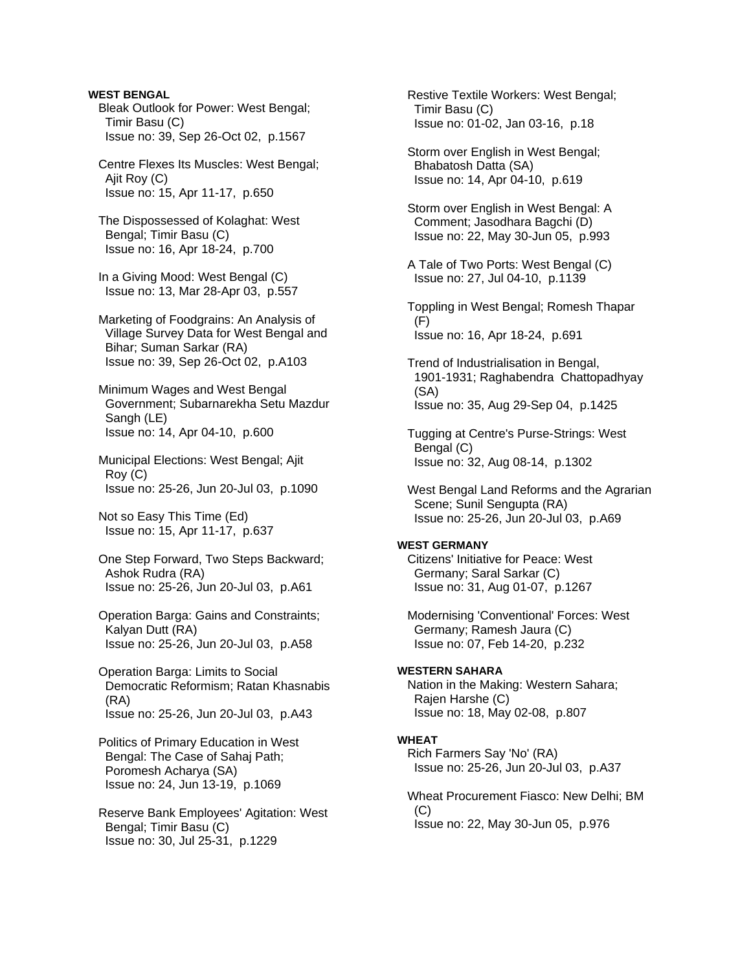**WEST BENGAL**  Bleak Outlook for Power: West Bengal; Timir Basu (C) Issue no: 39, Sep 26-Oct 02, p.1567

 Centre Flexes Its Muscles: West Bengal; Ajit Roy (C) Issue no: 15, Apr 11-17, p.650

 The Dispossessed of Kolaghat: West Bengal; Timir Basu (C) Issue no: 16, Apr 18-24, p.700

 In a Giving Mood: West Bengal (C) Issue no: 13, Mar 28-Apr 03, p.557

 Marketing of Foodgrains: An Analysis of Village Survey Data for West Bengal and Bihar; Suman Sarkar (RA) Issue no: 39, Sep 26-Oct 02, p.A103

 Minimum Wages and West Bengal Government; Subarnarekha Setu Mazdur Sangh (LE) Issue no: 14, Apr 04-10, p.600

 Municipal Elections: West Bengal; Ajit Roy (C) Issue no: 25-26, Jun 20-Jul 03, p.1090

 Not so Easy This Time (Ed) Issue no: 15, Apr 11-17, p.637

 One Step Forward, Two Steps Backward; Ashok Rudra (RA) Issue no: 25-26, Jun 20-Jul 03, p.A61

 Operation Barga: Gains and Constraints; Kalyan Dutt (RA) Issue no: 25-26, Jun 20-Jul 03, p.A58

 Operation Barga: Limits to Social Democratic Reformism; Ratan Khasnabis (RA) Issue no: 25-26, Jun 20-Jul 03, p.A43

 Politics of Primary Education in West Bengal: The Case of Sahaj Path; Poromesh Acharya (SA) Issue no: 24, Jun 13-19, p.1069

 Reserve Bank Employees' Agitation: West Bengal; Timir Basu (C) Issue no: 30, Jul 25-31, p.1229

 Restive Textile Workers: West Bengal; Timir Basu (C) Issue no: 01-02, Jan 03-16, p.18

 Storm over English in West Bengal; Bhabatosh Datta (SA) Issue no: 14, Apr 04-10, p.619

 Storm over English in West Bengal: A Comment; Jasodhara Bagchi (D) Issue no: 22, May 30-Jun 05, p.993

 A Tale of Two Ports: West Bengal (C) Issue no: 27, Jul 04-10, p.1139

 Toppling in West Bengal; Romesh Thapar (F) Issue no: 16, Apr 18-24, p.691

 Trend of Industrialisation in Bengal, 1901-1931; Raghabendra Chattopadhyay (SA) Issue no: 35, Aug 29-Sep 04, p.1425

 Tugging at Centre's Purse-Strings: West Bengal (C) Issue no: 32, Aug 08-14, p.1302

 West Bengal Land Reforms and the Agrarian Scene; Sunil Sengupta (RA) Issue no: 25-26, Jun 20-Jul 03, p.A69

## **WEST GERMANY**

 Citizens' Initiative for Peace: West Germany; Saral Sarkar (C) Issue no: 31, Aug 01-07, p.1267

 Modernising 'Conventional' Forces: West Germany; Ramesh Jaura (C) Issue no: 07, Feb 14-20, p.232

#### **WESTERN SAHARA**

 Nation in the Making: Western Sahara; Rajen Harshe (C) Issue no: 18, May 02-08, p.807

#### **WHEAT**

 Rich Farmers Say 'No' (RA) Issue no: 25-26, Jun 20-Jul 03, p.A37

 Wheat Procurement Fiasco: New Delhi; BM (C) Issue no: 22, May 30-Jun 05, p.976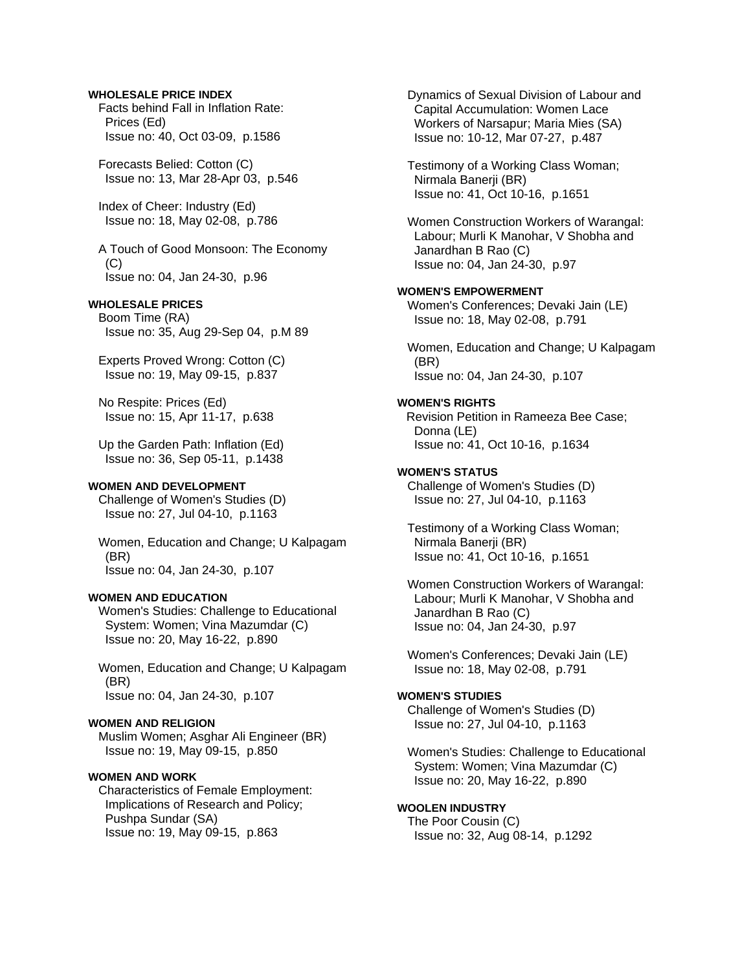#### **WHOLESALE PRICE INDEX**

 Facts behind Fall in Inflation Rate: Prices (Ed) Issue no: 40, Oct 03-09, p.1586

 Forecasts Belied: Cotton (C) Issue no: 13, Mar 28-Apr 03, p.546

 Index of Cheer: Industry (Ed) Issue no: 18, May 02-08, p.786

 A Touch of Good Monsoon: The Economy (C) Issue no: 04, Jan 24-30, p.96

# **WHOLESALE PRICES**

 Boom Time (RA) Issue no: 35, Aug 29-Sep 04, p.M 89

 Experts Proved Wrong: Cotton (C) Issue no: 19, May 09-15, p.837

 No Respite: Prices (Ed) Issue no: 15, Apr 11-17, p.638

 Up the Garden Path: Inflation (Ed) Issue no: 36, Sep 05-11, p.1438

#### **WOMEN AND DEVELOPMENT**

 Challenge of Women's Studies (D) Issue no: 27, Jul 04-10, p.1163

 Women, Education and Change; U Kalpagam (BR) Issue no: 04, Jan 24-30, p.107

#### **WOMEN AND EDUCATION**

 Women's Studies: Challenge to Educational System: Women; Vina Mazumdar (C) Issue no: 20, May 16-22, p.890

 Women, Education and Change; U Kalpagam (BR) Issue no: 04, Jan 24-30, p.107

# **WOMEN AND RELIGION**

 Muslim Women; Asghar Ali Engineer (BR) Issue no: 19, May 09-15, p.850

#### **WOMEN AND WORK**

 Characteristics of Female Employment: Implications of Research and Policy; Pushpa Sundar (SA) Issue no: 19, May 09-15, p.863

 Dynamics of Sexual Division of Labour and Capital Accumulation: Women Lace Workers of Narsapur; Maria Mies (SA) Issue no: 10-12, Mar 07-27, p.487

 Testimony of a Working Class Woman; Nirmala Banerji (BR) Issue no: 41, Oct 10-16, p.1651

 Women Construction Workers of Warangal: Labour; Murli K Manohar, V Shobha and Janardhan B Rao (C) Issue no: 04, Jan 24-30, p.97

#### **WOMEN'S EMPOWERMENT**

 Women's Conferences; Devaki Jain (LE) Issue no: 18, May 02-08, p.791

 Women, Education and Change; U Kalpagam (BR) Issue no: 04, Jan 24-30, p.107

#### **WOMEN'S RIGHTS**

Revision Petition in Rameeza Bee Case; Donna (LE) Issue no: 41, Oct 10-16, p.1634

## **WOMEN'S STATUS**

 Challenge of Women's Studies (D) Issue no: 27, Jul 04-10, p.1163

 Testimony of a Working Class Woman; Nirmala Banerji (BR) Issue no: 41, Oct 10-16, p.1651

 Women Construction Workers of Warangal: Labour; Murli K Manohar, V Shobha and Janardhan B Rao (C) Issue no: 04, Jan 24-30, p.97

 Women's Conferences; Devaki Jain (LE) Issue no: 18, May 02-08, p.791

#### **WOMEN'S STUDIES**

 Challenge of Women's Studies (D) Issue no: 27, Jul 04-10, p.1163

 Women's Studies: Challenge to Educational System: Women; Vina Mazumdar (C) Issue no: 20, May 16-22, p.890

#### **WOOLEN INDUSTRY**

 The Poor Cousin (C) Issue no: 32, Aug 08-14, p.1292